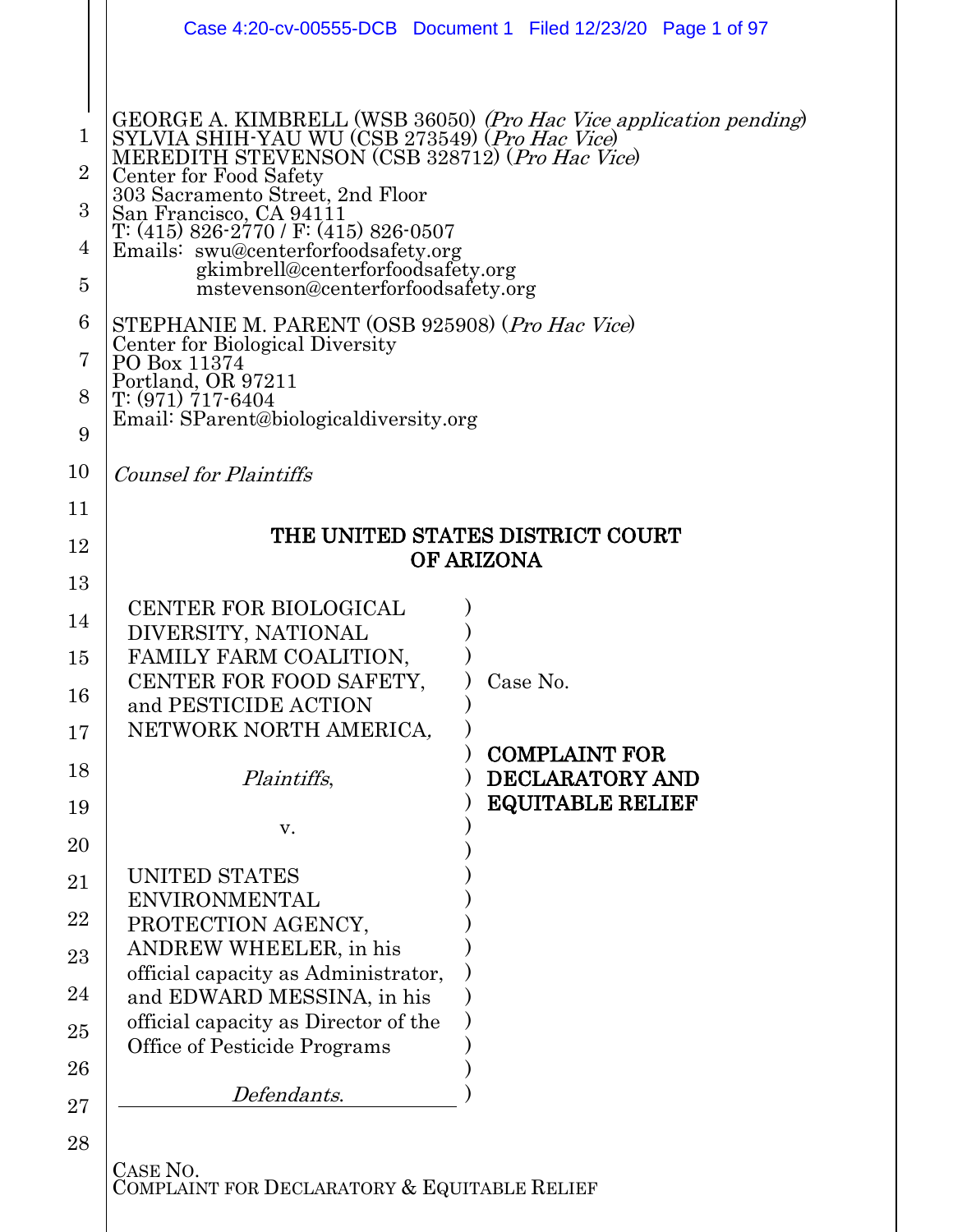|                                                                                            |                                                                                                                                                                                                                                                                                                                                                                                                                                                                                                                                                                                                                      | Case 4:20-cv-00555-DCB  Document 1  Filed 12/23/20  Page 1 of 97 |
|--------------------------------------------------------------------------------------------|----------------------------------------------------------------------------------------------------------------------------------------------------------------------------------------------------------------------------------------------------------------------------------------------------------------------------------------------------------------------------------------------------------------------------------------------------------------------------------------------------------------------------------------------------------------------------------------------------------------------|------------------------------------------------------------------|
| $\mathbf 1$<br>$\overline{2}$<br>3<br>$\overline{4}$<br>$\overline{5}$<br>6<br>7<br>8<br>9 | GEORGE A. KIMBRELL (WSB 36050) (Pro Hac Vice application pending)<br>SYLVIA SHIH-YAU WU (CSB 273549) (Pro Hac Vice)<br>MEREDITH STEVENSON (CSB 328712) (Pro Hac Vice)<br>Center for Food Safety<br>303 Sacramento Street, 2nd Floor<br>San Francisco, CA 94111<br>T: (415) 826-2770 / F: (415) 826-0507<br>Emails: swu@centerforfoodsafety.org<br>gkimbrell@centerforfoodsafety.org<br>mstevenson@centerforfoodsafety.org<br>STEPHANIE M. PARENT (OSB 925908) (Pro Hac Vice)<br>Center for Biological Diversity<br>PO Box 11374<br>Portland, OR 97211<br>T: (971) 717-6404<br>Email: SParent@biologicaldiversity.org |                                                                  |
| 10                                                                                         | <b>Counsel for Plaintiffs</b>                                                                                                                                                                                                                                                                                                                                                                                                                                                                                                                                                                                        |                                                                  |
| 11                                                                                         |                                                                                                                                                                                                                                                                                                                                                                                                                                                                                                                                                                                                                      |                                                                  |
| 12                                                                                         | THE UNITED STATES DISTRICT COURT                                                                                                                                                                                                                                                                                                                                                                                                                                                                                                                                                                                     |                                                                  |
| 13                                                                                         | <b>OF ARIZONA</b>                                                                                                                                                                                                                                                                                                                                                                                                                                                                                                                                                                                                    |                                                                  |
| 14                                                                                         | <b>CENTER FOR BIOLOGICAL</b>                                                                                                                                                                                                                                                                                                                                                                                                                                                                                                                                                                                         |                                                                  |
| 15                                                                                         | DIVERSITY, NATIONAL<br>FAMILY FARM COALITION,                                                                                                                                                                                                                                                                                                                                                                                                                                                                                                                                                                        |                                                                  |
| 16                                                                                         | CENTER FOR FOOD SAFETY,                                                                                                                                                                                                                                                                                                                                                                                                                                                                                                                                                                                              | Case No.                                                         |
| 17                                                                                         | and PESTICIDE ACTION<br>NETWORK NORTH AMERICA,                                                                                                                                                                                                                                                                                                                                                                                                                                                                                                                                                                       |                                                                  |
| 18                                                                                         | Plaintiffs,                                                                                                                                                                                                                                                                                                                                                                                                                                                                                                                                                                                                          | <b>COMPLAINT FOR</b><br><b>DECLARATORY AND</b>                   |
| 19                                                                                         | V.                                                                                                                                                                                                                                                                                                                                                                                                                                                                                                                                                                                                                   | <b>EQUITABLE RELIEF</b>                                          |
| 20                                                                                         |                                                                                                                                                                                                                                                                                                                                                                                                                                                                                                                                                                                                                      |                                                                  |
| 21                                                                                         | UNITED STATES<br><b>ENVIRONMENTAL</b>                                                                                                                                                                                                                                                                                                                                                                                                                                                                                                                                                                                |                                                                  |
| $22\,$                                                                                     | PROTECTION AGENCY,                                                                                                                                                                                                                                                                                                                                                                                                                                                                                                                                                                                                   |                                                                  |
| 23                                                                                         | ANDREW WHEELER, in his<br>official capacity as Administrator,                                                                                                                                                                                                                                                                                                                                                                                                                                                                                                                                                        |                                                                  |
| 24                                                                                         | and EDWARD MESSINA, in his                                                                                                                                                                                                                                                                                                                                                                                                                                                                                                                                                                                           |                                                                  |
| 25                                                                                         | official capacity as Director of the<br>Office of Pesticide Programs                                                                                                                                                                                                                                                                                                                                                                                                                                                                                                                                                 |                                                                  |
| 26                                                                                         |                                                                                                                                                                                                                                                                                                                                                                                                                                                                                                                                                                                                                      |                                                                  |
| $27\,$                                                                                     | Defendants.                                                                                                                                                                                                                                                                                                                                                                                                                                                                                                                                                                                                          |                                                                  |
| 28                                                                                         |                                                                                                                                                                                                                                                                                                                                                                                                                                                                                                                                                                                                                      |                                                                  |
|                                                                                            | CASE NO.<br>COMPLAINT FOR DECLARATORY & EQUITABLE RELIEF                                                                                                                                                                                                                                                                                                                                                                                                                                                                                                                                                             |                                                                  |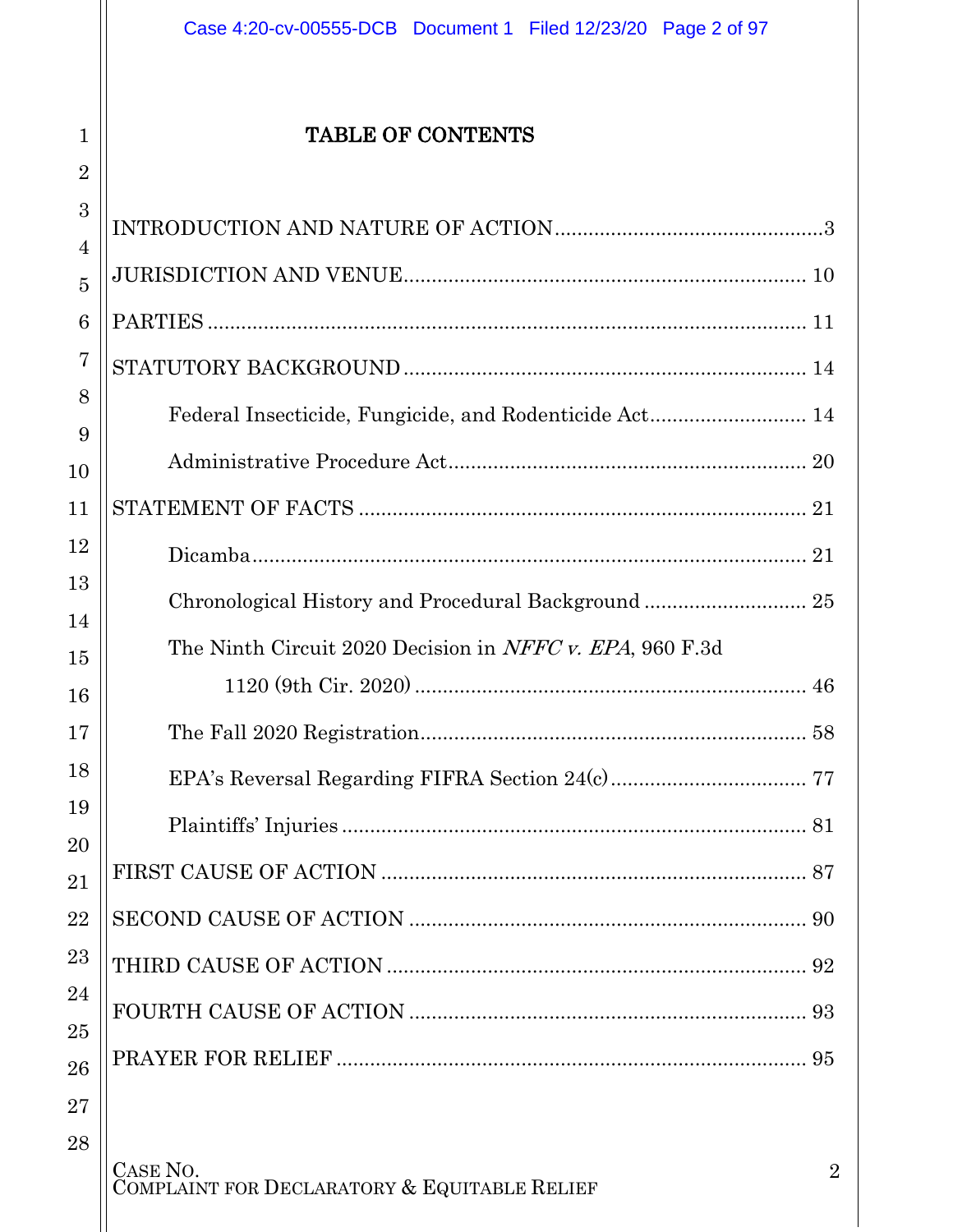### TABLE OF CONTENTS

1

2

<span id="page-1-0"></span>

| 3              |                                                          |  |
|----------------|----------------------------------------------------------|--|
| 4              |                                                          |  |
| $\overline{5}$ |                                                          |  |
| 6              |                                                          |  |
| 7              |                                                          |  |
| 8              |                                                          |  |
| 9              |                                                          |  |
| 10             |                                                          |  |
| 11             |                                                          |  |
| 12             |                                                          |  |
| 13             |                                                          |  |
| 14             | The Ninth Circuit 2020 Decision in NFFC v. EPA, 960 F.3d |  |
| 15<br>16       |                                                          |  |
| 17             |                                                          |  |
| 18             |                                                          |  |
| 19             |                                                          |  |
| 20<br>21       |                                                          |  |
| 22             |                                                          |  |
| 23             |                                                          |  |
| 24             |                                                          |  |
| 25             |                                                          |  |
| 26             |                                                          |  |
| 27             |                                                          |  |
| 28             |                                                          |  |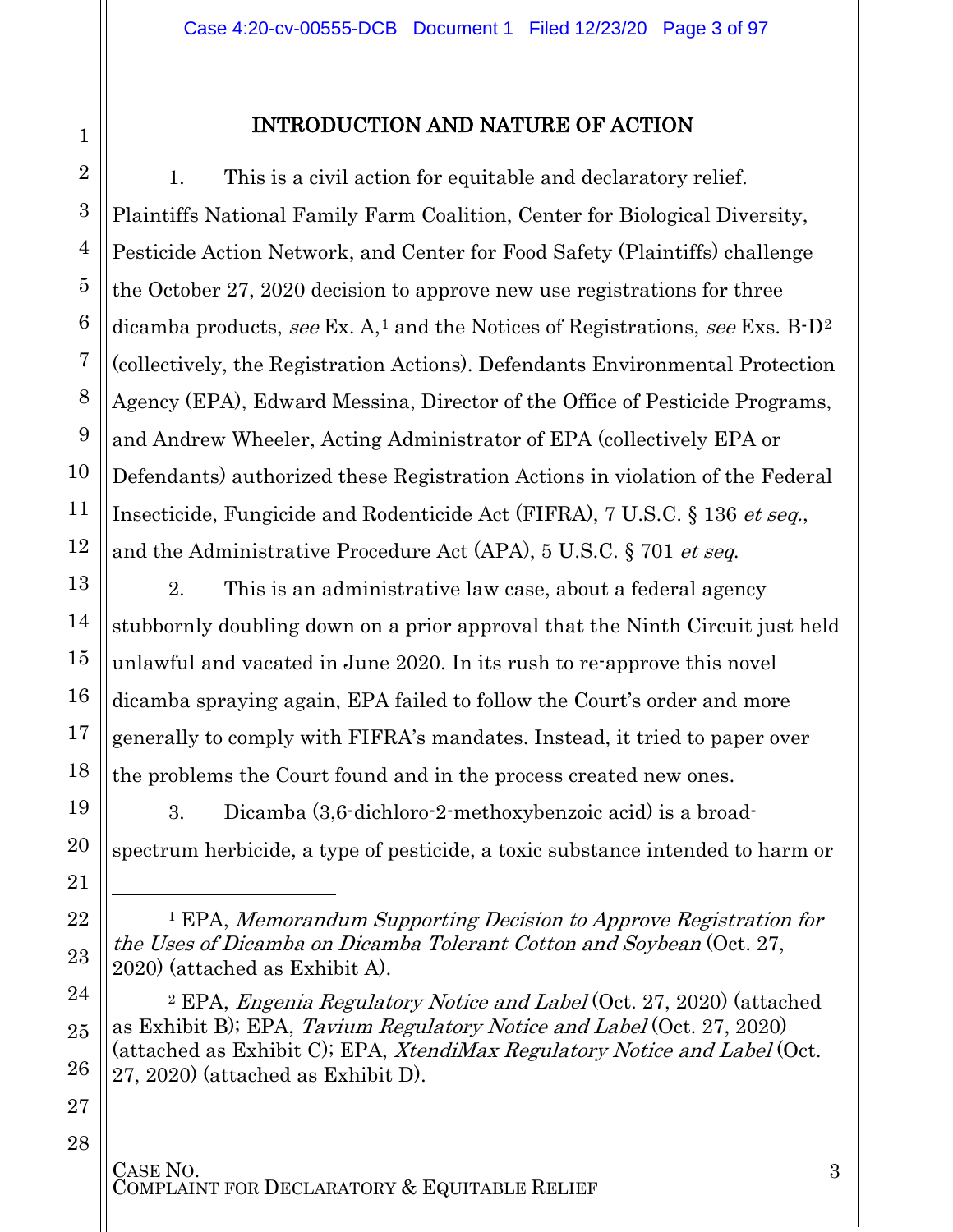### 1 2 3 4 5 6 7 8 9 10 11 12 13 14 15 16 17 18 19 20 21 22 23

### INTRODUCTION AND NATURE OF ACTION

1. This is a civil action for equitable and declaratory relief. Plaintiffs National Family Farm Coalition, Center for Biological Diversity, Pesticide Action Network, and Center for Food Safety (Plaintiffs) challenge the October 27, 2020 decision to approve new use registrations for three dicamba products, see Ex.  $A<sup>1</sup>$  $A<sup>1</sup>$  $A<sup>1</sup>$  and the Notices of Registrations, see Exs. B-D<sup>[2](#page-2-1)</sup> (collectively, the Registration Actions). Defendants Environmental Protection Agency (EPA), Edward Messina, Director of the Office of Pesticide Programs, and Andrew Wheeler, Acting Administrator of EPA (collectively EPA or Defendants) authorized these Registration Actions in violation of the Federal Insecticide, Fungicide and Rodenticide Act (FIFRA), 7 U.S.C. § 136 et seq., and the Administrative Procedure Act (APA), 5 U.S.C. § 701 et seq.

2. This is an administrative law case, about a federal agency stubbornly doubling down on a prior approval that the Ninth Circuit just held unlawful and vacated in June 2020. In its rush to re-approve this novel dicamba spraying again, EPA failed to follow the Court's order and more generally to comply with FIFRA's mandates. Instead, it tried to paper over the problems the Court found and in the process created new ones.

3. Dicamba (3,6-dichloro-2-methoxybenzoic acid) is a broadspectrum herbicide, a type of pesticide, a toxic substance intended to harm or

<sup>1</sup> EPA, Memorandum Supporting Decision to Approve Registration for the Uses of Dicamba on Dicamba Tolerant Cotton and Soybean (Oct. 27, 2020) (attached as Exhibit A).

<sup>2</sup> EPA, *Engenia Regulatory Notice and Label* (Oct. 27, 2020) (attached as Exhibit B); EPA, Tavium Regulatory Notice and Label (Oct. 27, 2020) (attached as Exhibit C); EPA, XtendiMax Regulatory Notice and Label (Oct. 27, 2020) (attached as Exhibit D).

### 28

<span id="page-2-1"></span><span id="page-2-0"></span>24

 $\overline{a}$ 

25

26

27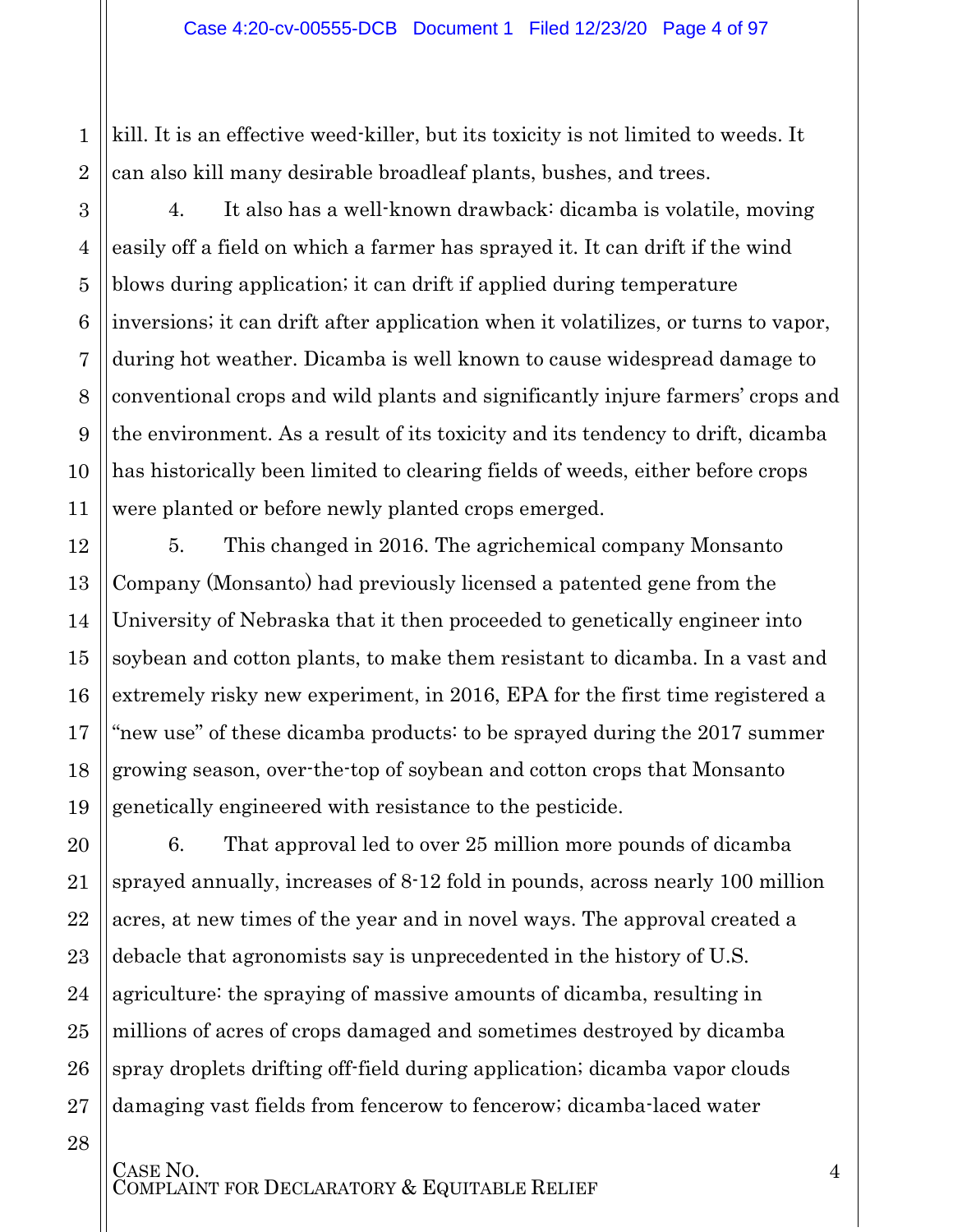kill. It is an effective weed-killer, but its toxicity is not limited to weeds. It can also kill many desirable broadleaf plants, bushes, and trees.

4. It also has a well-known drawback: dicamba is volatile, moving easily off a field on which a farmer has sprayed it. It can drift if the wind blows during application; it can drift if applied during temperature inversions; it can drift after application when it volatilizes, or turns to vapor, during hot weather. Dicamba is well known to cause widespread damage to conventional crops and wild plants and significantly injure farmers' crops and the environment. As a result of its toxicity and its tendency to drift, dicamba has historically been limited to clearing fields of weeds, either before crops were planted or before newly planted crops emerged.

5. This changed in 2016. The agrichemical company Monsanto Company (Monsanto) had previously licensed a patented gene from the University of Nebraska that it then proceeded to genetically engineer into soybean and cotton plants, to make them resistant to dicamba. In a vast and extremely risky new experiment, in 2016, EPA for the first time registered a "new use" of these dicamba products: to be sprayed during the 2017 summer growing season, over-the-top of soybean and cotton crops that Monsanto genetically engineered with resistance to the pesticide.

6. That approval led to over 25 million more pounds of dicamba sprayed annually, increases of 8-12 fold in pounds, across nearly 100 million acres, at new times of the year and in novel ways. The approval created a debacle that agronomists say is unprecedented in the history of U.S. agriculture: the spraying of massive amounts of dicamba, resulting in millions of acres of crops damaged and sometimes destroyed by dicamba spray droplets drifting off-field during application; dicamba vapor clouds damaging vast fields from fencerow to fencerow; dicamba-laced water

CASE NO.<br>COMPLAINT FOR DECLARATORY & EQUITABLE RELIEF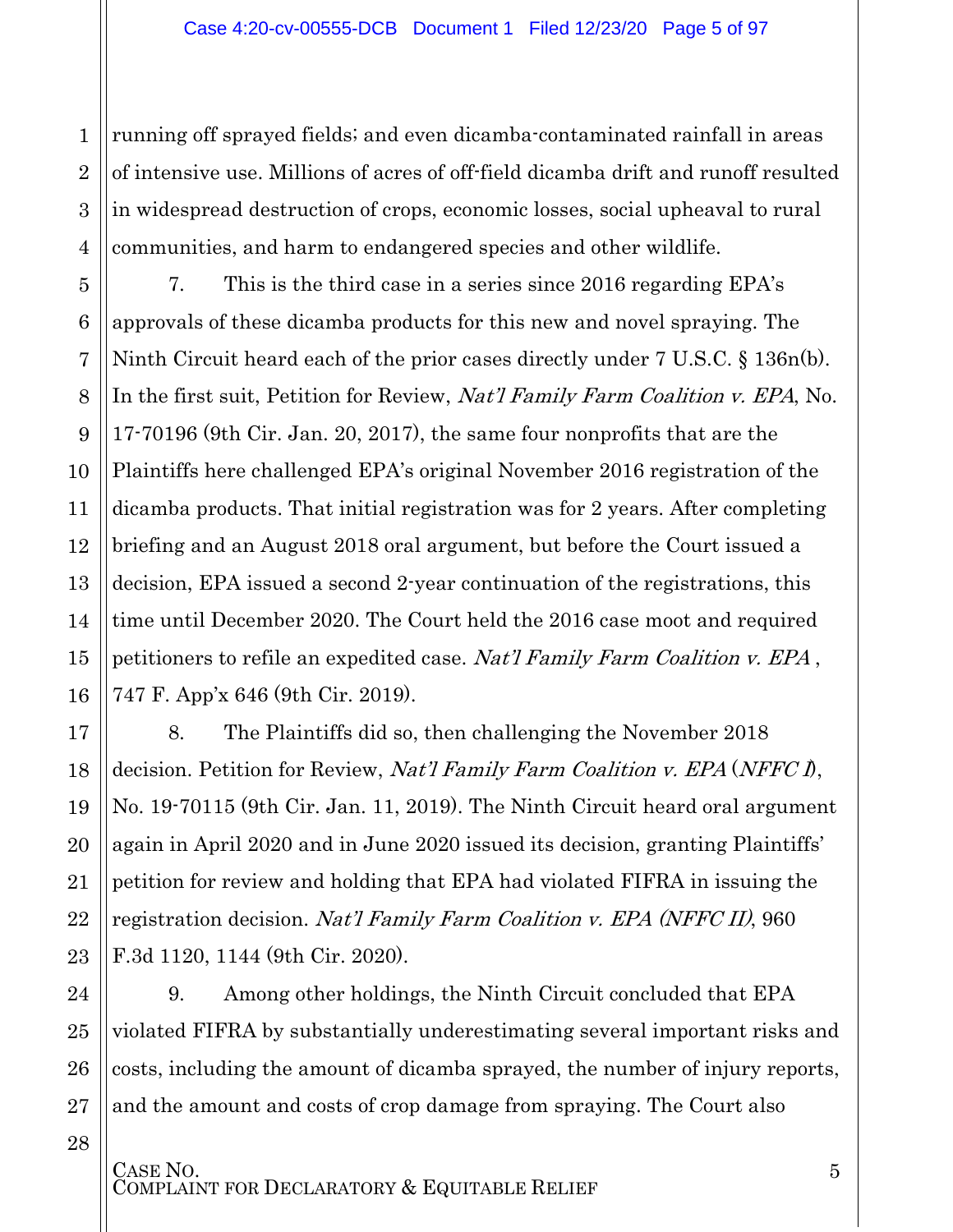running off sprayed fields; and even dicamba-contaminated rainfall in areas of intensive use. Millions of acres of off-field dicamba drift and runoff resulted in widespread destruction of crops, economic losses, social upheaval to rural communities, and harm to endangered species and other wildlife.

7. This is the third case in a series since 2016 regarding EPA's approvals of these dicamba products for this new and novel spraying. The Ninth Circuit heard each of the prior cases directly under 7 U.S.C. § 136n(b). In the first suit, Petition for Review, *Nat'l Family Farm Coalition v. EPA*, No. 17-70196 (9th Cir. Jan. 20, 2017), the same four nonprofits that are the Plaintiffs here challenged EPA's original November 2016 registration of the dicamba products. That initial registration was for 2 years. After completing briefing and an August 2018 oral argument, but before the Court issued a decision, EPA issued a second 2-year continuation of the registrations, this time until December 2020. The Court held the 2016 case moot and required petitioners to refile an expedited case. Nat'l Family Farm Coalition v. EPA , 747 F. App'x 646 (9th Cir. 2019).

8. The Plaintiffs did so, then challenging the November 2018 decision. Petition for Review, *Nat'l Family Farm Coalition v. EPA* (*NFFC*  $\hat{D}$ , No. 19-70115 (9th Cir. Jan. 11, 2019). The Ninth Circuit heard oral argument again in April 2020 and in June 2020 issued its decision, granting Plaintiffs' petition for review and holding that EPA had violated FIFRA in issuing the registration decision. *Nat'l Family Farm Coalition v. EPA (NFFC II)*, 960 F.3d 1120, 1144 (9th Cir. 2020).

9. Among other holdings, the Ninth Circuit concluded that EPA violated FIFRA by substantially underestimating several important risks and costs, including the amount of dicamba sprayed, the number of injury reports, and the amount and costs of crop damage from spraying. The Court also

CASE NO.<br>COMPLAINT FOR DECLARATORY & EQUITABLE RELIEF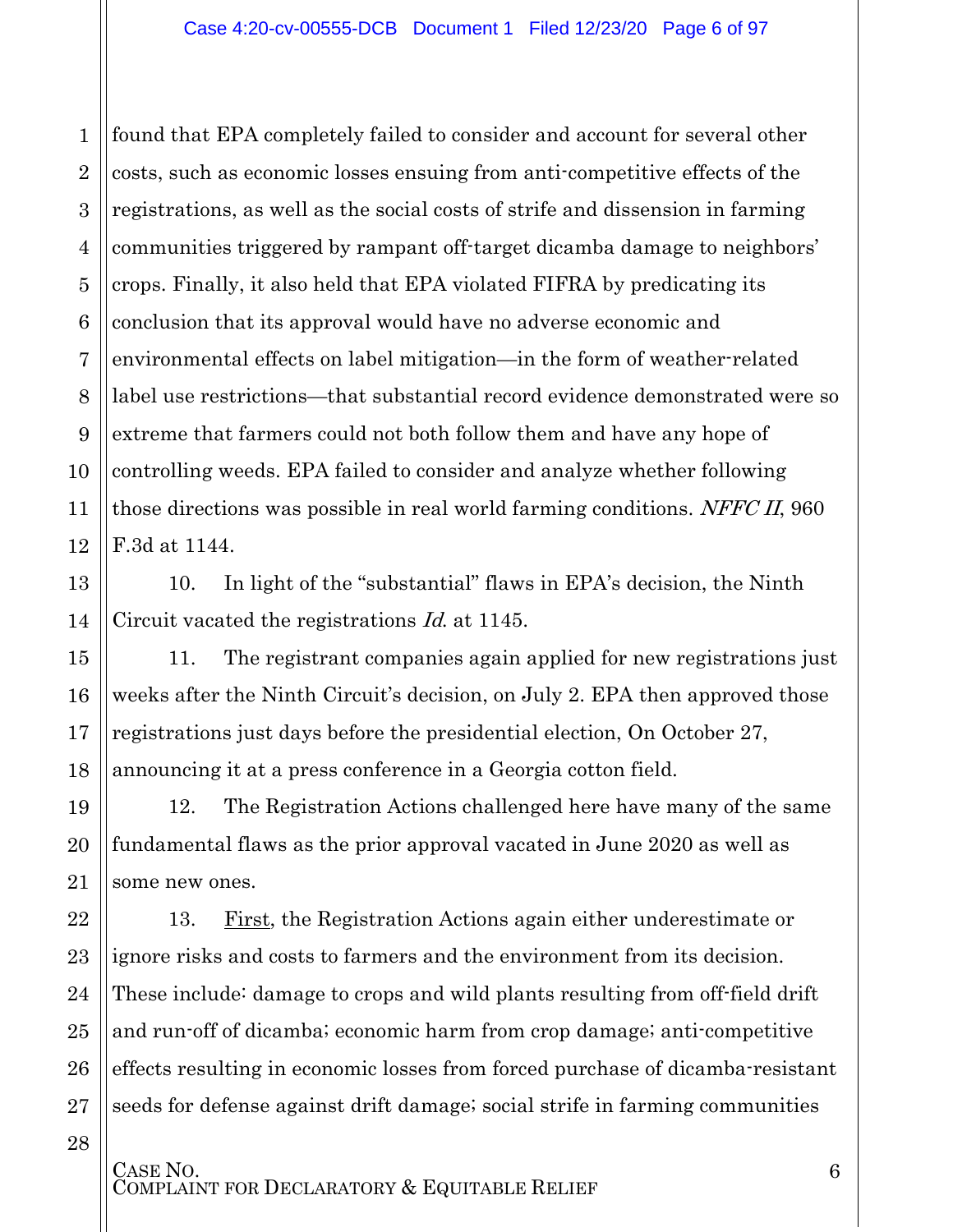1

13

14

15

16

17

18

19

20

21

22

23

24

25

26

27

28

2 3 4 5 6 7 8 9 10 11 12 found that EPA completely failed to consider and account for several other costs, such as economic losses ensuing from anti-competitive effects of the registrations, as well as the social costs of strife and dissension in farming communities triggered by rampant off-target dicamba damage to neighbors' crops. Finally, it also held that EPA violated FIFRA by predicating its conclusion that its approval would have no adverse economic and environmental effects on label mitigation—in the form of weather-related label use restrictions—that substantial record evidence demonstrated were so extreme that farmers could not both follow them and have any hope of controlling weeds. EPA failed to consider and analyze whether following those directions was possible in real world farming conditions. NFFC II, 960 F.3d at 1144.

10. In light of the "substantial" flaws in EPA's decision, the Ninth Circuit vacated the registrations Id. at 1145.

11. The registrant companies again applied for new registrations just weeks after the Ninth Circuit's decision, on July 2. EPA then approved those registrations just days before the presidential election, On October 27, announcing it at a press conference in a Georgia cotton field.

12. The Registration Actions challenged here have many of the same fundamental flaws as the prior approval vacated in June 2020 as well as some new ones.

13. First, the Registration Actions again either underestimate or ignore risks and costs to farmers and the environment from its decision. These include: damage to crops and wild plants resulting from off-field drift and run-off of dicamba; economic harm from crop damage; anti-competitive effects resulting in economic losses from forced purchase of dicamba-resistant seeds for defense against drift damage; social strife in farming communities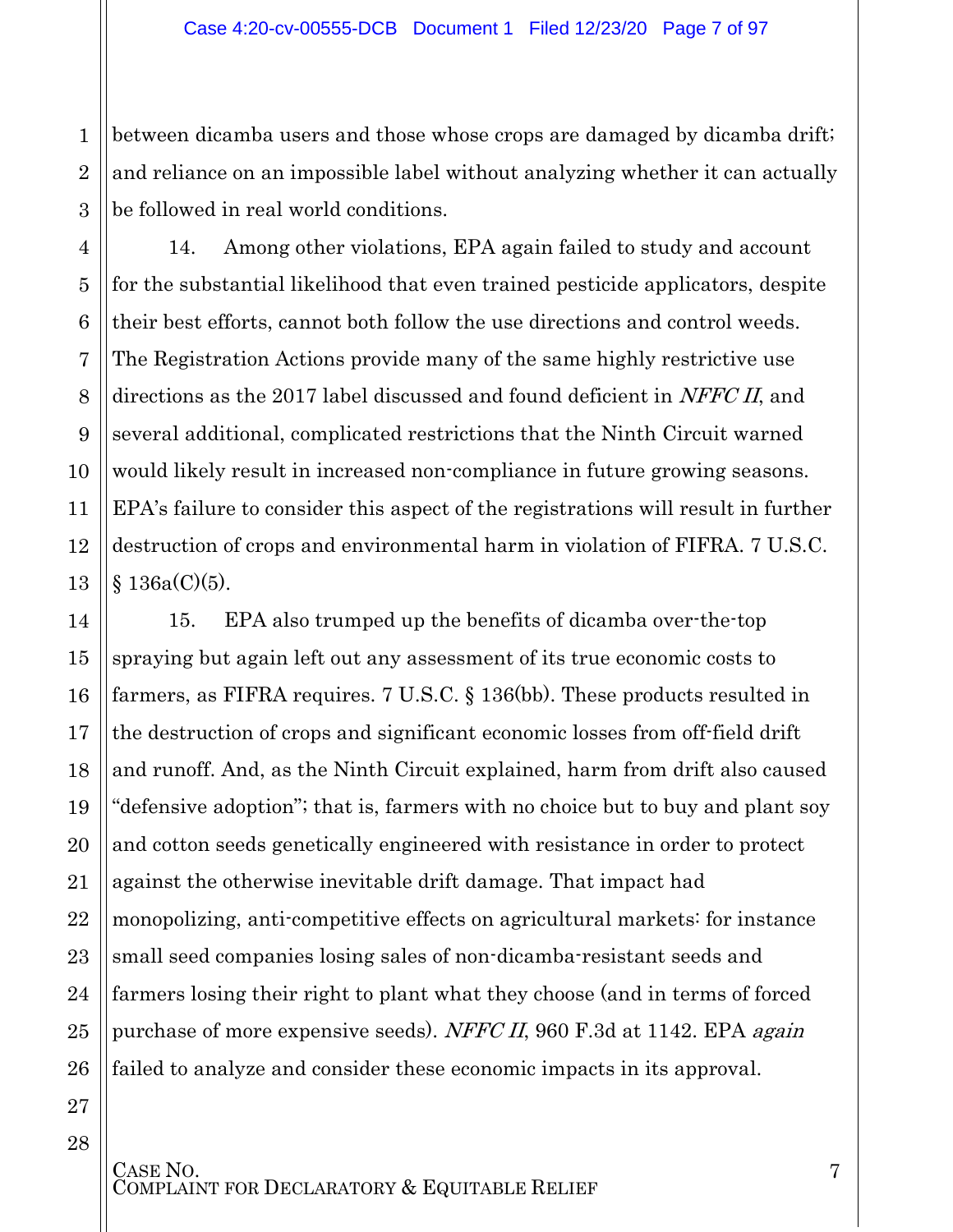between dicamba users and those whose crops are damaged by dicamba drift; and reliance on an impossible label without analyzing whether it can actually be followed in real world conditions.

14. Among other violations, EPA again failed to study and account for the substantial likelihood that even trained pesticide applicators, despite their best efforts, cannot both follow the use directions and control weeds. The Registration Actions provide many of the same highly restrictive use directions as the 2017 label discussed and found deficient in NFFC II, and several additional, complicated restrictions that the Ninth Circuit warned would likely result in increased non-compliance in future growing seasons. EPA's failure to consider this aspect of the registrations will result in further destruction of crops and environmental harm in violation of FIFRA. 7 U.S.C.  $§ 136a(C)(5).$ 

15. EPA also trumped up the benefits of dicamba over-the-top spraying but again left out any assessment of its true economic costs to farmers, as FIFRA requires. 7 U.S.C. § 136(bb). These products resulted in the destruction of crops and significant economic losses from off-field drift and runoff. And, as the Ninth Circuit explained, harm from drift also caused "defensive adoption"; that is, farmers with no choice but to buy and plant soy and cotton seeds genetically engineered with resistance in order to protect against the otherwise inevitable drift damage. That impact had monopolizing, anti-competitive effects on agricultural markets: for instance small seed companies losing sales of non-dicamba-resistant seeds and farmers losing their right to plant what they choose (and in terms of forced purchase of more expensive seeds). NFFC II, 960 F.3d at 1142. EPA *again* failed to analyze and consider these economic impacts in its approval.

CASE NO.<br>COMPLAINT FOR DECLARATORY & EQUITABLE RELIEF

1

2

3

4

5

6

7

8

9

10

11

12

13

14

15

16

17

18

19

20

21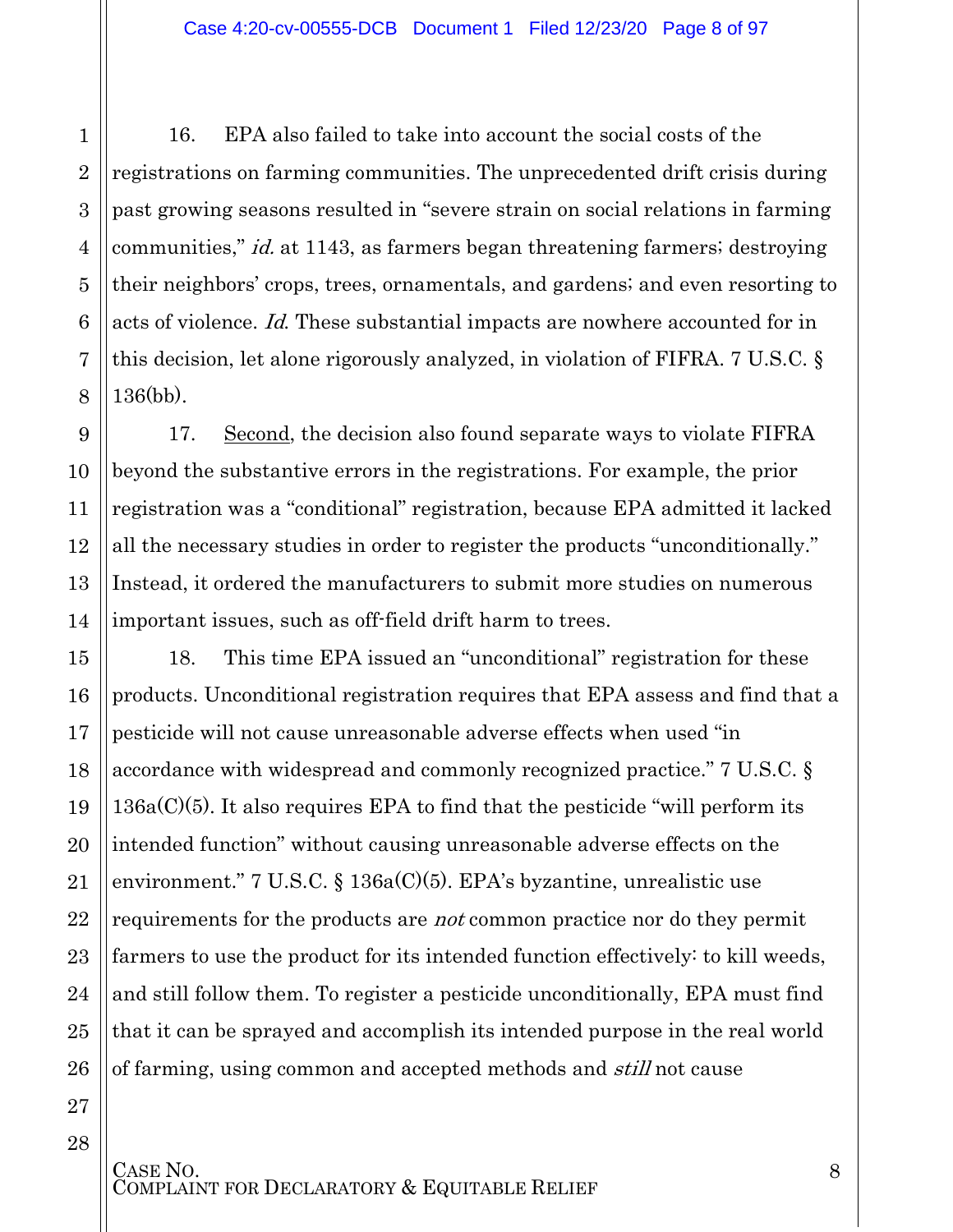16. EPA also failed to take into account the social costs of the registrations on farming communities. The unprecedented drift crisis during past growing seasons resulted in "severe strain on social relations in farming communities," id. at 1143, as farmers began threatening farmers; destroying their neighbors' crops, trees, ornamentals, and gardens; and even resorting to acts of violence. Id. These substantial impacts are nowhere accounted for in this decision, let alone rigorously analyzed, in violation of FIFRA. 7 U.S.C. § 136(bb).

17. Second, the decision also found separate ways to violate FIFRA beyond the substantive errors in the registrations. For example, the prior registration was a "conditional" registration, because EPA admitted it lacked all the necessary studies in order to register the products "unconditionally." Instead, it ordered the manufacturers to submit more studies on numerous important issues, such as off-field drift harm to trees.

18. This time EPA issued an "unconditional" registration for these products. Unconditional registration requires that EPA assess and find that a pesticide will not cause unreasonable adverse effects when used "in accordance with widespread and commonly recognized practice." 7 U.S.C. §  $136a(C)(5)$ . It also requires EPA to find that the pesticide "will perform its intended function" without causing unreasonable adverse effects on the environment." 7 U.S.C. § 136a(C)(5). EPA's byzantine, unrealistic use requirements for the products are *not* common practice nor do they permit farmers to use the product for its intended function effectively: to kill weeds, and still follow them. To register a pesticide unconditionally, EPA must find that it can be sprayed and accomplish its intended purpose in the real world of farming, using common and accepted methods and *still* not cause

1

2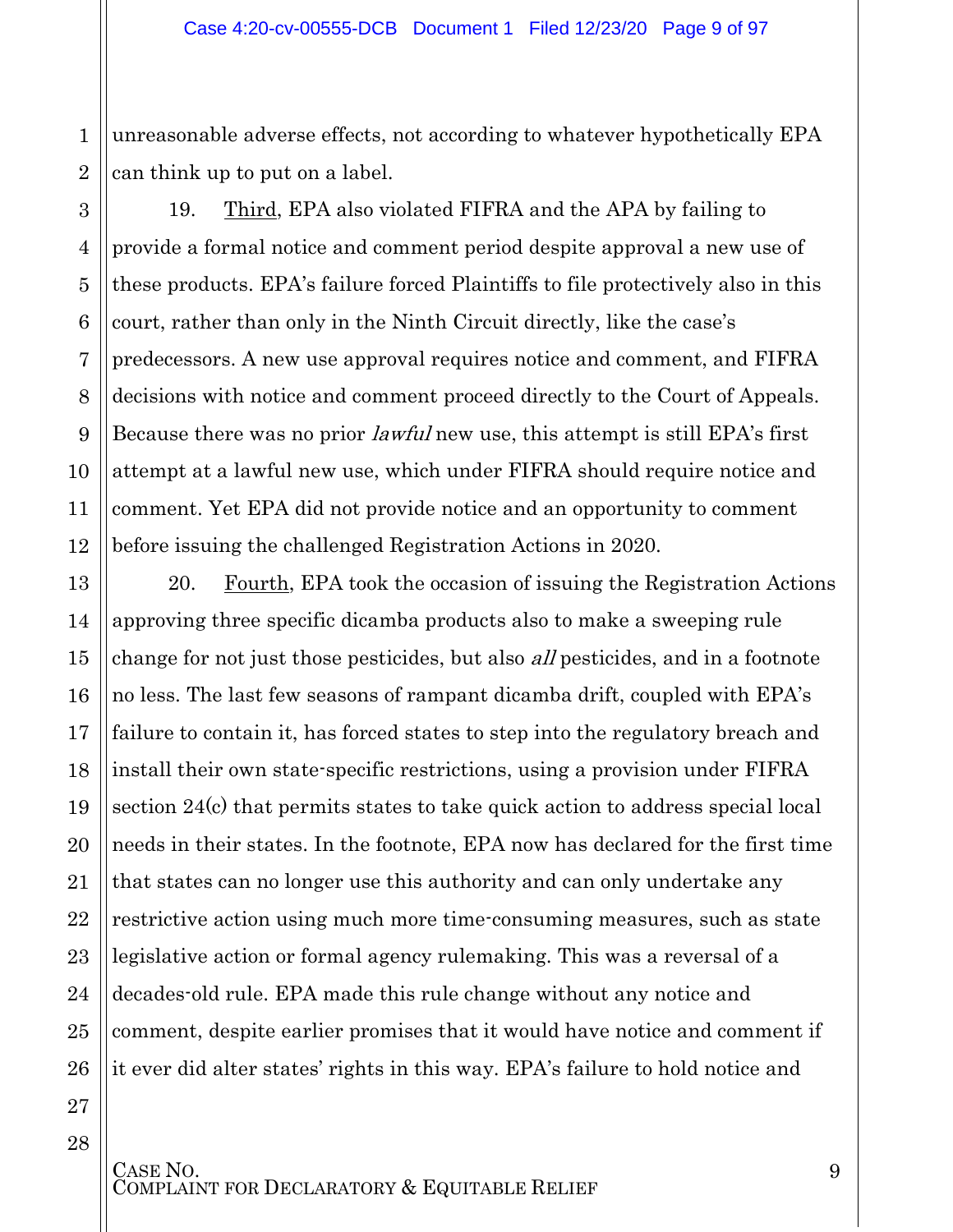2 unreasonable adverse effects, not according to whatever hypothetically EPA can think up to put on a label.

19. Third, EPA also violated FIFRA and the APA by failing to provide a formal notice and comment period despite approval a new use of these products. EPA's failure forced Plaintiffs to file protectively also in this court, rather than only in the Ninth Circuit directly, like the case's predecessors. A new use approval requires notice and comment, and FIFRA decisions with notice and comment proceed directly to the Court of Appeals. Because there was no prior lawful new use, this attempt is still EPA's first attempt at a lawful new use, which under FIFRA should require notice and comment. Yet EPA did not provide notice and an opportunity to comment before issuing the challenged Registration Actions in 2020.

20. Fourth, EPA took the occasion of issuing the Registration Actions approving three specific dicamba products also to make a sweeping rule change for not just those pesticides, but also *all* pesticides, and in a footnote no less. The last few seasons of rampant dicamba drift, coupled with EPA's failure to contain it, has forced states to step into the regulatory breach and install their own state-specific restrictions, using a provision under FIFRA section 24(c) that permits states to take quick action to address special local needs in their states. In the footnote, EPA now has declared for the first time that states can no longer use this authority and can only undertake any restrictive action using much more time-consuming measures, such as state legislative action or formal agency rulemaking. This was a reversal of a decades-old rule. EPA made this rule change without any notice and comment, despite earlier promises that it would have notice and comment if it ever did alter states' rights in this way. EPA's failure to hold notice and

28

1

3

4

5

6

7

8

9

10

11

12

13

14

15

16

17

18

19

20

21

22

CASE NO.<br>COMPLAINT FOR DECLARATORY & EQUITABLE RELIEF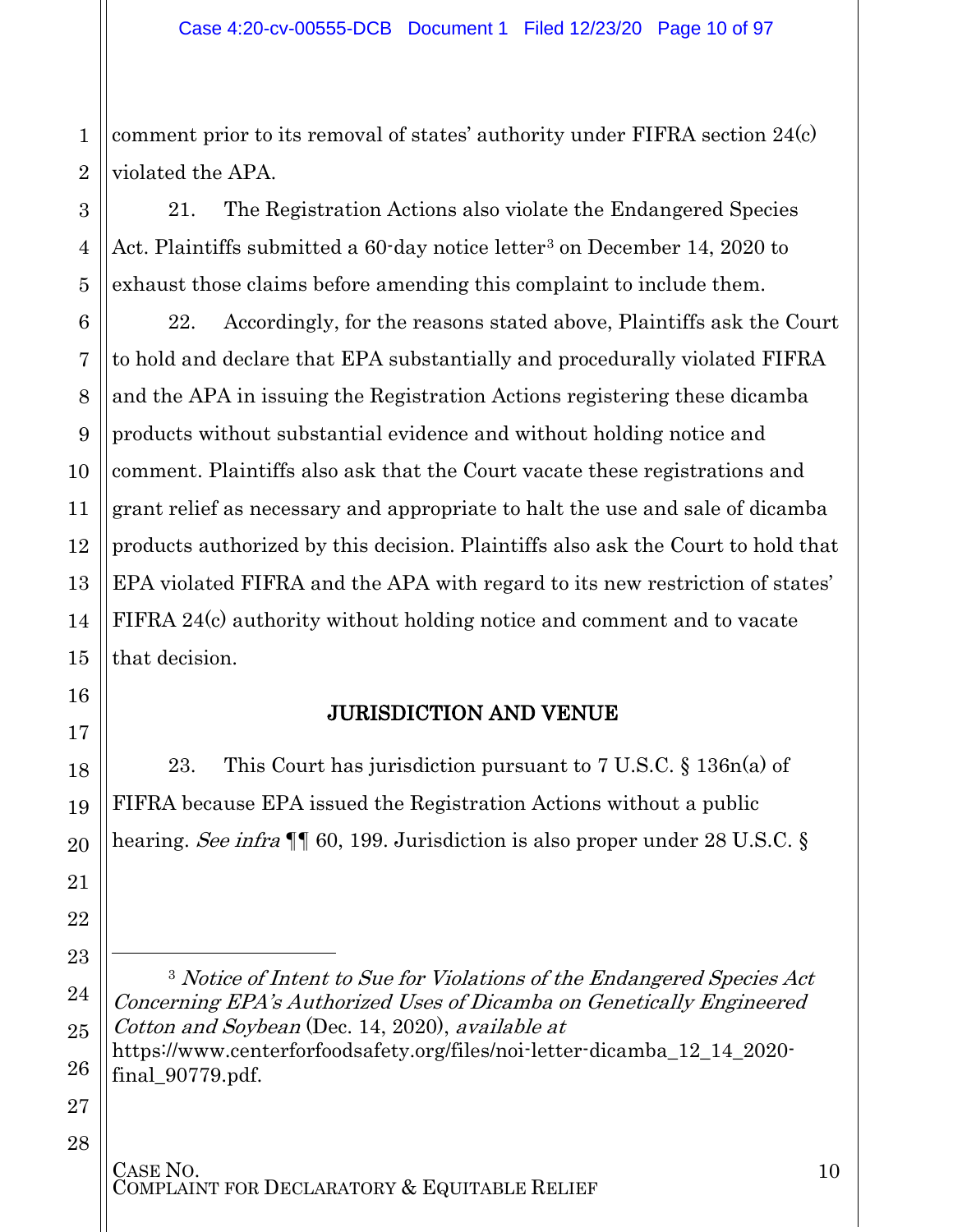1 2 comment prior to its removal of states' authority under FIFRA section 24(c) violated the APA.

21. The Registration Actions also violate the Endangered Species Act. Plaintiffs submitted a 60-day notice letter<sup>[3](#page-9-1)</sup> on December 14, 2020 to exhaust those claims before amending this complaint to include them.

22. Accordingly, for the reasons stated above, Plaintiffs ask the Court to hold and declare that EPA substantially and procedurally violated FIFRA and the APA in issuing the Registration Actions registering these dicamba products without substantial evidence and without holding notice and comment. Plaintiffs also ask that the Court vacate these registrations and grant relief as necessary and appropriate to halt the use and sale of dicamba products authorized by this decision. Plaintiffs also ask the Court to hold that EPA violated FIFRA and the APA with regard to its new restriction of states' FIFRA 24(c) authority without holding notice and comment and to vacate that decision.

### JURISDICTION AND VENUE

23. This Court has jurisdiction pursuant to 7 U.S.C. § 136n(a) of FIFRA because EPA issued the Registration Actions without a public hearing. See infra ¶ 60, 199. Jurisdiction is also proper under 28 U.S.C. §

[https://www.centerforfoodsafety.org/files/noi-letter-dicamba\\_12\\_14\\_2020](https://www.centerforfoodsafety.org/files/noi-letter-dicamba_12_14_2020-final_90779.pdf) [final\\_90779.pdf.](https://www.centerforfoodsafety.org/files/noi-letter-dicamba_12_14_2020-final_90779.pdf)

27 28

3

4

5

6

7

8

9

10

11

12

13

14

15

<span id="page-9-0"></span>16

17

18

19

20

21

22

<span id="page-9-1"></span>23

 $\overline{a}$ 

24

25

<sup>3</sup> Notice of Intent to Sue for Violations of the Endangered Species Act Concerning EPA's Authorized Uses of Dicamba on Genetically Engineered Cotton and Soybean (Dec. 14, 2020), available at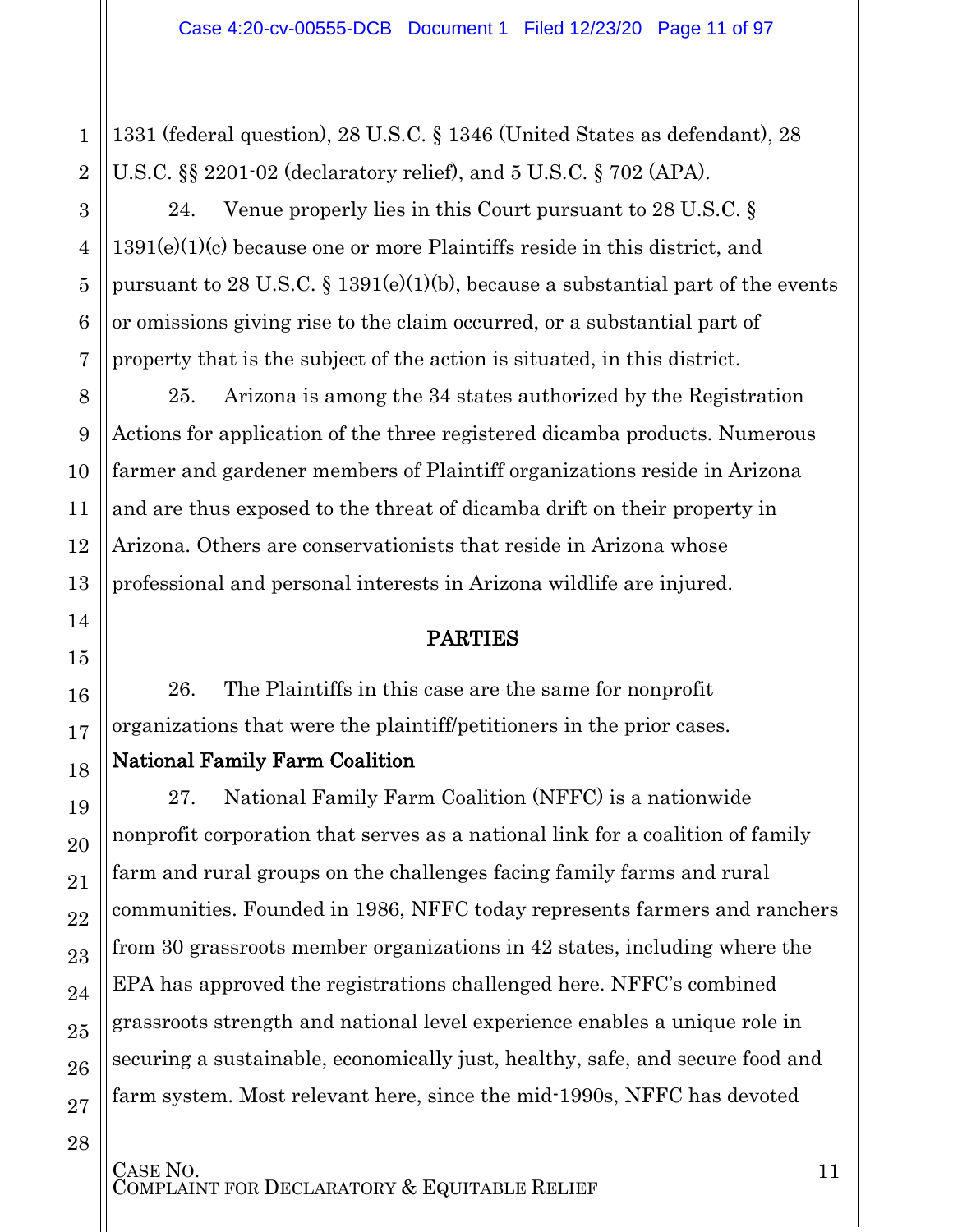1331 (federal question), 28 U.S.C. § 1346 (United States as defendant), 28 U.S.C. §§ 2201-02 (declaratory relief), and 5 U.S.C. § 702 (APA).

24. Venue properly lies in this Court pursuant to 28 U.S.C. § 1391(e)(1)(c) because one or more Plaintiffs reside in this district, and pursuant to 28 U.S.C.  $\S 1391(e)(1)(b)$ , because a substantial part of the events or omissions giving rise to the claim occurred, or a substantial part of property that is the subject of the action is situated, in this district.

25. Arizona is among the 34 states authorized by the Registration Actions for application of the three registered dicamba products. Numerous farmer and gardener members of Plaintiff organizations reside in Arizona and are thus exposed to the threat of dicamba drift on their property in Arizona. Others are conservationists that reside in Arizona whose professional and personal interests in Arizona wildlife are injured.

### PARTIES

<span id="page-10-0"></span>26. The Plaintiffs in this case are the same for nonprofit organizations that were the plaintiff/petitioners in the prior cases.

### National Family Farm Coalition

27. National Family Farm Coalition (NFFC) is a nationwide nonprofit corporation that serves as a national link for a coalition of family farm and rural groups on the challenges facing family farms and rural communities. Founded in 1986, NFFC today represents farmers and ranchers from 30 grassroots member organizations in 42 states, including where the EPA has approved the registrations challenged here. NFFC's combined grassroots strength and national level experience enables a unique role in securing a sustainable, economically just, healthy, safe, and secure food and farm system. Most relevant here, since the mid-1990s, NFFC has devoted

1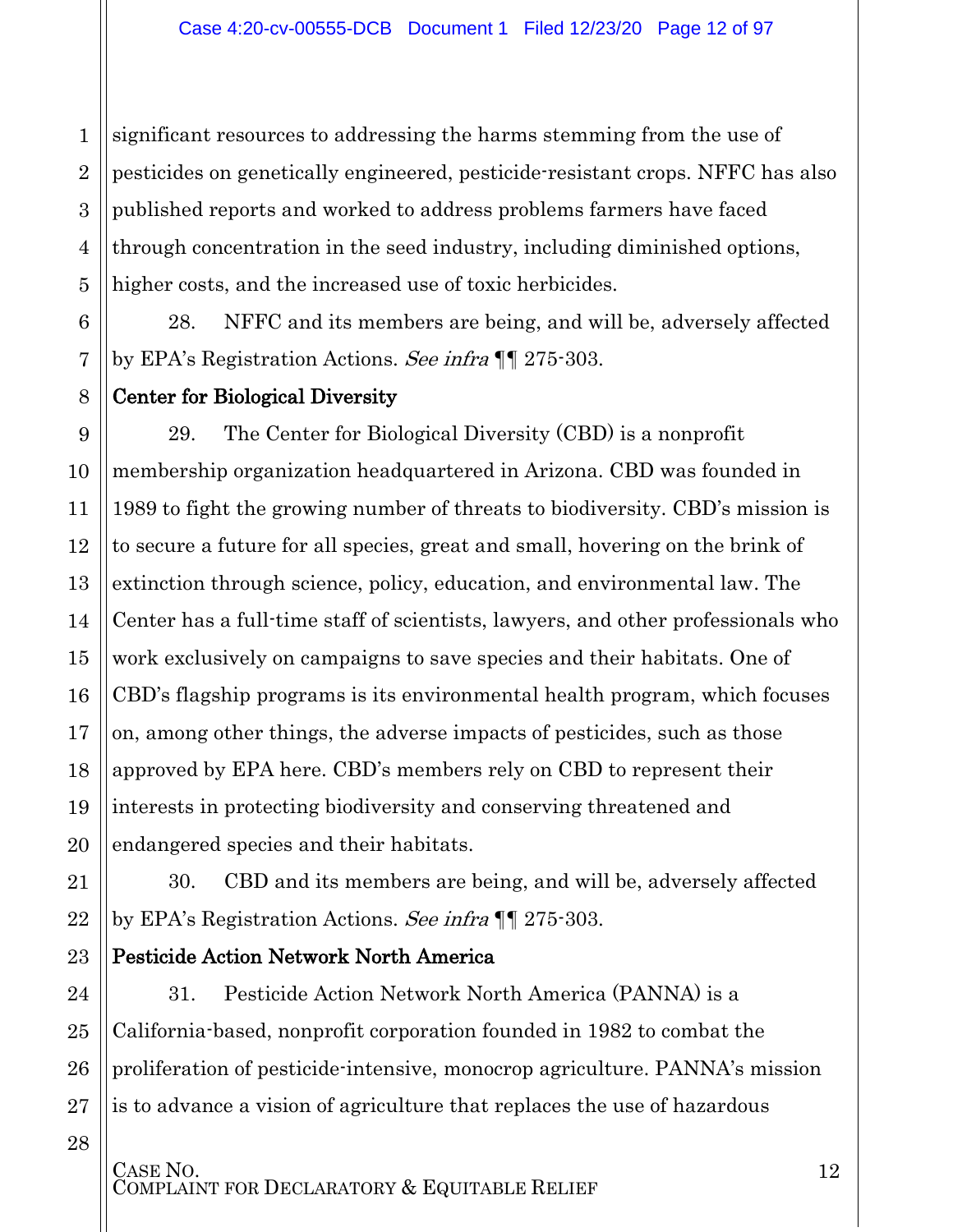2 3 4 5 significant resources to addressing the harms stemming from the use of pesticides on genetically engineered, pesticide-resistant crops. NFFC has also published reports and worked to address problems farmers have faced through concentration in the seed industry, including diminished options, higher costs, and the increased use of toxic herbicides.

28. NFFC and its members are being, and will be, adversely affected by EPA's Registration Actions. See infra  $\P$  | 275-303.

### Center for Biological Diversity

29. The Center for Biological Diversity (CBD) is a nonprofit membership organization headquartered in Arizona. CBD was founded in 1989 to fight the growing number of threats to biodiversity. CBD's mission is to secure a future for all species, great and small, hovering on the brink of extinction through science, policy, education, and environmental law. The Center has a full-time staff of scientists, lawyers, and other professionals who work exclusively on campaigns to save species and their habitats. One of CBD's flagship programs is its environmental health program, which focuses on, among other things, the adverse impacts of pesticides, such as those approved by EPA here. CBD's members rely on CBD to represent their interests in protecting biodiversity and conserving threatened and endangered species and their habitats.

30. CBD and its members are being, and will be, adversely affected by EPA's Registration Actions. See infra  $\P$  275-303.

### Pesticide Action Network North America

24 25 26 27 31. Pesticide Action Network North America (PANNA) is a California-based, nonprofit corporation founded in 1982 to combat the proliferation of pesticide-intensive, monocrop agriculture. PANNA's mission is to advance a vision of agriculture that replaces the use of hazardous

28

1

6

7

8

9

10

11

12

13

14

15

16

17

18

19

20

21

22

23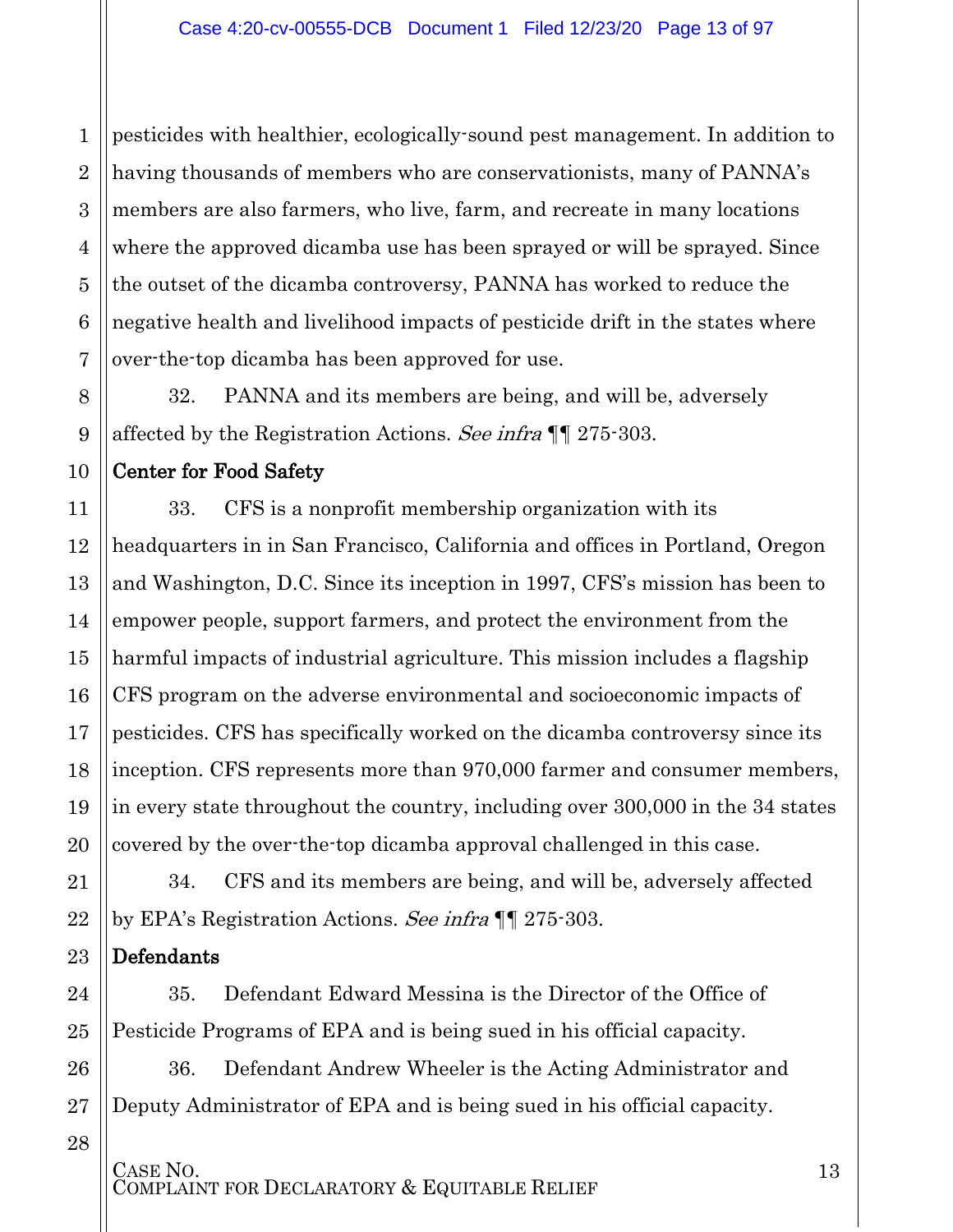1 2 3 4 5 6 7 pesticides with healthier, ecologically-sound pest management. In addition to having thousands of members who are conservationists, many of PANNA's members are also farmers, who live, farm, and recreate in many locations where the approved dicamba use has been sprayed or will be sprayed. Since the outset of the dicamba controversy, PANNA has worked to reduce the negative health and livelihood impacts of pesticide drift in the states where over-the-top dicamba has been approved for use.

32. PANNA and its members are being, and will be, adversely affected by the Registration Actions. See infra ¶¶ 275-303.

### Center for Food Safety

8

9

10

11

12

13

14

15

16

17

18

19

20

21

22

24

25

33. CFS is a nonprofit membership organization with its headquarters in in San Francisco, California and offices in Portland, Oregon and Washington, D.C. Since its inception in 1997, CFS's mission has been to empower people, support farmers, and protect the environment from the harmful impacts of industrial agriculture. This mission includes a flagship CFS program on the adverse environmental and socioeconomic impacts of pesticides. CFS has specifically worked on the dicamba controversy since its inception. CFS represents more than 970,000 farmer and consumer members, in every state throughout the country, including over 300,000 in the 34 states covered by the over-the-top dicamba approval challenged in this case.

34. CFS and its members are being, and will be, adversely affected by EPA's Registration Actions. See infra  $\P$  | 275-303.

23 Defendants

> 35. Defendant Edward Messina is the Director of the Office of Pesticide Programs of EPA and is being sued in his official capacity.

26 27 36. Defendant Andrew Wheeler is the Acting Administrator and Deputy Administrator of EPA and is being sued in his official capacity.

28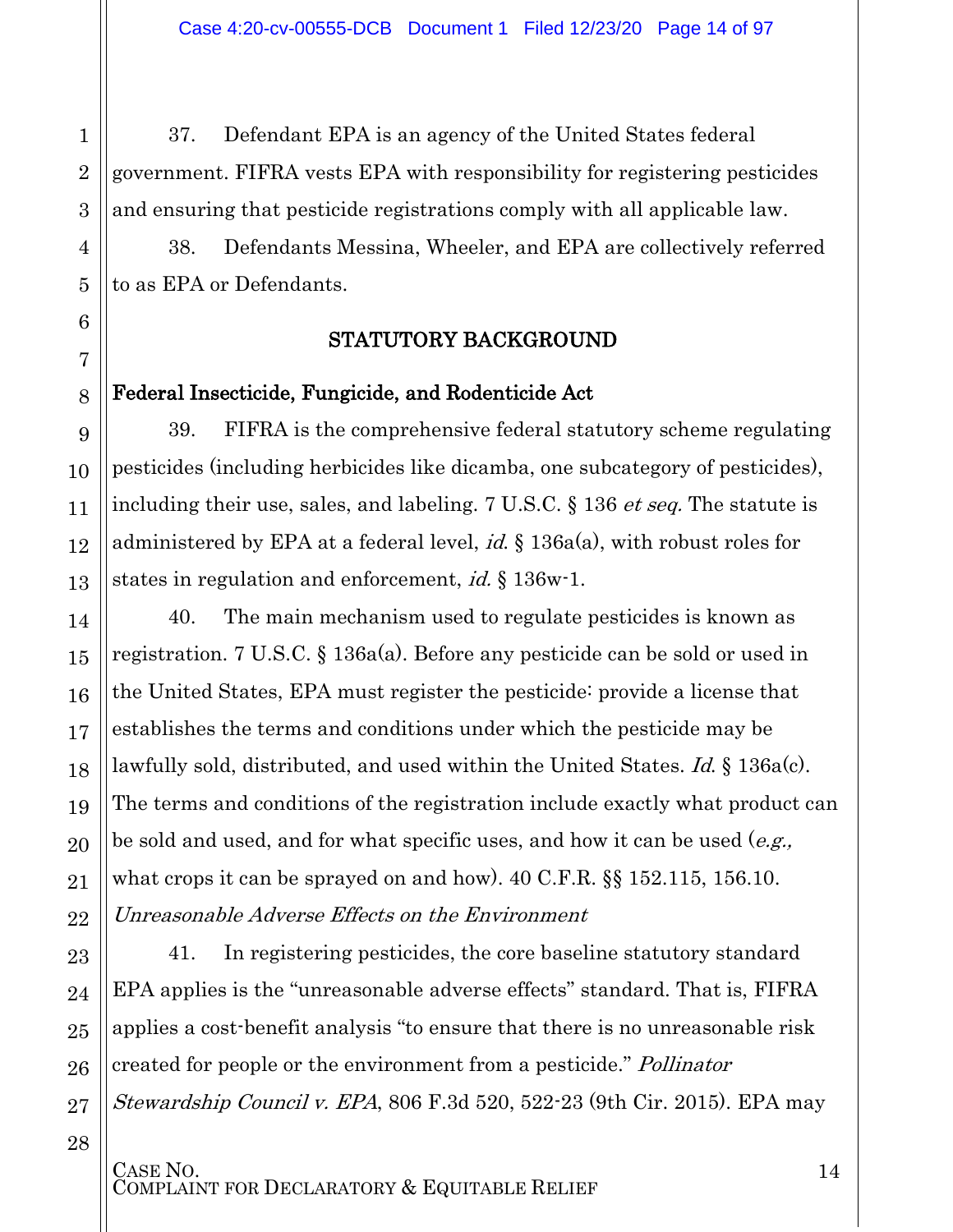37. Defendant EPA is an agency of the United States federal government. FIFRA vests EPA with responsibility for registering pesticides and ensuring that pesticide registrations comply with all applicable law.

<span id="page-13-0"></span>38. Defendants Messina, Wheeler, and EPA are collectively referred to as EPA or Defendants.

### STATUTORY BACKGROUND

### <span id="page-13-1"></span>Federal Insecticide, Fungicide, and Rodenticide Act

39. FIFRA is the comprehensive federal statutory scheme regulating pesticides (including herbicides like dicamba, one subcategory of pesticides), including their use, sales, and labeling. 7 U.S.C. § 136 *et seq.* The statute is administered by EPA at a federal level,  $id$ ,  $\S$  136a(a), with robust roles for states in regulation and enforcement, *id.* § 136w-1.

40. The main mechanism used to regulate pesticides is known as registration. 7 U.S.C. § 136a(a). Before any pesticide can be sold or used in the United States, EPA must register the pesticide: provide a license that establishes the terms and conditions under which the pesticide may be lawfully sold, distributed, and used within the United States. *Id.* § 136a(c). The terms and conditions of the registration include exactly what product can be sold and used, and for what specific uses, and how it can be used  $(e.g.,)$ what crops it can be sprayed on and how). 40 C.F.R. §§ 152.115, 156.10. Unreasonable Adverse Effects on the Environment

41. In registering pesticides, the core baseline statutory standard EPA applies is the "unreasonable adverse effects" standard. That is, FIFRA applies a cost-benefit analysis "to ensure that there is no unreasonable risk created for people or the environment from a pesticide." Pollinator Stewardship Council v. EPA, 806 F.3d 520, 522-23 (9th Cir. 2015). EPA may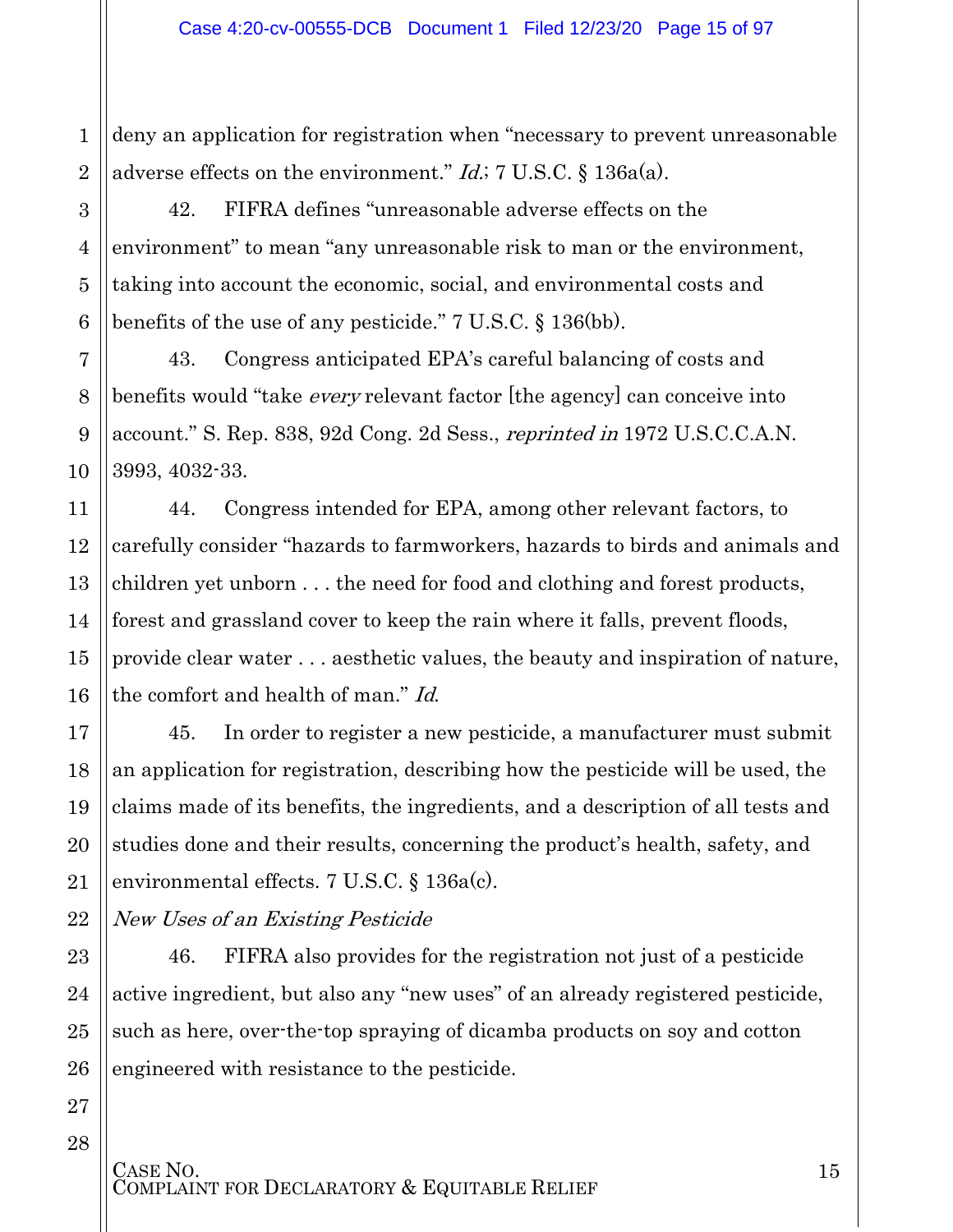2 deny an application for registration when "necessary to prevent unreasonable adverse effects on the environment."  $Id$ ; 7 U.S.C. § 136a(a).

42. FIFRA defines "unreasonable adverse effects on the environment" to mean "any unreasonable risk to man or the environment, taking into account the economic, social, and environmental costs and benefits of the use of any pesticide." 7 U.S.C. § 136(bb).

43. Congress anticipated EPA's careful balancing of costs and benefits would "take *every* relevant factor [the agency] can conceive into account." S. Rep. 838, 92d Cong. 2d Sess., reprinted in 1972 U.S.C.C.A.N. 3993, 4032-33.

44. Congress intended for EPA, among other relevant factors, to carefully consider "hazards to farmworkers, hazards to birds and animals and children yet unborn . . . the need for food and clothing and forest products, forest and grassland cover to keep the rain where it falls, prevent floods, provide clear water . . . aesthetic values, the beauty and inspiration of nature, the comfort and health of man." Id.

45. In order to register a new pesticide, a manufacturer must submit an application for registration, describing how the pesticide will be used, the claims made of its benefits, the ingredients, and a description of all tests and studies done and their results, concerning the product's health, safety, and environmental effects. 7 U.S.C. § 136a(c).

New Uses of an Existing Pesticide

46. FIFRA also provides for the registration not just of a pesticide active ingredient, but also any "new uses" of an already registered pesticide, such as here, over-the-top spraying of dicamba products on soy and cotton engineered with resistance to the pesticide.

1

3

4

5

6

7

8

9

10

11

12

13

14

15

16

17

18

19

20

21

22

23

24

25

26

27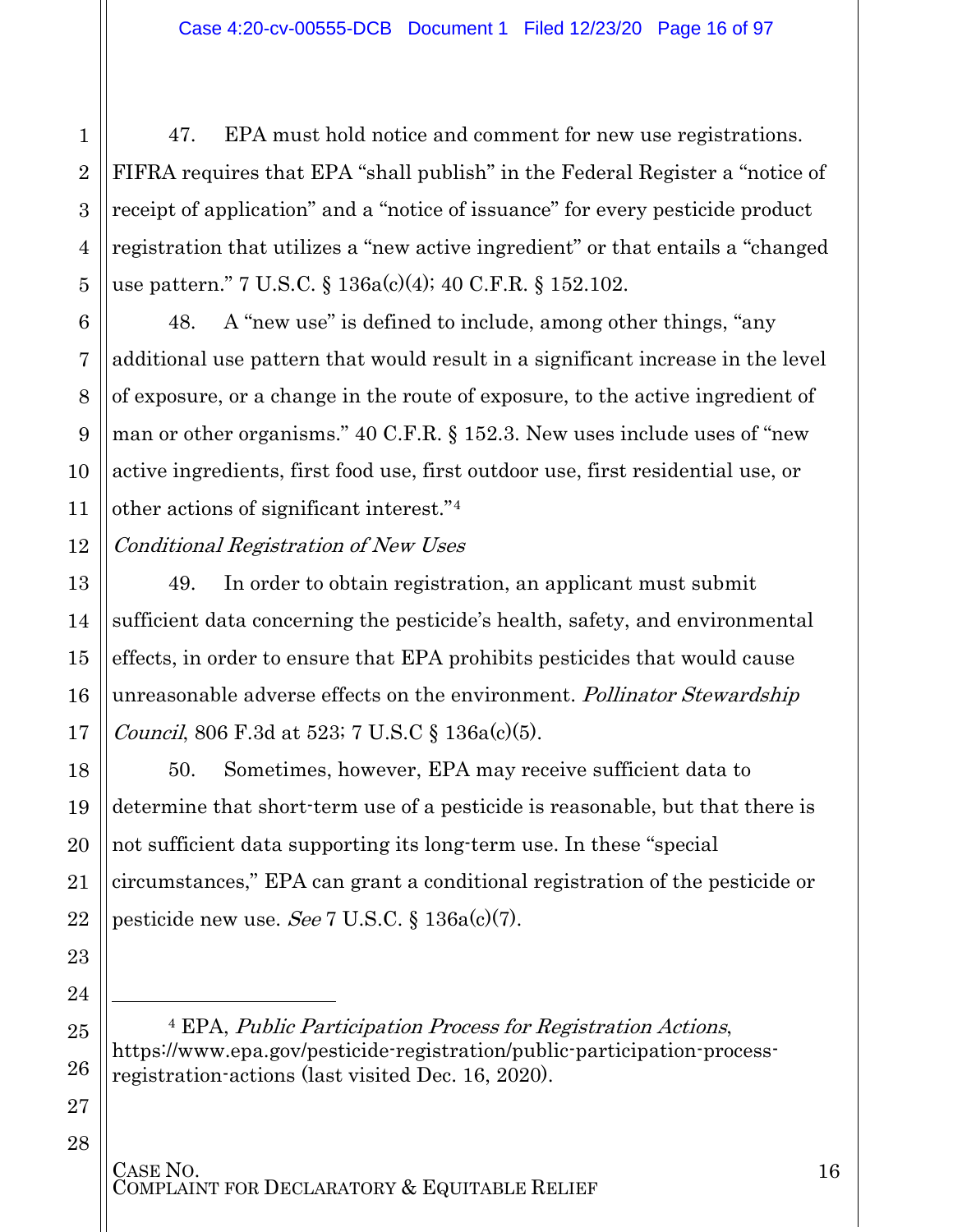47. EPA must hold notice and comment for new use registrations. FIFRA requires that EPA "shall publish" in the Federal Register a "notice of receipt of application" and a "notice of issuance" for every pesticide product registration that utilizes a "new active ingredient" or that entails a "changed use pattern." 7 U.S.C. § 136a(c)(4); 40 C.F.R. § 152.102.

48. A "new use" is defined to include, among other things, "any additional use pattern that would result in a significant increase in the level of exposure, or a change in the route of exposure, to the active ingredient of man or other organisms." 40 C.F.R. § 152.3. New uses include uses of "new active ingredients, first food use, first outdoor use, first residential use, or other actions of significant interest."[4](#page-15-0)

Conditional Registration of New Uses

49. In order to obtain registration, an applicant must submit sufficient data concerning the pesticide's health, safety, and environmental effects, in order to ensure that EPA prohibits pesticides that would cause unreasonable adverse effects on the environment. Pollinator Stewardship Council, 806 F.3d at 523; 7 U.S.C § 136a(c)(5).

50. Sometimes, however, EPA may receive sufficient data to determine that short-term use of a pesticide is reasonable, but that there is not sufficient data supporting its long-term use. In these "special circumstances," EPA can grant a conditional registration of the pesticide or pesticide new use. See 7 U.S.C.  $\S 136a(c)(7)$ .

<span id="page-15-0"></span><sup>4</sup> EPA, Public Participation Process for Registration Actions, [https://www.epa.gov/pesticide-registration/public-participation-process](https://www.epa.gov/pesticide-registration/public-participation-process-registration-actions)[registration-actions](https://www.epa.gov/pesticide-registration/public-participation-process-registration-actions) (last visited Dec. 16, 2020).

# CASE NO.<br>COMPLAINT FOR DECLARATORY & EQUITABLE RELIEF

l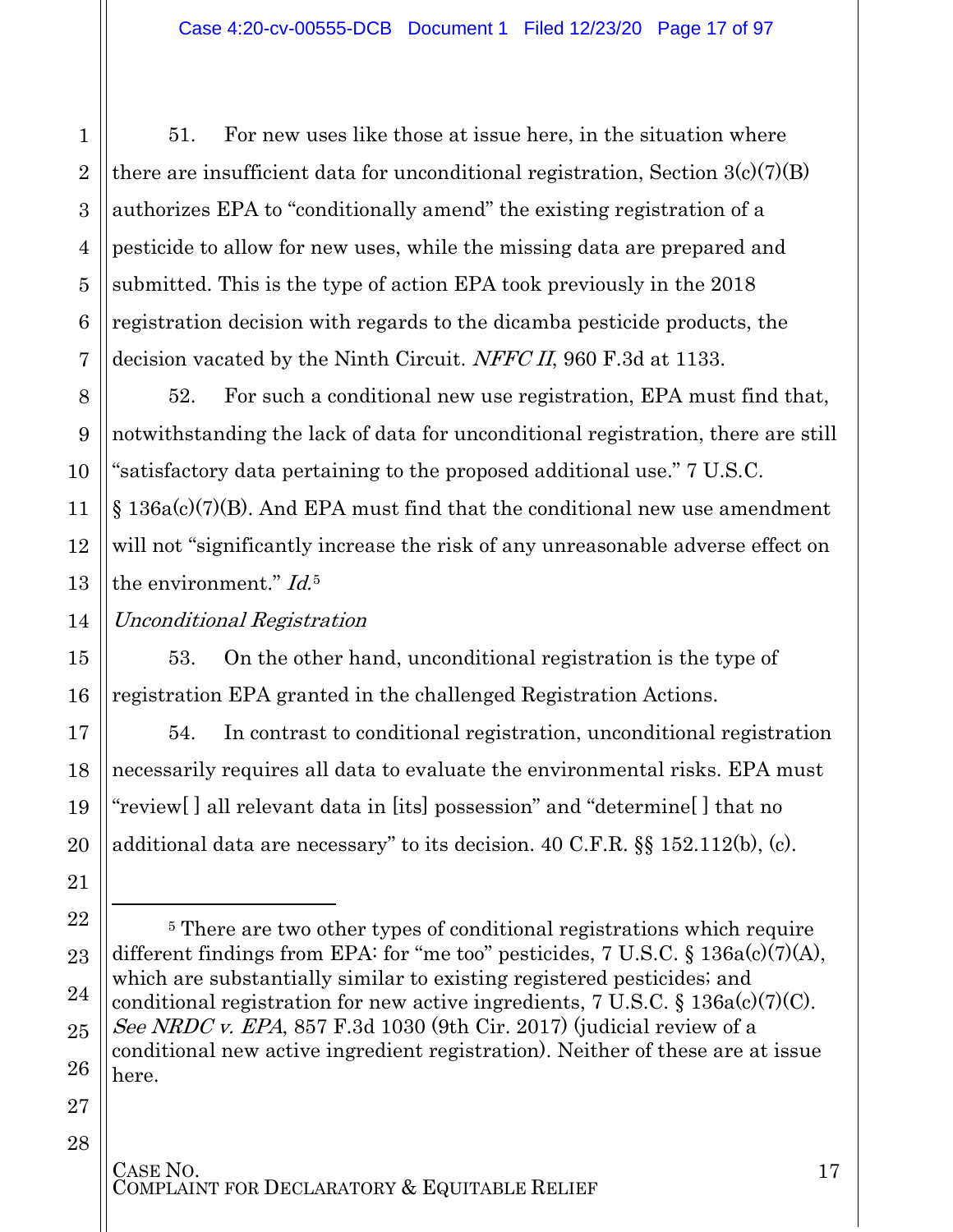51. For new uses like those at issue here, in the situation where there are insufficient data for unconditional registration, Section  $3(c)(7)(B)$ authorizes EPA to "conditionally amend" the existing registration of a pesticide to allow for new uses, while the missing data are prepared and submitted. This is the type of action EPA took previously in the 2018 registration decision with regards to the dicamba pesticide products, the decision vacated by the Ninth Circuit. NFFC II, 960 F.3d at 1133.

52. For such a conditional new use registration, EPA must find that, notwithstanding the lack of data for unconditional registration, there are still "satisfactory data pertaining to the proposed additional use." 7 U.S.C.  $\S$  136a(c)(7)(B). And EPA must find that the conditional new use amendment will not "significantly increase the risk of any unreasonable adverse effect on the environment." Id.<sup>[5](#page-16-0)</sup>

### Unconditional Registration

53. On the other hand, unconditional registration is the type of registration EPA granted in the challenged Registration Actions.

54. In contrast to conditional registration, unconditional registration necessarily requires all data to evaluate the environmental risks. EPA must "review[ ] all relevant data in [its] possession" and "determine[ ] that no additional data are necessary" to its decision. 40 C.F.R. §§ 152.112(b), (c).

 $\overline{a}$ 

<span id="page-16-0"></span><sup>&</sup>lt;sup>5</sup> There are two other types of conditional registrations which require different findings from EPA: for "me too" pesticides,  $7 \text{ U.S.C.}$  §  $136a(c)(7)(A)$ , which are substantially similar to existing registered pesticides; and conditional registration for new active ingredients,  $7 \text{ U.S.C.} \$   $136a(c)(7)(C)$ . See NRDC v. EPA, 857 F.3d 1030 (9th Cir. 2017) (judicial review of a conditional new active ingredient registration). Neither of these are at issue here.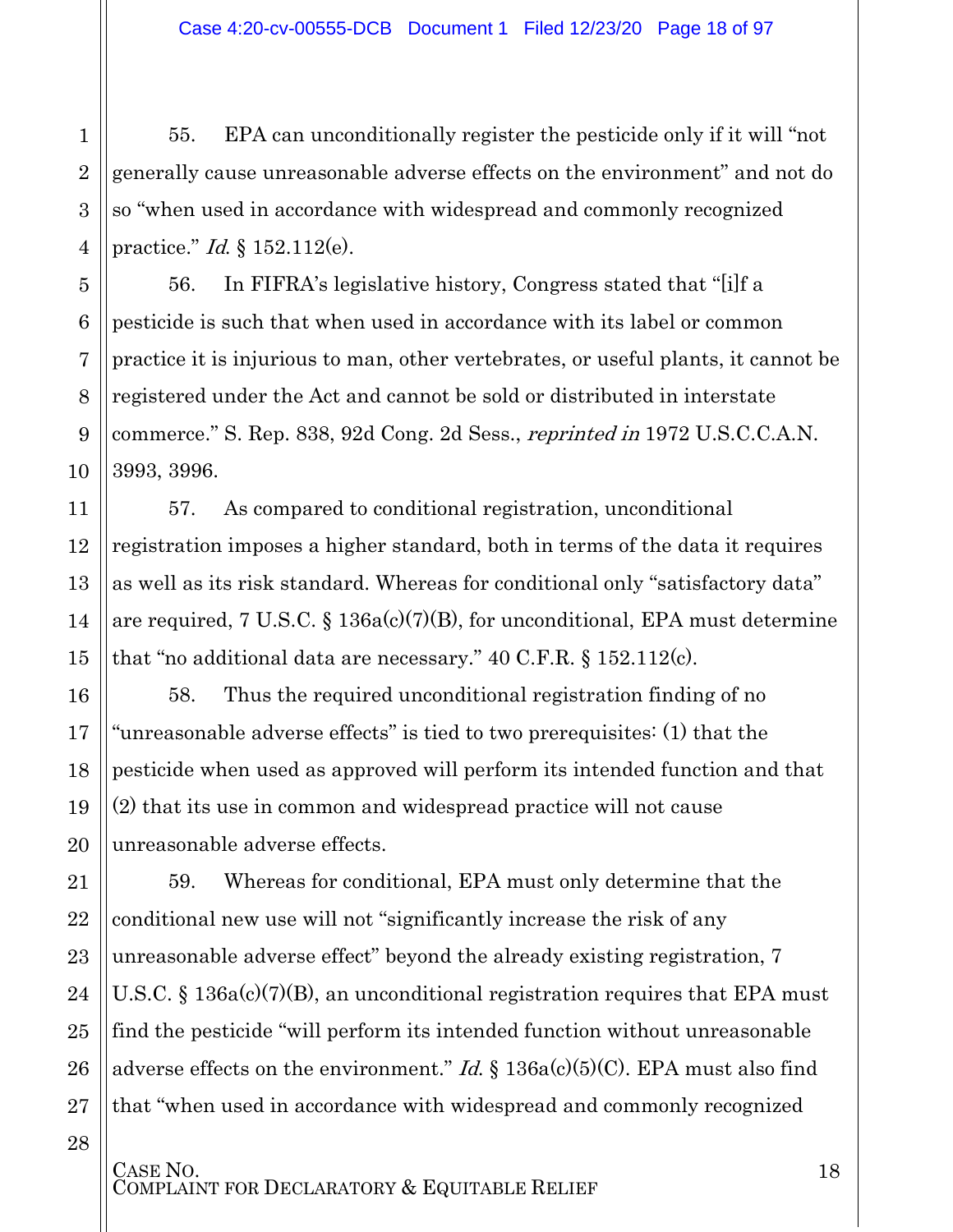55. EPA can unconditionally register the pesticide only if it will "not generally cause unreasonable adverse effects on the environment" and not do so "when used in accordance with widespread and commonly recognized practice." Id. § 152.112(e).

1

2

3

4

5

6

7

8

9

10

11

12

13

14

15

16

17

18

19

20

21

22

23

24

25

26

27

28

56. In FIFRA's legislative history, Congress stated that "[i]f a pesticide is such that when used in accordance with its label or common practice it is injurious to man, other vertebrates, or useful plants, it cannot be registered under the Act and cannot be sold or distributed in interstate commerce." S. Rep. 838, 92d Cong. 2d Sess., reprinted in 1972 U.S.C.C.A.N. 3993, 3996.

57. As compared to conditional registration, unconditional registration imposes a higher standard, both in terms of the data it requires as well as its risk standard. Whereas for conditional only "satisfactory data" are required, 7 U.S.C. § 136a(c)(7)(B), for unconditional, EPA must determine that "no additional data are necessary." 40 C.F.R. § 152.112(c).

58. Thus the required unconditional registration finding of no "unreasonable adverse effects" is tied to two prerequisites: (1) that the pesticide when used as approved will perform its intended function and that (2) that its use in common and widespread practice will not cause unreasonable adverse effects.

59. Whereas for conditional, EPA must only determine that the conditional new use will not "significantly increase the risk of any unreasonable adverse effect" beyond the already existing registration, 7 U.S.C. § 136a(c)(7)(B), an unconditional registration requires that EPA must find the pesticide "will perform its intended function without unreasonable adverse effects on the environment." *Id.*  $\S$  136a(c)(5)(C). EPA must also find that "when used in accordance with widespread and commonly recognized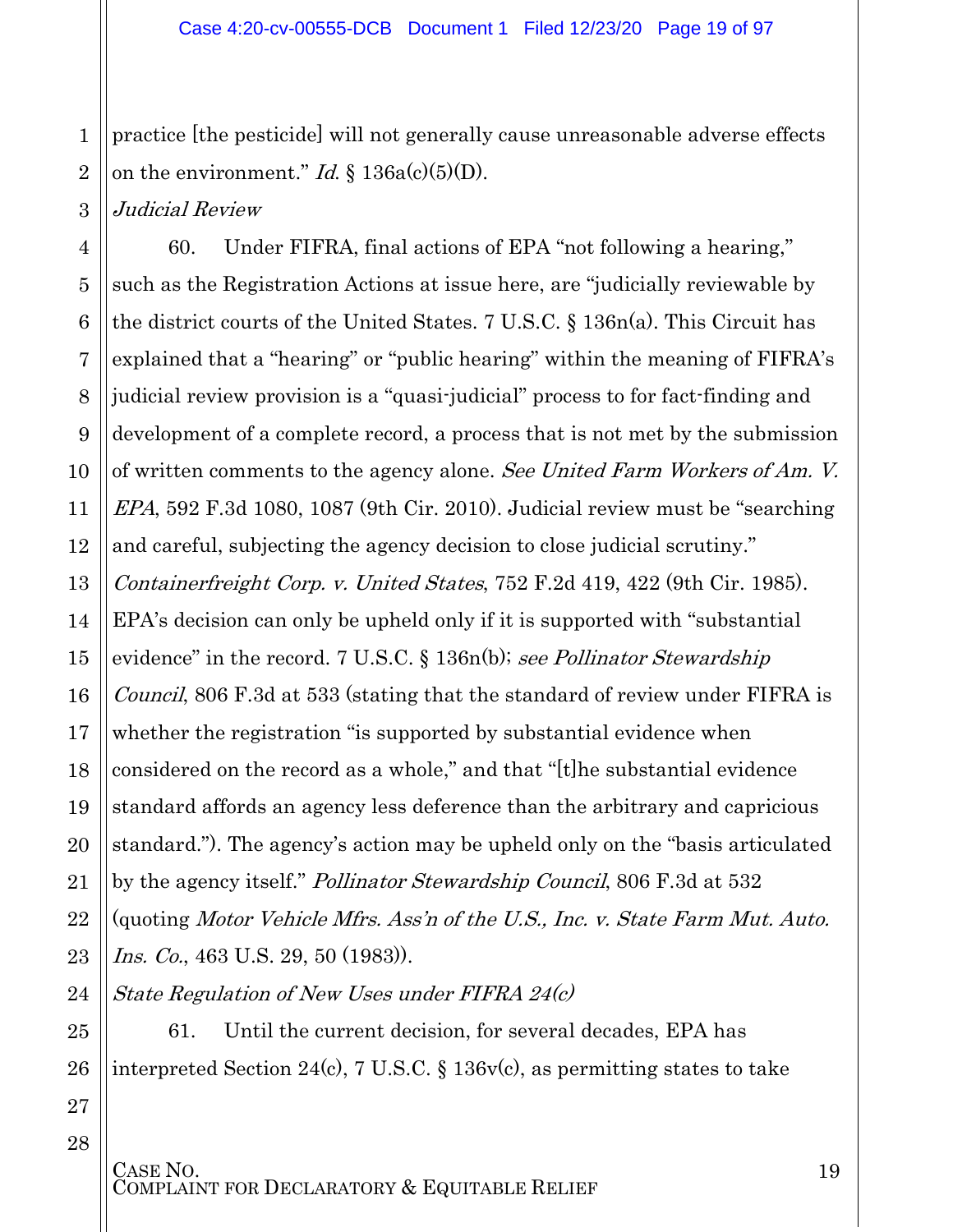1 2 practice [the pesticide] will not generally cause unreasonable adverse effects on the environment." *Id.*  $\S$  136a(c)(5)(D).

Judicial Review

3

4 5 6 7 8 9 10 11 12 13 14 15 16 17 18 19 20 21 22 23 60. Under FIFRA, final actions of EPA "not following a hearing," such as the Registration Actions at issue here, are "judicially reviewable by the district courts of the United States. 7 U.S.C. § 136n(a). This Circuit has explained that a "hearing" or "public hearing" within the meaning of FIFRA's judicial review provision is a "quasi-judicial" process to for fact-finding and development of a complete record, a process that is not met by the submission of written comments to the agency alone. See United Farm Workers of Am. V. EPA, 592 F.3d 1080, 1087 (9th Cir. 2010). Judicial review must be "searching and careful, subjecting the agency decision to close judicial scrutiny." Containerfreight Corp. v. United States, 752 F.2d 419, 422 (9th Cir. 1985). EPA's decision can only be upheld only if it is supported with "substantial evidence" in the record. 7 U.S.C.  $\S$  136n(b); see Pollinator Stewardship Council, 806 F.3d at 533 (stating that the standard of review under FIFRA is whether the registration "is supported by substantial evidence when considered on the record as a whole," and that "[t]he substantial evidence standard affords an agency less deference than the arbitrary and capricious standard."). The agency's action may be upheld only on the "basis articulated by the agency itself." *Pollinator Stewardship Council*, 806 F.3d at 532 (quoting Motor Vehicle Mfrs. Ass'n of the U.S., Inc. v. State Farm Mut. Auto. *Ins. Co.*, 463 U.S. 29, 50 (1983)).

24 State Regulation of New Uses under FIFRA 24(c)

61. Until the current decision, for several decades, EPA has interpreted Section 24(c), 7 U.S.C. § 136v(c), as permitting states to take

27 28

25

26

CASE NO.<br>COMPLAINT FOR DECLARATORY & EQUITABLE RELIEF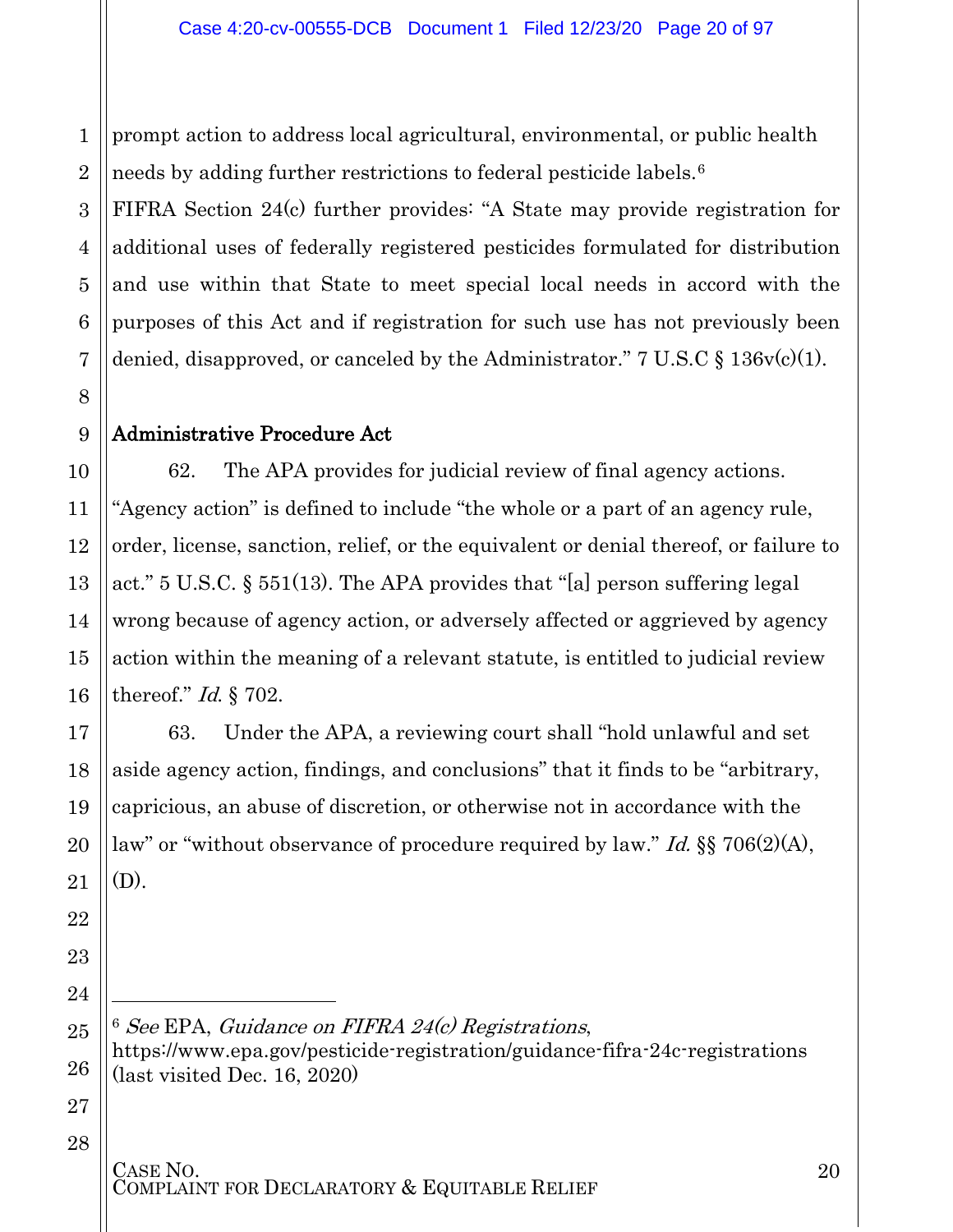prompt action to address local agricultural, environmental, or public health needs by adding further restrictions to federal pesticide labels.[6](#page-19-1)

FIFRA Section 24(c) further provides: "A State may provide registration for additional uses of federally registered pesticides formulated for distribution and use within that State to meet special local needs in accord with the purposes of this Act and if registration for such use has not previously been denied, disapproved, or canceled by the Administrator." 7 U.S.C  $\S 136v(c)(1)$ .

### <span id="page-19-0"></span>Administrative Procedure Act

62. The APA provides for judicial review of final agency actions. "Agency action" is defined to include "the whole or a part of an agency rule, order, license, sanction, relief, or the equivalent or denial thereof, or failure to act." 5 U.S.C. § 551(13). The APA provides that "[a] person suffering legal wrong because of agency action, or adversely affected or aggrieved by agency action within the meaning of a relevant statute, is entitled to judicial review thereof." Id. § 702.

63. Under the APA, a reviewing court shall "hold unlawful and set aside agency action, findings, and conclusions" that it finds to be "arbitrary, capricious, an abuse of discretion, or otherwise not in accordance with the law" or "without observance of procedure required by law." *Id.* §§ 706(2)(A), (D).

<span id="page-19-1"></span> $6$  See EPA, Guidance on FIFRA 24 $(c)$  Registrations, <https://www.epa.gov/pesticide-registration/guidance-fifra-24c-registrations> (last visited Dec. 16, 2020)

# CASE NO.<br>COMPLAINT FOR DECLARATORY & EQUITABLE RELIEF

l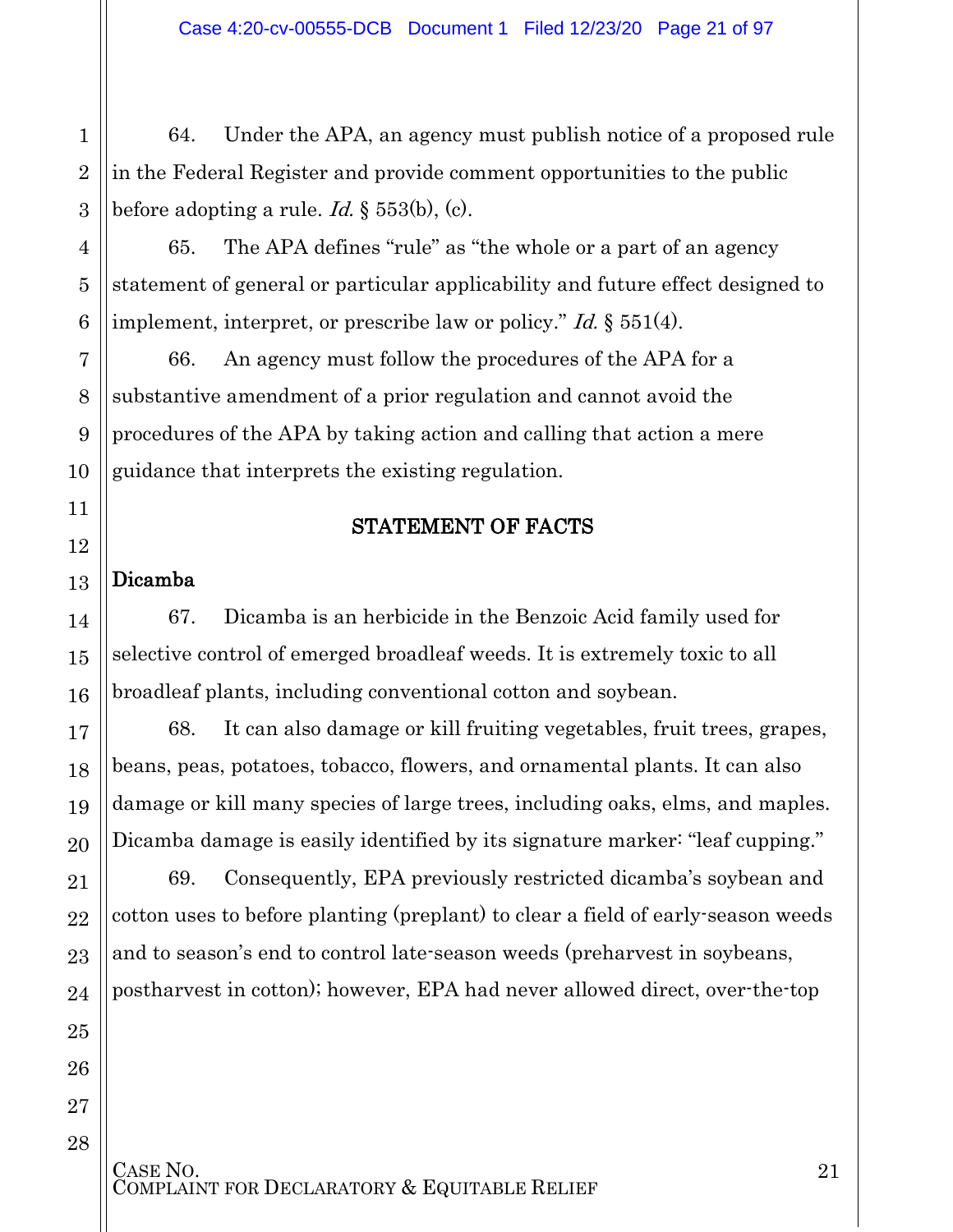3 64. Under the APA, an agency must publish notice of a proposed rule in the Federal Register and provide comment opportunities to the public before adopting a rule. *Id.*  $\S$  553(b), (c).

65. The APA defines "rule" as "the whole or a part of an agency statement of general or particular applicability and future effect designed to implement, interpret, or prescribe law or policy." *Id.* § 551(4).

66. An agency must follow the procedures of the APA for a substantive amendment of a prior regulation and cannot avoid the procedures of the APA by taking action and calling that action a mere guidance that interprets the existing regulation.

#### STATEMENT OF FACTS

#### <span id="page-20-1"></span>13 Dicamba

1

2

4

5

6

7

8

9

10

<span id="page-20-0"></span>11

12

14

15

16

17

18

19

20

21

22

23

24

25

26

27

28

67. Dicamba is an herbicide in the Benzoic Acid family used for selective control of emerged broadleaf weeds. It is extremely toxic to all broadleaf plants, including conventional cotton and soybean.

68. It can also damage or kill fruiting vegetables, fruit trees, grapes, beans, peas, potatoes, tobacco, flowers, and ornamental plants. It can also damage or kill many species of large trees, including oaks, elms, and maples. Dicamba damage is easily identified by its signature marker: "leaf cupping."

69. Consequently, EPA previously restricted dicamba's soybean and cotton uses to before planting (preplant) to clear a field of early-season weeds and to season's end to control late-season weeds (preharvest in soybeans, postharvest in cotton); however, EPA had never allowed direct, over-the-top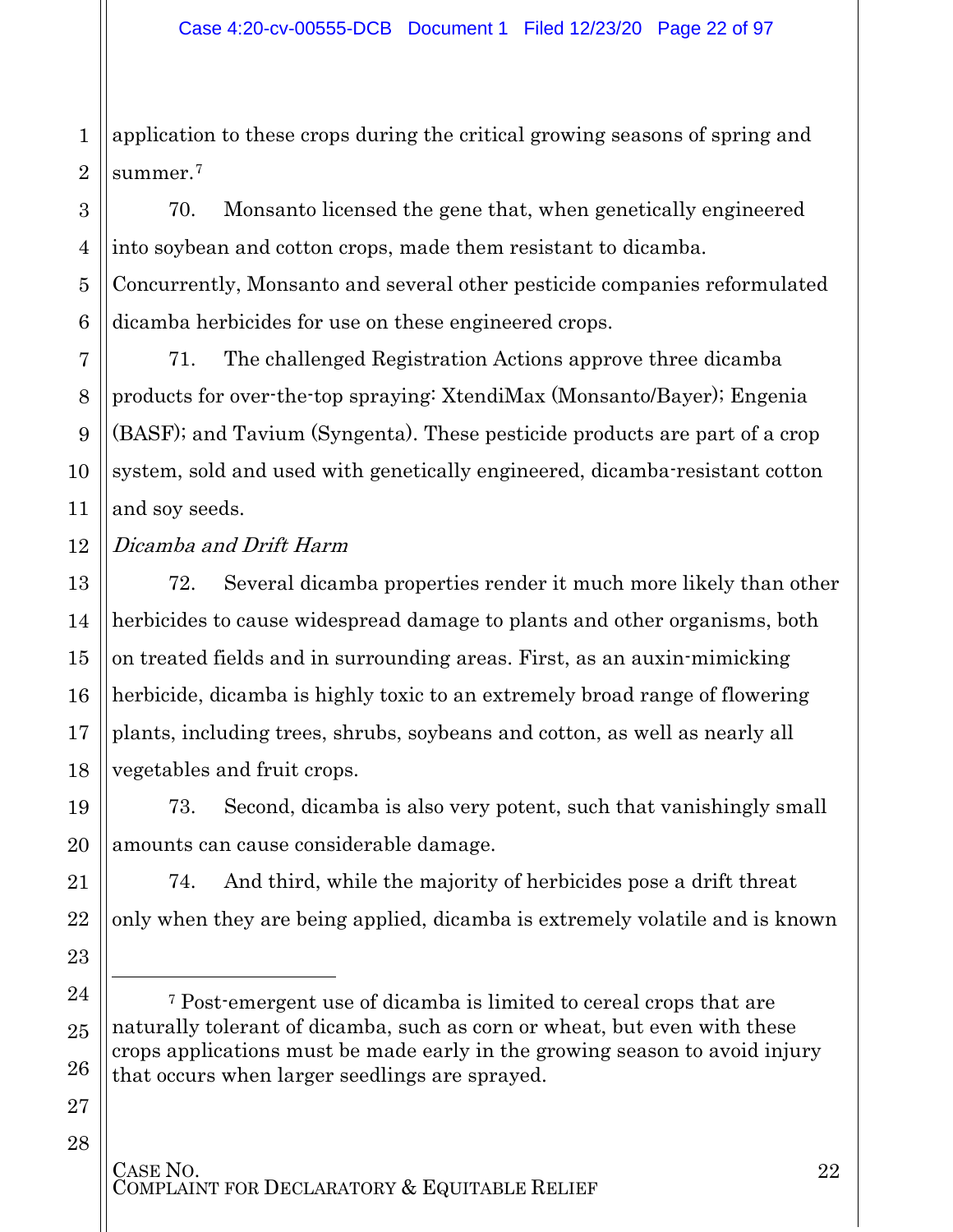1 2 application to these crops during the critical growing seasons of spring and summer.<sup>[7](#page-21-0)</sup>

70. Monsanto licensed the gene that, when genetically engineered into soybean and cotton crops, made them resistant to dicamba. Concurrently, Monsanto and several other pesticide companies reformulated dicamba herbicides for use on these engineered crops.

71. The challenged Registration Actions approve three dicamba products for over-the-top spraying: XtendiMax (Monsanto/Bayer); Engenia (BASF); and Tavium (Syngenta). These pesticide products are part of a crop system, sold and used with genetically engineered, dicamba-resistant cotton and soy seeds.

12 Dicamba and Drift Harm

> 72. Several dicamba properties render it much more likely than other herbicides to cause widespread damage to plants and other organisms, both on treated fields and in surrounding areas. First, as an auxin-mimicking herbicide, dicamba is highly toxic to an extremely broad range of flowering plants, including trees, shrubs, soybeans and cotton, as well as nearly all vegetables and fruit crops.

73. Second, dicamba is also very potent, such that vanishingly small amounts can cause considerable damage.

74. And third, while the majority of herbicides pose a drift threat only when they are being applied, dicamba is extremely volatile and is known

27 28

3

4

5

6

7

8

9

10

11

13

14

15

16

17

18

19

20

21

22

23

<span id="page-21-0"></span>24

 $\overline{a}$ 

25

<sup>7</sup> Post-emergent use of dicamba is limited to cereal crops that are naturally tolerant of dicamba, such as corn or wheat, but even with these crops applications must be made early in the growing season to avoid injury that occurs when larger seedlings are sprayed.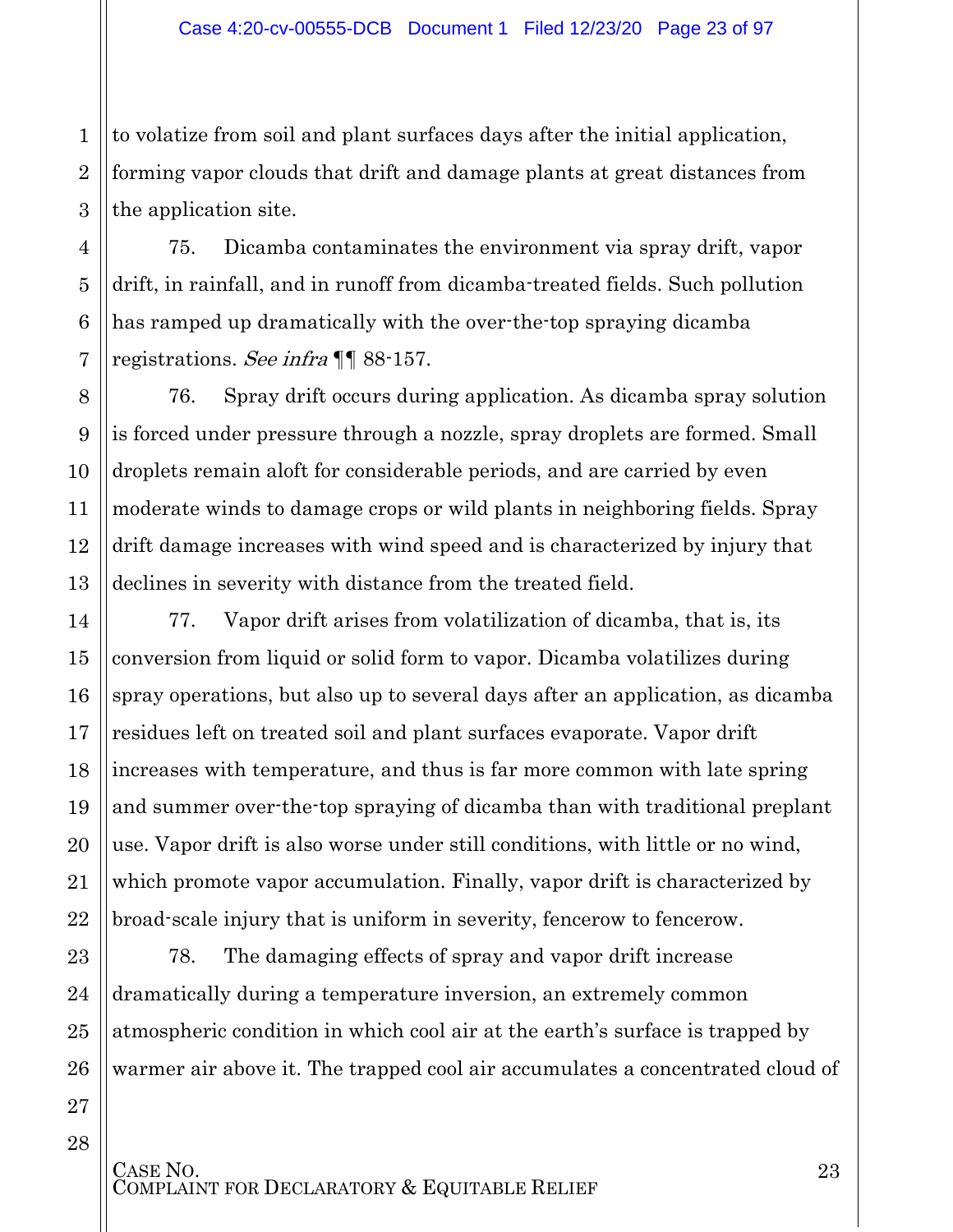1 2 3 to volatize from soil and plant surfaces days after the initial application, forming vapor clouds that drift and damage plants at great distances from the application site.

75. Dicamba contaminates the environment via spray drift, vapor drift, in rainfall, and in runoff from dicamba-treated fields. Such pollution has ramped up dramatically with the over-the-top spraying dicamba registrations. See infra ¶¶ 88-157.

4

5

6

7

8

9

10

11

12

13

14

15

16

17

18

19

20

21

22

23

24

25

26

27

28

76. Spray drift occurs during application. As dicamba spray solution is forced under pressure through a nozzle, spray droplets are formed. Small droplets remain aloft for considerable periods, and are carried by even moderate winds to damage crops or wild plants in neighboring fields. Spray drift damage increases with wind speed and is characterized by injury that declines in severity with distance from the treated field.

77. Vapor drift arises from volatilization of dicamba, that is, its conversion from liquid or solid form to vapor. Dicamba volatilizes during spray operations, but also up to several days after an application, as dicamba residues left on treated soil and plant surfaces evaporate. Vapor drift increases with temperature, and thus is far more common with late spring and summer over-the-top spraying of dicamba than with traditional preplant use. Vapor drift is also worse under still conditions, with little or no wind, which promote vapor accumulation. Finally, vapor drift is characterized by broad-scale injury that is uniform in severity, fencerow to fencerow.

78. The damaging effects of spray and vapor drift increase dramatically during a temperature inversion, an extremely common atmospheric condition in which cool air at the earth's surface is trapped by warmer air above it. The trapped cool air accumulates a concentrated cloud of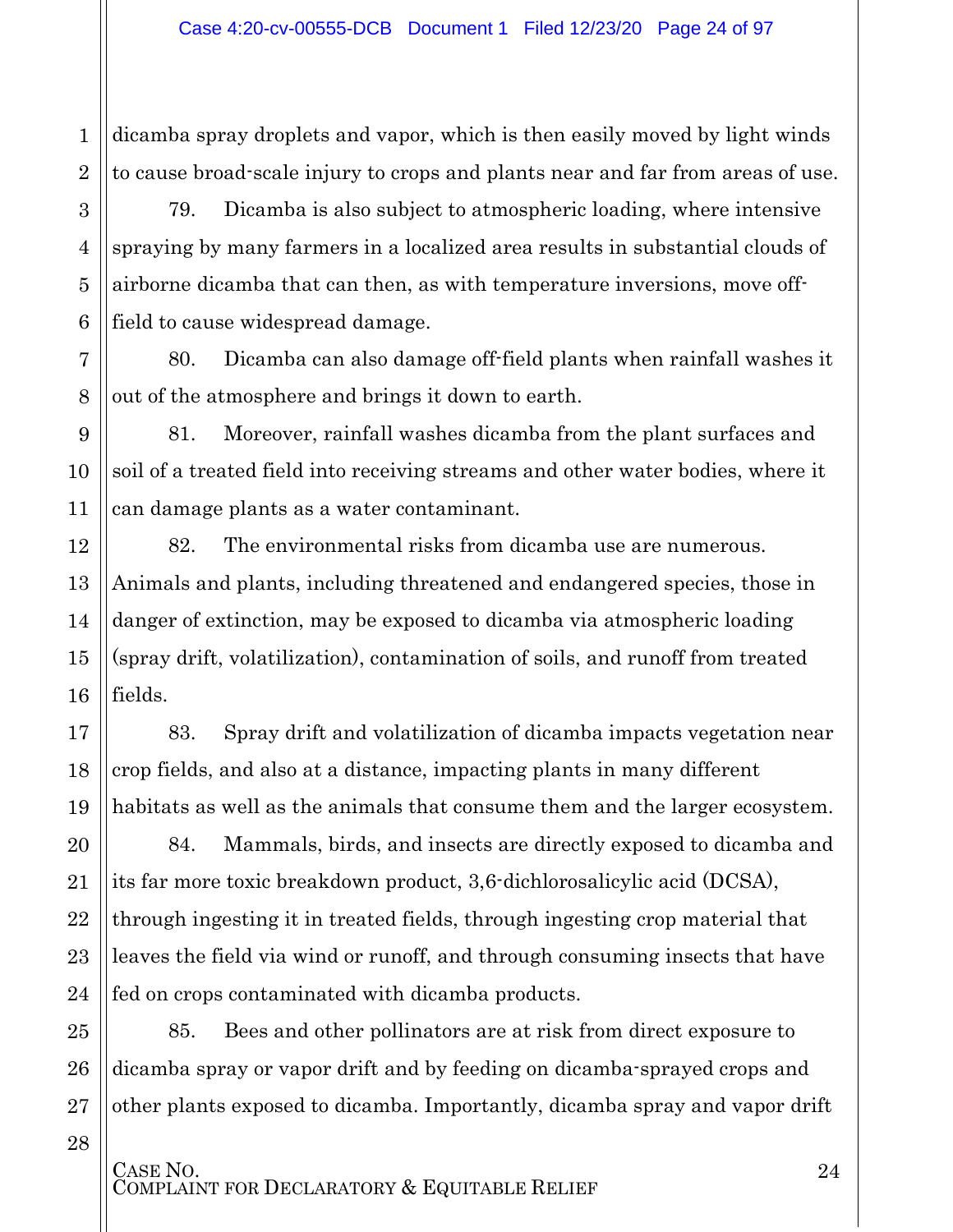1 2 dicamba spray droplets and vapor, which is then easily moved by light winds to cause broad-scale injury to crops and plants near and far from areas of use.

79. Dicamba is also subject to atmospheric loading, where intensive spraying by many farmers in a localized area results in substantial clouds of airborne dicamba that can then, as with temperature inversions, move offfield to cause widespread damage.

80. Dicamba can also damage off-field plants when rainfall washes it out of the atmosphere and brings it down to earth.

81. Moreover, rainfall washes dicamba from the plant surfaces and soil of a treated field into receiving streams and other water bodies, where it can damage plants as a water contaminant.

82. The environmental risks from dicamba use are numerous. Animals and plants, including threatened and endangered species, those in danger of extinction, may be exposed to dicamba via atmospheric loading (spray drift, volatilization), contamination of soils, and runoff from treated fields.

83. Spray drift and volatilization of dicamba impacts vegetation near crop fields, and also at a distance, impacting plants in many different habitats as well as the animals that consume them and the larger ecosystem.

84. Mammals, birds, and insects are directly exposed to dicamba and its far more toxic breakdown product, 3,6-dichlorosalicylic acid (DCSA), through ingesting it in treated fields, through ingesting crop material that leaves the field via wind or runoff, and through consuming insects that have fed on crops contaminated with dicamba products.

85. Bees and other pollinators are at risk from direct exposure to dicamba spray or vapor drift and by feeding on dicamba-sprayed crops and other plants exposed to dicamba. Importantly, dicamba spray and vapor drift

28

3

4

5

6

7

8

9

10

11

12

13

14

15

16

17

18

19

20

21

22

23

24

25

26

27

CASE NO.<br>COMPLAINT FOR DECLARATORY & EQUITABLE RELIEF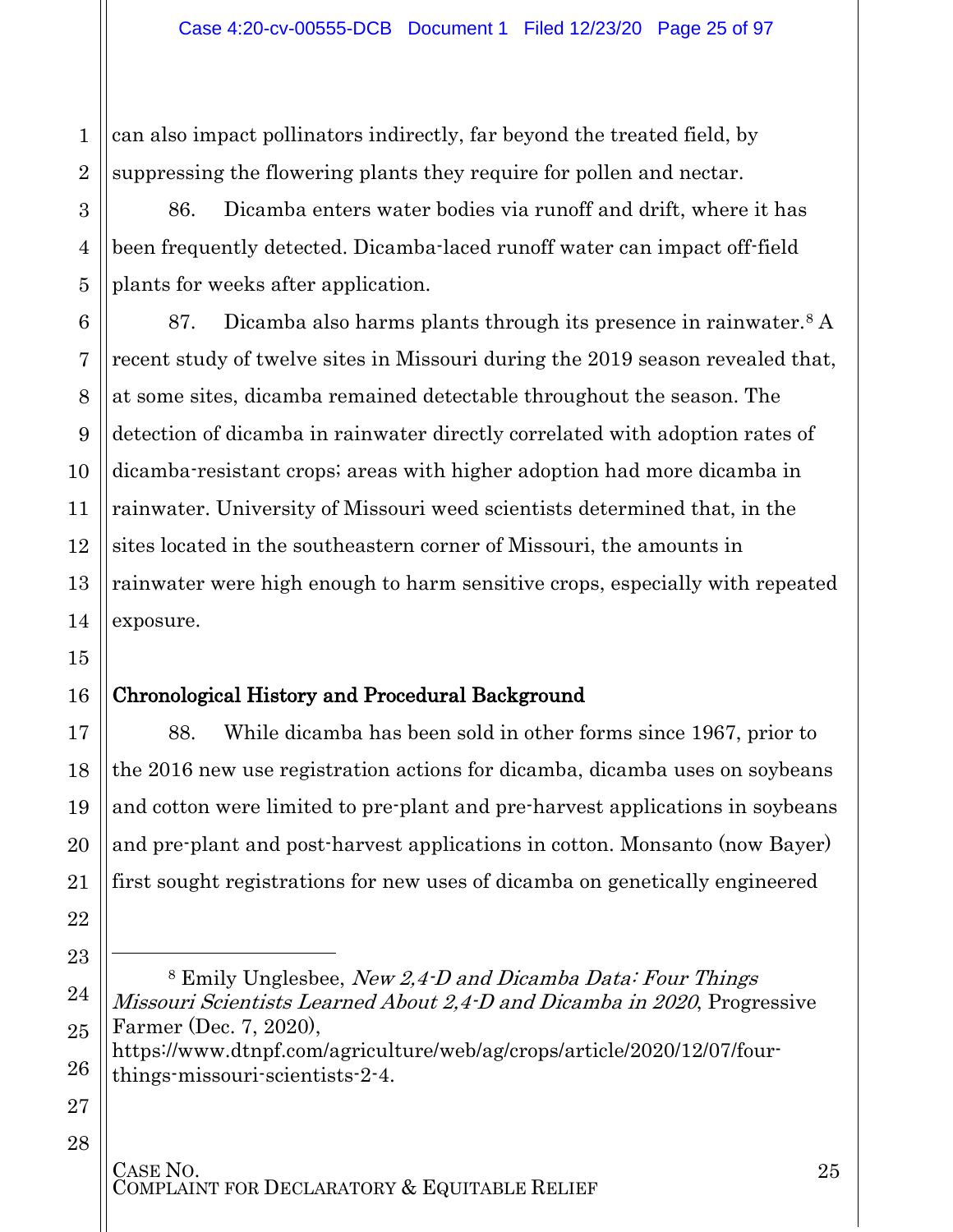1 2 can also impact pollinators indirectly, far beyond the treated field, by suppressing the flowering plants they require for pollen and nectar.

86. Dicamba enters water bodies via runoff and drift, where it has been frequently detected. Dicamba-laced runoff water can impact off-field plants for weeks after application.

87. Dicamba also harms plants through its presence in rainwater.[8](#page-24-1) A recent study of twelve sites in Missouri during the 2019 season revealed that, at some sites, dicamba remained detectable throughout the season. The detection of dicamba in rainwater directly correlated with adoption rates of dicamba-resistant crops; areas with higher adoption had more dicamba in rainwater. University of Missouri weed scientists determined that, in the sites located in the southeastern corner of Missouri, the amounts in rainwater were high enough to harm sensitive crops, especially with repeated exposure.

### <span id="page-24-0"></span>Chronological History and Procedural Background

88. While dicamba has been sold in other forms since 1967, prior to the 2016 new use registration actions for dicamba, dicamba uses on soybeans and cotton were limited to pre-plant and pre-harvest applications in soybeans and pre-plant and post-harvest applications in cotton. Monsanto (now Bayer) first sought registrations for new uses of dicamba on genetically engineered

https://www.dtnpf.com/agriculture/web/ag/crops/article/2020/12/07/fourthings-missouri-scientists-2-4.

27 28

3

4

5

6

7

8

9

10

11

12

13

14

15

16

17

18

19

20

21

22

<span id="page-24-1"></span>23

 $\overline{a}$ 

24

25

<sup>8</sup> Emily Unglesbee, New 2,4-D and Dicamba Data: Four Things Missouri Scientists Learned About 2,4-D and Dicamba in 2020, Progressive Farmer (Dec. 7, 2020),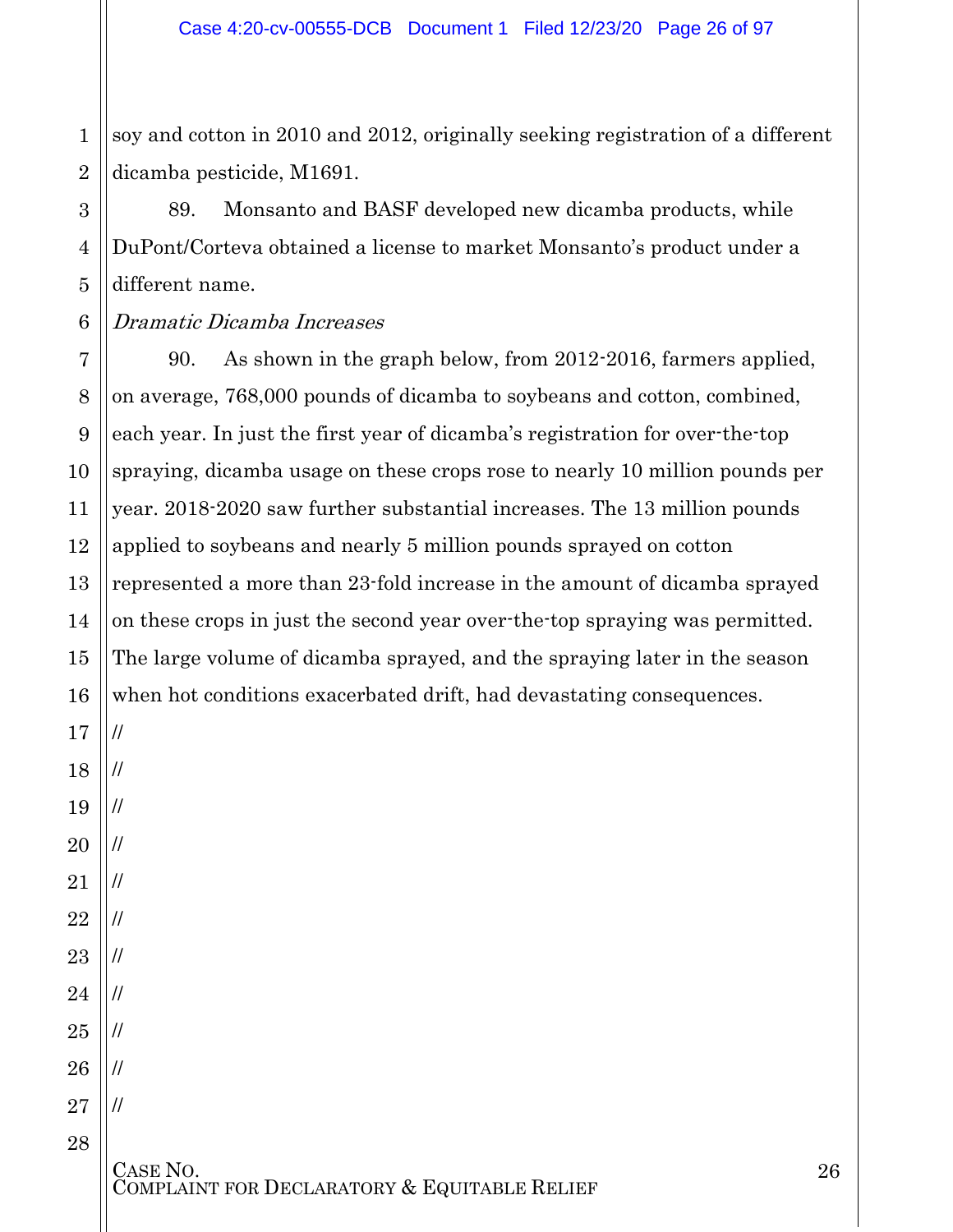1 2 soy and cotton in 2010 and 2012, originally seeking registration of a different dicamba pesticide, M1691.

89. Monsanto and BASF developed new dicamba products, while DuPont/Corteva obtained a license to market Monsanto's product under a different name.

#### 6 Dramatic Dicamba Increases

7 8 9 10 11 90. As shown in the graph below, from 2012-2016, farmers applied, on average, 768,000 pounds of dicamba to soybeans and cotton, combined, each year. In just the first year of dicamba's registration for over-the-top spraying, dicamba usage on these crops rose to nearly 10 million pounds per year. 2018-2020 saw further substantial increases. The 13 million pounds applied to soybeans and nearly 5 million pounds sprayed on cotton represented a more than 23-fold increase in the amount of dicamba sprayed on these crops in just the second year over-the-top spraying was permitted. The large volume of dicamba sprayed, and the spraying later in the season when hot conditions exacerbated drift, had devastating consequences.

//

//

//

//

//

//

//

//

//

//

//

3

4

5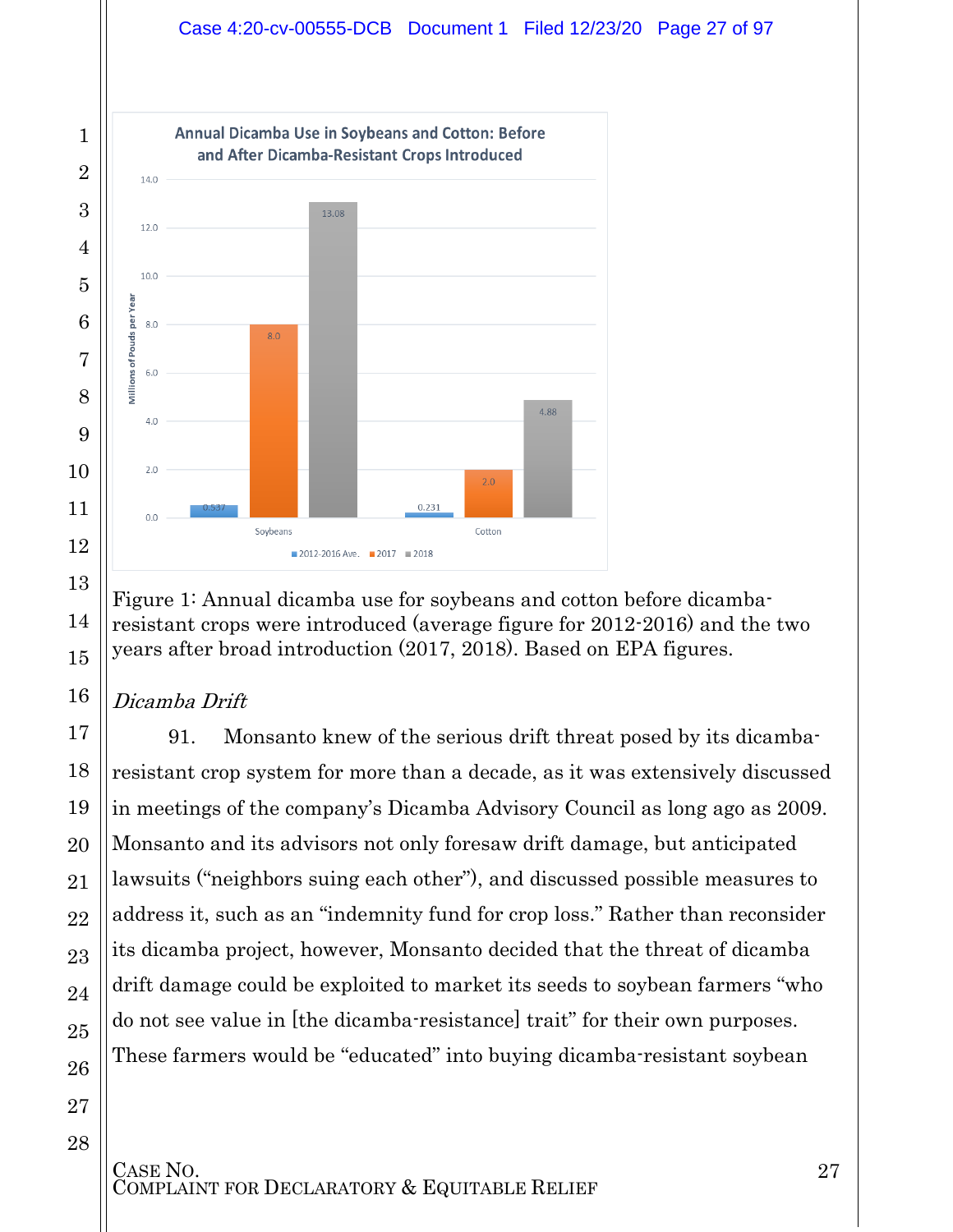

Figure 1: Annual dicamba use for soybeans and cotton before dicambaresistant crops were introduced (average figure for 2012-2016) and the two years after broad introduction (2017, 2018). Based on EPA figures.

### Dicamba Drift

91. Monsanto knew of the serious drift threat posed by its dicambaresistant crop system for more than a decade, as it was extensively discussed in meetings of the company's Dicamba Advisory Council as long ago as 2009. Monsanto and its advisors not only foresaw drift damage, but anticipated lawsuits ("neighbors suing each other"), and discussed possible measures to address it, such as an "indemnity fund for crop loss." Rather than reconsider its dicamba project, however, Monsanto decided that the threat of dicamba drift damage could be exploited to market its seeds to soybean farmers "who do not see value in [the dicamba-resistance] trait" for their own purposes. These farmers would be "educated" into buying dicamba-resistant soybean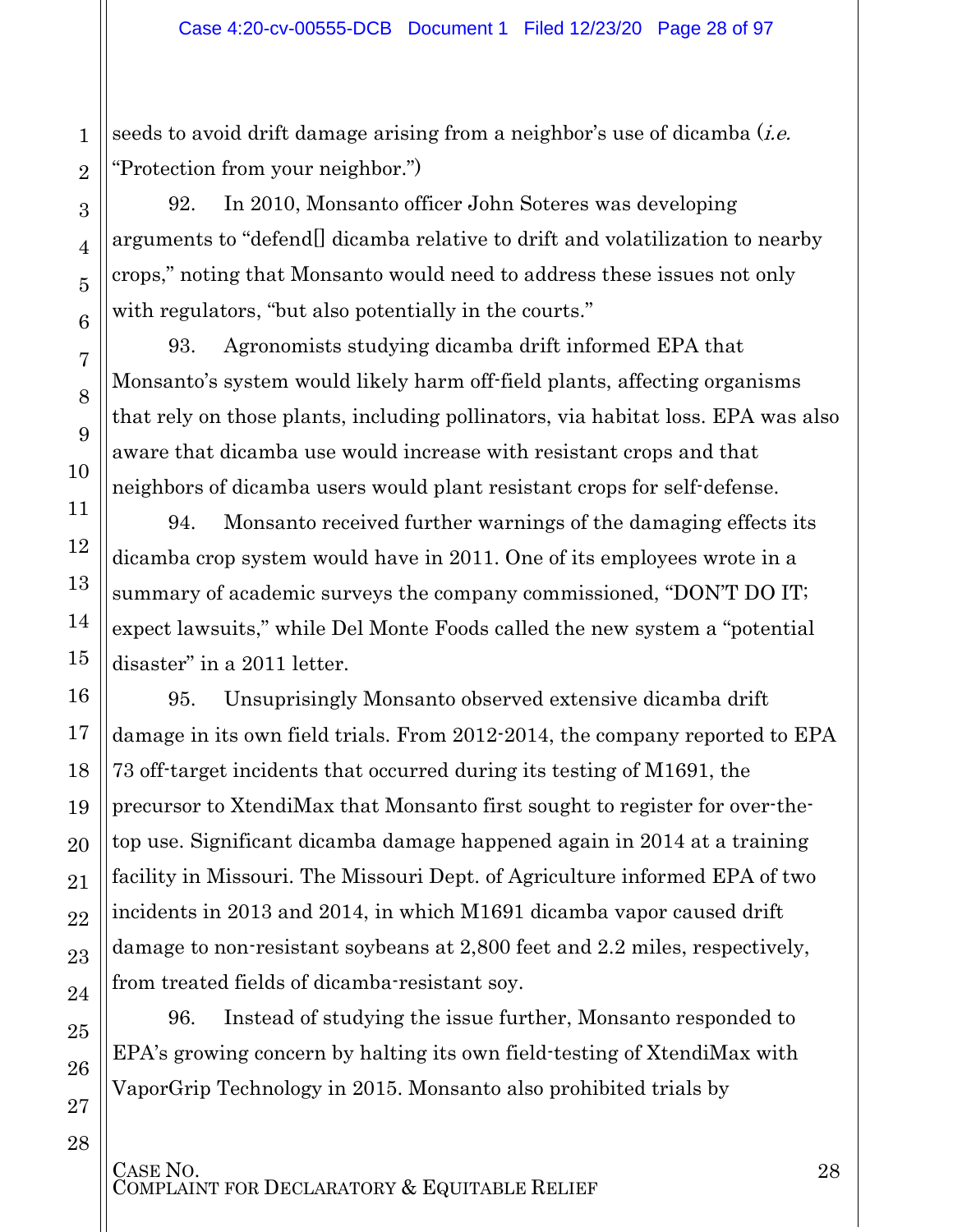seeds to avoid drift damage arising from a neighbor's use of dicamba (*i.e.* "Protection from your neighbor.")

92. In 2010, Monsanto officer John Soteres was developing arguments to "defend[] dicamba relative to drift and volatilization to nearby crops," noting that Monsanto would need to address these issues not only with regulators, "but also potentially in the courts."

93. Agronomists studying dicamba drift informed EPA that Monsanto's system would likely harm off-field plants, affecting organisms that rely on those plants, including pollinators, via habitat loss. EPA was also aware that dicamba use would increase with resistant crops and that neighbors of dicamba users would plant resistant crops for self-defense.

94. Monsanto received further warnings of the damaging effects its dicamba crop system would have in 2011. One of its employees wrote in a summary of academic surveys the company commissioned, "DON'T DO IT; expect lawsuits," while Del Monte Foods called the new system a "potential disaster" in a 2011 letter.

95. Unsuprisingly Monsanto observed extensive dicamba drift damage in its own field trials. From 2012-2014, the company reported to EPA 73 off-target incidents that occurred during its testing of M1691, the precursor to XtendiMax that Monsanto first sought to register for over-thetop use. Significant dicamba damage happened again in 2014 at a training facility in Missouri. The Missouri Dept. of Agriculture informed EPA of two incidents in 2013 and 2014, in which M1691 dicamba vapor caused drift damage to non-resistant soybeans at 2,800 feet and 2.2 miles, respectively, from treated fields of dicamba-resistant soy.

96. Instead of studying the issue further, Monsanto responded to EPA's growing concern by halting its own field-testing of XtendiMax with VaporGrip Technology in 2015. Monsanto also prohibited trials by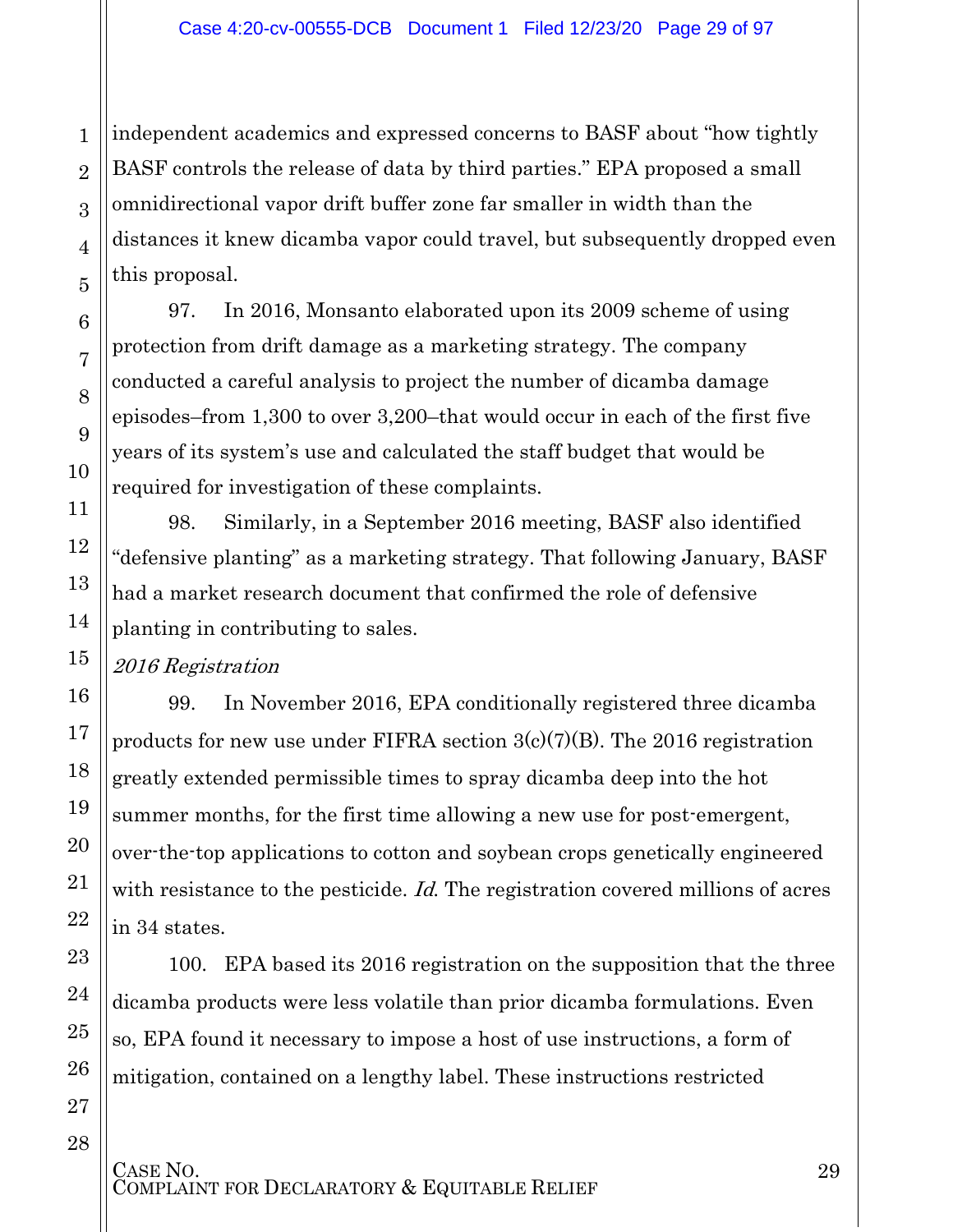3 5 independent academics and expressed concerns to BASF about "how tightly BASF controls the release of data by third parties." EPA proposed a small omnidirectional vapor drift buffer zone far smaller in width than the distances it knew dicamba vapor could travel, but subsequently dropped even this proposal.

97. In 2016, Monsanto elaborated upon its 2009 scheme of using protection from drift damage as a marketing strategy. The company conducted a careful analysis to project the number of dicamba damage episodes–from 1,300 to over 3,200–that would occur in each of the first five years of its system's use and calculated the staff budget that would be required for investigation of these complaints.

98. Similarly, in a September 2016 meeting, BASF also identified "defensive planting" as a marketing strategy. That following January, BASF had a market research document that confirmed the role of defensive planting in contributing to sales.

2016 Registration

1

2

4

6

7

8

9

10

11

12

13

14

15

16

17

18

19

20

21

22

23

24

25

26

27

28

99. In November 2016, EPA conditionally registered three dicamba products for new use under FIFRA section  $3(c)(7)(B)$ . The 2016 registration greatly extended permissible times to spray dicamba deep into the hot summer months, for the first time allowing a new use for post-emergent, over-the-top applications to cotton and soybean crops genetically engineered with resistance to the pesticide. Id. The registration covered millions of acres in 34 states.

100. EPA based its 2016 registration on the supposition that the three dicamba products were less volatile than prior dicamba formulations. Even so, EPA found it necessary to impose a host of use instructions, a form of mitigation, contained on a lengthy label. These instructions restricted

CASE NO.<br>COMPLAINT FOR DECLARATORY & EQUITABLE RELIEF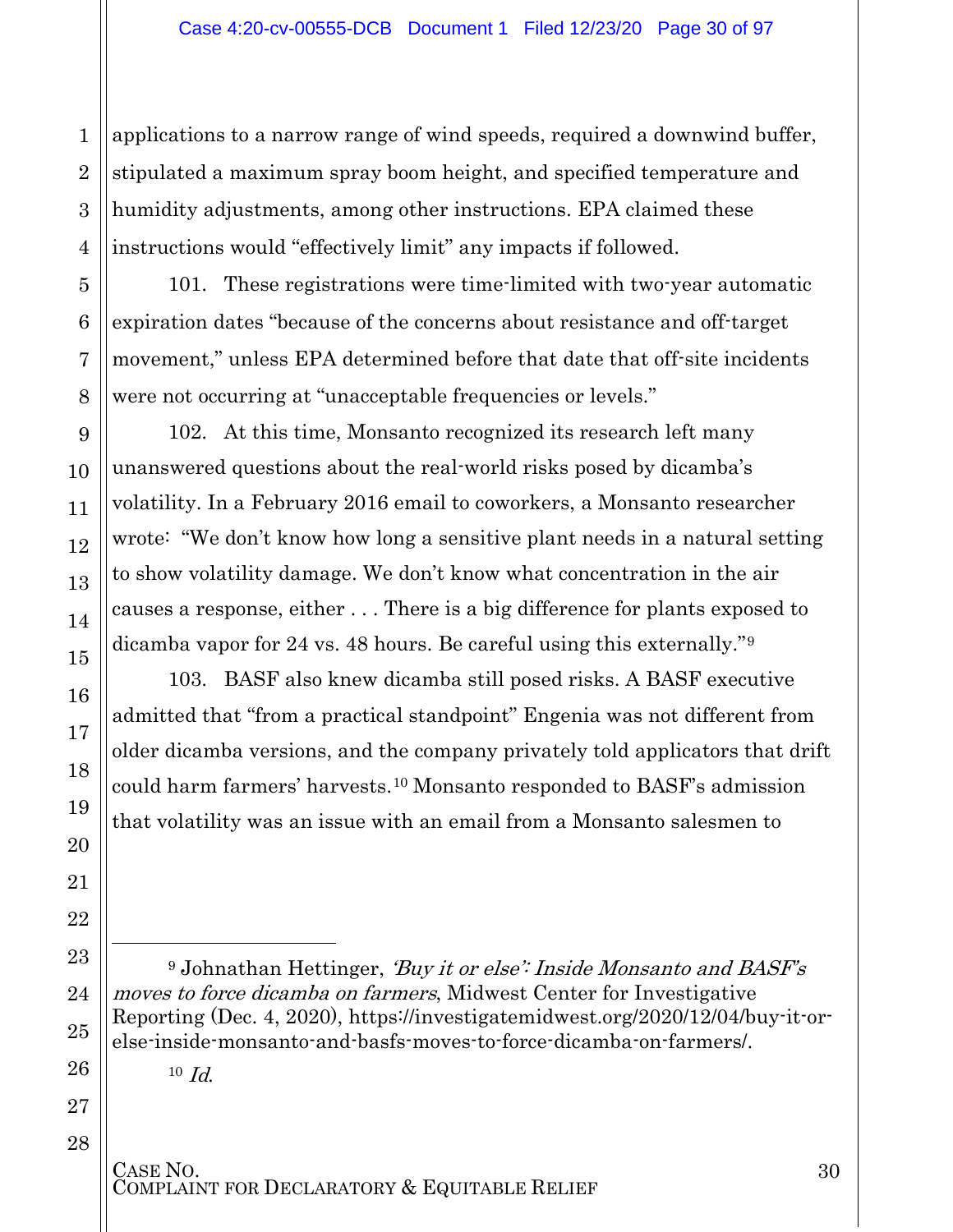2 3 4 applications to a narrow range of wind speeds, required a downwind buffer, stipulated a maximum spray boom height, and specified temperature and humidity adjustments, among other instructions. EPA claimed these instructions would "effectively limit" any impacts if followed.

101. These registrations were time-limited with two-year automatic expiration dates "because of the concerns about resistance and off-target movement," unless EPA determined before that date that off-site incidents were not occurring at "unacceptable frequencies or levels."

102. At this time, Monsanto recognized its research left many unanswered questions about the real-world risks posed by dicamba's volatility. In a February 2016 email to coworkers, a Monsanto researcher wrote: "We don't know how long a sensitive plant needs in a natural setting to show volatility damage. We don't know what concentration in the air causes a response, either . . . There is a big difference for plants exposed to dicamba vapor for 24 vs. 48 hours. Be careful using this externally."[9](#page-29-0)

103. BASF also knew dicamba still posed risks. A BASF executive admitted that "from a practical standpoint" [Engenia was not different](http://beta.documentcloud.org/documents/6816097-Baderfarm-Exhibits-All.html#document/p2076/a560186) from older dicamba versions, and the company [privately told applicators](http://beta.documentcloud.org/documents/6816097-Baderfarm-Exhibits-All.html#document/p1927/a560163) that drift could harm farmers' harvests.[10](#page-29-1) Monsanto responded to BASF's admission that volatility was an issue with an email from a Monsanto salesmen to

 $10$  *Id.* 

1

5

6

7

8

9

10

11

12

13

14

15

16

17

18

19

20

21

22

<span id="page-29-0"></span>23

 $\overline{a}$ 

24

25

<span id="page-29-1"></span>26

27

28

<sup>&</sup>lt;sup>9</sup> Johnathan Hettinger, 'Buy it or else': Inside Monsanto and BASF's moves to force dicamba on farmers, Midwest Center for Investigative Reporting (Dec. 4, 2020), https://investigatemidwest.org/2020/12/04/buy-it-orelse-inside-monsanto-and-basfs-moves-to-force-dicamba-on-farmers/.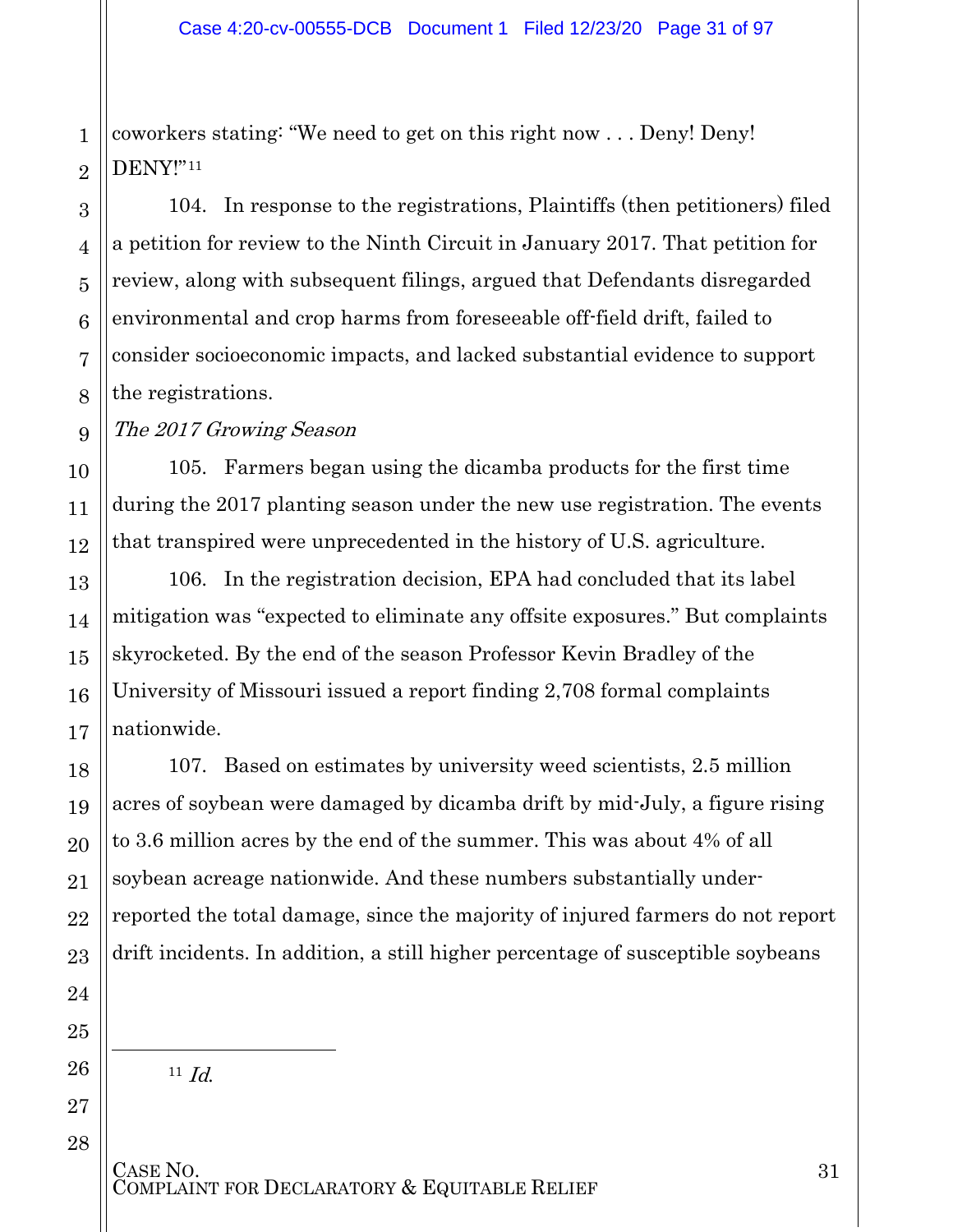1 coworkers stating: "We need to get on this right now . . . Deny! Deny! DENY!"[11](#page-30-0)

104. In response to the registrations, Plaintiffs (then petitioners) filed a petition for review to the Ninth Circuit in January 2017. That petition for review, along with subsequent filings, argued that Defendants disregarded environmental and crop harms from foreseeable off-field drift, failed to consider socioeconomic impacts, and lacked substantial evidence to support the registrations.

The 2017 Growing Season

105. Farmers began using the dicamba products for the first time during the 2017 planting season under the new use registration. The events that transpired were unprecedented in the history of U.S. agriculture.

106. In the registration decision, EPA had concluded that its label mitigation was "expected to eliminate any offsite exposures." But complaints skyrocketed. By the end of the season Professor Kevin Bradley of the University of Missouri issued a report finding 2,708 formal complaints nationwide.

107. Based on estimates by university weed scientists, 2.5 million acres of soybean were damaged by dicamba drift by mid-July, a figure rising to 3.6 million acres by the end of the summer. This was about 4% of all soybean acreage nationwide. And these numbers substantially underreported the total damage, since the majority of injured farmers do not report drift incidents. In addition, a still higher percentage of susceptible soybeans

 $11$  *Id.* 

<span id="page-30-0"></span> $\overline{a}$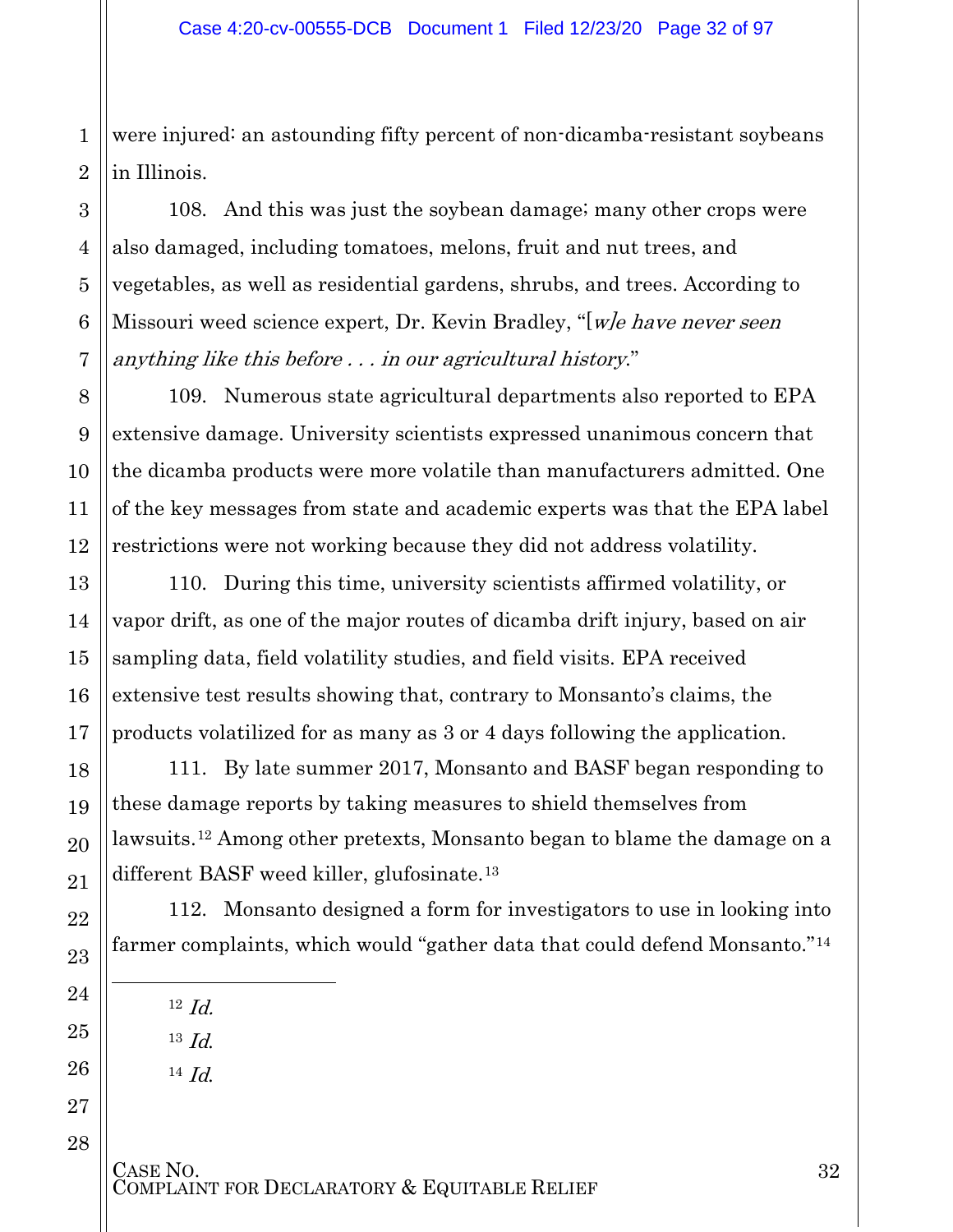1 2 were injured: an astounding fifty percent of non-dicamba-resistant soybeans in Illinois.

108. And this was just the soybean damage; many other crops were also damaged, including tomatoes, melons, fruit and nut trees, and vegetables, as well as residential gardens, shrubs, and trees. According to Missouri weed science expert, Dr. Kevin Bradley, "[*w]e have never seen* anything like this before . . . in our agricultural history."

109. Numerous state agricultural departments also reported to EPA extensive damage. University scientists expressed unanimous concern that the dicamba products were more volatile than manufacturers admitted. One of the key messages from state and academic experts was that the EPA label restrictions were not working because they did not address volatility.

110. During this time, university scientists affirmed volatility, or vapor drift, as one of the major routes of dicamba drift injury, based on air sampling data, field volatility studies, and field visits. EPA received extensive test results showing that, contrary to Monsanto's claims, the products volatilized for as many as 3 or 4 days following the application.

111. By late summer 2017, Monsanto and BASF began responding to these damage reports by taking measures to shield themselves from lawsuits.[12](#page-31-0) Among other pretexts, Monsanto began to blame the damage on a different BASF weed killer, glufosinate.[13](#page-31-1)

112. Monsanto designed a form for investigators to use in looking into farmer complaints, which would "gather data that could defend Monsanto."[14](#page-31-2)

 $12 \text{ Id.}$ 

<sup>13</sup> Id.

<sup>14</sup> Id.

3

4

5

6

7

8

9

10

11

12

13

14

15

16

17

18

19

20

21

22

23

<span id="page-31-0"></span>24

l

<span id="page-31-1"></span>25

<span id="page-31-2"></span>26

27

28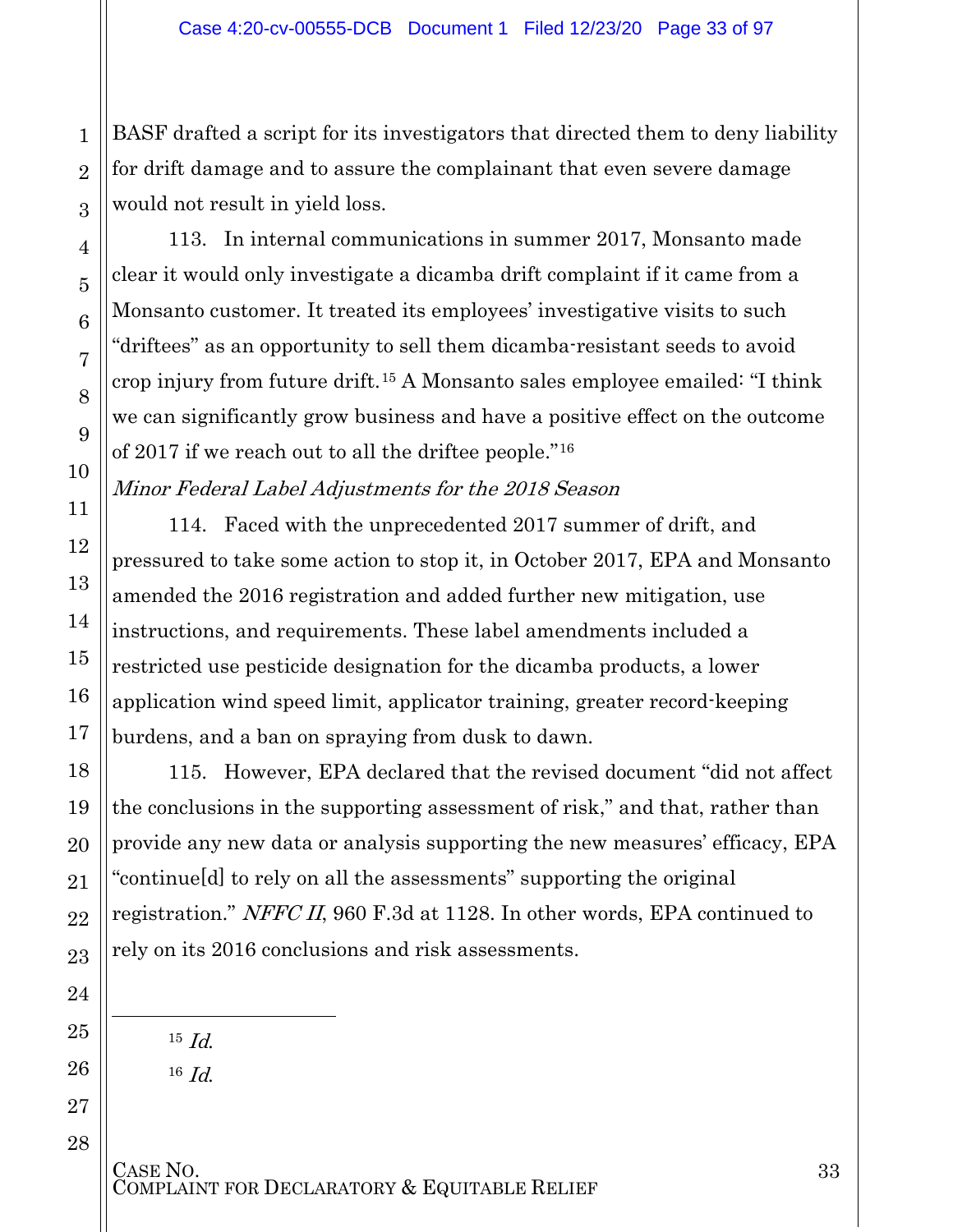BASF drafted a script for its investigators that directed them to deny liability for drift damage and to assure the complainant that even severe damage would not result in yield loss.

113. In internal communications in summer 2017, Monsanto made clear it would only investigate a dicamba drift complaint if it came from a Monsanto customer. It treated its employees' investigative visits to such "driftees" as an opportunity to sell them dicamba-resistant seeds to avoid crop injury from future drift.[15](#page-32-0) A Monsanto sales employee emailed: "I think we can significantly grow business and have a positive effect on the outcome of 2017 if we reach out to all the driftee people."[16](#page-32-1)

Minor Federal Label Adjustments for the 2018 Season

114. Faced with the unprecedented 2017 summer of drift, and pressured to take some action to stop it, in October 2017, EPA and Monsanto amended the 2016 registration and added further new mitigation, use instructions, and requirements. These label amendments included a restricted use pesticide designation for the dicamba products, a lower application wind speed limit, applicator training, greater record-keeping burdens, and a ban on spraying from dusk to dawn.

115. However, EPA declared that the revised document "did not affect the conclusions in the supporting assessment of risk," and that, rather than provide any new data or analysis supporting the new measures' efficacy, EPA "continue[d] to rely on all the assessments" supporting the original registration." NFFC II, 960 F.3d at 1128. In other words, EPA continued to rely on its 2016 conclusions and risk assessments.

 $15$  *Id.* 

1

2

3

4

5

6

7

8

9

10

11

12

13

14

15

16

17

18

19

20

21

22

23

24

<span id="page-32-0"></span>25

l

<span id="page-32-1"></span>26

27

28

<sup>16</sup> Id.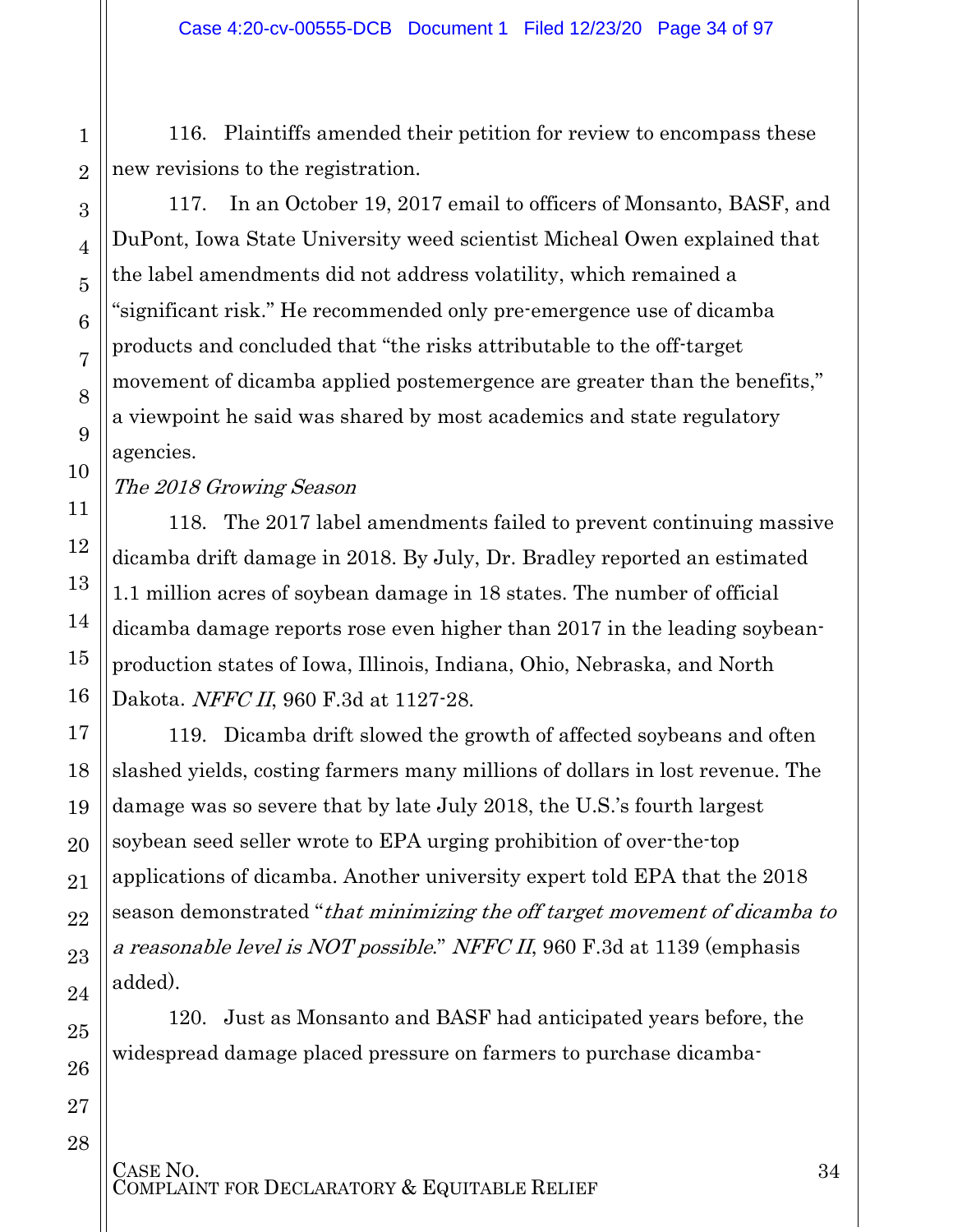116. Plaintiffs amended their petition for review to encompass these new revisions to the registration.

117. In an October 19, 2017 email to officers of Monsanto, BASF, and DuPont, Iowa State University weed scientist Micheal Owen explained that the label amendments did not address volatility, which remained a "significant risk." He recommended only pre-emergence use of dicamba products and concluded that "the risks attributable to the off-target movement of dicamba applied postemergence are greater than the benefits," a viewpoint he said was shared by most academics and state regulatory agencies.

The 2018 Growing Season

118. The 2017 label amendments failed to prevent continuing massive dicamba drift damage in 2018. By July, Dr. Bradley reported an estimated 1.1 million acres of soybean damage in 18 states. The number of official dicamba damage reports rose even higher than 2017 in the leading soybeanproduction states of Iowa, Illinois, Indiana, Ohio, Nebraska, and North Dakota. NFFC II, 960 F.3d at 1127-28.

119. Dicamba drift slowed the growth of affected soybeans and often slashed yields, costing farmers many millions of dollars in lost revenue. The damage was so severe that by late July 2018, the U.S.'s fourth largest soybean seed seller wrote to EPA urging prohibition of over-the-top applications of dicamba. Another university expert told EPA that the 2018 season demonstrated "that minimizing the off target movement of dicamba to a reasonable level is NOT possible." NFFC II, 960 F.3d at 1139 (emphasis added).

120. Just as Monsanto and BASF had anticipated years before, the widespread damage placed pressure on farmers to purchase dicamba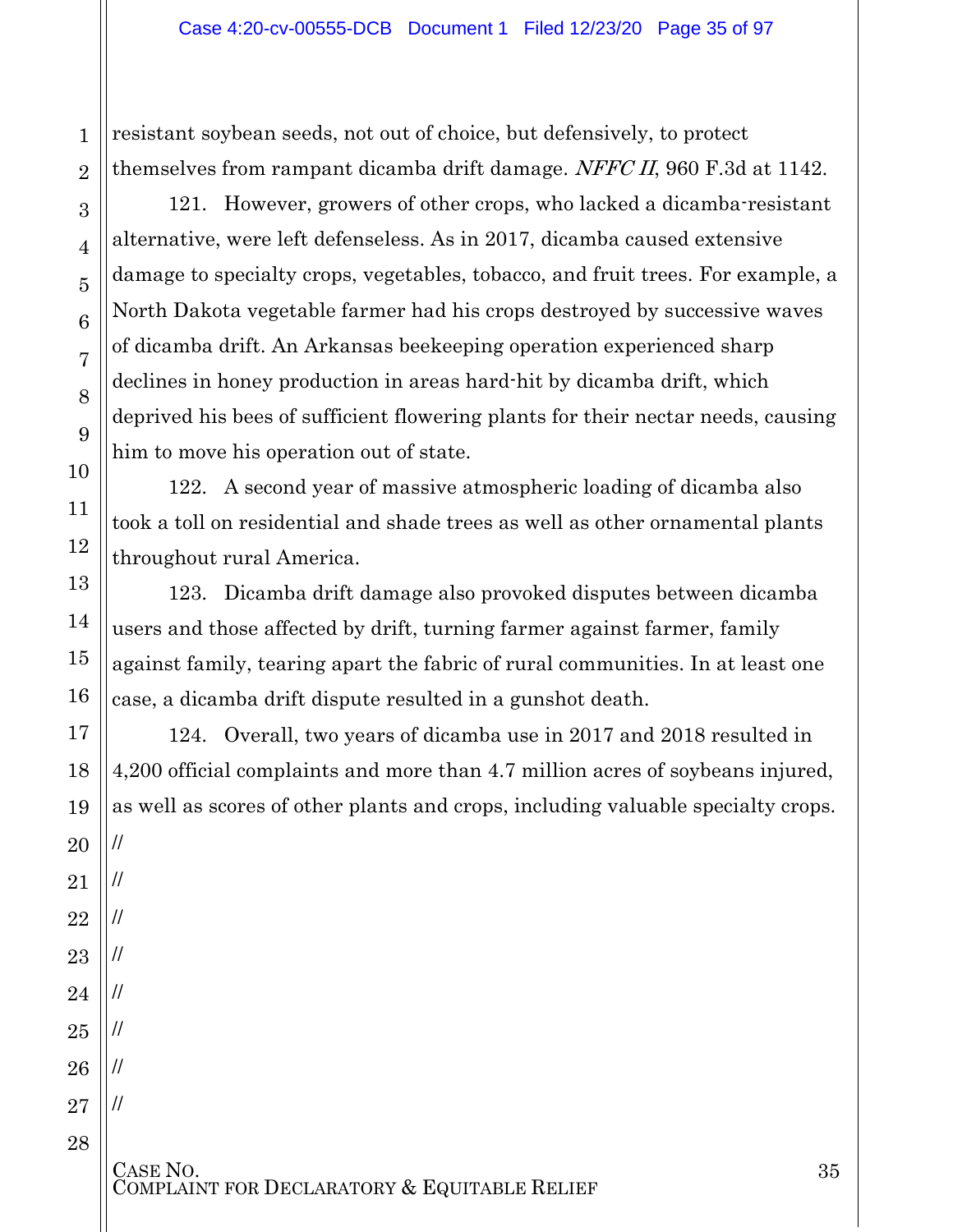resistant soybean seeds, not out of choice, but defensively, to protect themselves from rampant dicamba drift damage. NFFC II, 960 F.3d at 1142.

121. However, growers of other crops, who lacked a dicamba-resistant alternative, were left defenseless. As in 2017, dicamba caused extensive damage to specialty crops, vegetables, tobacco, and fruit trees. For example, a North Dakota vegetable farmer had his crops destroyed by successive waves of dicamba drift. An Arkansas beekeeping operation experienced sharp declines in honey production in areas hard-hit by dicamba drift, which deprived his bees of sufficient flowering plants for their nectar needs, causing him to move his operation out of state.

122. A second year of massive atmospheric loading of dicamba also took a toll on residential and shade trees as well as other ornamental plants throughout rural America.

123. Dicamba drift damage also provoked disputes between dicamba users and those affected by drift, turning farmer against farmer, family against family, tearing apart the fabric of rural communities. In at least one case, a dicamba drift dispute resulted in a gunshot death.

124. Overall, two years of dicamba use in 2017 and 2018 resulted in 4,200 official complaints and more than 4.7 million acres of soybeans injured, as well as scores of other plants and crops, including valuable specialty crops. //

CASE NO.<br>COMPLAINT FOR DECLARATORY & EQUITABLE RELIEF

//

//

//

//

//

//

//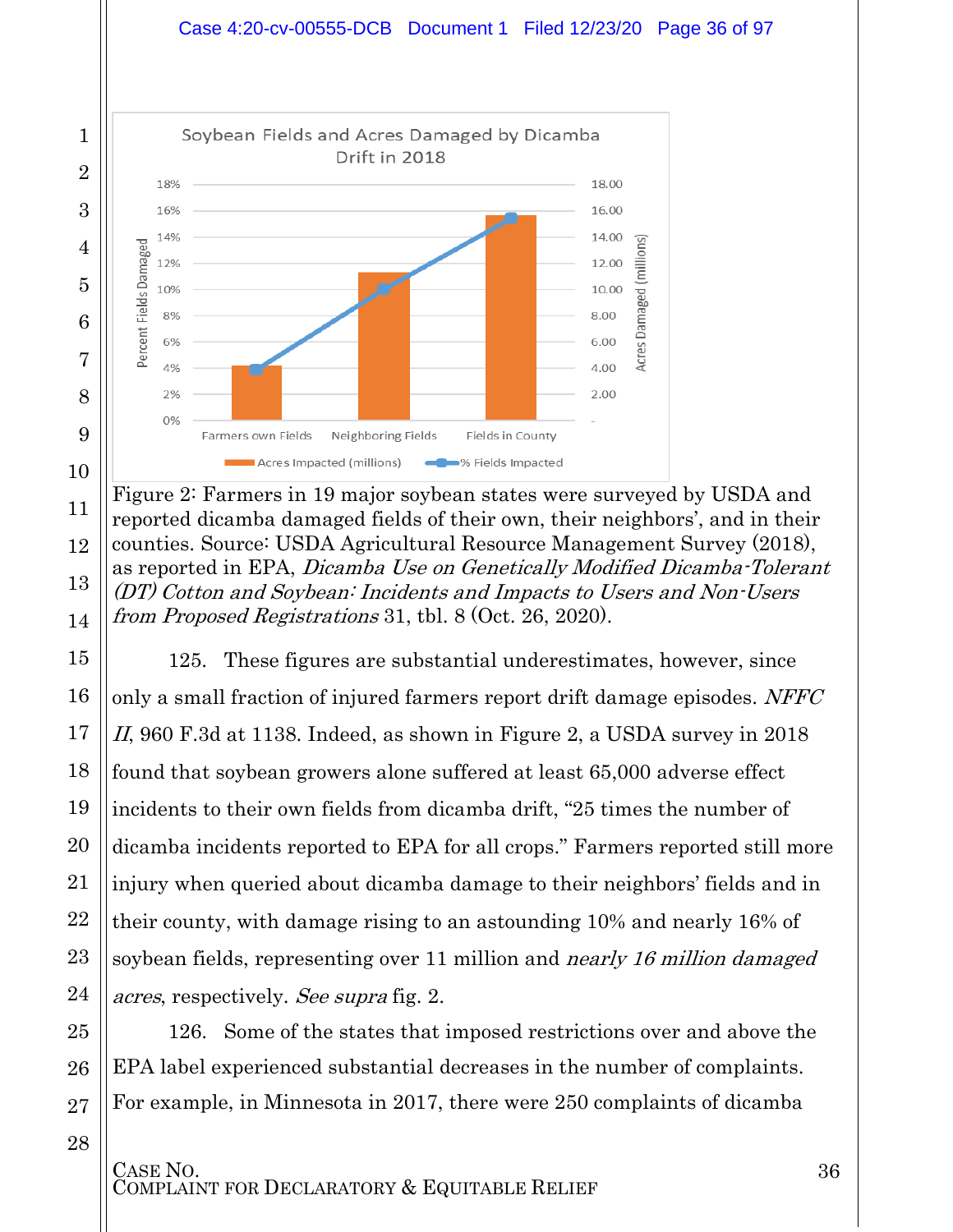



11

12

13

14

15

16

17

18

19

20

21

22

23

24

25

26

27

28

Figure 2: Farmers in 19 major soybean states were surveyed by USDA and reported dicamba damaged fields of their own, their neighbors', and in their counties. Source: USDA Agricultural Resource Management Survey (2018), as reported in EPA, Dicamba Use on Genetically Modified Dicamba-Tolerant (DT) Cotton and Soybean: Incidents and Impacts to Users and Non-Users from Proposed Registrations 31, tbl. 8 (Oct. 26, 2020).

125. These figures are substantial underestimates, however, since only a small fraction of injured farmers report drift damage episodes. NFFC II, 960 F.3d at 1138. Indeed, as shown in Figure 2, a USDA survey in 2018 found that soybean growers alone suffered at least 65,000 adverse effect incidents to their own fields from dicamba drift, "25 times the number of dicamba incidents reported to EPA for all crops." Farmers reported still more injury when queried about dicamba damage to their neighbors' fields and in their county, with damage rising to an astounding 10% and nearly 16% of soybean fields, representing over 11 million and *nearly 16 million damaged* acres, respectively. See supra fig. 2.

126. Some of the states that imposed restrictions over and above the EPA label experienced substantial decreases in the number of complaints. For example, in Minnesota in 2017, there were 250 complaints of dicamba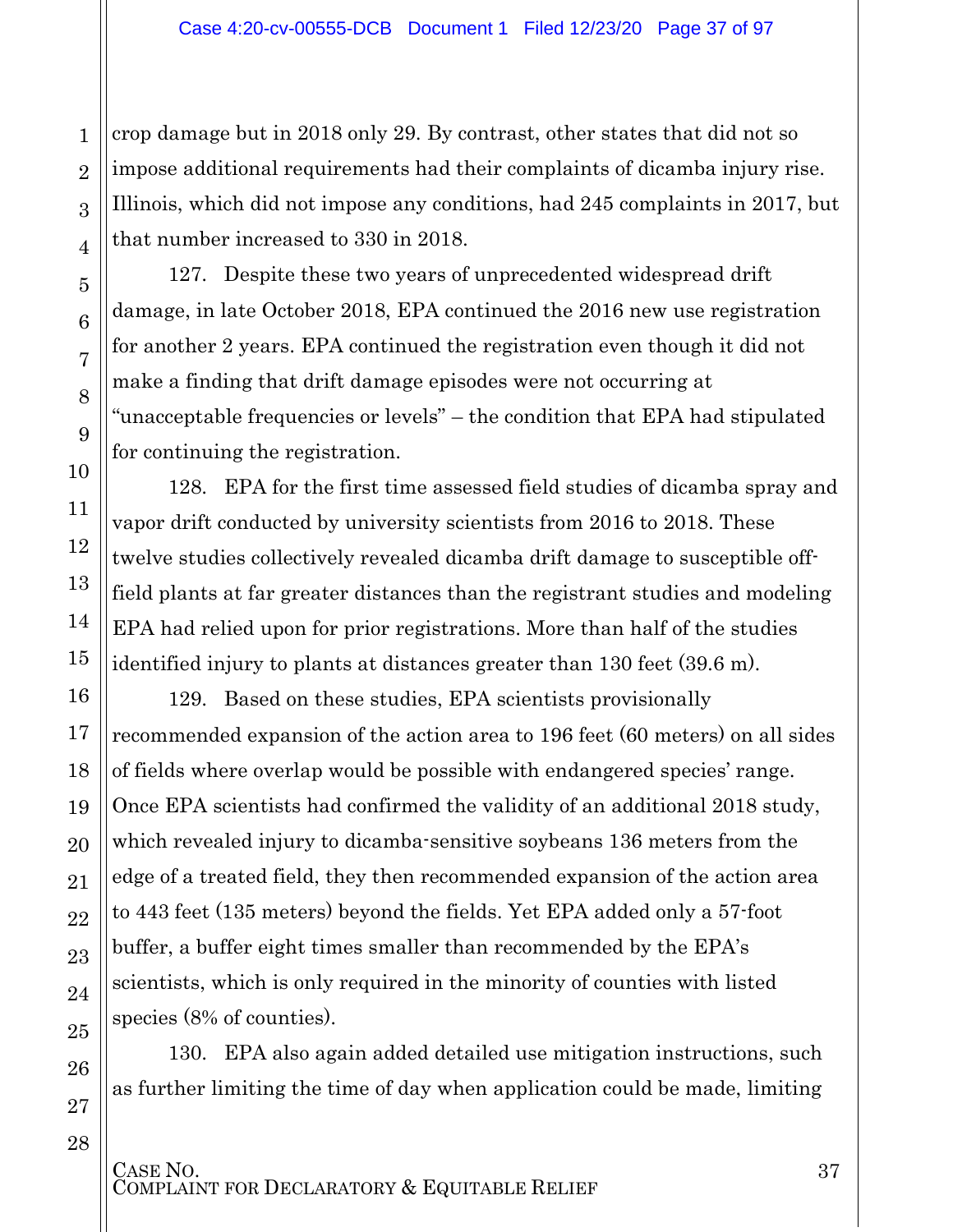crop damage but in 2018 only 29. By contrast, other states that did not so impose additional requirements had their complaints of dicamba injury rise. Illinois, which did not impose any conditions, had 245 complaints in 2017, but that number increased to 330 in 2018.

1

2

3

4

5

6

7

8

9

10

11

12

13

14

15

16

17

18

19

20

21

22

23

24

25

26

27

28

127. Despite these two years of unprecedented widespread drift damage, in late October 2018, EPA continued the 2016 new use registration for another 2 years. EPA continued the registration even though it did not make a finding that drift damage episodes were not occurring at "unacceptable frequencies or levels" – the condition that EPA had stipulated for continuing the registration.

128. EPA for the first time assessed field studies of dicamba spray and vapor drift conducted by university scientists from 2016 to 2018. These twelve studies collectively revealed dicamba drift damage to susceptible offfield plants at far greater distances than the registrant studies and modeling EPA had relied upon for prior registrations. More than half of the studies identified injury to plants at distances greater than 130 feet (39.6 m).

129. Based on these studies, EPA scientists provisionally recommended expansion of the action area to 196 feet (60 meters) on all sides of fields where overlap would be possible with endangered species' range. Once EPA scientists had confirmed the validity of an additional 2018 study, which revealed injury to dicamba-sensitive soybeans 136 meters from the edge of a treated field, they then recommended expansion of the action area to 443 feet (135 meters) beyond the fields. Yet EPA added only a 57-foot buffer, a buffer eight times smaller than recommended by the EPA's scientists, which is only required in the minority of counties with listed species (8% of counties).

130. EPA also again added detailed use mitigation instructions, such as further limiting the time of day when application could be made, limiting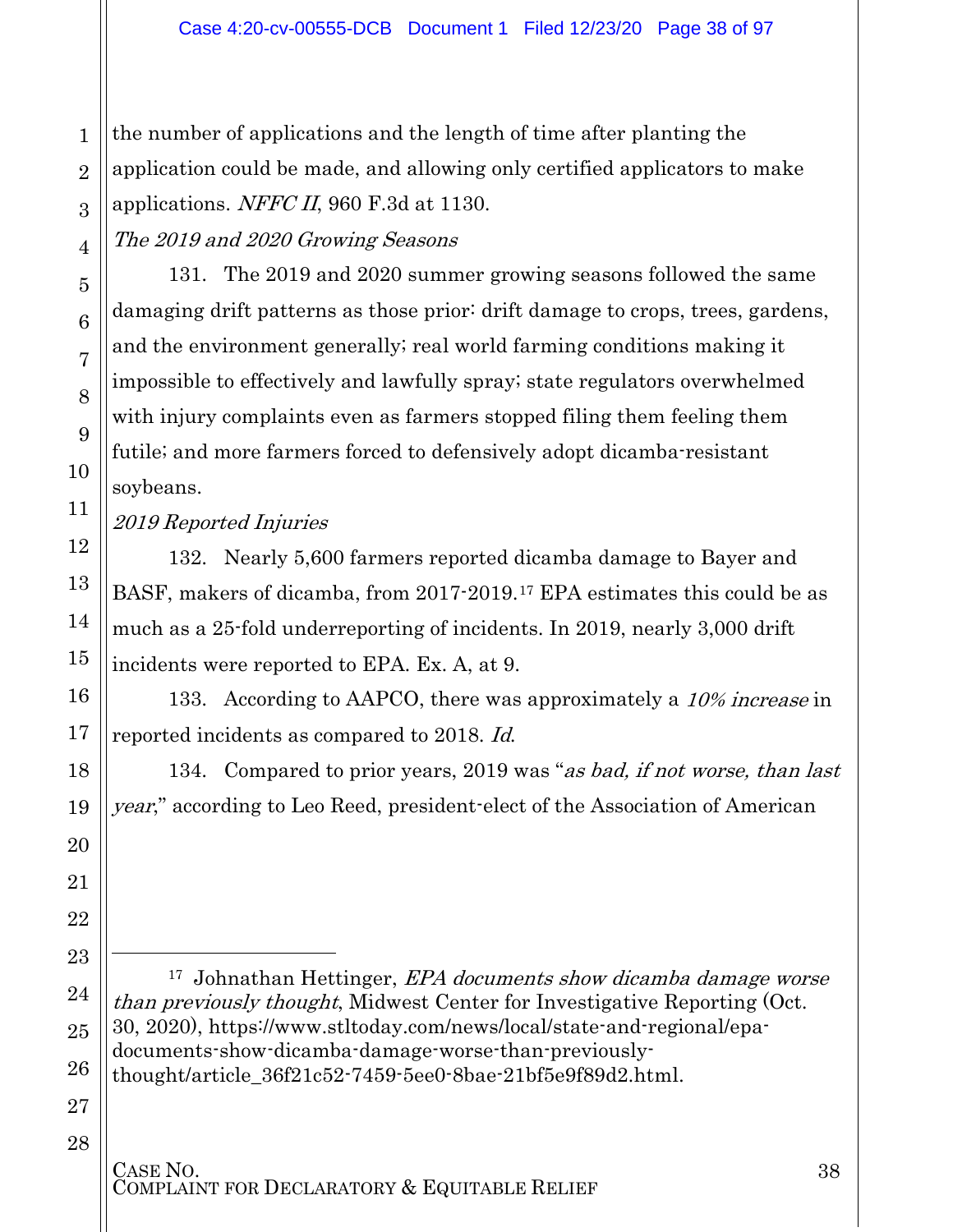3 the number of applications and the length of time after planting the application could be made, and allowing only certified applicators to make applications. NFFC II, 960 F.3d at 1130.

The 2019 and 2020 Growing Seasons

131. The 2019 and 2020 summer growing seasons followed the same damaging drift patterns as those prior: drift damage to crops, trees, gardens, and the environment generally; real world farming conditions making it impossible to effectively and lawfully spray; state regulators overwhelmed with injury complaints even as farmers stopped filing them feeling them futile; and more farmers forced to defensively adopt dicamba-resistant soybeans.

2019 Reported Injuries

132. Nearly 5,600 farmers reported dicamba damage to Bayer and BASF, makers of dicamba, from 2017-2019.[17](#page-37-0) EPA estimates this could be as much as a 25-fold underreporting of incidents. In 2019, nearly 3,000 drift incidents were reported to EPA. Ex. A, at 9.

133. According to AAPCO, there was approximately a 10% increase in reported incidents as compared to 2018. Id.

134. Compared to prior years, 2019 was "as bad, if not worse, than last year," according to Leo Reed, president-elect of the Association of American

<sup>17</sup> Johnathan Hettinger, *EPA documents show dicamba damage worse* than previously thought, Midwest Center for Investigative Reporting (Oct. 30, 2020), [https://www.stltoday.com/news/local/state-and-regional/epa](https://www.stltoday.com/news/local/state-and-regional/epa-documents-show-dicamba-damage-worse-than-previously-thought/article_36f21c52-7459-5ee0-8bae-21bf5e9f89d2.html)[documents-show-dicamba-damage-worse-than-previously](https://www.stltoday.com/news/local/state-and-regional/epa-documents-show-dicamba-damage-worse-than-previously-thought/article_36f21c52-7459-5ee0-8bae-21bf5e9f89d2.html)[thought/article\\_36f21c52-7459-5ee0-8bae-21bf5e9f89d2.html.](https://www.stltoday.com/news/local/state-and-regional/epa-documents-show-dicamba-damage-worse-than-previously-thought/article_36f21c52-7459-5ee0-8bae-21bf5e9f89d2.html)

27 28

1

2

4

5

6

7

8

9

10

11

12

13

14

15

16

17

18

19

20

21

22

<span id="page-37-0"></span>23

 $\overline{a}$ 

24

25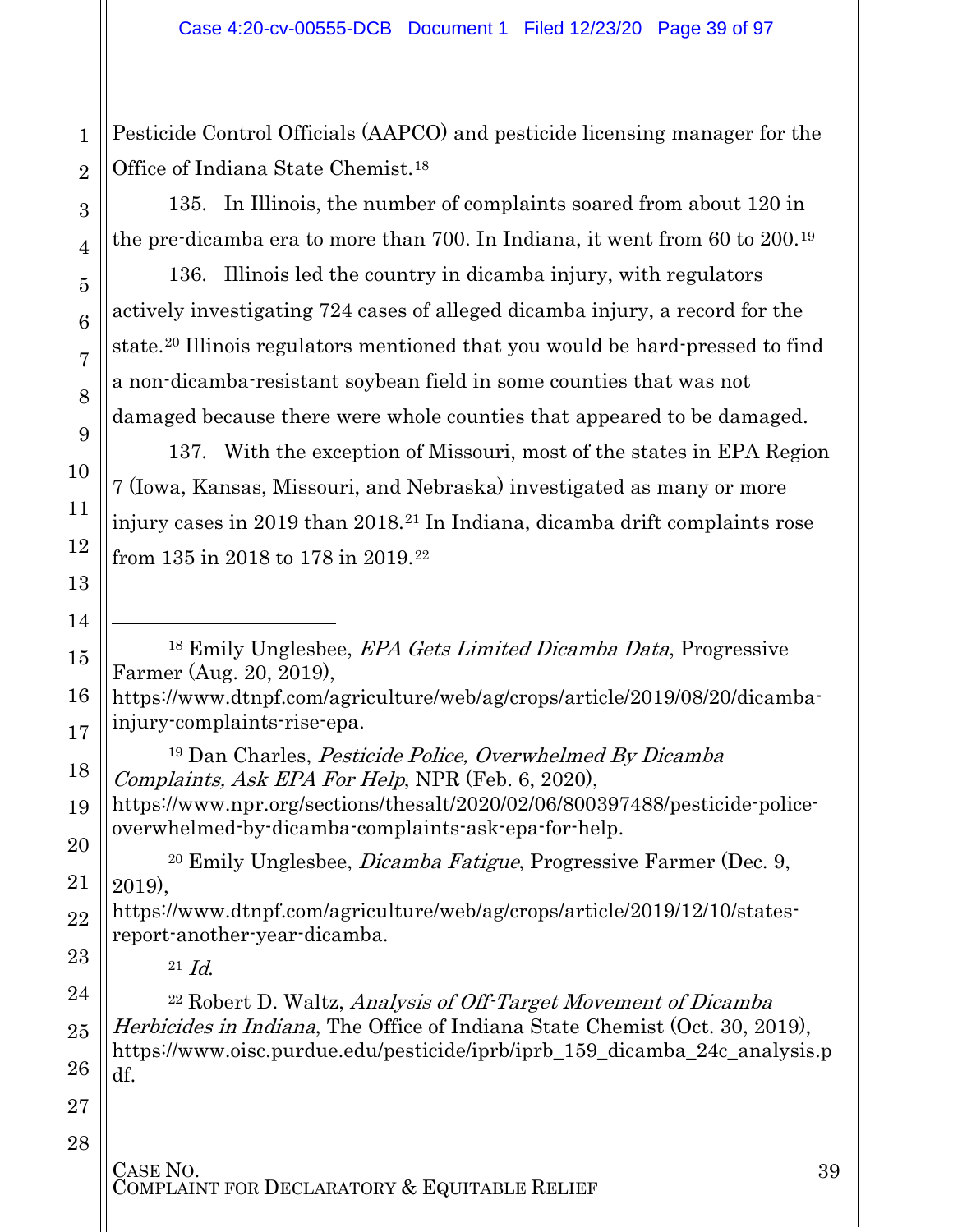Pesticide Control Officials (AAPCO) and pesticide licensing manager for the Office of Indiana State Chemist.[18](#page-38-0)

135. In Illinois, the number of complaints soared from about 120 in the pre-dicamba era to more than 700. In Indiana, it went from 60 to 200.[19](#page-38-1)

136. Illinois led the country in dicamba injury, with regulators actively investigating 724 cases of alleged dicamba injury, a record for the state.[20](#page-38-2) Illinois regulators mentioned that you would be hard-pressed to find a non-dicamba-resistant soybean field in some counties that was not damaged because there were whole counties that appeared to be damaged.

137. With the exception of Missouri, most of the states in EPA Region 7 (Iowa, Kansas, Missouri, and Nebraska) investigated as many or more injury cases in 2019 than 2018.[21](#page-38-3) In Indiana, dicamba drift complaints rose from 135 in 2018 to 178 in 2019.[22](#page-38-4)

<sup>18</sup> Emily Unglesbee, EPA Gets Limited Dicamba Data, Progressive Farmer (Aug. 20, 2019),

[https://www.dtnpf.com/agriculture/web/ag/crops/article/2019/08/20/dicamba](https://www.dtnpf.com/agriculture/web/ag/crops/article/2019/08/20/dicamba-injury-complaints-rise-epa)[injury-complaints-rise-epa.](https://www.dtnpf.com/agriculture/web/ag/crops/article/2019/08/20/dicamba-injury-complaints-rise-epa)

<sup>19</sup> Dan Charles, Pesticide Police, Overwhelmed By Dicamba Complaints, Ask EPA For Help, NPR (Feb. 6, 2020),

https://www.npr.org/sections/thesalt/2020/02/06/800397488/pesticide-policeoverwhelmed-by-dicamba-complaints-ask-epa-for-help.

<sup>20</sup> Emily Unglesbee, Dicamba Fatigue, Progressive Farmer (Dec. 9, 2019),

[https://www.dtnpf.com/agriculture/web/ag/crops/article/2019/12/10/states](https://www.dtnpf.com/agriculture/web/ag/crops/article/2019/12/10/states-report-another-year-dicamba)[report-another-year-dicamba.](https://www.dtnpf.com/agriculture/web/ag/crops/article/2019/12/10/states-report-another-year-dicamba)

 $^{21}$  *Id.* 

<sup>22</sup> Robert D. Waltz, Analysis of Off-Target Movement of Dicamba Herbicides in Indiana, The Office of Indiana State Chemist (Oct. 30, 2019), [https://www.oisc.purdue.edu/pesticide/iprb/iprb\\_159\\_dicamba\\_24c\\_analysis.p](https://www.oisc.purdue.edu/pesticide/iprb/iprb_159_dicamba_24c_analysis.pdf) [df.](https://www.oisc.purdue.edu/pesticide/iprb/iprb_159_dicamba_24c_analysis.pdf)

27 28

1

2

3

4

5

6

7

8

9

10

11

12

13

14

 $\overline{a}$ 

<span id="page-38-0"></span>15

16

<span id="page-38-1"></span>17

18

19

<span id="page-38-2"></span>20

21

22

<span id="page-38-3"></span>23

<span id="page-38-4"></span>24

25

26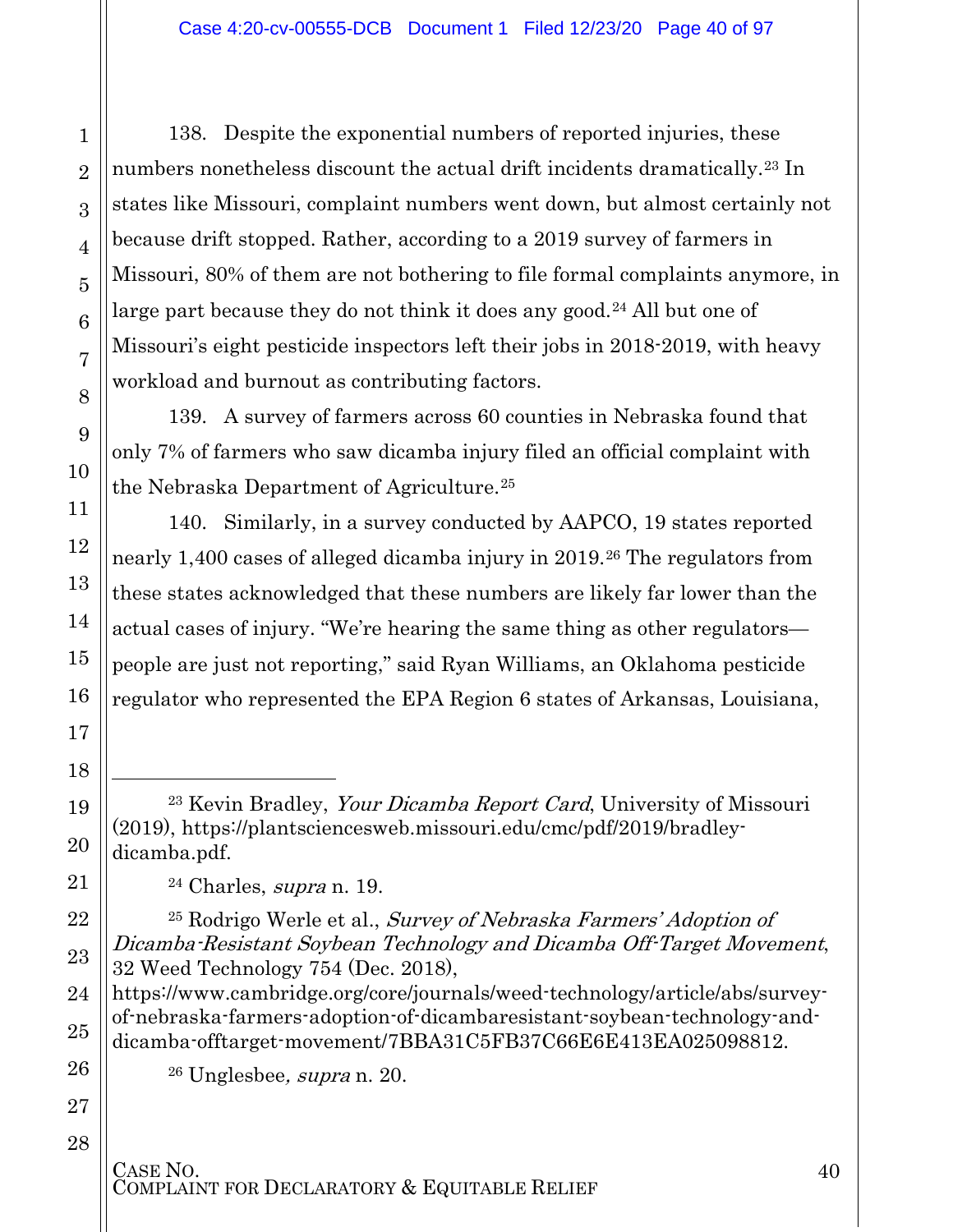138. Despite the exponential numbers of reported injuries, these numbers nonetheless discount the actual drift incidents dramatically.<sup>[23](#page-39-0)</sup> In states like Missouri, complaint numbers went down, but almost certainly not because drift stopped. Rather, according to a 2019 survey of farmers in Missouri, 80% of them are not bothering to file formal complaints anymore, in large part because they do not think it does any good.<sup>[24](#page-39-1)</sup> All but one of Missouri's eight pesticide inspectors left their jobs in 2018-2019, with heavy workload and burnout as contributing factors.

139. A survey of farmers across 60 counties in Nebraska found that only 7% of farmers who saw dicamba injury filed an official complaint with the Nebraska Department of Agriculture.[25](#page-39-2)

140. Similarly, in a survey conducted by AAPCO, 19 states reported nearly 1,400 cases of alleged dicamba injury in 2019.[26](#page-39-3) The regulators from these states acknowledged that these numbers are likely far lower than the actual cases of injury. "We're hearing the same thing as other regulators people are just not reporting," said Ryan Williams, an Oklahoma pesticide regulator who represented the EPA Region 6 states of Arkansas, Louisiana,

<sup>23</sup> Kevin Bradley, Your Dicamba Report Card, University of Missouri (2019), [https://plantsciencesweb.missouri.edu/cmc/pdf/2019/bradley](https://plantsciencesweb.missouri.edu/cmc/pdf/2019/bradley-dicamba.pdf)[dicamba.pdf.](https://plantsciencesweb.missouri.edu/cmc/pdf/2019/bradley-dicamba.pdf)

 $24$  Charles, *supra* n. 19.

1

2

3

4

5

6

7

8

9

10

11

12

13

14

15

16

17

18

l

<span id="page-39-0"></span>19

20

<span id="page-39-1"></span>21

<span id="page-39-2"></span>22

23

24

25

<span id="page-39-3"></span>26

27

28

<sup>25</sup> Rodrigo Werle et al., Survey of Nebraska Farmers' Adoption of Dicamba-Resistant Soybean Technology and Dicamba Off-Target Movement, 32 Weed Technology 754 (Dec. 2018),

[https://www.cambridge.org/core/journals/weed-technology/article/abs/survey](https://www.cambridge.org/core/journals/weed-technology/article/abs/survey-of-nebraska-farmers-adoption-of-dicambaresistant-soybean-technology-and-dicamba-offtarget-movement/7BBA31C5FB37C66E6E413EA025098812)[of-nebraska-farmers-adoption-of-dicambaresistant-soybean-technology-and](https://www.cambridge.org/core/journals/weed-technology/article/abs/survey-of-nebraska-farmers-adoption-of-dicambaresistant-soybean-technology-and-dicamba-offtarget-movement/7BBA31C5FB37C66E6E413EA025098812)[dicamba-offtarget-movement/7BBA31C5FB37C66E6E413EA025098812.](https://www.cambridge.org/core/journals/weed-technology/article/abs/survey-of-nebraska-farmers-adoption-of-dicambaresistant-soybean-technology-and-dicamba-offtarget-movement/7BBA31C5FB37C66E6E413EA025098812)

 $26$  Unglesbee, *supra* n. 20.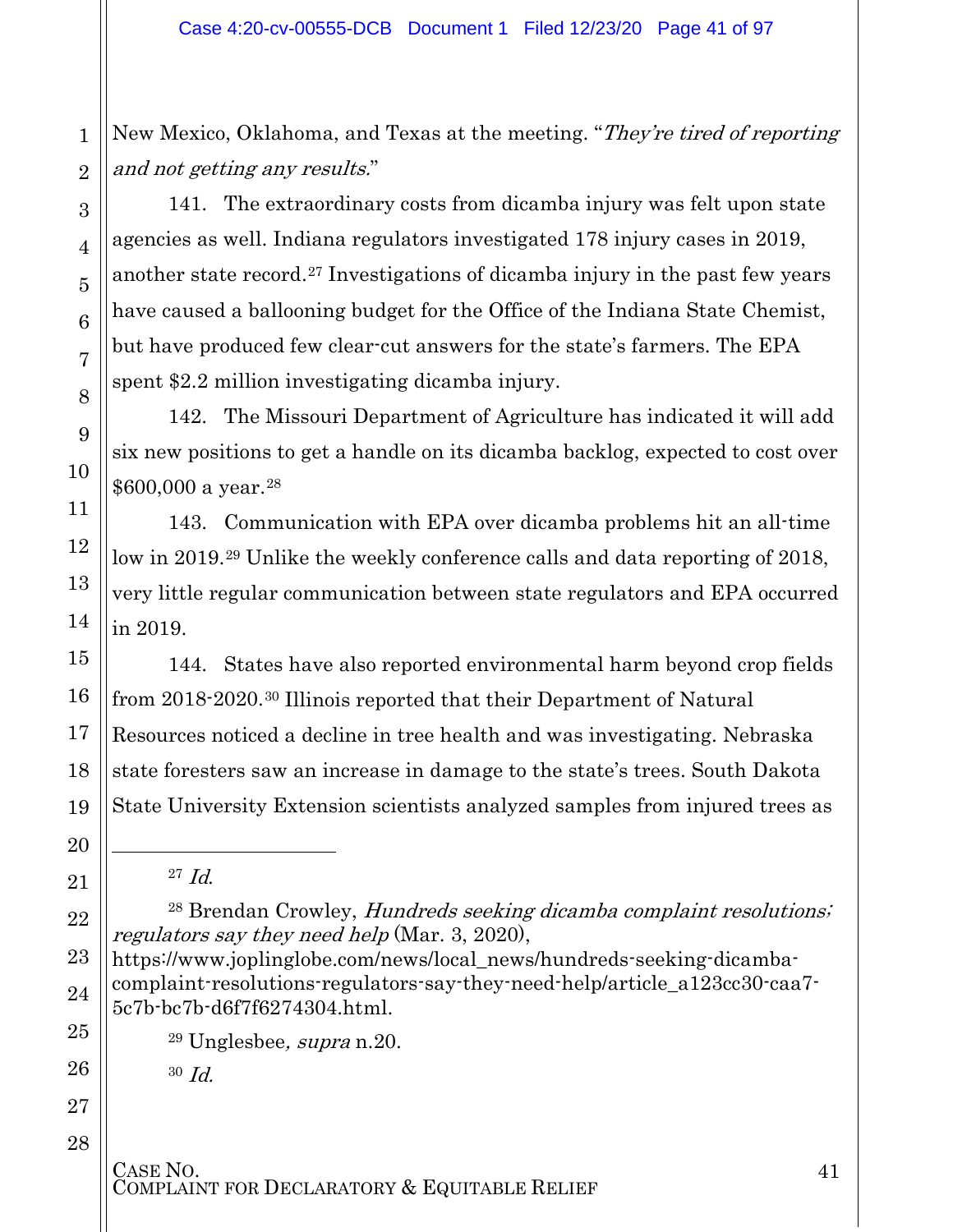New Mexico, Oklahoma, and Texas at the meeting. "They're tired of reporting and not getting any results."

141. The extraordinary costs from dicamba injury was felt upon state agencies as well. Indiana regulators investigated 178 injury cases in 2019, another state record.[27](#page-40-0) Investigations of dicamba injury in the past few years have caused a ballooning budget for the Office of the Indiana State Chemist, but have produced few clear-cut answers for the state's farmers. The EPA spent \$2.2 million investigating dicamba injury.

142. The Missouri Department of Agriculture has indicated it will add six new positions to get a handle on its dicamba backlog, expected to cost over \$600,000 a year.[28](#page-40-1)

143. Communication with EPA over dicamba problems hit an all-time low in 2019.[29](#page-40-2) Unlike the weekly conference calls and data reporting of 2018, very little regular communication between state regulators and EPA occurred in 2019.

144. States have also reported environmental harm beyond crop fields from 2018-2020.[30](#page-40-3) Illinois reported that their Department of Natural Resources noticed a decline in tree health and was investigating. Nebraska state foresters saw an increase in damage to the state's trees. South Dakota State University Extension scientists analyzed samples from injured trees as

 $29$  Unglesbee, *supra* n.  $20$ .

 $30$  *Id.* 

CASE NO.<br>COMPLAINT FOR DECLARATORY & EQUITABLE RELIEF

<span id="page-40-0"></span> $\overline{a}$ 

 $^{27}$  *Id.* 

<span id="page-40-1"></span><sup>&</sup>lt;sup>28</sup> Brendan Crowley, *Hundreds seeking dicamba complaint resolutions*; regulators say they need help (Mar. 3, 2020),

<span id="page-40-3"></span><span id="page-40-2"></span>[https://www.joplinglobe.com/news/local\\_news/hundreds-seeking-dicamba](https://www.joplinglobe.com/news/local_news/hundreds-seeking-dicamba-complaint-resolutions-regulators-say-they-need-help/article_a123cc30-caa7-5c7b-bc7b-d6f7f6274304.html)[complaint-resolutions-regulators-say-they-need-help/article\\_a123cc30-caa7-](https://www.joplinglobe.com/news/local_news/hundreds-seeking-dicamba-complaint-resolutions-regulators-say-they-need-help/article_a123cc30-caa7-5c7b-bc7b-d6f7f6274304.html) [5c7b-bc7b-d6f7f6274304.html.](https://www.joplinglobe.com/news/local_news/hundreds-seeking-dicamba-complaint-resolutions-regulators-say-they-need-help/article_a123cc30-caa7-5c7b-bc7b-d6f7f6274304.html)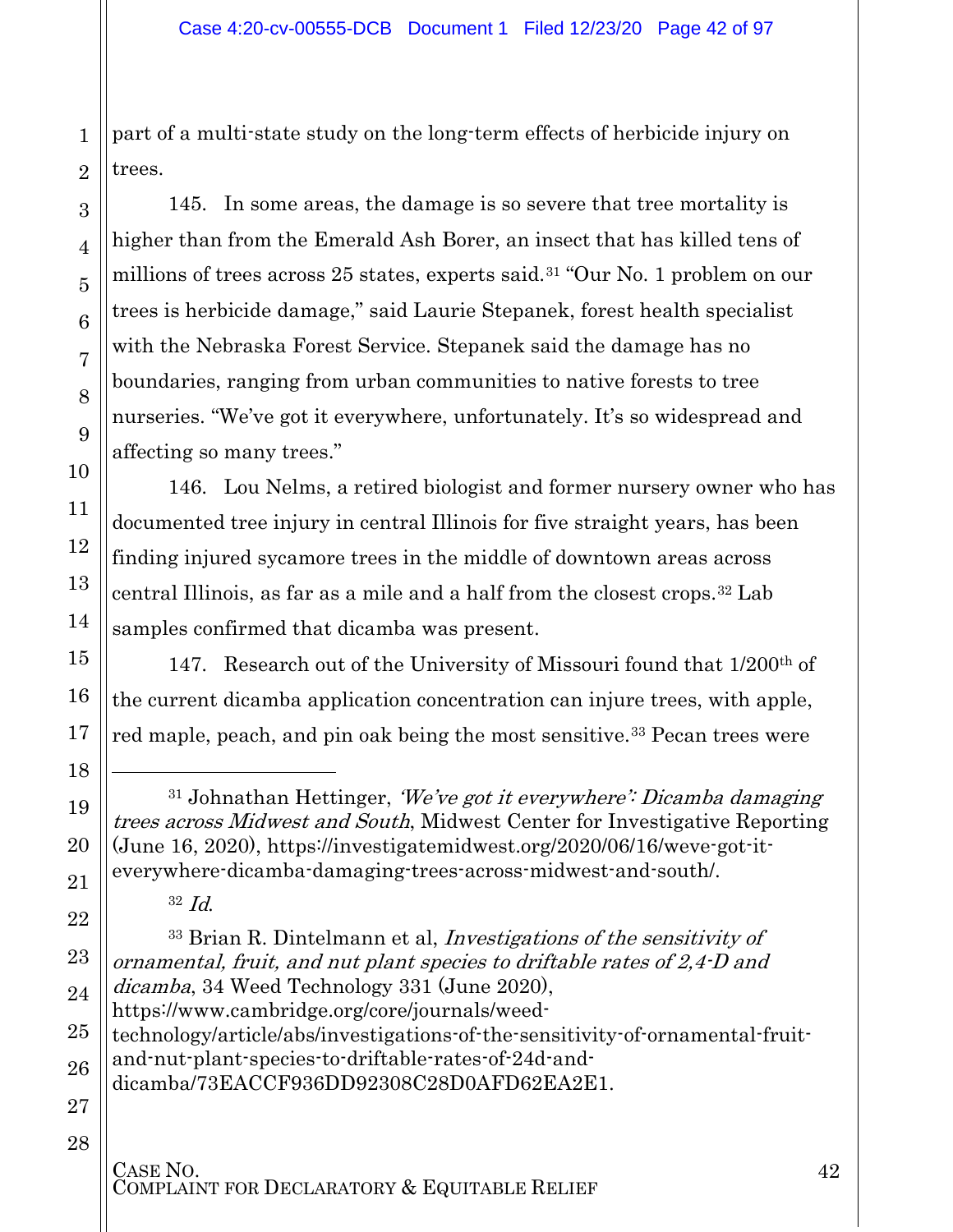part of a multi-state study on the long-term effects of herbicide injury on trees.

145. In some areas, the damage is so severe that tree mortality is higher than from the Emerald Ash Borer, an insect that has killed tens of millions of trees across 25 states, experts said.<sup>[31](#page-41-0)</sup> "Our No. 1 problem on our trees is herbicide damage," said Laurie Stepanek, forest health specialist with the Nebraska Forest Service. Stepanek said the damage has no boundaries, ranging from urban communities to native forests to tree nurseries. "We've got it everywhere, unfortunately. It's so widespread and affecting so many trees."

146. Lou Nelms, a retired biologist and former nursery owner who has documented tree injury in central Illinois for five straight years, has been finding injured sycamore trees in the middle of downtown areas across central Illinois, as far as a mile and a half from the closest crops.[32](#page-41-1) Lab samples confirmed that dicamba was present.

147. Research out of the University of Missouri found that 1/200th of the current dicamba application concentration can injure trees, with apple, red maple, peach, and pin oak being the most sensitive.<sup>[33](#page-41-2)</sup> Pecan trees were

<span id="page-41-2"></span>22 23 24 25 26 27 <sup>33</sup> Brian R. Dintelmann et al, Investigations of the sensitivity of ornamental, fruit, and nut plant species to driftable rates of 2,4-D and dicamba, 34 Weed Technology 331 (June 2020), [https://www.cambridge.org/core/journals/weed](https://www.cambridge.org/core/journals/weed-technology/article/abs/investigations-of-the-sensitivity-of-ornamental-fruit-and-nut-plant-species-to-driftable-rates-of-24d-and-dicamba/73EACCF936DD92308C28D0AFD62EA2E1)[technology/article/abs/investigations-of-the-sensitivity-of-ornamental-fruit](https://www.cambridge.org/core/journals/weed-technology/article/abs/investigations-of-the-sensitivity-of-ornamental-fruit-and-nut-plant-species-to-driftable-rates-of-24d-and-dicamba/73EACCF936DD92308C28D0AFD62EA2E1)[and-nut-plant-species-to-driftable-rates-of-24d-and](https://www.cambridge.org/core/journals/weed-technology/article/abs/investigations-of-the-sensitivity-of-ornamental-fruit-and-nut-plant-species-to-driftable-rates-of-24d-and-dicamba/73EACCF936DD92308C28D0AFD62EA2E1)[dicamba/73EACCF936DD92308C28D0AFD62EA2E1.](https://www.cambridge.org/core/journals/weed-technology/article/abs/investigations-of-the-sensitivity-of-ornamental-fruit-and-nut-plant-species-to-driftable-rates-of-24d-and-dicamba/73EACCF936DD92308C28D0AFD62EA2E1)

#### 28

1

2

3

4

5

6

7

8

9

10

11

12

13

14

15

16

17

18

 $\overline{a}$ 

<span id="page-41-0"></span>19

20

<span id="page-41-1"></span>21

 $31$  Johnathan Hettinger, *We've got it everywhere': Dicamba damaging* trees across Midwest and South, Midwest Center for Investigative Reporting (June 16, 2020), https://investigatemidwest.org/2020/06/16/weve-got-iteverywhere-dicamba-damaging-trees-across-midwest-and-south/.

 $32 \text{ Id.}$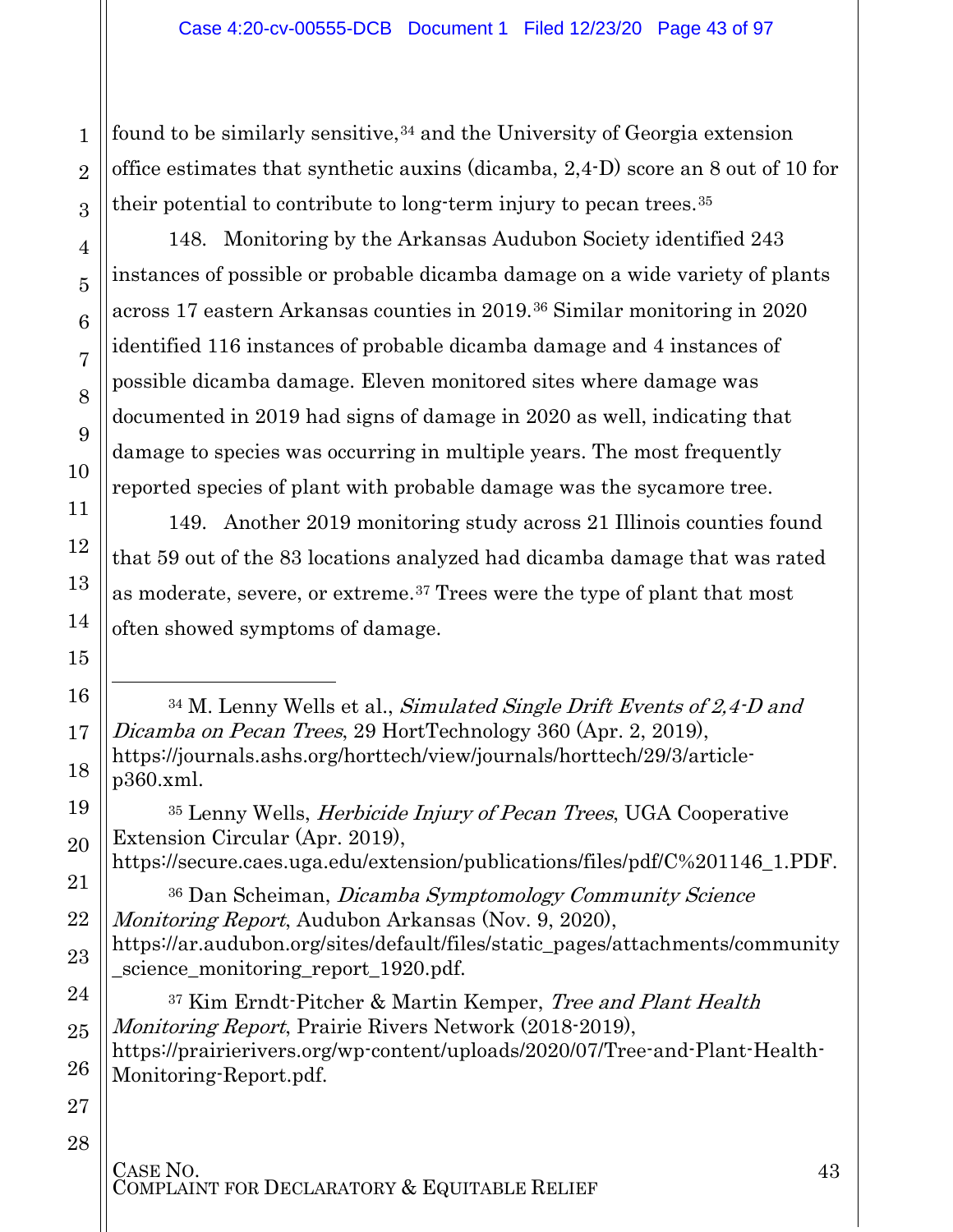found to be similarly sensitive,  $34$  and the University of Georgia extension office estimates that synthetic auxins (dicamba, 2,4-D) score an 8 out of 10 for their potential to contribute to long-term injury to pecan trees.[35](#page-42-1) 

148. Monitoring by the Arkansas Audubon Society identified 243 instances of possible or probable dicamba damage on a wide variety of plants across 17 eastern Arkansas counties in 2019.[36](#page-42-2) Similar monitoring in 2020 identified 116 instances of probable dicamba damage and 4 instances of possible dicamba damage. Eleven monitored sites where damage was documented in 2019 had signs of damage in 2020 as well, indicating that damage to species was occurring in multiple years. The most frequently reported species of plant with probable damage was the sycamore tree.

149. Another 2019 monitoring study across 21 Illinois counties found that 59 out of the 83 locations analyzed had dicamba damage that was rated as moderate, severe, or extreme.[37](#page-42-3) Trees were the type of plant that most often showed symptoms of damage.

 $34$  M. Lenny Wells et al., Simulated Single Drift Events of 2,4 D and Dicamba on Pecan Trees, 29 HortTechnology 360 (Apr. 2, 2019), [https://journals.ashs.org/horttech/view/journals/horttech/29/3/article](https://journals.ashs.org/horttech/view/journals/horttech/29/3/article-p360.xml)[p360.xml.](https://journals.ashs.org/horttech/view/journals/horttech/29/3/article-p360.xml)

<sup>35</sup> Lenny Wells, Herbicide Injury of Pecan Trees, UGA Cooperative Extension Circular (Apr. 2019), [https://secure.caes.uga.edu/extension/publications/files/pdf/C%201146\\_1.PDF.](https://secure.caes.uga.edu/extension/publications/files/pdf/C%201146_1.PDF)

<sup>36</sup> Dan Scheiman, Dicamba Symptomology Community Science Monitoring Report, Audubon Arkansas (Nov. 9, 2020), [https://ar.audubon.org/sites/default/files/static\\_pages/attachments/community](https://ar.audubon.org/sites/default/files/static_pages/attachments/community_science_monitoring_report_1920.pdf) science monitoring report 1920.pdf.

<sup>37</sup> Kim Erndt-Pitcher & Martin Kemper, Tree and Plant Health Monitoring Report, Prairie Rivers Network (2018-2019),

[https://prairierivers.org/wp-content/uploads/2020/07/Tree-and-Plant-Health-](https://prairierivers.org/wp-content/uploads/2020/07/Tree-and-Plant-Health-Monitoring-Report.pdf)[Monitoring-Report.pdf.](https://prairierivers.org/wp-content/uploads/2020/07/Tree-and-Plant-Health-Monitoring-Report.pdf)

27 28

1

2

3

4

5

6

7

8

9

10

11

12

13

14

15

<span id="page-42-0"></span>16

l

17

18

<span id="page-42-1"></span>19

20

<span id="page-42-2"></span>21

22

23

<span id="page-42-3"></span>24

25

26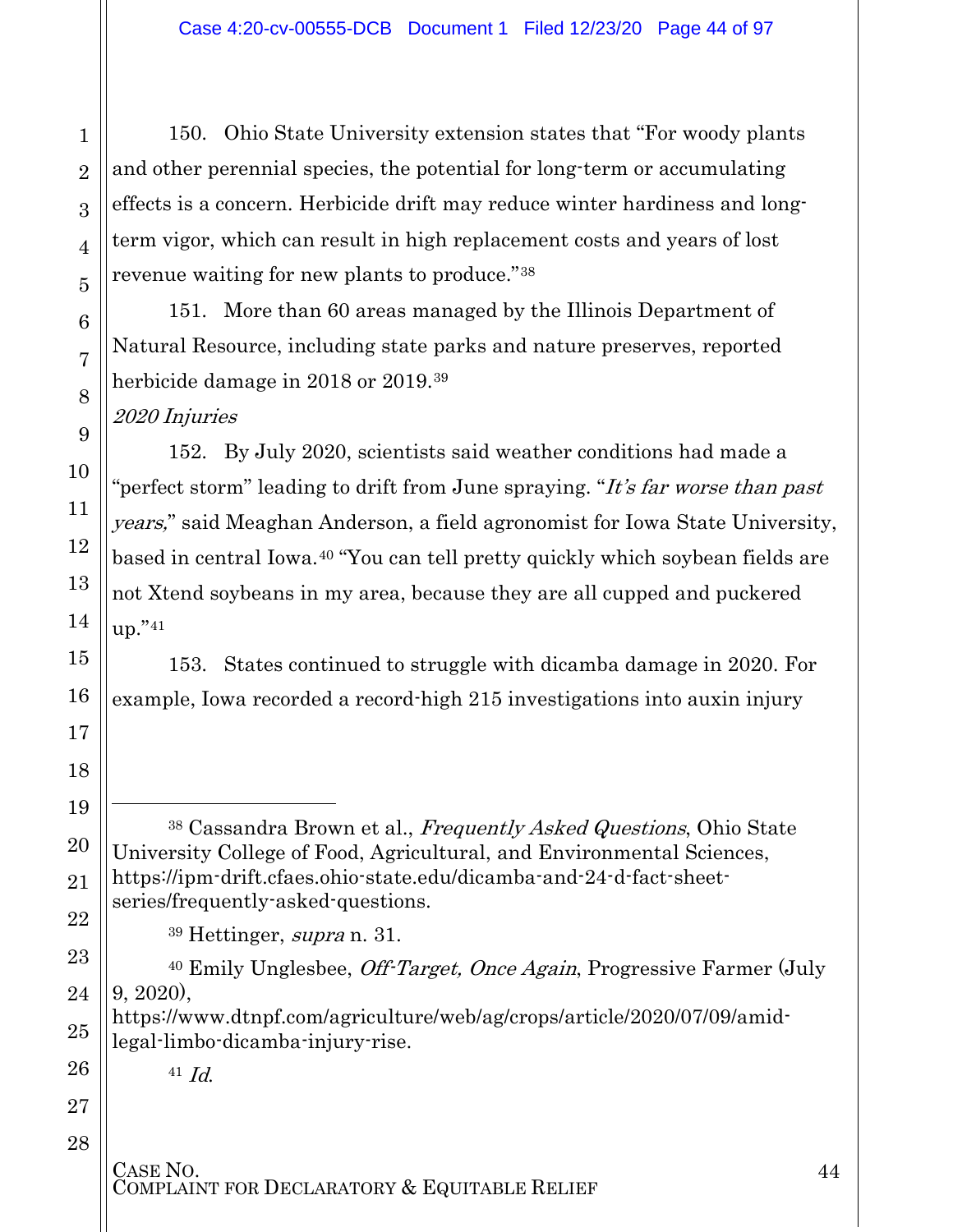150. Ohio State University extension states that "For woody plants and other perennial species, the potential for long-term or accumulating effects is a concern. Herbicide drift may reduce winter hardiness and longterm vigor, which can result in high replacement costs and years of lost revenue waiting for new plants to produce."[38](#page-43-0)

151. More than 60 areas managed by the Illinois Department of Natural Resource, including state parks and nature preserves, reported herbicide damage in 2018 or 2019.[39](#page-43-1)

2020 Injuries

152. By July 2020, scientists said weather conditions had made a "perfect storm" leading to drift from June spraying. "It's far worse than past" years," said Meaghan Anderson, a field agronomist for Iowa State University, based in central Iowa.[40](#page-43-2) "You can tell pretty quickly which soybean fields are not Xtend soybeans in my area, because they are all cupped and puckered up."[41](#page-43-3)

153. States continued to struggle with dicamba damage in 2020. For example, Iowa recorded a record-high 215 investigations into auxin injury

<span id="page-43-0"></span><sup>38</sup> Cassandra Brown et al., Frequently Asked Questions, Ohio State University College of Food, Agricultural, and Environmental Sciences, [https://ipm-drift.cfaes.ohio-state.edu/dicamba-and-24-d-fact-sheet](https://ipm-drift.cfaes.ohio-state.edu/dicamba-and-24-d-fact-sheet-series/frequently-asked-questions)[series/frequently-asked-questions.](https://ipm-drift.cfaes.ohio-state.edu/dicamba-and-24-d-fact-sheet-series/frequently-asked-questions)

<sup>39</sup> Hettinger, supra n. 31.

<span id="page-43-2"></span><span id="page-43-1"></span><sup>40</sup> Emily Unglesbee, *Off-Target, Once Again*, Progressive Farmer (July 9, 2020),

<span id="page-43-3"></span>https://www.dtnpf.com/agriculture/web/ag/crops/article/2020/07/09/amidlegal-limbo-dicamba-injury-rise.

 $41$  *Id.* 

# CASE NO.<br>COMPLAINT FOR DECLARATORY & EQUITABLE RELIEF

 $\overline{a}$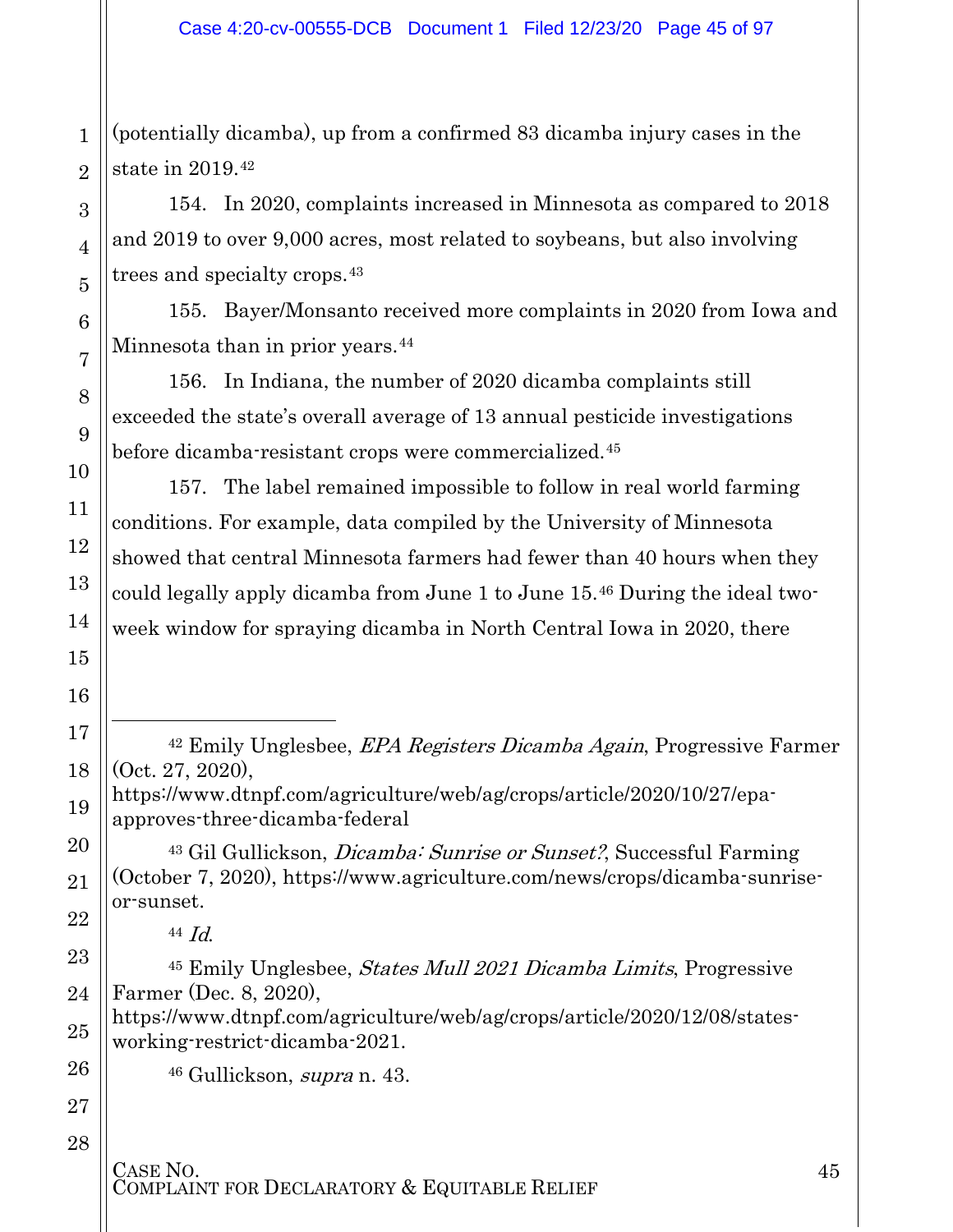1 2 (potentially dicamba), up from a confirmed 83 dicamba injury cases in the state in 2019.[42](#page-44-0)

154. In 2020, complaints increased in Minnesota as compared to 2018 and 2019 to over 9,000 acres, most related to soybeans, but also involving trees and specialty crops.[43](#page-44-1)

155. Bayer/Monsanto received more complaints in 2020 from Iowa and Minnesota than in prior years.<sup>[44](#page-44-2)</sup>

156. In Indiana, the number of 2020 dicamba complaints still exceeded the state's overall average of 13 annual pesticide investigations before dicamba-resistant crops were commercialized.[45](#page-44-3)

157. The label remained impossible to follow in real world farming conditions. For example, data compiled by the University of Minnesota showed that central Minnesota farmers had fewer than 40 hours when they could legally apply dicamba from June 1 to June 15.[46](#page-44-4) During the ideal twoweek window for spraying dicamba in North Central Iowa in 2020, there

<sup>42</sup> Emily Unglesbee, EPA Registers Dicamba Again, Progressive Farmer (Oct. 27, 2020),

https://www.dtnpf.com/agriculture/web/ag/crops/article/2020/10/27/epaapproves-three-dicamba-federal

<span id="page-44-1"></span><sup>43</sup> Gil Gullickson, *Dicamba: Sunrise or Sunset?*, Successful Farming (October 7, 2020), https://www.agriculture.com/news/crops/dicamba-sunriseor-sunset.

<sup>44</sup> Id.

<span id="page-44-3"></span><span id="page-44-2"></span><sup>45</sup> Emily Unglesbee, States Mull 2021 Dicamba Limits, Progressive Farmer (Dec. 8, 2020),

<span id="page-44-4"></span>https://www.dtnpf.com/agriculture/web/ag/crops/article/2020/12/08/statesworking-restrict-dicamba-2021.

<sup>46</sup> Gullickson, supra n. 43.

3

4

5

6

7

8

9

10

11

12

13

14

<span id="page-44-0"></span>15

 $\overline{a}$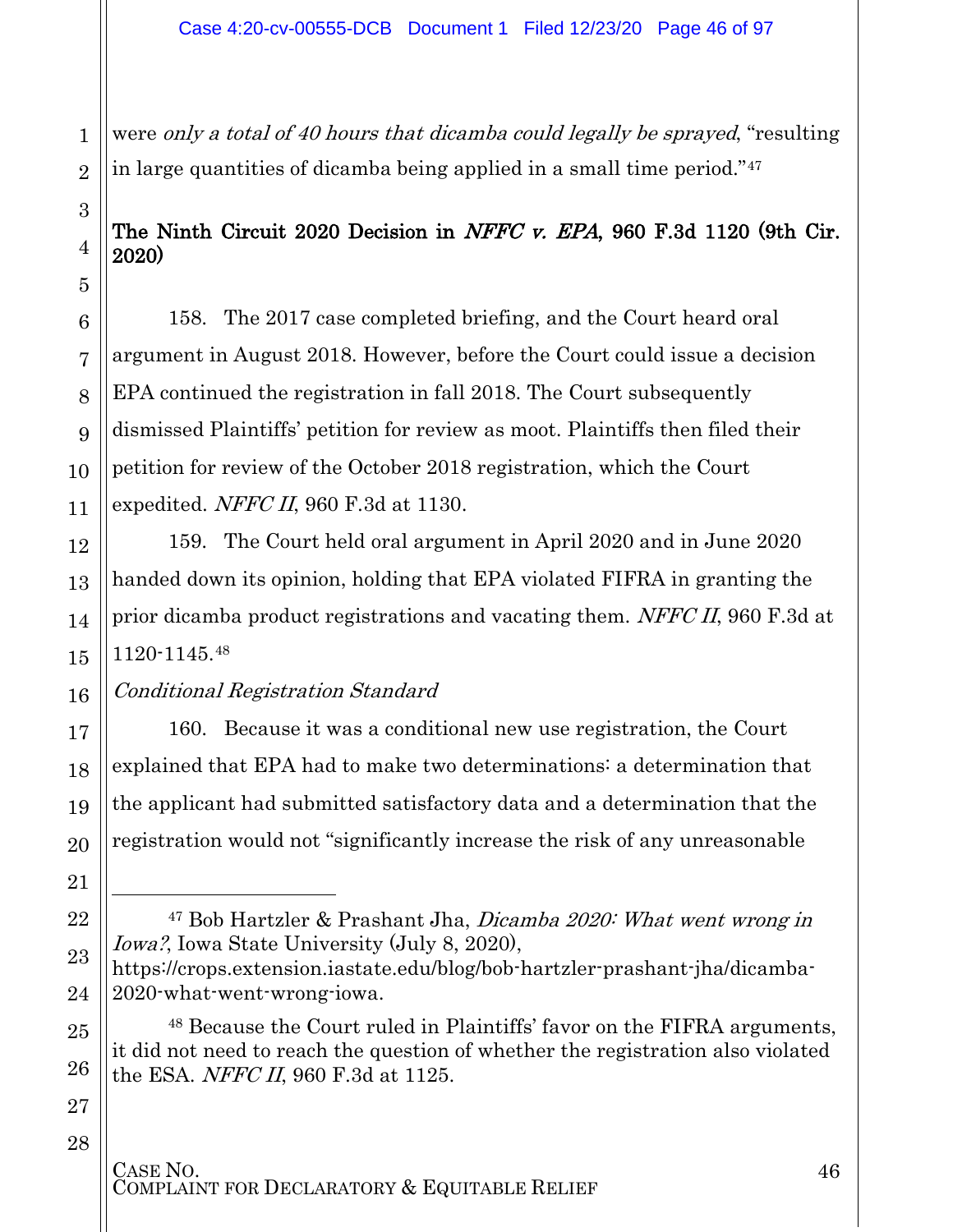were only a total of 40 hours that dicamba could legally be sprayed, "resulting in large quantities of dicamba being applied in a small time period."[47](#page-45-0)

### The Ninth Circuit 2020 Decision in NFFC v. EPA, 960 F.3d 1120 (9th Cir. 2020)

158. The 2017 case completed briefing, and the Court heard oral argument in August 2018. However, before the Court could issue a decision EPA continued the registration in fall 2018. The Court subsequently dismissed Plaintiffs' petition for review as moot. Plaintiffs then filed their petition for review of the October 2018 registration, which the Court expedited. NFFC II, 960 F.3d at 1130.

159. The Court held oral argument in April 2020 and in June 2020 handed down its opinion, holding that EPA violated FIFRA in granting the prior dicamba product registrations and vacating them. NFFC II, 960 F.3d at 1120-1145.[48](#page-45-1)

#### Conditional Registration Standard

160. Because it was a conditional new use registration, the Court explained that EPA had to make two determinations: a determination that the applicant had submitted satisfactory data and a determination that the registration would not "significantly increase the risk of any unreasonable

<sup>48</sup> Because the Court ruled in Plaintiffs' favor on the FIFRA arguments, it did not need to reach the question of whether the registration also violated the ESA. NFFC II, 960 F.3d at 1125.

28

1

2

3

4

5

6

7

8

9

10

11

12

13

14

15

16

17

18

19

20

21

 $\overline{a}$ 

<span id="page-45-0"></span>22

23

24

<span id="page-45-1"></span>25

26

<sup>47</sup> Bob Hartzler & Prashant Jha, Dicamba 2020: What went wrong in Iowa?, Iowa State University (July 8, 2020), https://crops.extension.iastate.edu/blog/bob-hartzler-prashant-jha/dicamba-2020-what-went-wrong-iowa.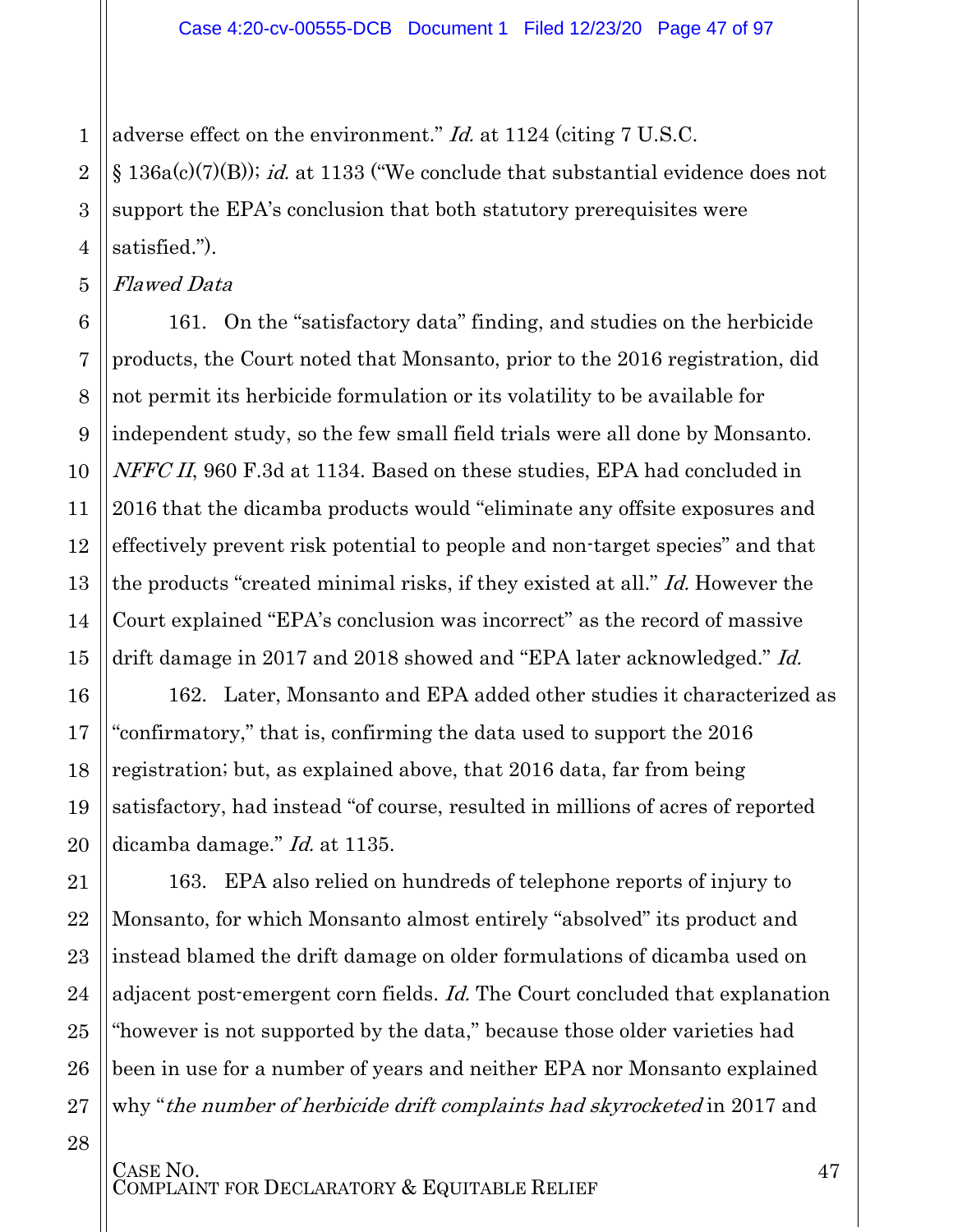1 adverse effect on the environment." Id. at 1124 (citing 7 U.S.C.

 $\S$  136a(c)(7)(B)); *id.* at 1133 ("We conclude that substantial evidence does not support the EPA's conclusion that both statutory prerequisites were satisfied.").

5 Flawed Data

2

3

4

161. On the "satisfactory data" finding, and studies on the herbicide products, the Court noted that Monsanto, prior to the 2016 registration, did not permit its herbicide formulation or its volatility to be available for independent study, so the few small field trials were all done by Monsanto. NFFC II, 960 F.3d at 1134. Based on these studies, EPA had concluded in 2016 that the dicamba products would "eliminate any offsite exposures and effectively prevent risk potential to people and non-target species" and that the products "created minimal risks, if they existed at all." Id. However the Court explained "EPA's conclusion was incorrect" as the record of massive drift damage in 2017 and 2018 showed and "EPA later acknowledged." Id.

162. Later, Monsanto and EPA added other studies it characterized as "confirmatory," that is, confirming the data used to support the 2016 registration; but, as explained above, that 2016 data, far from being satisfactory, had instead "of course, resulted in millions of acres of reported dicamba damage." *Id.* at 1135.

163. EPA also relied on hundreds of telephone reports of injury to Monsanto, for which Monsanto almost entirely "absolved" its product and instead blamed the drift damage on older formulations of dicamba used on adjacent post-emergent corn fields. *Id.* The Court concluded that explanation "however is not supported by the data," because those older varieties had been in use for a number of years and neither EPA nor Monsanto explained why "the number of herbicide drift complaints had skyrocketed in 2017 and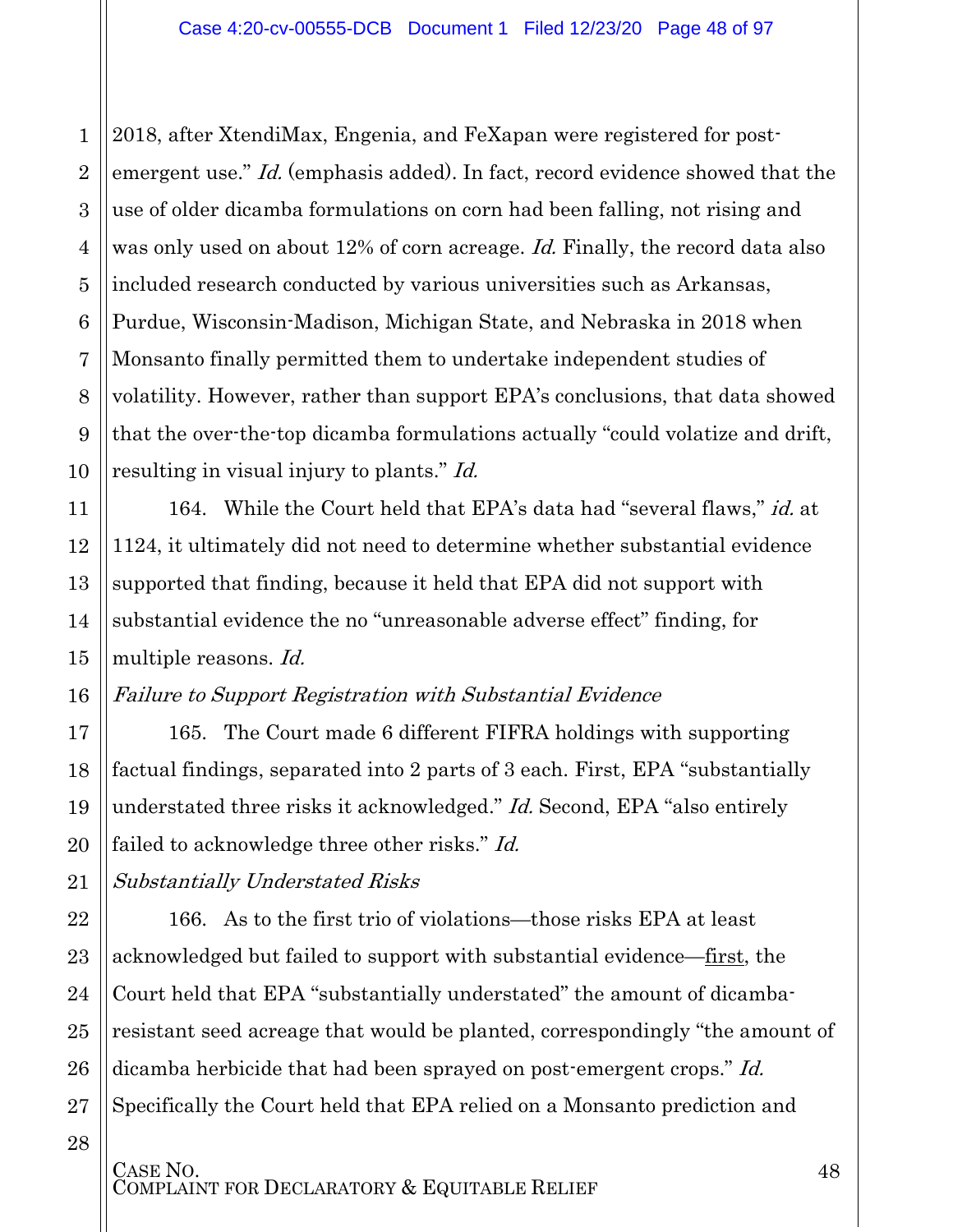3 4 5 6 7 8 2018, after XtendiMax, Engenia, and FeXapan were registered for postemergent use." Id. (emphasis added). In fact, record evidence showed that the use of older dicamba formulations on corn had been falling, not rising and was only used on about 12% of corn acreage. Id. Finally, the record data also included research conducted by various universities such as Arkansas, Purdue, Wisconsin-Madison, Michigan State, and Nebraska in 2018 when Monsanto finally permitted them to undertake independent studies of volatility. However, rather than support EPA's conclusions, that data showed that the over-the-top dicamba formulations actually "could volatize and drift, resulting in visual injury to plants." *Id.* 

164. While the Court held that EPA's data had "several flaws," id. at 1124, it ultimately did not need to determine whether substantial evidence supported that finding, because it held that EPA did not support with substantial evidence the no "unreasonable adverse effect" finding, for multiple reasons. Id.

#### Failure to Support Registration with Substantial Evidence

165. The Court made 6 different FIFRA holdings with supporting factual findings, separated into 2 parts of 3 each. First, EPA "substantially understated three risks it acknowledged." Id. Second, EPA "also entirely failed to acknowledge three other risks." Id.

Substantially Understated Risks

1

2

9

10

11

12

13

14

15

16

17

18

19

20

21

22

23

24

25

26

27

28

166. As to the first trio of violations—those risks EPA at least acknowledged but failed to support with substantial evidence—first, the Court held that EPA "substantially understated" the amount of dicambaresistant seed acreage that would be planted, correspondingly "the amount of dicamba herbicide that had been sprayed on post-emergent crops." Id. Specifically the Court held that EPA relied on a Monsanto prediction and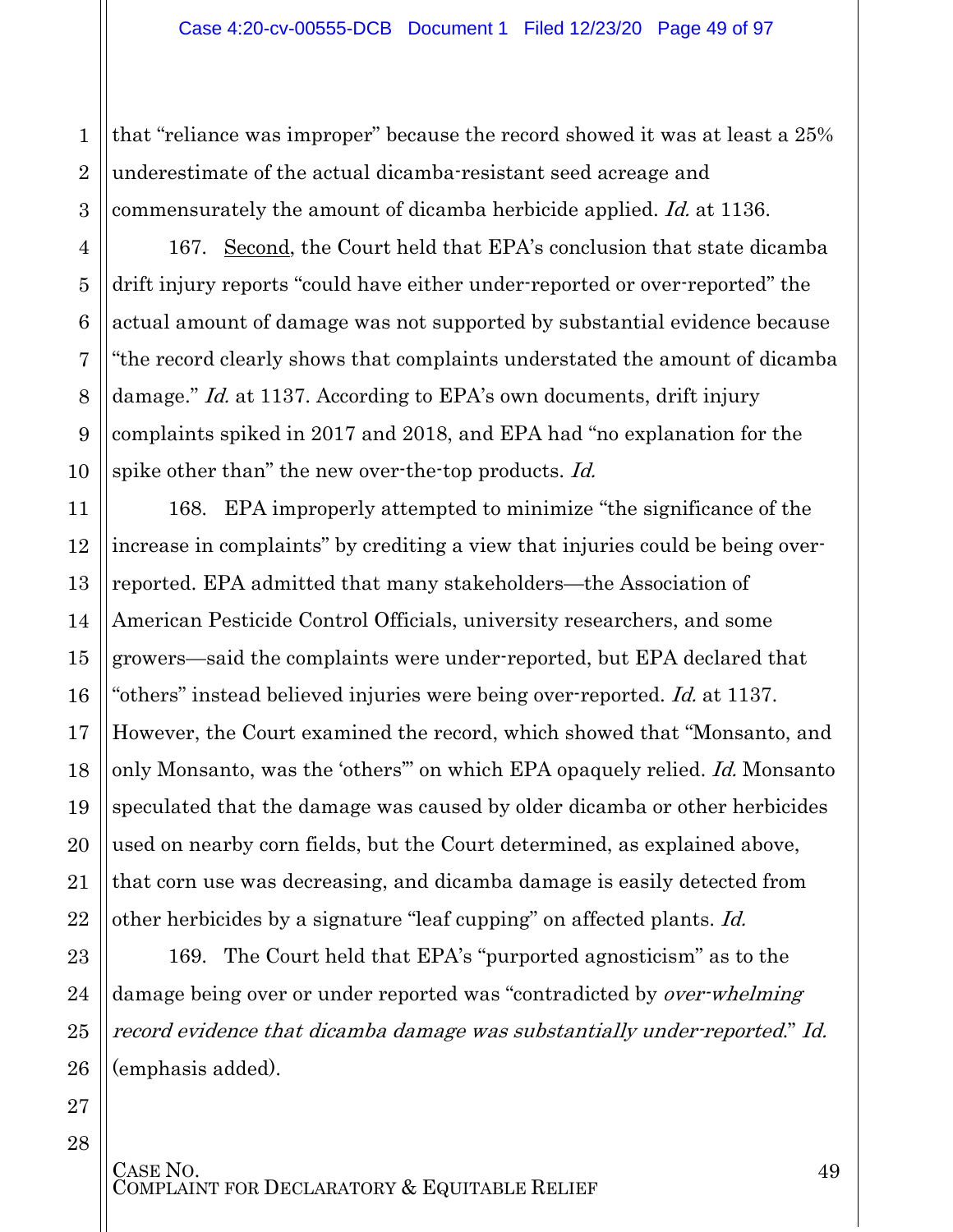that "reliance was improper" because the record showed it was at least a 25% underestimate of the actual dicamba-resistant seed acreage and commensurately the amount of dicamba herbicide applied. Id. at 1136.

167. Second, the Court held that EPA's conclusion that state dicamba drift injury reports "could have either under-reported or over-reported" the actual amount of damage was not supported by substantial evidence because "the record clearly shows that complaints understated the amount of dicamba damage." *Id.* at 1137. According to EPA's own documents, drift injury complaints spiked in 2017 and 2018, and EPA had "no explanation for the spike other than" the new over-the-top products. Id.

168. EPA improperly attempted to minimize "the significance of the increase in complaints" by crediting a view that injuries could be being overreported. EPA admitted that many stakeholders—the Association of American Pesticide Control Officials, university researchers, and some growers—said the complaints were under-reported, but EPA declared that "others" instead believed injuries were being over-reported. Id. at 1137. However, the Court examined the record, which showed that "Monsanto, and only Monsanto, was the 'others'" on which EPA opaquely relied. Id. Monsanto speculated that the damage was caused by older dicamba or other herbicides used on nearby corn fields, but the Court determined, as explained above, that corn use was decreasing, and dicamba damage is easily detected from other herbicides by a signature "leaf cupping" on affected plants. Id.

169. The Court held that EPA's "purported agnosticism" as to the damage being over or under reported was "contradicted by *over-whelming* record evidence that dicamba damage was substantially under-reported." Id. (emphasis added).

28

1

2

3

4

5

6

7

8

9

10

11

12

13

14

15

16

17

18

19

20

21

22

23

24

25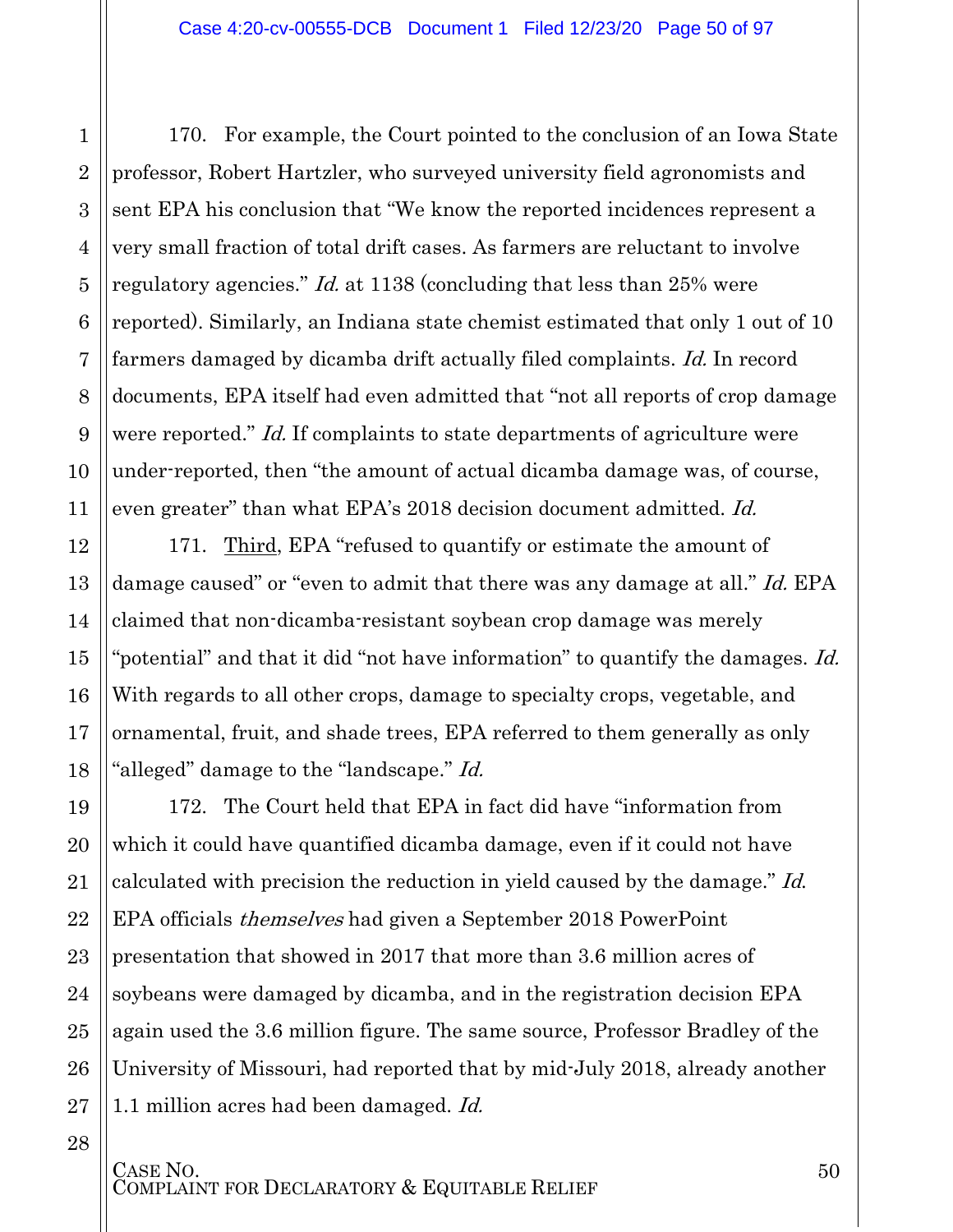1

2

3

4

5

6

7

8

9

10

11

12

13

14

15

16

17

18

19

20

21

22

23

24

25

26

27

28

170. For example, the Court pointed to the conclusion of an Iowa State professor, Robert Hartzler, who surveyed university field agronomists and sent EPA his conclusion that "We know the reported incidences represent a very small fraction of total drift cases. As farmers are reluctant to involve regulatory agencies." *Id.* at 1138 (concluding that less than 25% were reported). Similarly, an Indiana state chemist estimated that only 1 out of 10 farmers damaged by dicamba drift actually filed complaints. Id. In record documents, EPA itself had even admitted that "not all reports of crop damage were reported." *Id.* If complaints to state departments of agriculture were under-reported, then "the amount of actual dicamba damage was, of course, even greater" than what EPA's 2018 decision document admitted. Id.

171. Third, EPA "refused to quantify or estimate the amount of damage caused" or "even to admit that there was any damage at all." Id. EPA claimed that non-dicamba-resistant soybean crop damage was merely "potential" and that it did "not have information" to quantify the damages. Id. With regards to all other crops, damage to specialty crops, vegetable, and ornamental, fruit, and shade trees, EPA referred to them generally as only "alleged" damage to the "landscape." Id.

172. The Court held that EPA in fact did have "information from which it could have quantified dicamba damage, even if it could not have calculated with precision the reduction in yield caused by the damage." Id. EPA officials themselves had given a September 2018 PowerPoint presentation that showed in 2017 that more than 3.6 million acres of soybeans were damaged by dicamba, and in the registration decision EPA again used the 3.6 million figure. The same source, Professor Bradley of the University of Missouri, had reported that by mid-July 2018, already another 1.1 million acres had been damaged. *Id.*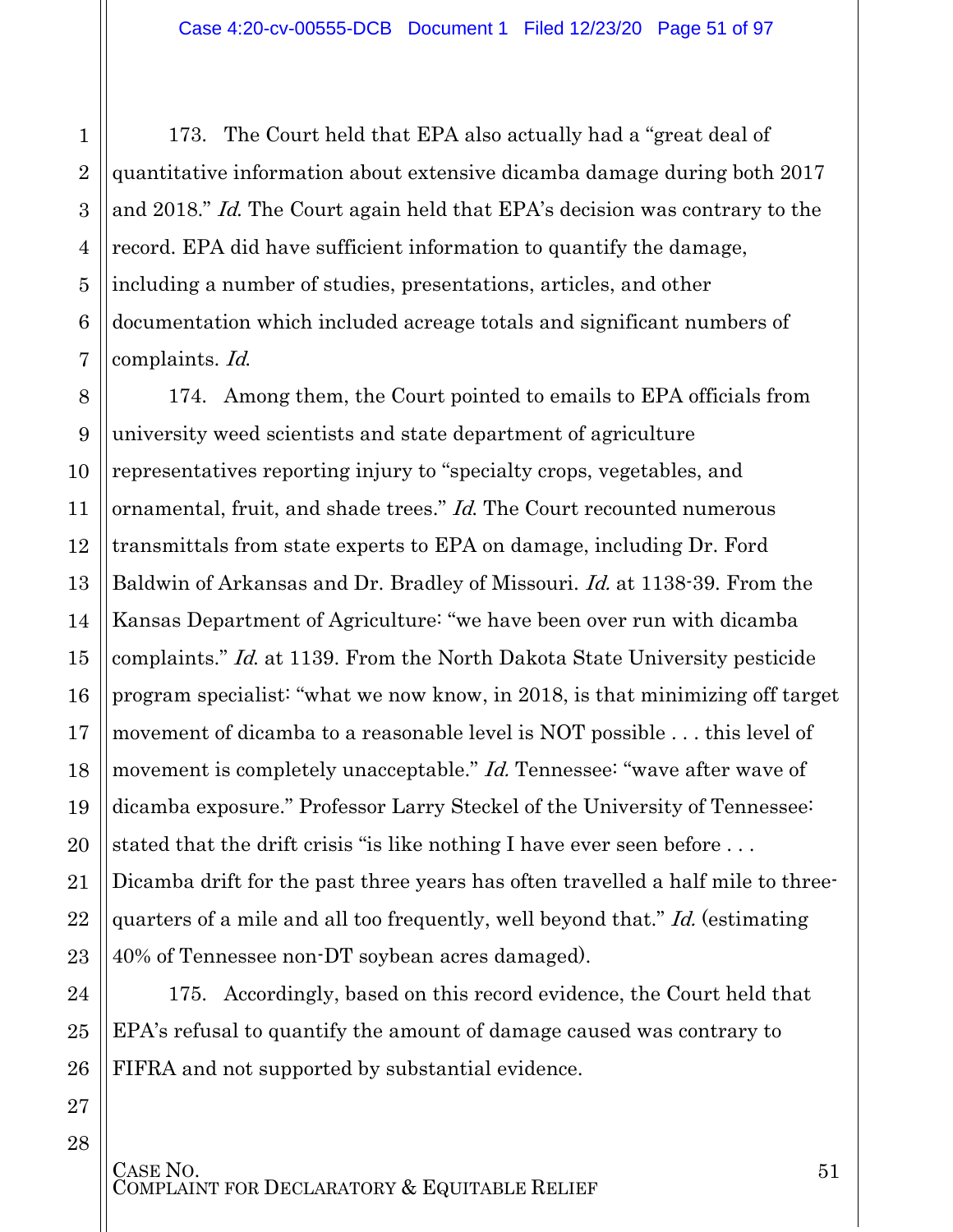173. The Court held that EPA also actually had a "great deal of quantitative information about extensive dicamba damage during both 2017 and 2018." Id. The Court again held that EPA's decision was contrary to the record. EPA did have sufficient information to quantify the damage, including a number of studies, presentations, articles, and other documentation which included acreage totals and significant numbers of complaints. Id.

8 9 10 11 12 13 14 15 16 17 18 19 20 21 22 23 174. Among them, the Court pointed to emails to EPA officials from university weed scientists and state department of agriculture representatives reporting injury to "specialty crops, vegetables, and ornamental, fruit, and shade trees." *Id*. The Court recounted numerous transmittals from state experts to EPA on damage, including Dr. Ford Baldwin of Arkansas and Dr. Bradley of Missouri. Id. at 1138-39. From the Kansas Department of Agriculture: "we have been over run with dicamba complaints." Id. at 1139. From the North Dakota State University pesticide program specialist: "what we now know, in 2018, is that minimizing off target movement of dicamba to a reasonable level is NOT possible . . . this level of movement is completely unacceptable." *Id.* Tennessee: "wave after wave of dicamba exposure." Professor Larry Steckel of the University of Tennessee: stated that the drift crisis "is like nothing I have ever seen before . . . Dicamba drift for the past three years has often travelled a half mile to threequarters of a mile and all too frequently, well beyond that." Id. (estimating 40% of Tennessee non-DT soybean acres damaged).

175. Accordingly, based on this record evidence, the Court held that EPA's refusal to quantify the amount of damage caused was contrary to FIFRA and not supported by substantial evidence.

24

25

26

1

2

3

4

5

6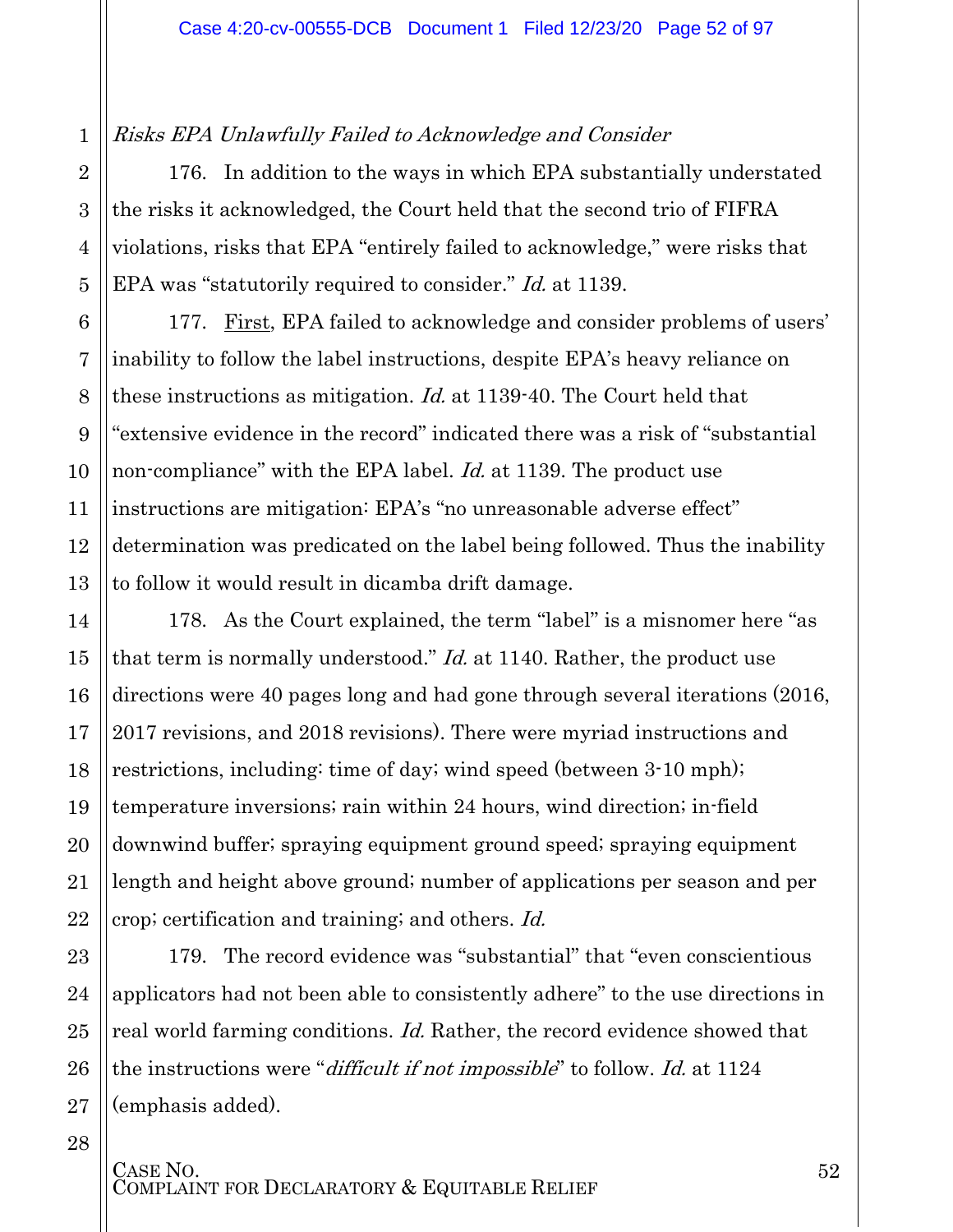#### Risks EPA Unlawfully Failed to Acknowledge and Consider

176. In addition to the ways in which EPA substantially understated the risks it acknowledged, the Court held that the second trio of FIFRA violations, risks that EPA "entirely failed to acknowledge," were risks that EPA was "statutorily required to consider." *Id.* at 1139.

177. First, EPA failed to acknowledge and consider problems of users' inability to follow the label instructions, despite EPA's heavy reliance on these instructions as mitigation. Id. at 1139-40. The Court held that "extensive evidence in the record" indicated there was a risk of "substantial non-compliance" with the EPA label. *Id.* at 1139. The product use instructions are mitigation: EPA's "no unreasonable adverse effect" determination was predicated on the label being followed. Thus the inability to follow it would result in dicamba drift damage.

178. As the Court explained, the term "label" is a misnomer here "as that term is normally understood." *Id.* at 1140. Rather, the product use directions were 40 pages long and had gone through several iterations (2016, 2017 revisions, and 2018 revisions). There were myriad instructions and restrictions, including: time of day; wind speed (between 3-10 mph); temperature inversions; rain within 24 hours, wind direction; in-field downwind buffer; spraying equipment ground speed; spraying equipment length and height above ground; number of applications per season and per crop; certification and training; and others. Id.

179. The record evidence was "substantial" that "even conscientious applicators had not been able to consistently adhere" to the use directions in real world farming conditions. Id. Rather, the record evidence showed that the instructions were "difficult if not impossible" to follow. Id. at 1124 (emphasis added).

1

2

3

4

5

6

7

8

9

10

11

12

13

14

15

16

17

18

19

20

21

22

23

24

25

26

27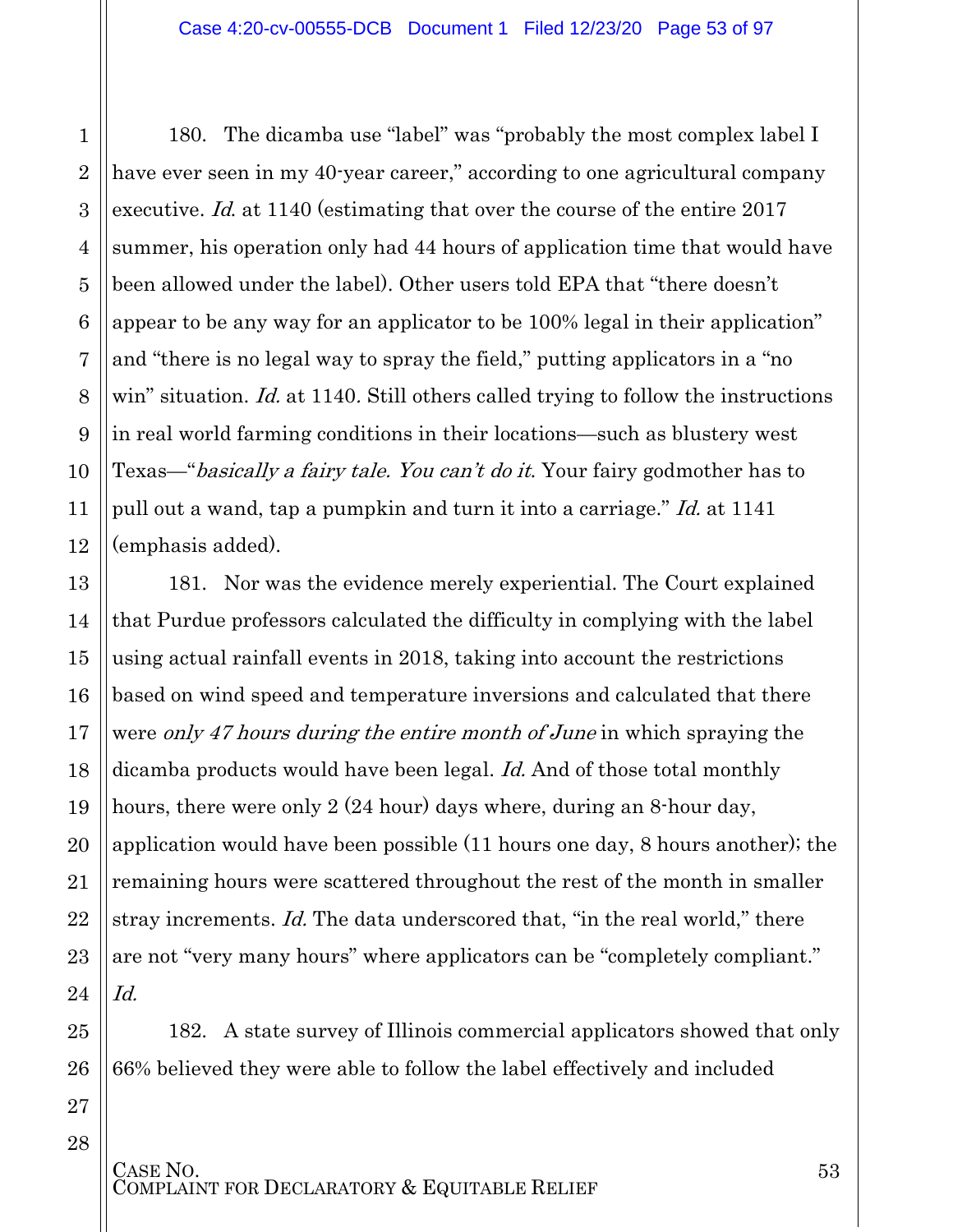180. The dicamba use "label" was "probably the most complex label I have ever seen in my 40-year career," according to one agricultural company executive. Id. at 1140 (estimating that over the course of the entire 2017 summer, his operation only had 44 hours of application time that would have been allowed under the label). Other users told EPA that "there doesn't appear to be any way for an applicator to be 100% legal in their application" and "there is no legal way to spray the field," putting applicators in a "no win" situation. *Id.* at 1140. Still others called trying to follow the instructions in real world farming conditions in their locations—such as blustery west Texas—"basically a fairy tale. You can't do it. Your fairy godmother has to pull out a wand, tap a pumpkin and turn it into a carriage." Id. at 1141 (emphasis added).

181. Nor was the evidence merely experiential. The Court explained that Purdue professors calculated the difficulty in complying with the label using actual rainfall events in 2018, taking into account the restrictions based on wind speed and temperature inversions and calculated that there were only 47 hours during the entire month of June in which spraying the dicamba products would have been legal. Id. And of those total monthly hours, there were only 2 (24 hour) days where, during an 8-hour day, application would have been possible (11 hours one day, 8 hours another); the remaining hours were scattered throughout the rest of the month in smaller stray increments. Id. The data underscored that, "in the real world," there are not "very many hours" where applicators can be "completely compliant." Id.

182. A state survey of Illinois commercial applicators showed that only 66% believed they were able to follow the label effectively and included

28

1

2

3

4

5

6

7

8

9

10

11

12

13

14

15

16

17

18

19

20

21

22

23

24

CASE NO.<br>COMPLAINT FOR DECLARATORY & EQUITABLE RELIEF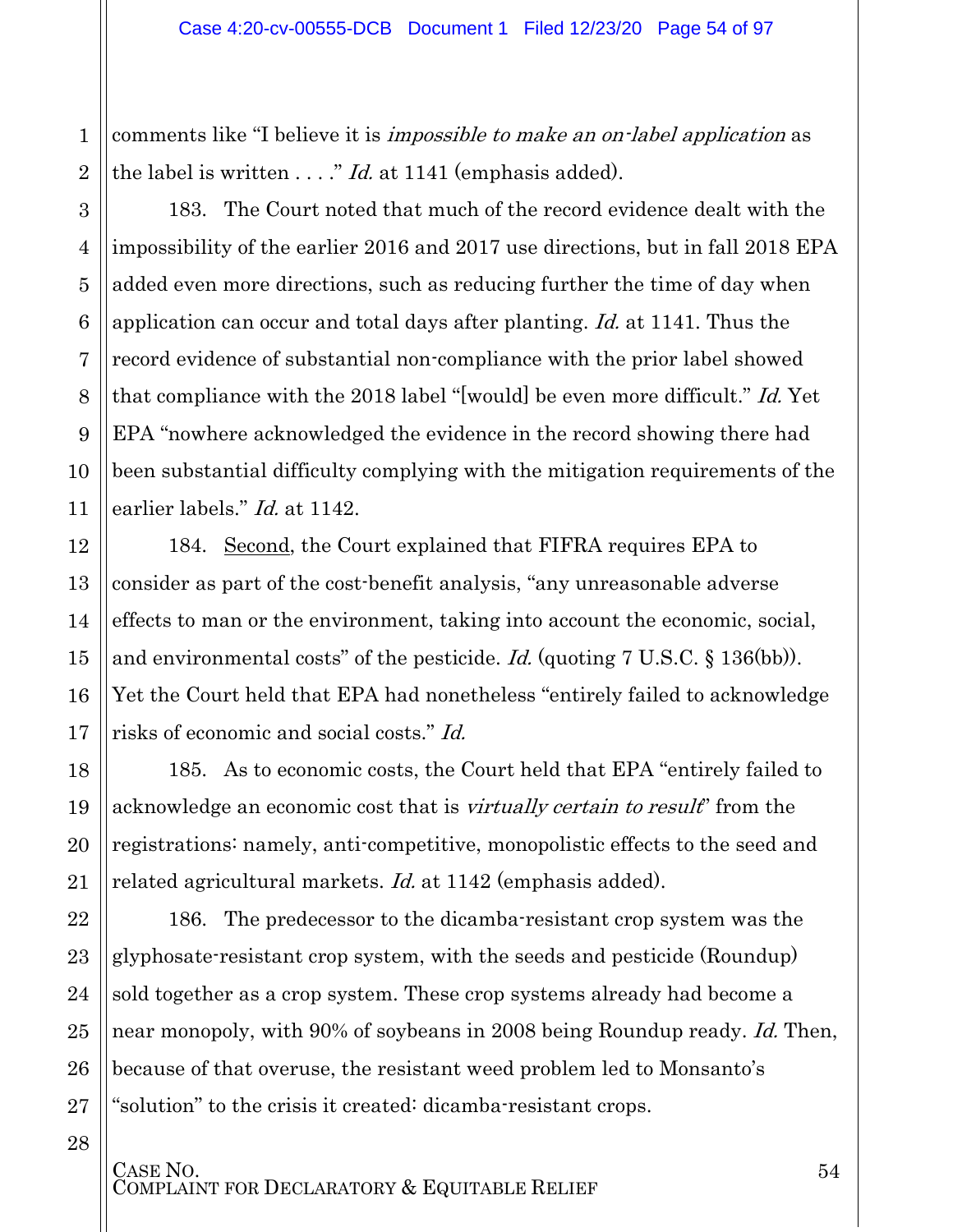2 comments like "I believe it is *impossible to make an on-label application* as the label is written  $\ldots$ ." *Id.* at 1141 (emphasis added).

1

3

4

5

6

7

8

9

10

11

12

13

14

15

16

17

18

19

20

21

22

23

24

25

26

27

28

183. The Court noted that much of the record evidence dealt with the impossibility of the earlier 2016 and 2017 use directions, but in fall 2018 EPA added even more directions, such as reducing further the time of day when application can occur and total days after planting. Id. at 1141. Thus the record evidence of substantial non-compliance with the prior label showed that compliance with the 2018 label "[would] be even more difficult." Id. Yet EPA "nowhere acknowledged the evidence in the record showing there had been substantial difficulty complying with the mitigation requirements of the earlier labels." *Id.* at 1142.

184. Second, the Court explained that FIFRA requires EPA to consider as part of the cost-benefit analysis, "any unreasonable adverse effects to man or the environment, taking into account the economic, social, and environmental costs" of the pesticide. Id. (quoting 7 U.S.C. § 136(bb)). Yet the Court held that EPA had nonetheless "entirely failed to acknowledge risks of economic and social costs." Id.

185. As to economic costs, the Court held that EPA "entirely failed to acknowledge an economic cost that is *virtually certain to result* from the registrations: namely, anti-competitive, monopolistic effects to the seed and related agricultural markets. *Id.* at 1142 (emphasis added).

186. The predecessor to the dicamba-resistant crop system was the glyphosate-resistant crop system, with the seeds and pesticide (Roundup) sold together as a crop system. These crop systems already had become a near monopoly, with 90% of soybeans in 2008 being Roundup ready. Id. Then, because of that overuse, the resistant weed problem led to Monsanto's "solution" to the crisis it created: dicamba-resistant crops.

CASE NO.<br>COMPLAINT FOR DECLARATORY & EQUITABLE RELIEF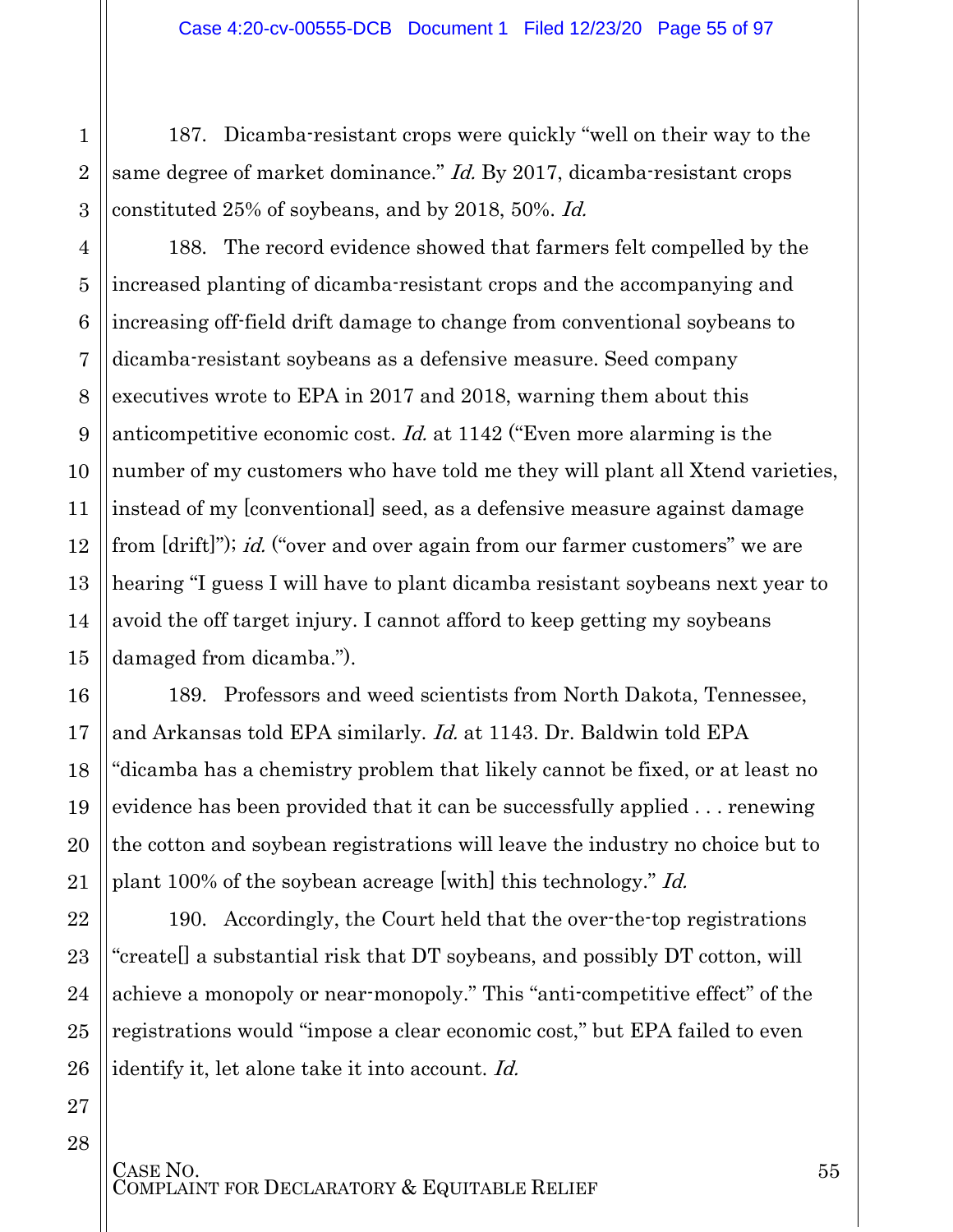187. Dicamba-resistant crops were quickly "well on their way to the same degree of market dominance." *Id.* By 2017, dicamba-resistant crops constituted 25% of soybeans, and by 2018, 50%. Id.

1

2

3

4

5

6

7

8

9

10

11

12

13

14

15

16

17

18

19

20

21

22

23

24

25

26

27

28

188. The record evidence showed that farmers felt compelled by the increased planting of dicamba-resistant crops and the accompanying and increasing off-field drift damage to change from conventional soybeans to dicamba-resistant soybeans as a defensive measure. Seed company executives wrote to EPA in 2017 and 2018, warning them about this anticompetitive economic cost. Id. at 1142 ("Even more alarming is the number of my customers who have told me they will plant all Xtend varieties, instead of my [conventional] seed, as a defensive measure against damage from [drift]"); *id.* ("over and over again from our farmer customers" we are hearing "I guess I will have to plant dicamba resistant soybeans next year to avoid the off target injury. I cannot afford to keep getting my soybeans damaged from dicamba.").

189. Professors and weed scientists from North Dakota, Tennessee, and Arkansas told EPA similarly. Id. at 1143. Dr. Baldwin told EPA "dicamba has a chemistry problem that likely cannot be fixed, or at least no evidence has been provided that it can be successfully applied . . . renewing the cotton and soybean registrations will leave the industry no choice but to plant 100% of the soybean acreage [with] this technology." Id.

190. Accordingly, the Court held that the over-the-top registrations "create[] a substantial risk that DT soybeans, and possibly DT cotton, will achieve a monopoly or near-monopoly." This "anti-competitive effect" of the registrations would "impose a clear economic cost," but EPA failed to even identify it, let alone take it into account. Id.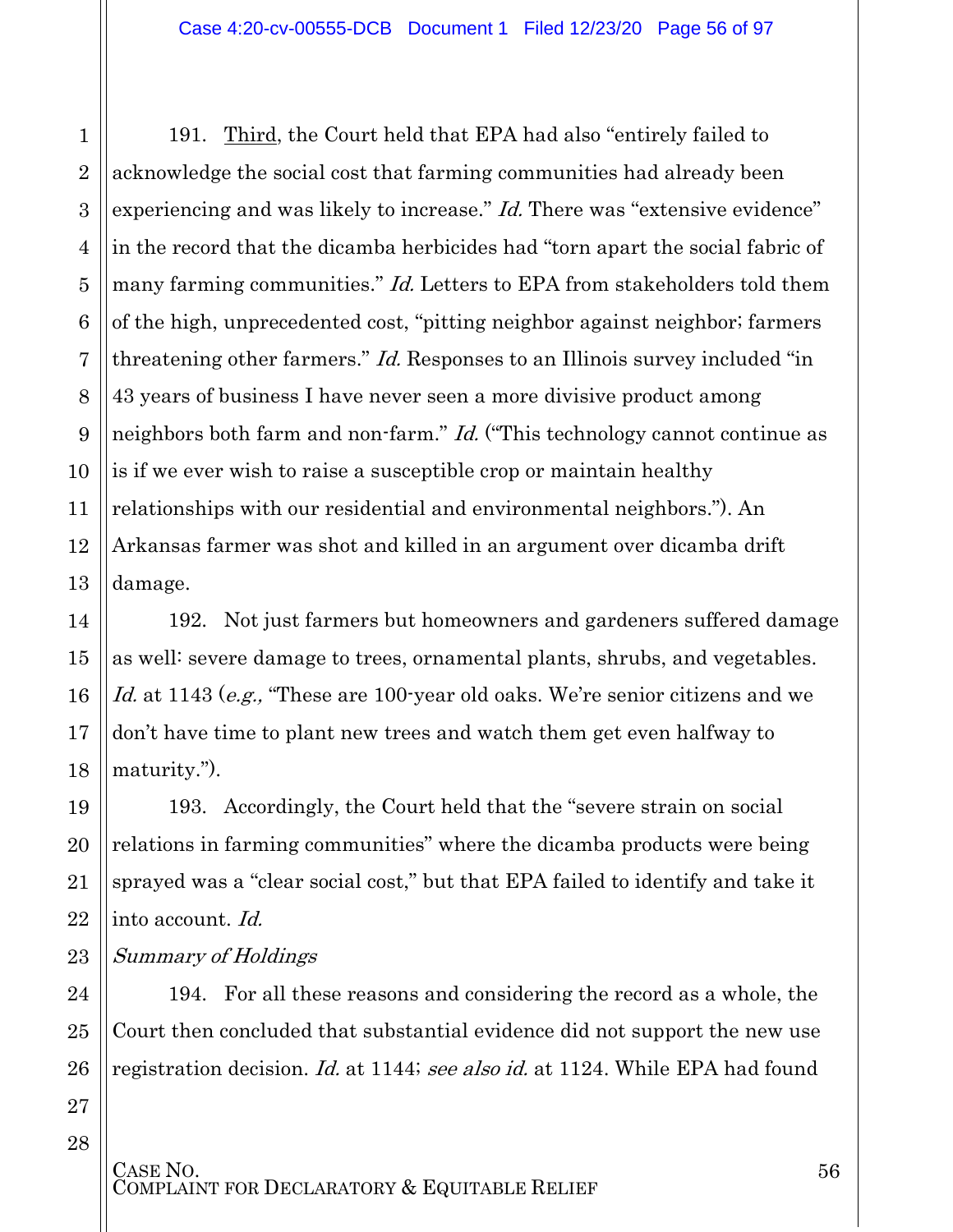191. Third, the Court held that EPA had also "entirely failed to acknowledge the social cost that farming communities had already been experiencing and was likely to increase." *Id.* There was "extensive evidence" in the record that the dicamba herbicides had "torn apart the social fabric of many farming communities." *Id.* Letters to EPA from stakeholders told them of the high, unprecedented cost, "pitting neighbor against neighbor; farmers threatening other farmers." *Id.* Responses to an Illinois survey included "in 43 years of business I have never seen a more divisive product among neighbors both farm and non-farm." *Id.* ("This technology cannot continue as is if we ever wish to raise a susceptible crop or maintain healthy relationships with our residential and environmental neighbors."). An Arkansas farmer was shot and killed in an argument over dicamba drift damage.

192. Not just farmers but homeowners and gardeners suffered damage as well: severe damage to trees, ornamental plants, shrubs, and vegetables. Id. at 1143 (e.g., "These are 100-year old oaks. We're senior citizens and we don't have time to plant new trees and watch them get even halfway to maturity.").

193. Accordingly, the Court held that the "severe strain on social relations in farming communities" where the dicamba products were being sprayed was a "clear social cost," but that EPA failed to identify and take it into account. Id.

23 Summary of Holdings

> 194. For all these reasons and considering the record as a whole, the Court then concluded that substantial evidence did not support the new use registration decision. Id. at 1144; see also id. at 1124. While EPA had found

27 28

1

2

3

4

5

6

7

8

9

10

11

12

13

14

15

16

17

18

19

20

21

22

24

25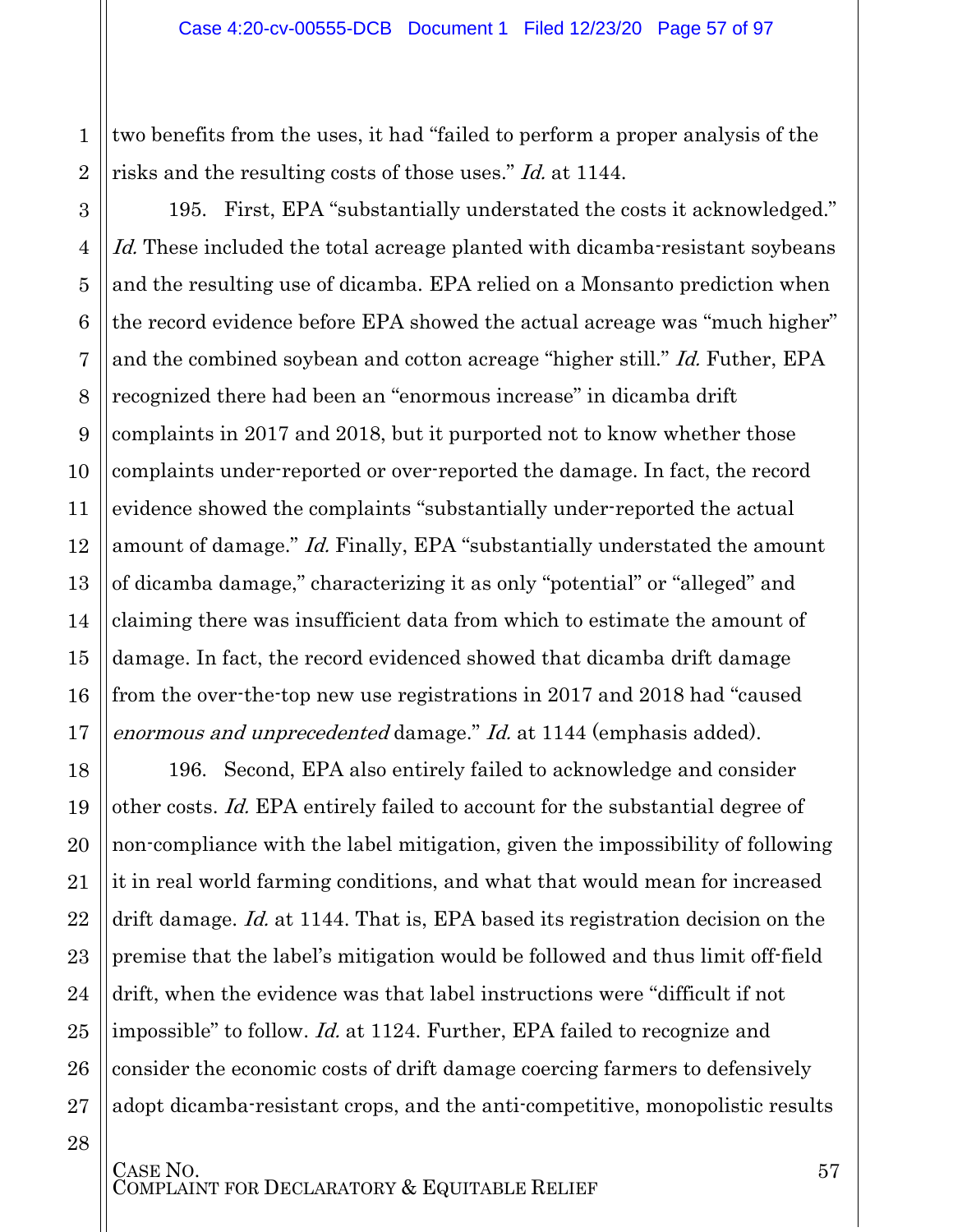two benefits from the uses, it had "failed to perform a proper analysis of the risks and the resulting costs of those uses." Id. at 1144.

1

2

3

4

5

6

7

8

9

10

11

12

13

14

15

16

17

21

24

28

195. First, EPA "substantially understated the costs it acknowledged." Id. These included the total acreage planted with dicamba-resistant soybeans and the resulting use of dicamba. EPA relied on a Monsanto prediction when the record evidence before EPA showed the actual acreage was "much higher" and the combined soybean and cotton acreage "higher still." Id. Futher, EPA recognized there had been an "enormous increase" in dicamba drift complaints in 2017 and 2018, but it purported not to know whether those complaints under-reported or over-reported the damage. In fact, the record evidence showed the complaints "substantially under-reported the actual amount of damage." *Id.* Finally, EPA "substantially understated the amount of dicamba damage," characterizing it as only "potential" or "alleged" and claiming there was insufficient data from which to estimate the amount of damage. In fact, the record evidenced showed that dicamba drift damage from the over-the-top new use registrations in 2017 and 2018 had "caused enormous and unprecedented damage." Id. at 1144 (emphasis added).

18 19 20 22 23 25 26 27 196. Second, EPA also entirely failed to acknowledge and consider other costs. Id. EPA entirely failed to account for the substantial degree of non-compliance with the label mitigation, given the impossibility of following it in real world farming conditions, and what that would mean for increased drift damage. Id. at 1144. That is, EPA based its registration decision on the premise that the label's mitigation would be followed and thus limit off-field drift, when the evidence was that label instructions were "difficult if not impossible" to follow. Id. at 1124. Further, EPA failed to recognize and consider the economic costs of drift damage coercing farmers to defensively adopt dicamba-resistant crops, and the anti-competitive, monopolistic results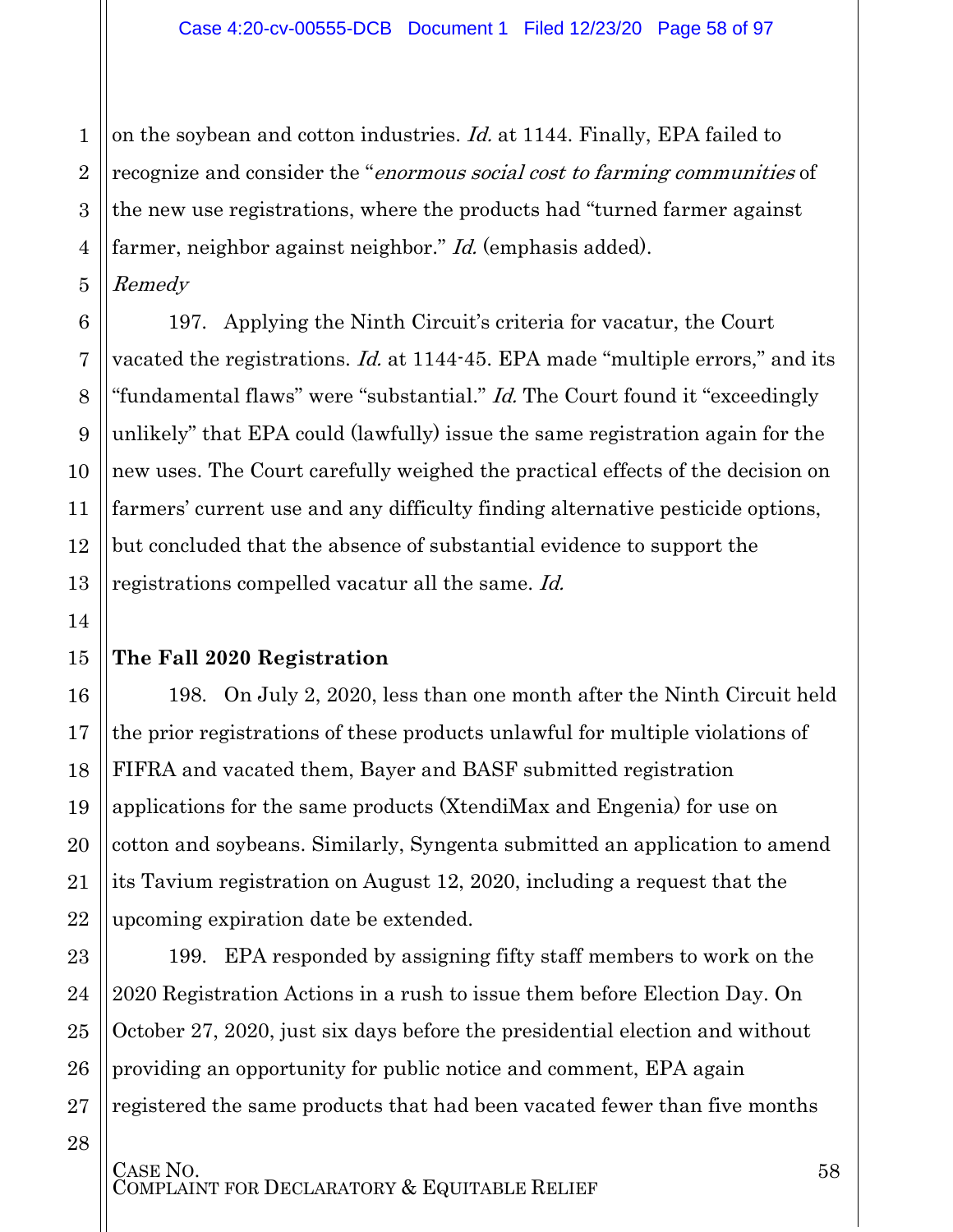1 2 3 4 on the soybean and cotton industries. Id. at 1144. Finally, EPA failed to recognize and consider the "enormous social cost to farming communities of the new use registrations, where the products had "turned farmer against farmer, neighbor against neighbor." *Id.* (emphasis added).

5 Remedy

6

7

8

9

10

11

12

13

14

15

16

17

18

19

20

21

22

23

24

25

26

27

28

197. Applying the Ninth Circuit's criteria for vacatur, the Court vacated the registrations. Id. at 1144-45. EPA made "multiple errors," and its "fundamental flaws" were "substantial." *Id.* The Court found it "exceedingly" unlikely" that EPA could (lawfully) issue the same registration again for the new uses. The Court carefully weighed the practical effects of the decision on farmers' current use and any difficulty finding alternative pesticide options, but concluded that the absence of substantial evidence to support the registrations compelled vacatur all the same. Id.

#### **The Fall 2020 Registration**

198. On July 2, 2020, less than one month after the Ninth Circuit held the prior registrations of these products unlawful for multiple violations of FIFRA and vacated them, Bayer and BASF submitted registration applications for the same products (XtendiMax and Engenia) for use on cotton and soybeans. Similarly, Syngenta submitted an application to amend its Tavium registration on August 12, 2020, including a request that the upcoming expiration date be extended.

199. EPA responded by assigning fifty staff members to work on the 2020 Registration Actions in a rush to issue them before Election Day. On October 27, 2020, just six days before the presidential election and without providing an opportunity for public notice and comment, EPA again registered the same products that had been vacated fewer than five months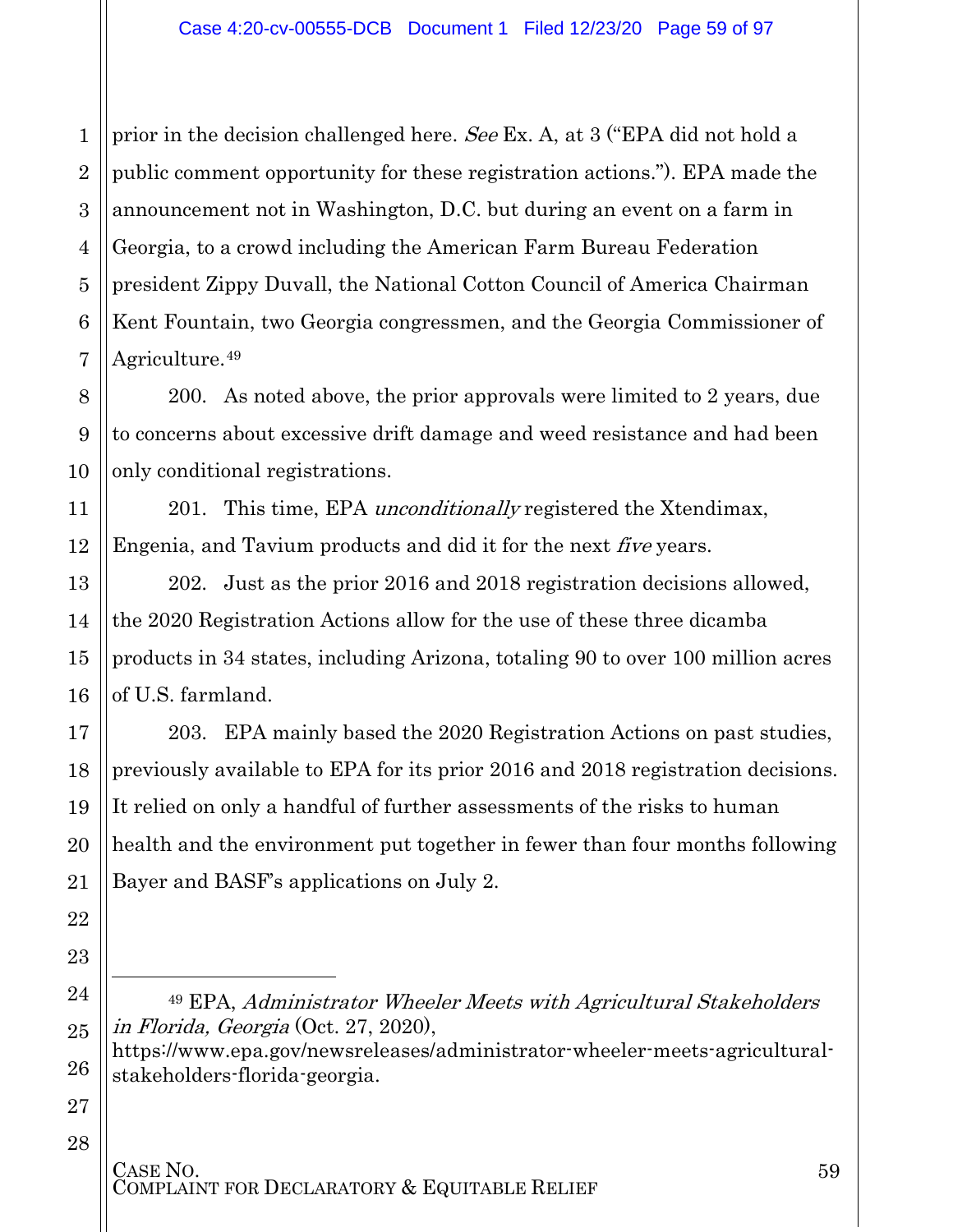1 2 3 4 5 6 7 prior in the decision challenged here. See Ex. A, at 3 ("EPA did not hold a public comment opportunity for these registration actions."). EPA made the announcement not in Washington, D.C. but during an event on a farm in Georgia, to a crowd including the American Farm Bureau Federation president Zippy Duvall, the National Cotton Council of America Chairman Kent Fountain, two Georgia congressmen, and the Georgia Commissioner of Agriculture.<sup>[49](#page-58-0)</sup>

200. As noted above, the prior approvals were limited to 2 years, due to concerns about excessive drift damage and weed resistance and had been only conditional registrations.

201. This time, EPA *unconditionally* registered the Xtendimax, Engenia, and Tavium products and did it for the next five years.

202. Just as the prior 2016 and 2018 registration decisions allowed, the 2020 Registration Actions allow for the use of these three dicamba products in 34 states, including Arizona, totaling 90 to over 100 million acres of U.S. farmland.

203. EPA mainly based the 2020 Registration Actions on past studies, previously available to EPA for its prior 2016 and 2018 registration decisions. It relied on only a handful of further assessments of the risks to human health and the environment put together in fewer than four months following Bayer and BASF's applications on July 2.

<sup>49</sup> EPA, Administrator Wheeler Meets with Agricultural Stakeholders in Florida, Georgia (Oct. 27, 2020),

[https://www.epa.gov/newsreleases/administrator-wheeler-meets-agricultural](https://www.epa.gov/newsreleases/administrator-wheeler-meets-agricultural-stakeholders-florida-georgia)[stakeholders-florida-georgia.](https://www.epa.gov/newsreleases/administrator-wheeler-meets-agricultural-stakeholders-florida-georgia)

28

8

9

10

11

12

13

14

15

16

17

18

19

20

21

22

23

<span id="page-58-0"></span>24

 $\overline{a}$ 

25

26

27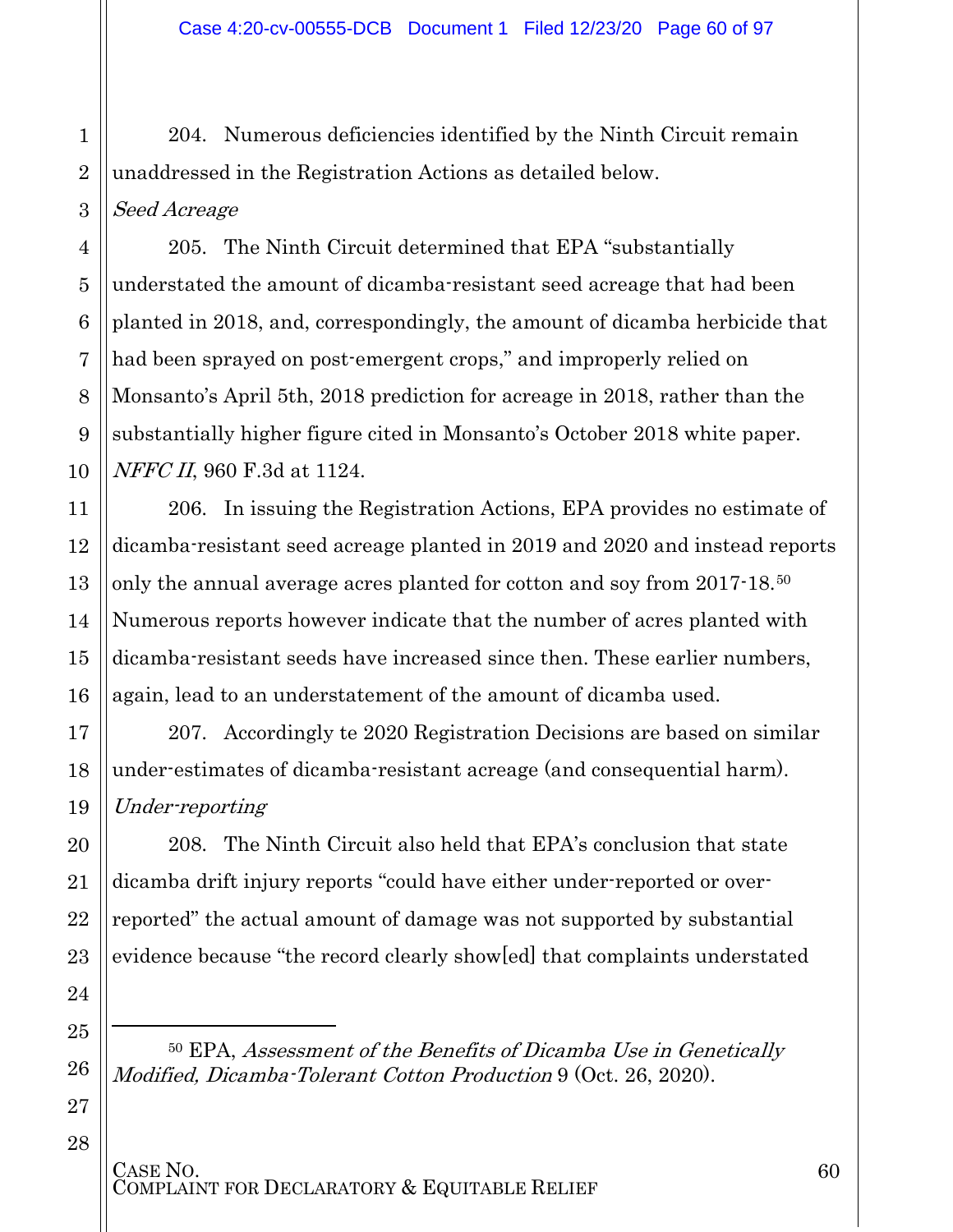204. Numerous deficiencies identified by the Ninth Circuit remain unaddressed in the Registration Actions as detailed below. Seed Acreage

205. The Ninth Circuit determined that EPA "substantially understated the amount of dicamba-resistant seed acreage that had been planted in 2018, and, correspondingly, the amount of dicamba herbicide that had been sprayed on post-emergent crops," and improperly relied on Monsanto's April 5th, 2018 prediction for acreage in 2018, rather than the substantially higher figure cited in Monsanto's October 2018 white paper. NFFC II, 960 F.3d at 1124.

206. In issuing the Registration Actions, EPA provides no estimate of dicamba-resistant seed acreage planted in 2019 and 2020 and instead reports only the annual average acres planted for cotton and soy from 2017-18.[50](#page-59-0) Numerous reports however indicate that the number of acres planted with dicamba-resistant seeds have increased since then. These earlier numbers, again, lead to an understatement of the amount of dicamba used.

207. Accordingly te 2020 Registration Decisions are based on similar under-estimates of dicamba-resistant acreage (and consequential harm). Under-reporting

208. The Ninth Circuit also held that EPA's conclusion that state dicamba drift injury reports "could have either under-reported or overreported" the actual amount of damage was not supported by substantial evidence because "the record clearly show[ed] that complaints understated

<span id="page-59-0"></span><sup>50</sup> EPA, Assessment of the Benefits of Dicamba Use in Genetically Modified, Dicamba-Tolerant Cotton Production 9 (Oct. 26, 2020).

CASE NO.<br>COMPLAINT FOR DECLARATORY & EQUITABLE RELIEF

l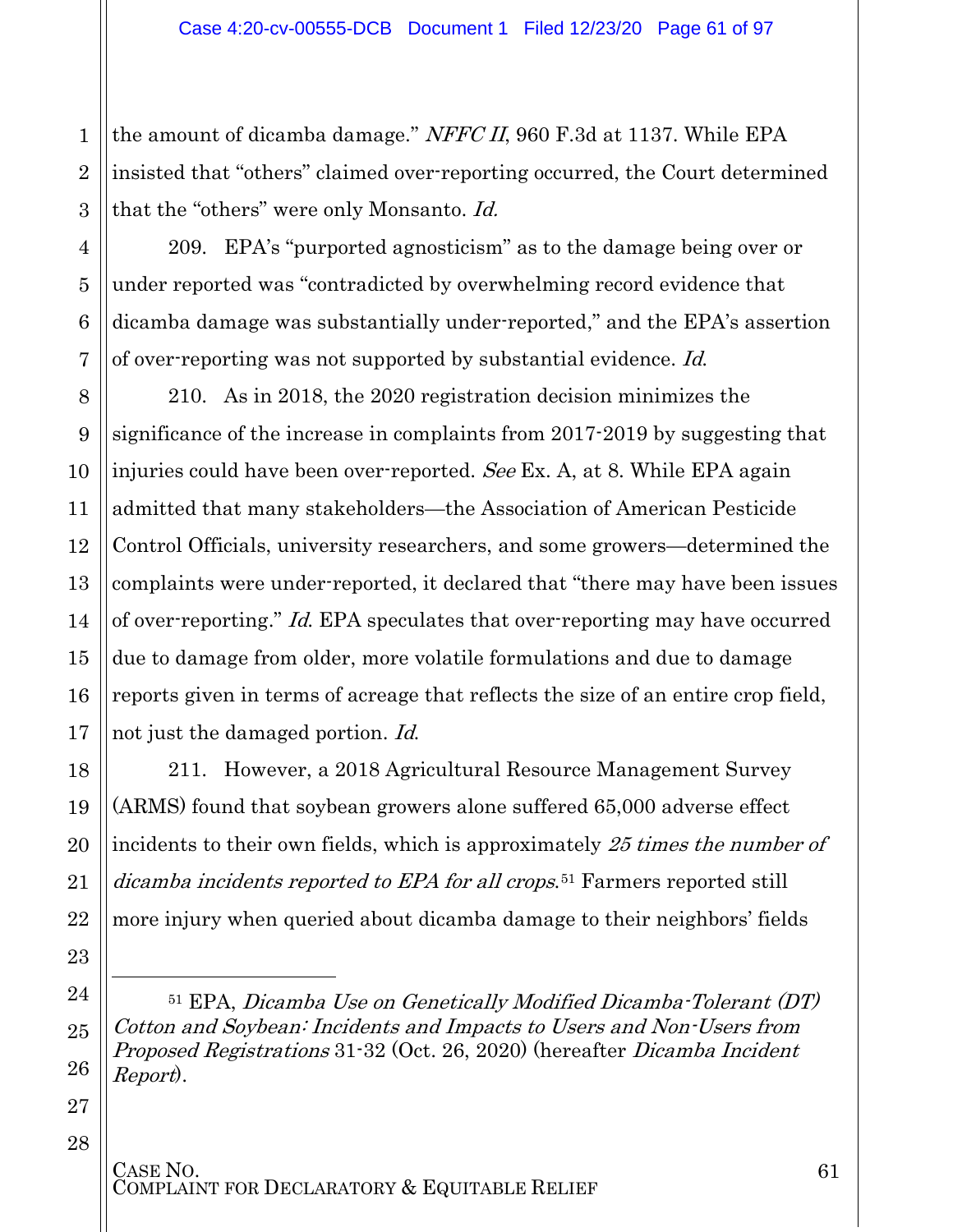3 the amount of dicamba damage." NFFC II, 960 F.3d at 1137. While EPA insisted that "others" claimed over-reporting occurred, the Court determined that the "others" were only Monsanto. Id.

209. EPA's "purported agnosticism" as to the damage being over or under reported was "contradicted by overwhelming record evidence that dicamba damage was substantially under-reported," and the EPA's assertion of over-reporting was not supported by substantial evidence. Id.

210. As in 2018, the 2020 registration decision minimizes the significance of the increase in complaints from 2017-2019 by suggesting that injuries could have been over-reported. See Ex. A, at 8. While EPA again admitted that many stakeholders—the Association of American Pesticide Control Officials, university researchers, and some growers—determined the complaints were under-reported, it declared that "there may have been issues of over-reporting." Id. EPA speculates that over-reporting may have occurred due to damage from older, more volatile formulations and due to damage reports given in terms of acreage that reflects the size of an entire crop field, not just the damaged portion. Id.

211. However, a 2018 Agricultural Resource Management Survey (ARMS) found that soybean growers alone suffered 65,000 adverse effect incidents to their own fields, which is approximately 25 times the number of dicamba incidents reported to EPA for all crops.<sup>[51](#page-60-0)</sup> Farmers reported still more injury when queried about dicamba damage to their neighbors' fields

27 28

1

2

4

5

6

7

8

9

10

11

12

13

14

15

16

17

18

19

20

21

22

23

<span id="page-60-0"></span>24

 $\overline{a}$ 

25

<sup>51</sup> EPA, Dicamba Use on Genetically Modified Dicamba-Tolerant (DT) Cotton and Soybean: Incidents and Impacts to Users and Non-Users from Proposed Registrations 31-32 (Oct. 26, 2020) (hereafter Dicamba Incident Report).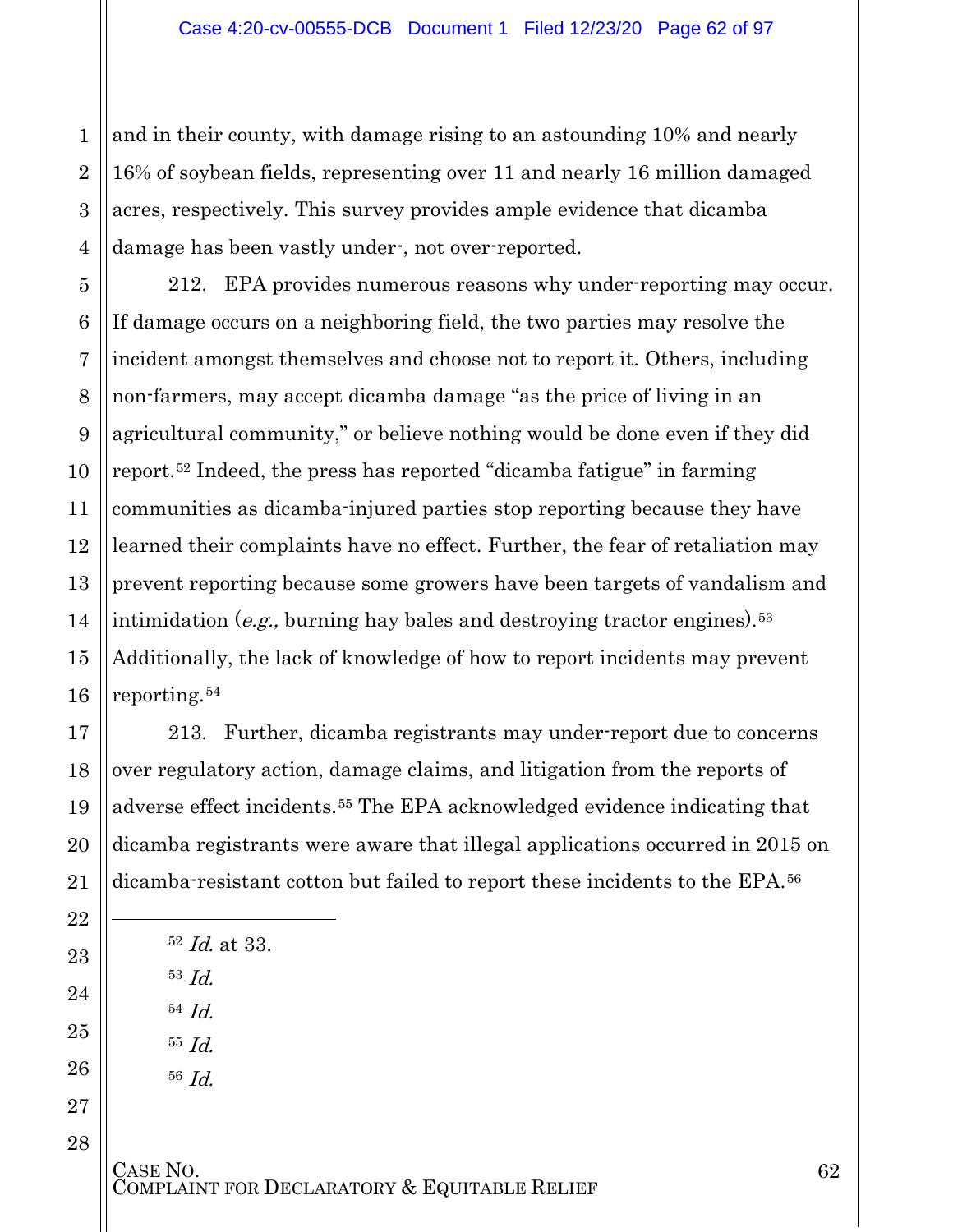3 4 and in their county, with damage rising to an astounding 10% and nearly 16% of soybean fields, representing over 11 and nearly 16 million damaged acres, respectively. This survey provides ample evidence that dicamba damage has been vastly under-, not over-reported.

212. EPA provides numerous reasons why under-reporting may occur. If damage occurs on a neighboring field, the two parties may resolve the incident amongst themselves and choose not to report it. Others, including non-farmers, may accept dicamba damage "as the price of living in an agricultural community," or believe nothing would be done even if they did report.[52](#page-61-0) Indeed, the press has reported "dicamba fatigue" in farming communities as dicamba-injured parties stop reporting because they have learned their complaints have no effect. Further, the fear of retaliation may prevent reporting because some growers have been targets of vandalism and intimidation (e.g., burning hay bales and destroying tractor engines).<sup>[53](#page-61-1)</sup> Additionally, the lack of knowledge of how to report incidents may prevent reporting.[54](#page-61-2)

213. Further, dicamba registrants may under-report due to concerns over regulatory action, damage claims, and litigation from the reports of adverse effect incidents.[55](#page-61-3) The EPA acknowledged evidence indicating that dicamba registrants were aware that illegal applications occurred in 2015 on dicamba-resistant cotton but failed to report these incidents to the EPA.[56](#page-61-4)

<span id="page-61-4"></span><span id="page-61-3"></span><span id="page-61-2"></span><span id="page-61-1"></span><span id="page-61-0"></span>

| $52$ <i>Id.</i> at 33.                              |
|-----------------------------------------------------|
| $53$ <i>Id.</i>                                     |
| $54$ <i>Id.</i>                                     |
| $55$ <i>Id.</i>                                     |
| $56$ <i>Id.</i>                                     |
|                                                     |
|                                                     |
| CASE NO.<br>AINT FOR DECLARATORY & EQUITABLE RELIEF |

1

2

5

6

7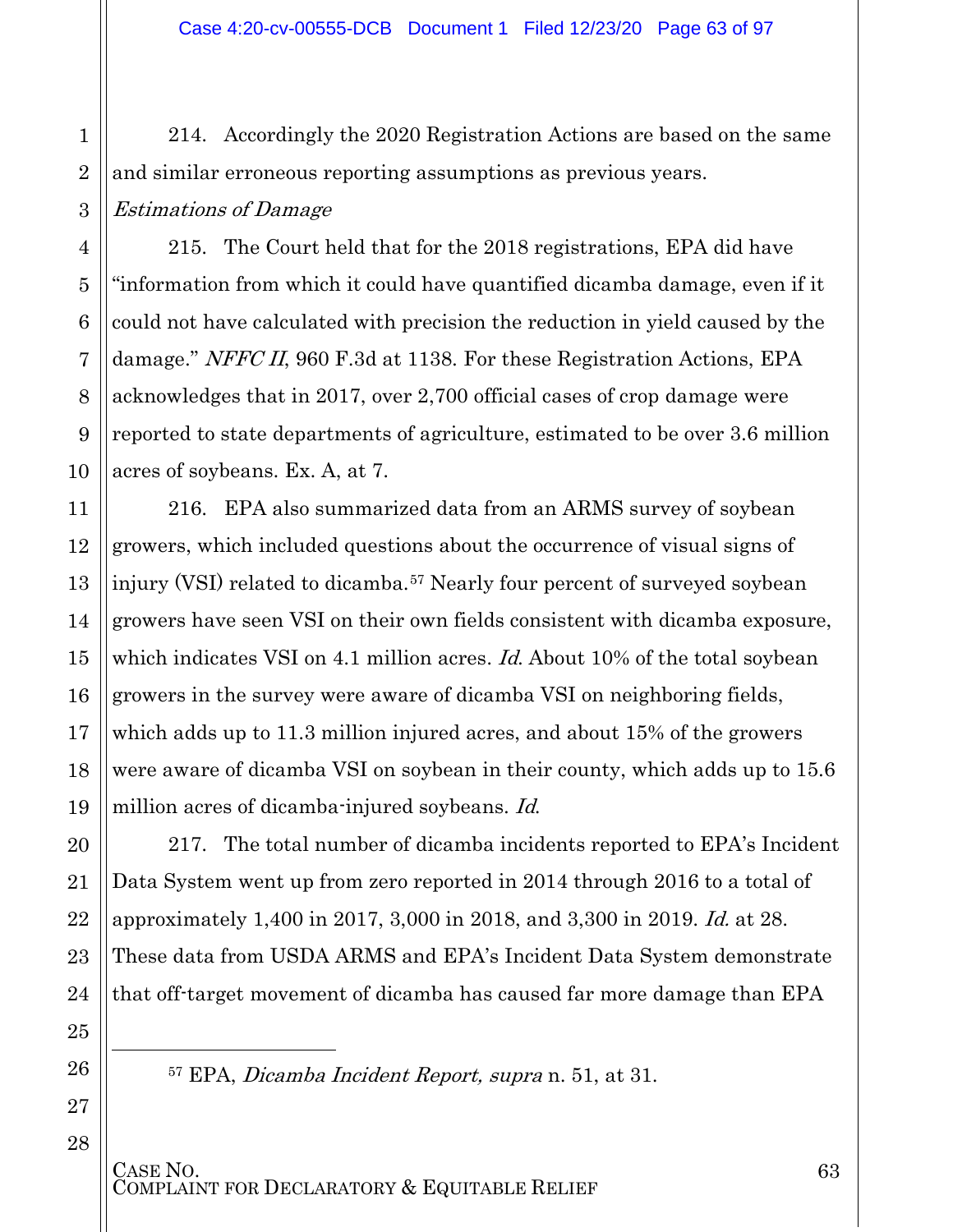214. Accordingly the 2020 Registration Actions are based on the same and similar erroneous reporting assumptions as previous years. Estimations of Damage

215. The Court held that for the 2018 registrations, EPA did have "information from which it could have quantified dicamba damage, even if it could not have calculated with precision the reduction in yield caused by the damage." NFFC II, 960 F.3d at 1138. For these Registration Actions, EPA acknowledges that in 2017, over 2,700 official cases of crop damage were reported to state departments of agriculture, estimated to be over 3.6 million acres of soybeans. Ex. A, at 7.

216. EPA also summarized data from an ARMS survey of soybean growers, which included questions about the occurrence of visual signs of injury (VSI) related to dicamba.<sup>[57](#page-62-0)</sup> Nearly four percent of surveyed soybean growers have seen VSI on their own fields consistent with dicamba exposure, which indicates VSI on 4.1 million acres. *Id.* About 10% of the total soybean growers in the survey were aware of dicamba VSI on neighboring fields, which adds up to 11.3 million injured acres, and about 15% of the growers were aware of dicamba VSI on soybean in their county, which adds up to 15.6 million acres of dicamba-injured soybeans. Id.

217. The total number of dicamba incidents reported to EPA's Incident Data System went up from zero reported in 2014 through 2016 to a total of approximately 1,400 in 2017, 3,000 in 2018, and 3,300 in 2019. Id. at 28. These data from USDA ARMS and EPA's Incident Data System demonstrate that off-target movement of dicamba has caused far more damage than EPA

<sup>57</sup> EPA, Dicamba Incident Report, supra n. 51, at 31.

CASE NO.<br>COMPLAINT FOR DECLARATORY & EQUITABLE RELIEF

<span id="page-62-0"></span> $\overline{a}$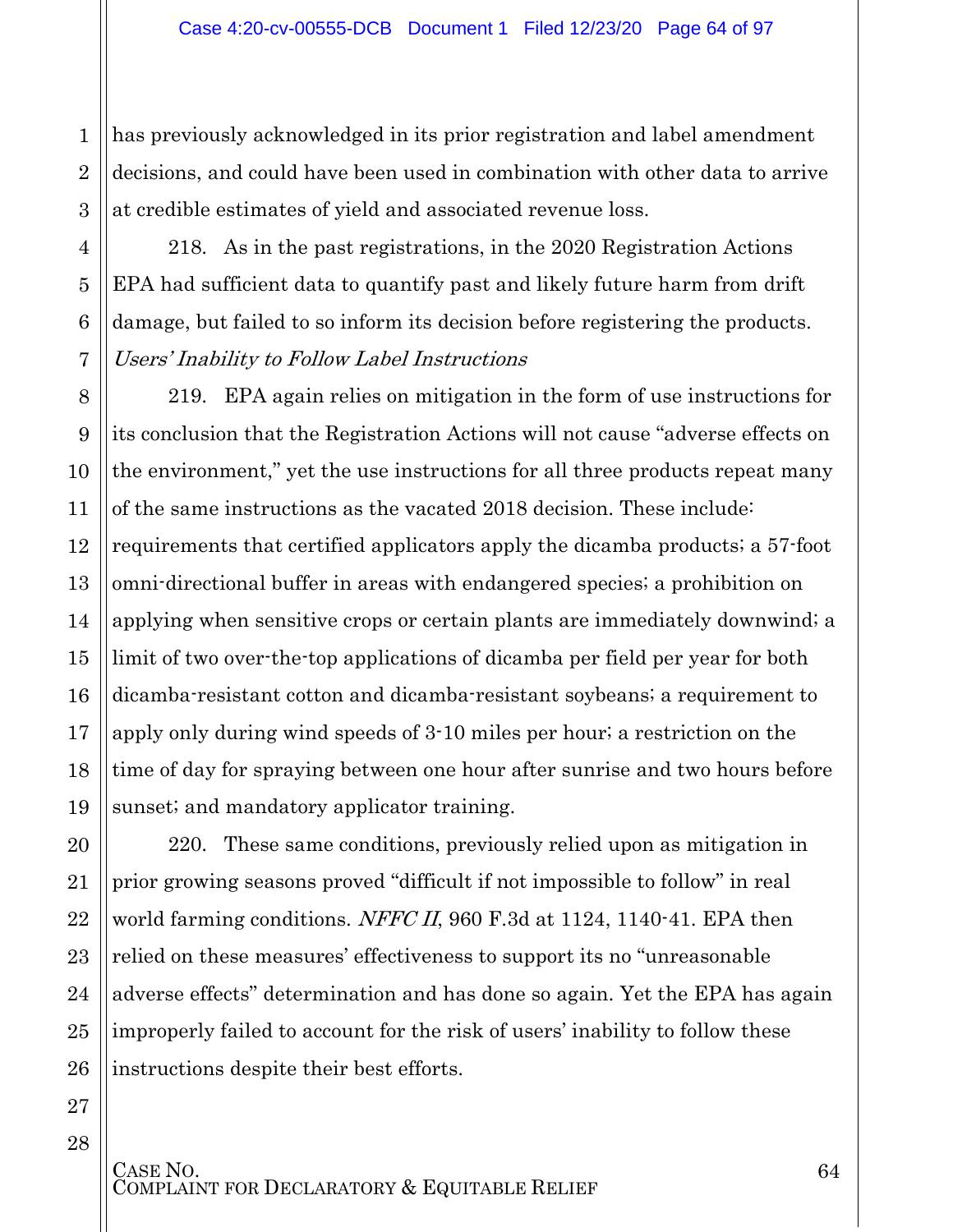3 has previously acknowledged in its prior registration and label amendment decisions, and could have been used in combination with other data to arrive at credible estimates of yield and associated revenue loss.

218. As in the past registrations, in the 2020 Registration Actions EPA had sufficient data to quantify past and likely future harm from drift damage, but failed to so inform its decision before registering the products. Users' Inability to Follow Label Instructions

8 9 10 11 12 13 14 15 16 17 18 19 219. EPA again relies on mitigation in the form of use instructions for its conclusion that the Registration Actions will not cause "adverse effects on the environment," yet the use instructions for all three products repeat many of the same instructions as the vacated 2018 decision. These include: requirements that certified applicators apply the dicamba products; a 57-foot omni-directional buffer in areas with endangered species; a prohibition on applying when sensitive crops or certain plants are immediately downwind; a limit of two over-the-top applications of dicamba per field per year for both dicamba-resistant cotton and dicamba-resistant soybeans; a requirement to apply only during wind speeds of 3-10 miles per hour; a restriction on the time of day for spraying between one hour after sunrise and two hours before sunset; and mandatory applicator training.

220. These same conditions, previously relied upon as mitigation in prior growing seasons proved "difficult if not impossible to follow" in real world farming conditions. NFFC II, 960 F.3d at 1124, 1140-41. EPA then relied on these measures' effectiveness to support its no "unreasonable adverse effects" determination and has done so again. Yet the EPA has again improperly failed to account for the risk of users' inability to follow these instructions despite their best efforts.

20

21

22

23

24

25

26

1

2

4

5

6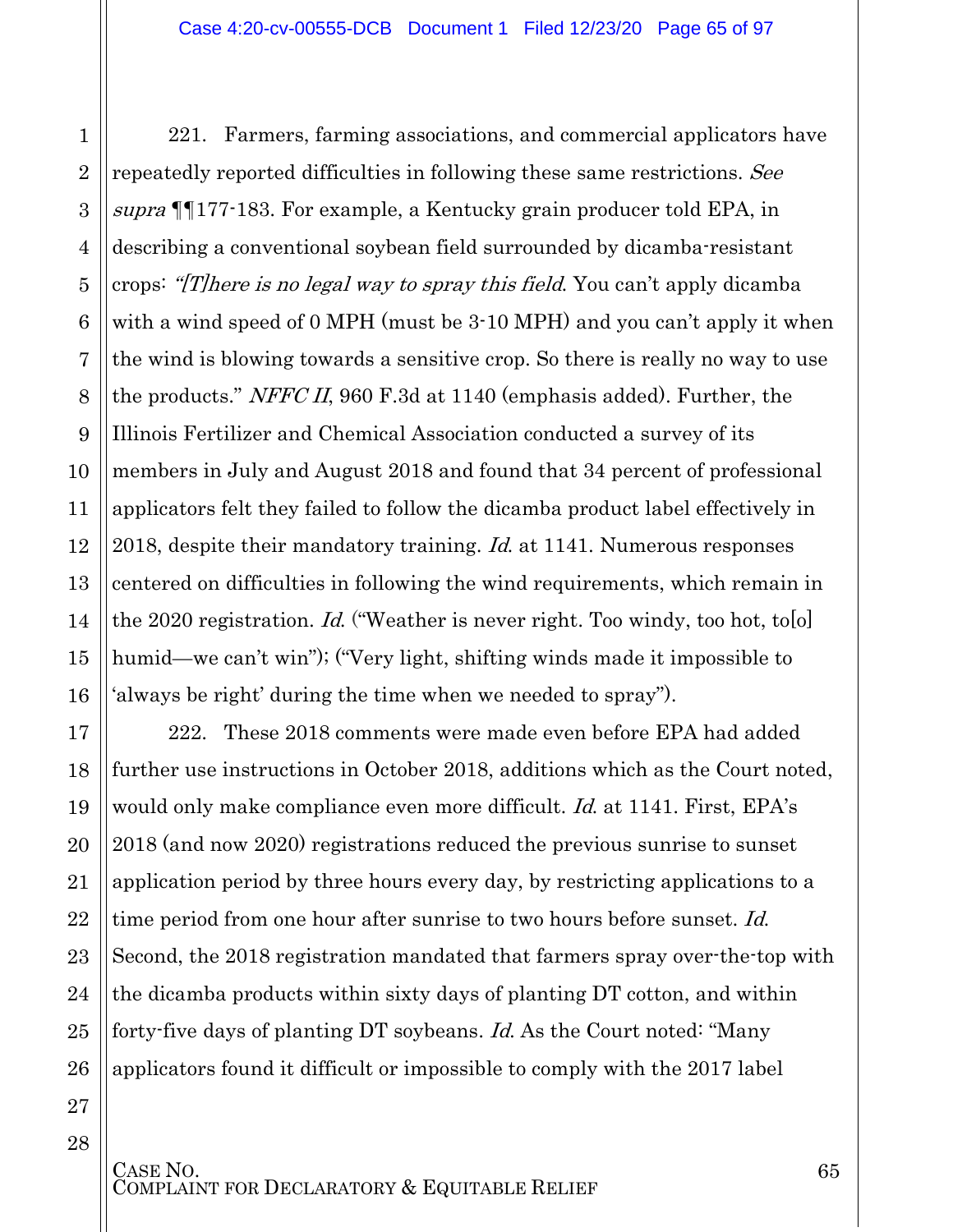1

2

3

4

5

6

7

8

9

10

11

12

13

14

15

16

17

18

19

20

21

22

23

24

25

26

27

28

221. Farmers, farming associations, and commercial applicators have repeatedly reported difficulties in following these same restrictions. See supra ¶¶177-183. For example, a Kentucky grain producer told EPA, in describing a conventional soybean field surrounded by dicamba-resistant crops: "[T]here is no legal way to spray this field. You can't apply dicamba with a wind speed of 0 MPH (must be 3.10 MPH) and you can't apply it when the wind is blowing towards a sensitive crop. So there is really no way to use the products." *NFFC II*, 960 F.3d at 1140 (emphasis added). Further, the Illinois Fertilizer and Chemical Association conducted a survey of its members in July and August 2018 and found that 34 percent of professional applicators felt they failed to follow the dicamba product label effectively in 2018, despite their mandatory training. *Id.* at 1141. Numerous responses centered on difficulties in following the wind requirements, which remain in the 2020 registration. Id. ("Weather is never right. Too windy, too hot, to[o] humid—we can't win"); ("Very light, shifting winds made it impossible to 'always be right' during the time when we needed to spray").

222. These 2018 comments were made even before EPA had added further use instructions in October 2018, additions which as the Court noted, would only make compliance even more difficult. *Id.* at 1141. First, EPA's 2018 (and now 2020) registrations reduced the previous sunrise to sunset application period by three hours every day, by restricting applications to a time period from one hour after sunrise to two hours before sunset. Id. Second, the 2018 registration mandated that farmers spray over-the-top with the dicamba products within sixty days of planting DT cotton, and within forty-five days of planting DT soybeans. Id. As the Court noted: "Many applicators found it difficult or impossible to comply with the 2017 label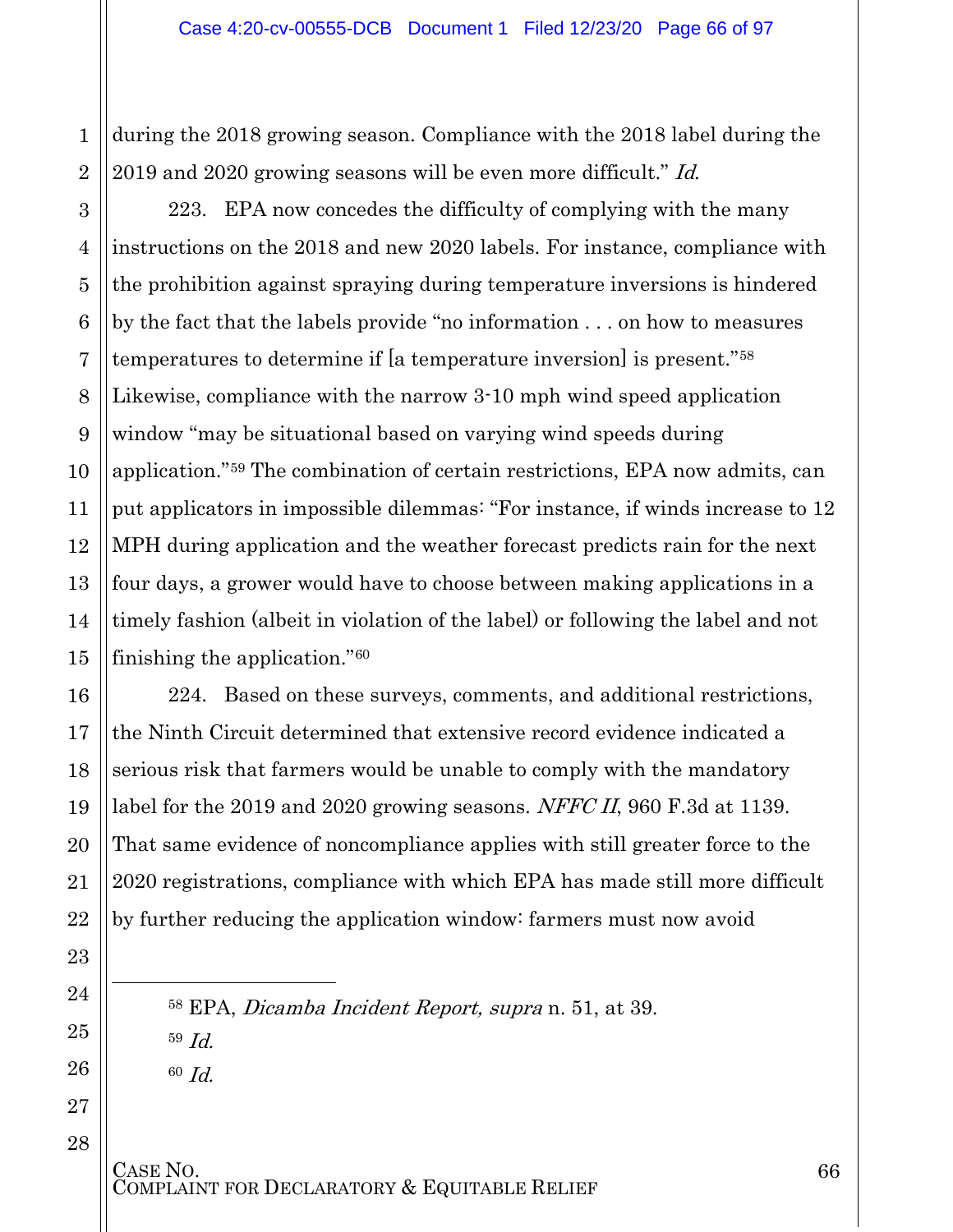1 during the 2018 growing season. Compliance with the 2018 label during the 2019 and 2020 growing seasons will be even more difficult." *Id.* 

223. EPA now concedes the difficulty of complying with the many instructions on the 2018 and new 2020 labels. For instance, compliance with the prohibition against spraying during temperature inversions is hindered by the fact that the labels provide "no information . . . on how to measures temperatures to determine if [a temperature inversion] is present."[58](#page-65-0) Likewise, compliance with the narrow 3-10 mph wind speed application window "may be situational based on varying wind speeds during application."[59](#page-65-1) The combination of certain restrictions, EPA now admits, can put applicators in impossible dilemmas: "For instance, if winds increase to 12 MPH during application and the weather forecast predicts rain for the next four days, a grower would have to choose between making applications in a timely fashion (albeit in violation of the label) or following the label and not finishing the application."[60](#page-65-2)

224. Based on these surveys, comments, and additional restrictions, the Ninth Circuit determined that extensive record evidence indicated a serious risk that farmers would be unable to comply with the mandatory label for the 2019 and 2020 growing seasons. NFFC II, 960 F.3d at 1139. That same evidence of noncompliance applies with still greater force to the 2020 registrations, compliance with which EPA has made still more difficult by further reducing the application window: farmers must now avoid

<sup>58</sup> EPA, Dicamba Incident Report, supra n. 51, at 39. 59 Id.

60 Id.

<span id="page-65-2"></span><span id="page-65-1"></span><span id="page-65-0"></span>l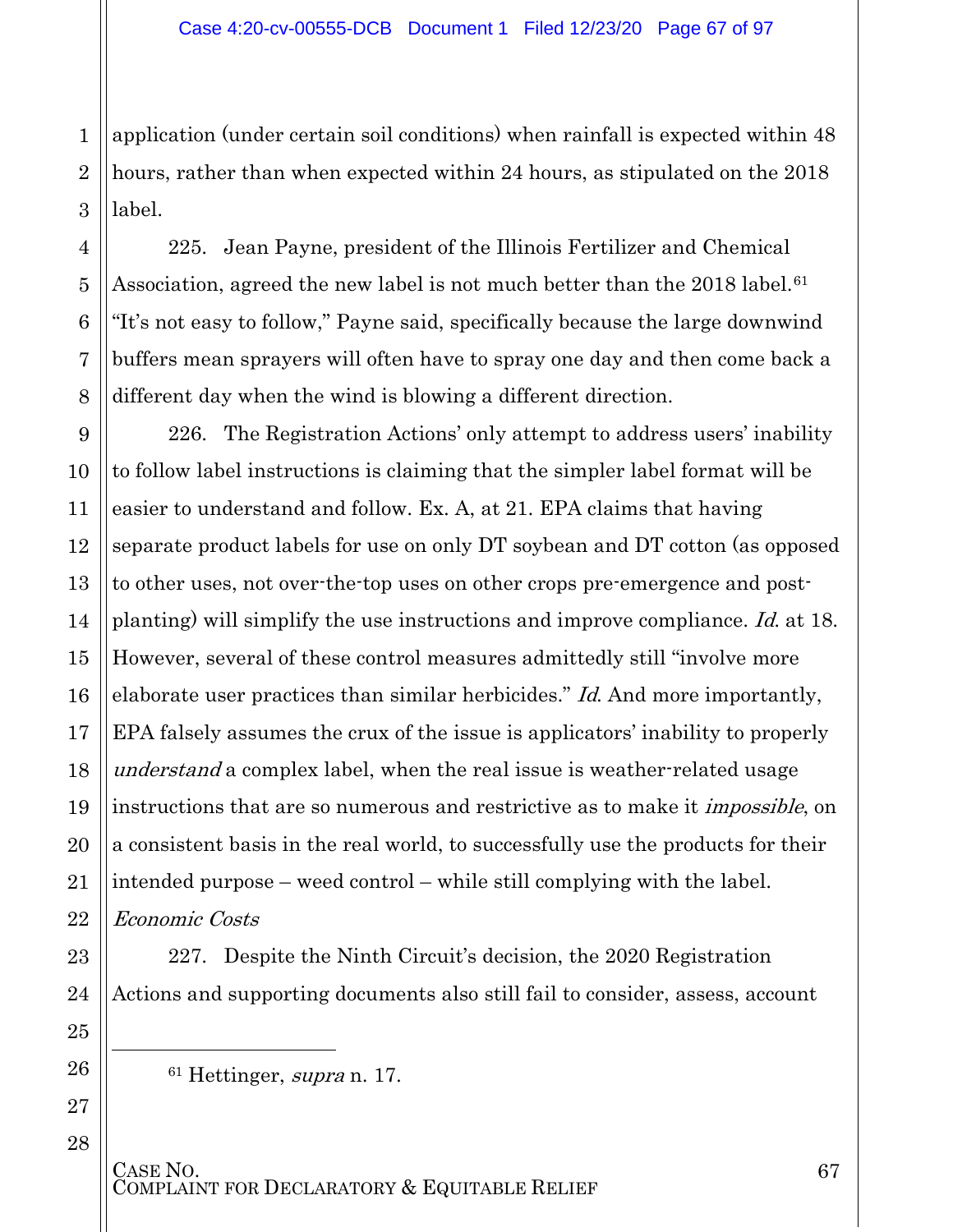1 application (under certain soil conditions) when rainfall is expected within 48 hours, rather than when expected within 24 hours, as stipulated on the 2018 label.

225. Jean Payne, president of the Illinois Fertilizer and Chemical Association, agreed the new label is not much better than the 2018 label.<sup>[61](#page-66-0)</sup> "It's not easy to follow," Payne said, specifically because the large downwind buffers mean sprayers will often have to spray one day and then come back a different day when the wind is blowing a different direction.

226. The Registration Actions' only attempt to address users' inability to follow label instructions is claiming that the simpler label format will be easier to understand and follow. Ex. A, at 21. EPA claims that having separate product labels for use on only DT soybean and DT cotton (as opposed to other uses, not over-the-top uses on other crops pre-emergence and postplanting) will simplify the use instructions and improve compliance. Id. at 18. However, several of these control measures admittedly still "involve more elaborate user practices than similar herbicides." Id. And more importantly, EPA falsely assumes the crux of the issue is applicators' inability to properly understand a complex label, when the real issue is weather-related usage instructions that are so numerous and restrictive as to make it *impossible*, on a consistent basis in the real world, to successfully use the products for their intended purpose – weed control – while still complying with the label. Economic Costs

227. Despite the Ninth Circuit's decision, the 2020 Registration Actions and supporting documents also still fail to consider, assess, account

<sup>61</sup> Hettinger, supra n. 17.

# CASE NO.<br>COMPLAINT FOR DECLARATORY & EQUITABLE RELIEF

<span id="page-66-0"></span> $\overline{a}$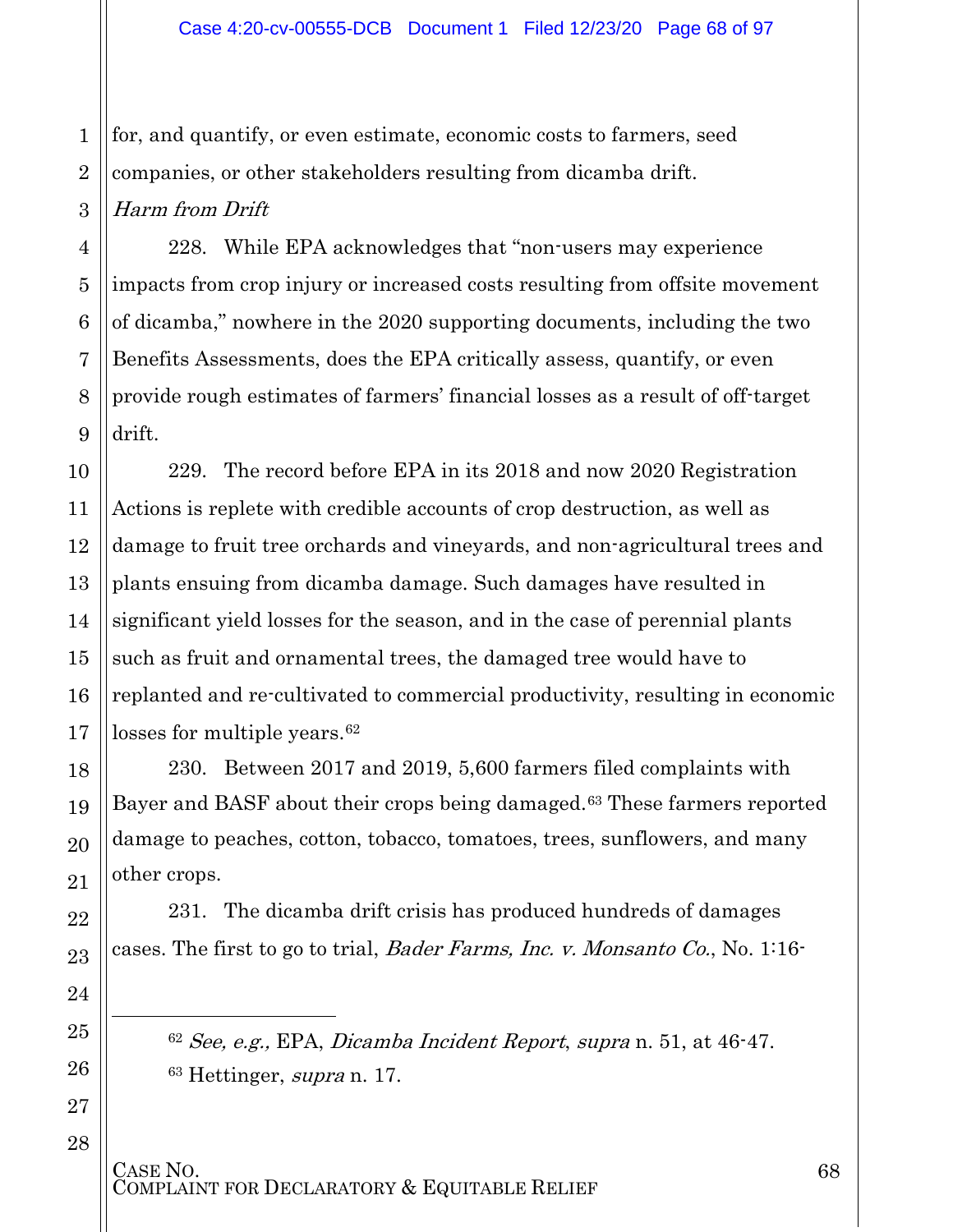1 2 3 for, and quantify, or even estimate, economic costs to farmers, seed companies, or other stakeholders resulting from dicamba drift. Harm from Drift

4

5

6

7

8

9

18

19

20

21

22

23

24

<span id="page-67-0"></span>25

l

<span id="page-67-1"></span>26

27

28

228. While EPA acknowledges that "non-users may experience impacts from crop injury or increased costs resulting from offsite movement of dicamba," nowhere in the 2020 supporting documents, including the two Benefits Assessments, does the EPA critically assess, quantify, or even provide rough estimates of farmers' financial losses as a result of off-target drift.

10 11 12 13 14 15 16 17 229. The record before EPA in its 2018 and now 2020 Registration Actions is replete with credible accounts of crop destruction, as well as damage to fruit tree orchards and vineyards, and non-agricultural trees and plants ensuing from dicamba damage. Such damages have resulted in significant yield losses for the season, and in the case of perennial plants such as fruit and ornamental trees, the damaged tree would have to replanted and re-cultivated to commercial productivity, resulting in economic losses for multiple years.<sup>[62](#page-67-0)</sup>

230. Between 2017 and 2019, 5,600 farmers filed complaints with Bayer and BASF about their crops being damaged.[63](#page-67-1) These farmers reported damage to peaches, cotton, tobacco, tomatoes, trees, sunflowers, and many other crops.

231. The dicamba drift crisis has produced hundreds of damages cases. The first to go to trial, *Bader Farms, Inc. v. Monsanto Co.*, No. 1:16-

 $62$  See, e.g., EPA, Dicamba Incident Report, supra n. 51, at  $46-47$ .  $63$  Hettinger, supra n. 17.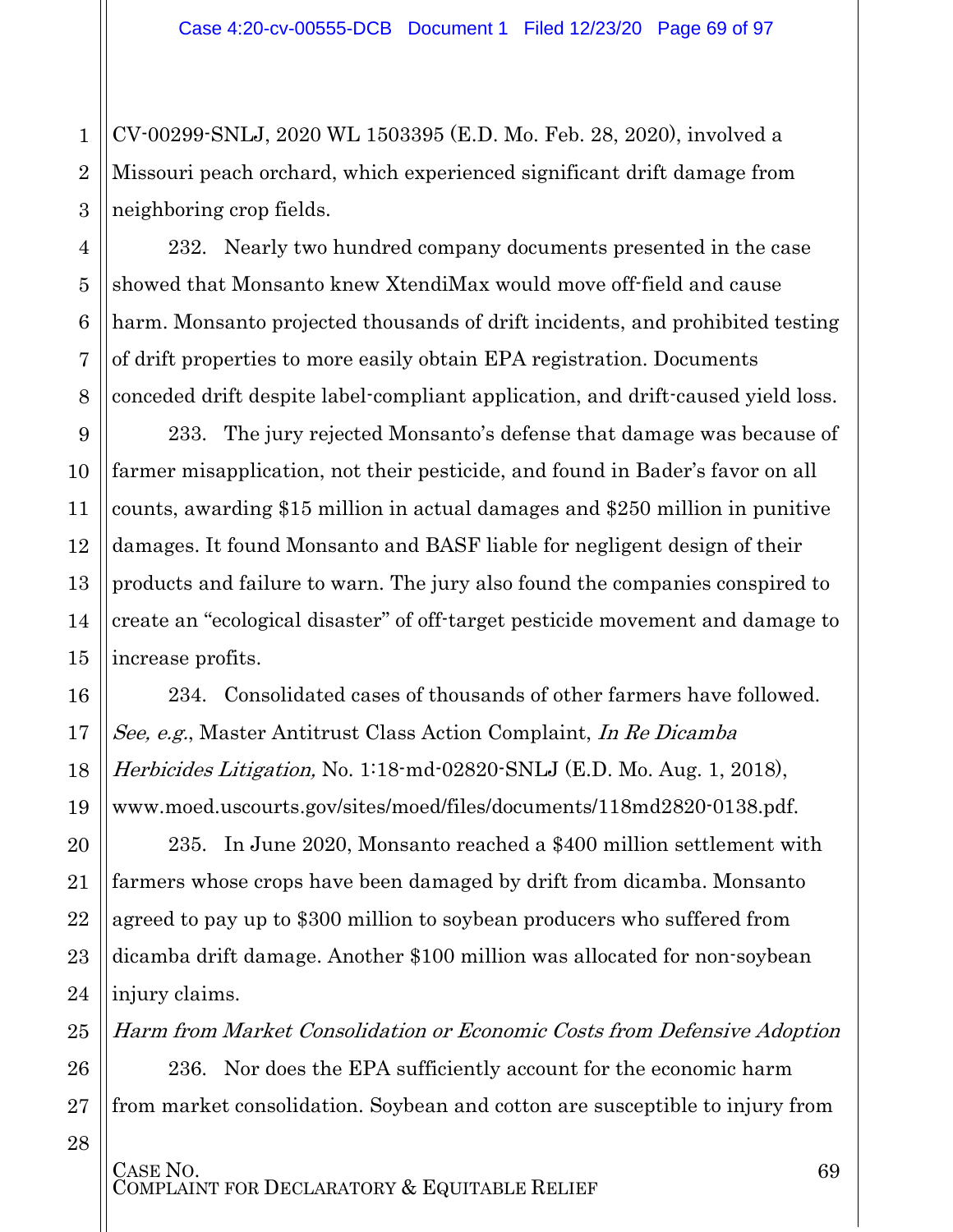CV-00299-SNLJ, 2020 WL 1503395 (E.D. Mo. Feb. 28, 2020), involved a Missouri peach orchard, which experienced significant drift damage from neighboring crop fields.

232. Nearly two hundred company documents presented in the case showed that Monsanto knew XtendiMax would move off-field and cause harm. Monsanto projected thousands of drift incidents, and prohibited testing of drift properties to more easily obtain EPA registration. Documents conceded drift despite label-compliant application, and drift-caused yield loss.

233. The jury rejected Monsanto's defense that damage was because of farmer misapplication, not their pesticide, and found in Bader's favor on all counts, awarding \$15 million in actual damages and \$250 million in punitive damages. It found Monsanto and BASF liable for negligent design of their products and failure to warn. The jury also found the companies conspired to create an "ecological disaster" of off-target pesticide movement and damage to increase profits.

234. Consolidated cases of thousands of other farmers have followed. See, e.g., Master Antitrust Class Action Complaint, In Re Dicamba Herbicides Litigation, No. 1:18-md-02820-SNLJ (E.D. Mo. Aug. 1, 2018), www.moed.uscourts.gov/sites/moed/files/documents/118md2820-0138.pdf.

235. In June 2020, Monsanto reached a \$400 million settlement with farmers whose crops have been damaged by drift from dicamba. Monsanto agreed to pay up to \$300 million to soybean producers who suffered from dicamba drift damage. Another \$100 million was allocated for non-soybean injury claims.

Harm from Market Consolidation or Economic Costs from Defensive Adoption

236. Nor does the EPA sufficiently account for the economic harm from market consolidation. Soybean and cotton are susceptible to injury from

28

1

2

3

4

5

6

7

8

9

10

11

12

13

14

15

16

17

18

19

20

21

22

23

24

25

26

27

CASE NO.<br>COMPLAINT FOR DECLARATORY & EQUITABLE RELIEF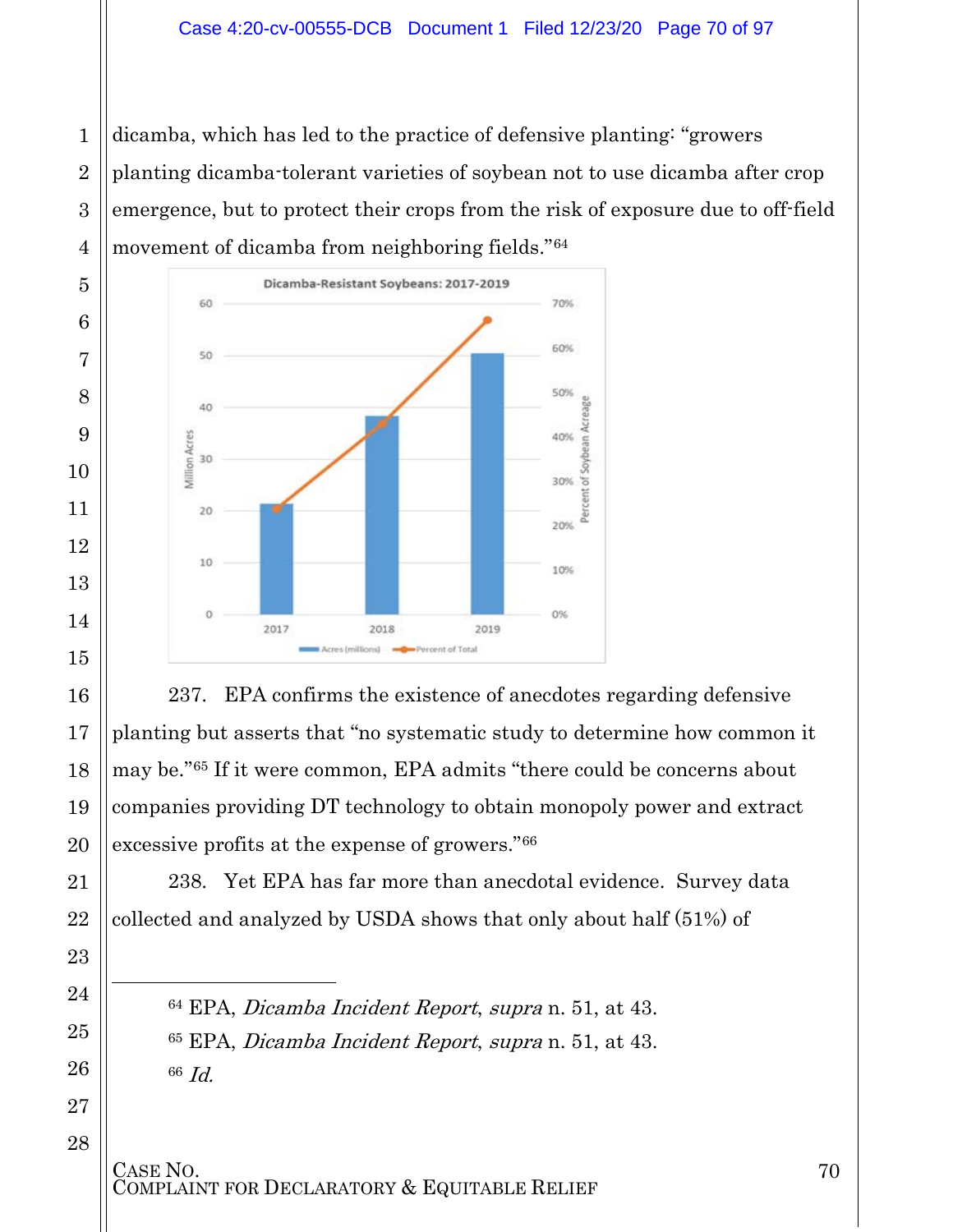#### Case 4:20-cv-00555-DCB Document 1 Filed 12/23/20 Page 70 of 97

 dicamba, which has led to the practice of defensive planting: "growers planting dicamba-tolerant varieties of soybean not to use dicamba after crop emergence, but to protect their crops from the risk of exposure due to off-field movement of dicamba from neighboring fields."[64](#page-69-0)



237. EPA confirms the existence of anecdotes regarding defensive planting but asserts that "no systematic study to determine how common it may be."[65](#page-69-1) If it were common, EPA admits "there could be concerns about companies providing DT technology to obtain monopoly power and extract excessive profits at the expense of growers."[66](#page-69-2)

238. Yet EPA has far more than anecdotal evidence. Survey data collected and analyzed by USDA shows that only about half (51%) of

 EPA, Dicamba Incident Report, supra n. 51, at 43. EPA, Dicamba Incident Report, supra n. 51, at 43. Id.

<span id="page-69-2"></span>CASE NO.<br>COMPLAINT FOR DECLARATORY & EQUITABLE RELIEF

<span id="page-69-1"></span><span id="page-69-0"></span>l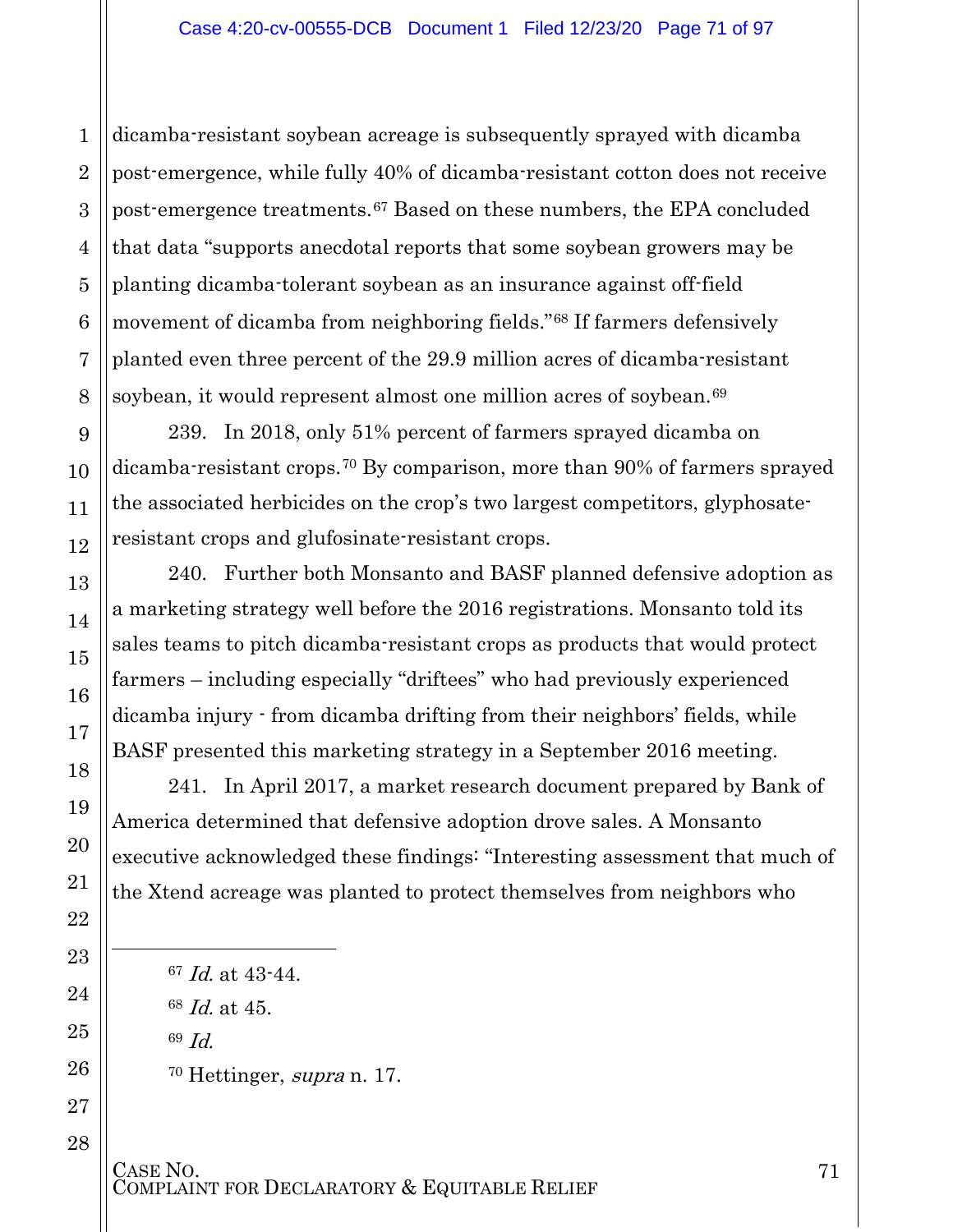dicamba-resistant soybean acreage is subsequently sprayed with dicamba post-emergence, while fully 40% of dicamba-resistant cotton does not receive post-emergence treatments.[67](#page-70-0) Based on these numbers, the EPA concluded that data "supports anecdotal reports that some soybean growers may be planting dicamba-tolerant soybean as an insurance against off-field movement of dicamba from neighboring fields."[68](#page-70-1) If farmers defensively planted even three percent of the 29.9 million acres of dicamba-resistant soybean, it would represent almost one million acres of soybean.<sup>[69](#page-70-2)</sup>

239. In 2018, only 51% percent of farmers sprayed dicamba on dicamba-resistant crops.[70](#page-70-3) By comparison, more than 90% of farmers sprayed the associated herbicides on the crop's two largest competitors, glyphosateresistant crops and glufosinate-resistant crops.

240. Further both Monsanto and BASF planned defensive adoption as a marketing strategy well before the 2016 registrations. Monsanto told its sales teams to pitch dicamba-resistant crops as products that would protect farmers – including especially "driftees" who had previously experienced dicamba injury - from dicamba drifting from their neighbors' fields, while BASF presented this marketing strategy in a September 2016 meeting.

241. In April 2017, a market research document prepared by Bank of America determined that defensive adoption drove sales. A Monsanto executive acknowledged these findings: "Interesting assessment that much of the Xtend acreage was planted to protect themselves from neighbors who

 *Id.* at  $43-44$ . Id. at 45. 69 Id. Hettinger, supra n. 17.

<span id="page-70-3"></span>CASE NO.<br>COMPLAINT FOR DECLARATORY & EQUITABLE RELIEF

<span id="page-70-2"></span><span id="page-70-1"></span><span id="page-70-0"></span> $\overline{a}$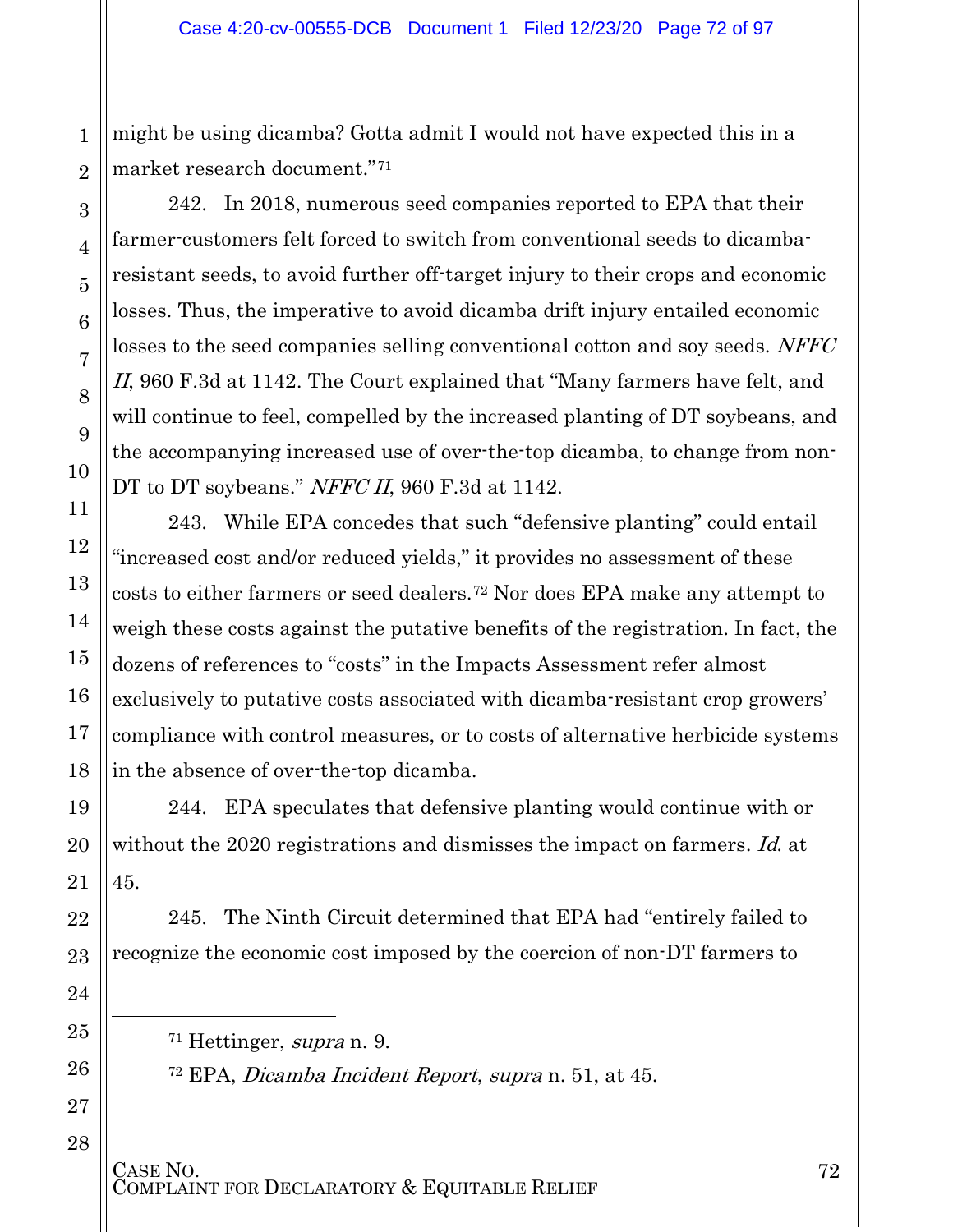might be using dicamba? Gotta admit I would not have expected this in a market research document."[71](#page-71-0)

242. In 2018, numerous seed companies reported to EPA that their farmer-customers felt forced to switch from conventional seeds to dicambaresistant seeds, to avoid further off-target injury to their crops and economic losses. Thus, the imperative to avoid dicamba drift injury entailed economic losses to the seed companies selling conventional cotton and soy seeds. NFFC II, 960 F.3d at 1142. The Court explained that "Many farmers have felt, and will continue to feel, compelled by the increased planting of DT soybeans, and the accompanying increased use of over-the-top dicamba, to change from non-DT to DT soybeans." NFFC II, 960 F.3d at 1142.

243. While EPA concedes that such "defensive planting" could entail "increased cost and/or reduced yields," it provides no assessment of these costs to either farmers or seed dealers.[72](#page-71-1) Nor does EPA make any attempt to weigh these costs against the putative benefits of the registration. In fact, the dozens of references to "costs" in the Impacts Assessment refer almost exclusively to putative costs associated with dicamba-resistant crop growers' compliance with control measures, or to costs of alternative herbicide systems in the absence of over-the-top dicamba.

244. EPA speculates that defensive planting would continue with or without the 2020 registrations and dismisses the impact on farmers. Id. at 45.

245. The Ninth Circuit determined that EPA had "entirely failed to recognize the economic cost imposed by the coercion of non-DT farmers to

 $71$  Hettinger, supra n. 9.

<sup>72</sup> EPA, Dicamba Incident Report, supra n. 51, at 45.

CASE NO.<br>COMPLAINT FOR DECLARATORY & EQUITABLE RELIEF

<span id="page-71-1"></span><span id="page-71-0"></span>l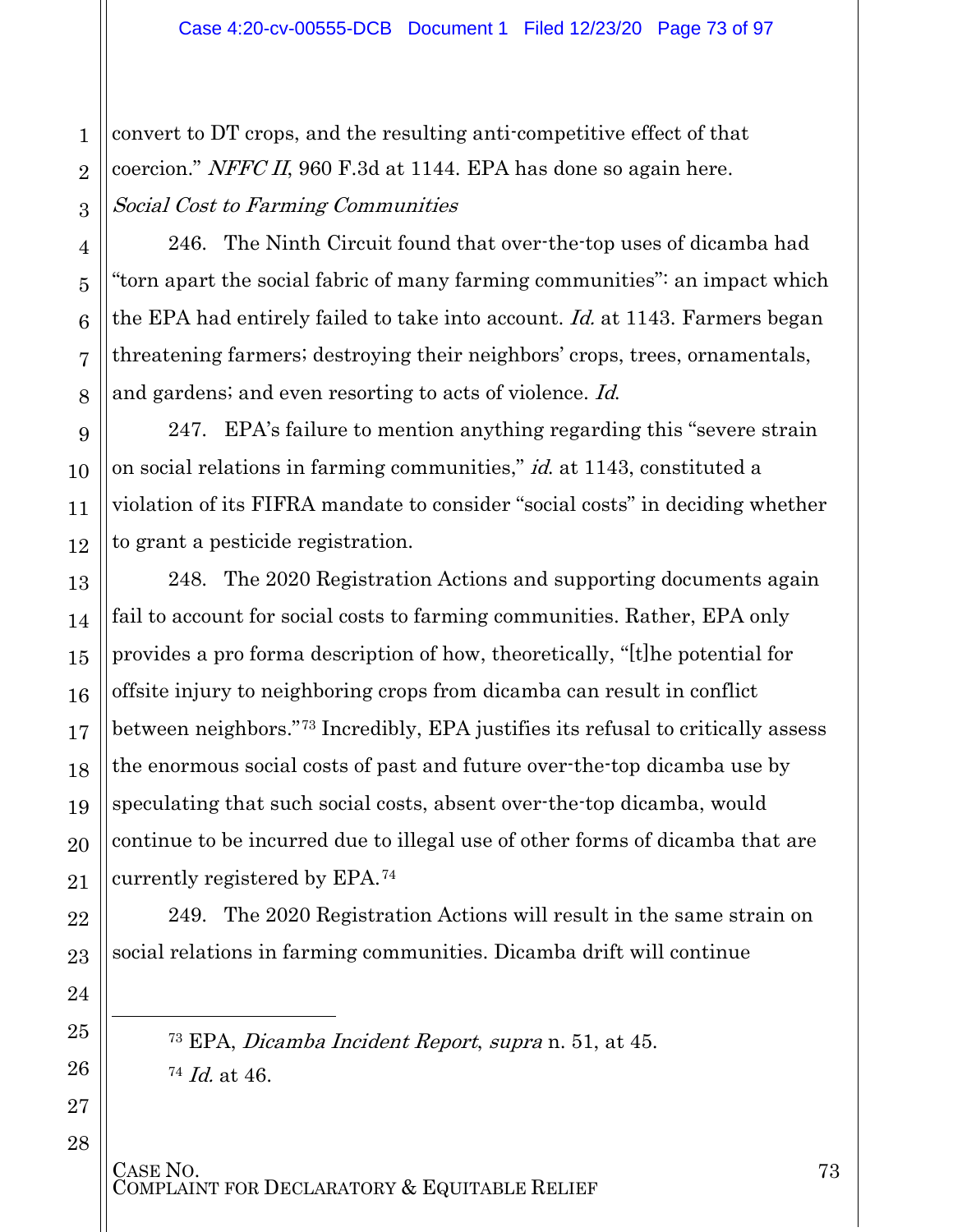convert to DT crops, and the resulting anti-competitive effect of that coercion." NFFC II, 960 F.3d at 1144. EPA has done so again here. Social Cost to Farming Communities

246. The Ninth Circuit found that over-the-top uses of dicamba had "torn apart the social fabric of many farming communities": an impact which the EPA had entirely failed to take into account. Id. at 1143. Farmers began threatening farmers; destroying their neighbors' crops, trees, ornamentals, and gardens; and even resorting to acts of violence. Id.

247. EPA's failure to mention anything regarding this "severe strain on social relations in farming communities," id. at 1143, constituted a violation of its FIFRA mandate to consider "social costs" in deciding whether to grant a pesticide registration.

248. The 2020 Registration Actions and supporting documents again fail to account for social costs to farming communities. Rather, EPA only provides a pro forma description of how, theoretically, "[t]he potential for offsite injury to neighboring crops from dicamba can result in conflict between neighbors."[73](#page-72-0) Incredibly, EPA justifies its refusal to critically assess the enormous social costs of past and future over-the-top dicamba use by speculating that such social costs, absent over-the-top dicamba, would continue to be incurred due to illegal use of other forms of dicamba that are currently registered by EPA.[74](#page-72-1)

249. The 2020 Registration Actions will result in the same strain on social relations in farming communities. Dicamba drift will continue

<sup>73</sup> EPA, Dicamba Incident Report, supra n. 51, at 45. <sup>74</sup> Id. at 46.

CASE NO.<br>COMPLAINT FOR DECLARATORY & EQUITABLE RELIEF

<span id="page-72-1"></span><span id="page-72-0"></span>l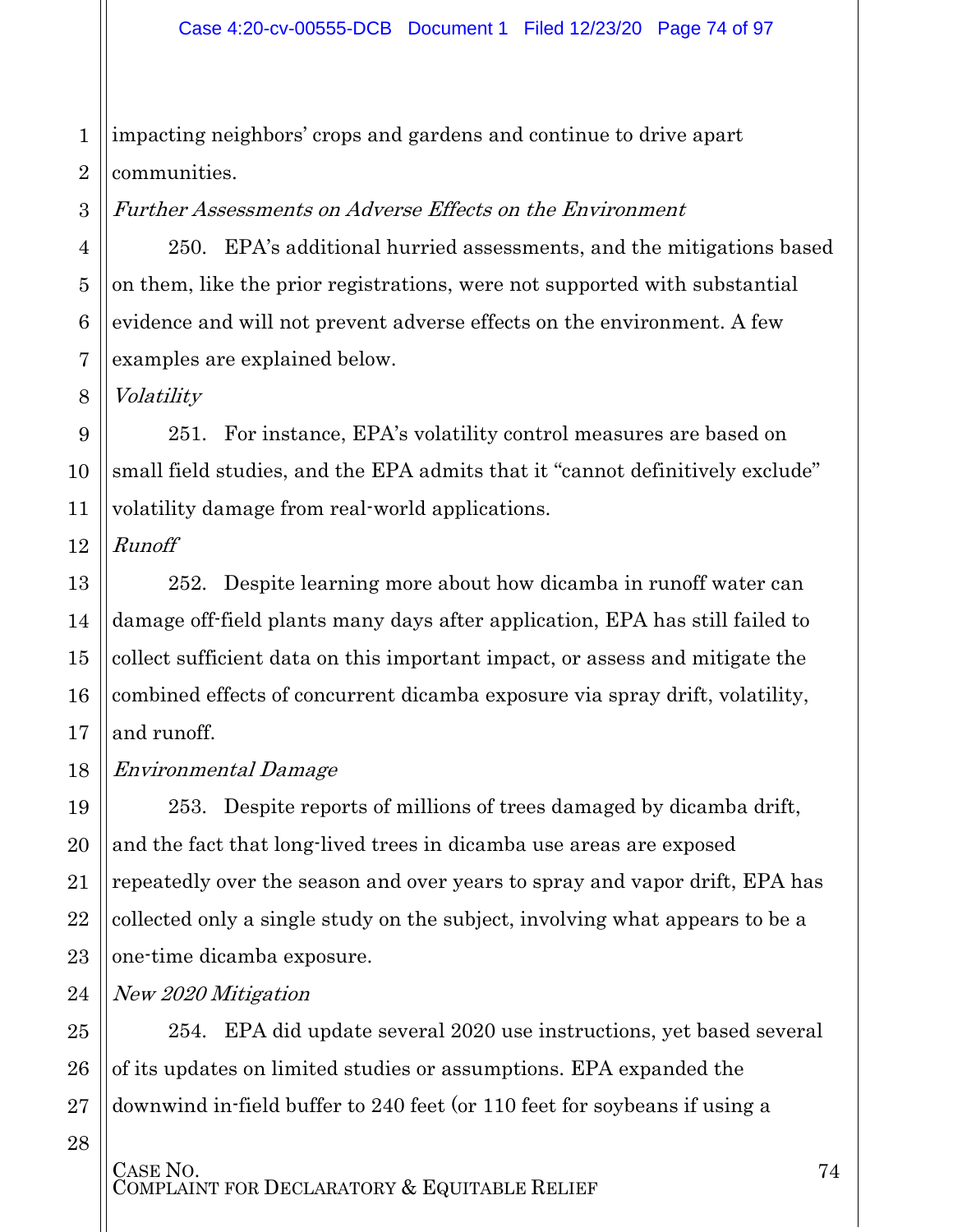1 2 impacting neighbors' crops and gardens and continue to drive apart communities.

Further Assessments on Adverse Effects on the Environment

250. EPA's additional hurried assessments, and the mitigations based on them, like the prior registrations, were not supported with substantial evidence and will not prevent adverse effects on the environment. A few examples are explained below.

Volatility

3

4

5

6

7

8

12

13

14

15

16

17

19

20

21

22

23

25

26

27

9 10 11 251. For instance, EPA's volatility control measures are based on small field studies, and the EPA admits that it "cannot definitively exclude" volatility damage from real-world applications.

Runoff

252. Despite learning more about how dicamba in runoff water can damage off-field plants many days after application, EPA has still failed to collect sufficient data on this important impact, or assess and mitigate the combined effects of concurrent dicamba exposure via spray drift, volatility, and runoff.

18 Environmental Damage

> 253. Despite reports of millions of trees damaged by dicamba drift, and the fact that long-lived trees in dicamba use areas are exposed repeatedly over the season and over years to spray and vapor drift, EPA has collected only a single study on the subject, involving what appears to be a one-time dicamba exposure.

24 New 2020 Mitigation

> 254. EPA did update several 2020 use instructions, yet based several of its updates on limited studies or assumptions. EPA expanded the downwind in-field buffer to 240 feet (or 110 feet for soybeans if using a

28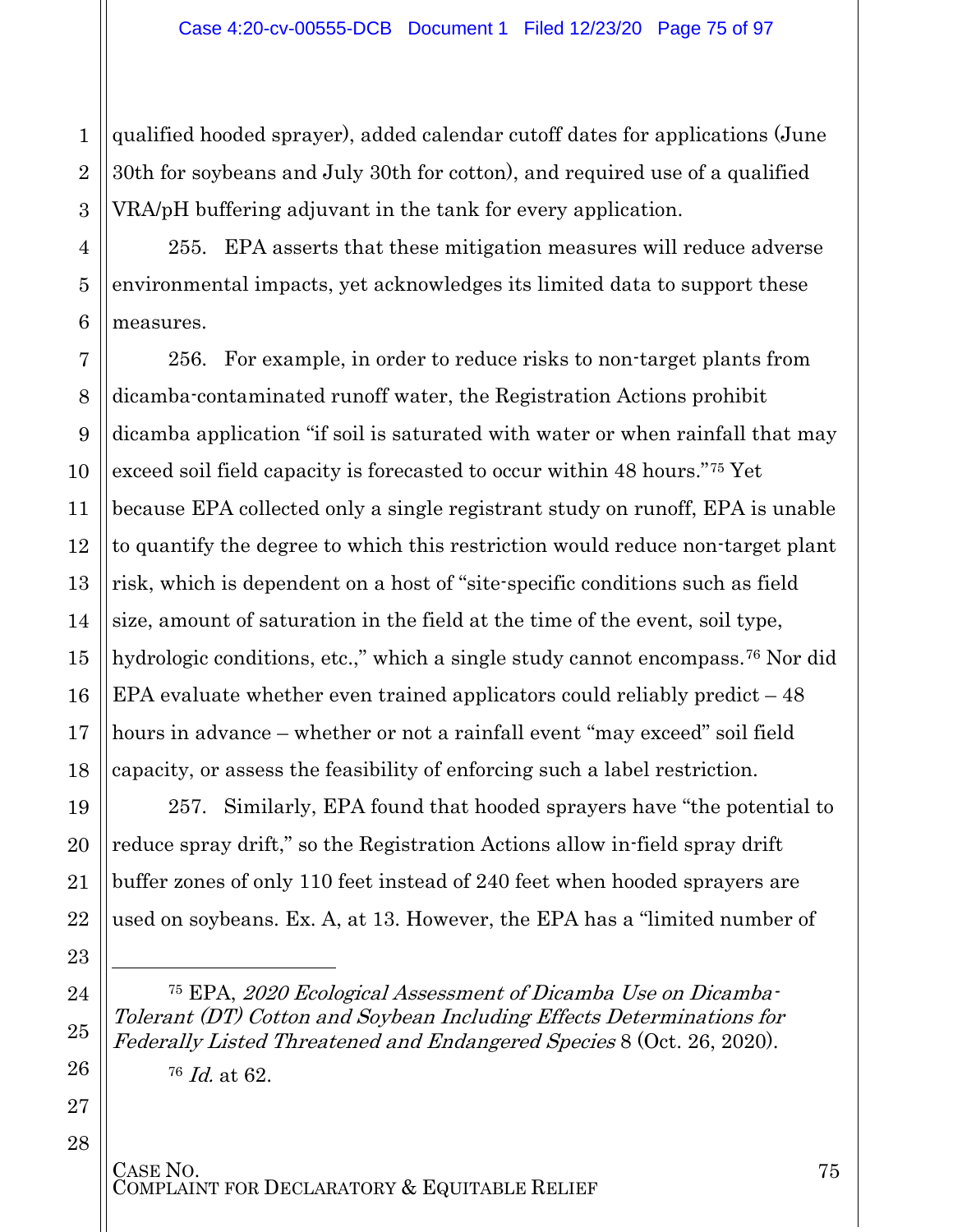qualified hooded sprayer), added calendar cutoff dates for applications (June 30th for soybeans and July 30th for cotton), and required use of a qualified VRA/pH buffering adjuvant in the tank for every application.

255. EPA asserts that these mitigation measures will reduce adverse environmental impacts, yet acknowledges its limited data to support these measures.

256. For example, in order to reduce risks to non-target plants from dicamba-contaminated runoff water, the Registration Actions prohibit dicamba application "if soil is saturated with water or when rainfall that may exceed soil field capacity is forecasted to occur within 48 hours."[75](#page-74-0) Yet because EPA collected only a single registrant study on runoff, EPA is unable to quantify the degree to which this restriction would reduce non-target plant risk, which is dependent on a host of "site-specific conditions such as field size, amount of saturation in the field at the time of the event, soil type, hydrologic conditions, etc.," which a single study cannot encompass.<sup>[76](#page-74-1)</sup> Nor did EPA evaluate whether even trained applicators could reliably predict – 48 hours in advance – whether or not a rainfall event "may exceed" soil field capacity, or assess the feasibility of enforcing such a label restriction.

257. Similarly, EPA found that hooded sprayers have "the potential to reduce spray drift," so the Registration Actions allow in-field spray drift buffer zones of only 110 feet instead of 240 feet when hooded sprayers are used on soybeans. Ex. A, at 13. However, the EPA has a "limited number of

<sup>75</sup> EPA, 2020 Ecological Assessment of Dicamba Use on Dicamba-Tolerant (DT) Cotton and Soybean Including Effects Determinations for Federally Listed Threatened and Endangered Species 8 (Oct. 26, 2020).

<sup>76</sup> Id. at 62.

28

1

2

3

4

5

6

7

8

9

10

11

12

13

14

15

16

17

18

19

20

21

22

23

 $\overline{a}$ 

<span id="page-74-0"></span>24

25

<span id="page-74-1"></span>26

27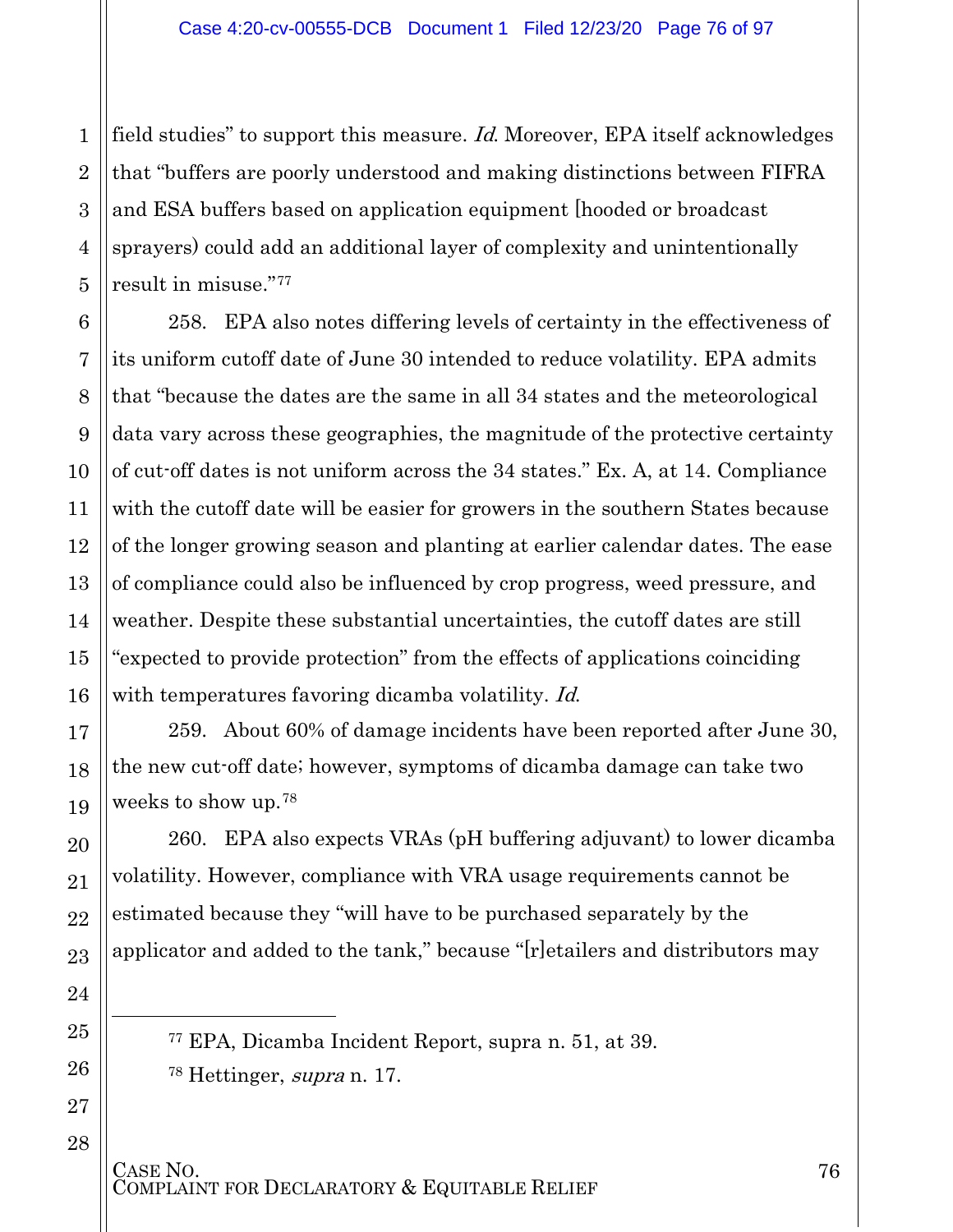2 3 4 5 field studies" to support this measure. *Id*. Moreover, EPA itself acknowledges that "buffers are poorly understood and making distinctions between FIFRA and ESA buffers based on application equipment [hooded or broadcast sprayers) could add an additional layer of complexity and unintentionally result in misuse."[77](#page-75-0)

1

6

7

8

9

10

11

12

13

14

15

16

17

18

19

20

21

22

23

24

<span id="page-75-0"></span>25

l

<span id="page-75-1"></span>26

27

28

258. EPA also notes differing levels of certainty in the effectiveness of its uniform cutoff date of June 30 intended to reduce volatility. EPA admits that "because the dates are the same in all 34 states and the meteorological data vary across these geographies, the magnitude of the protective certainty of cut-off dates is not uniform across the 34 states." Ex. A, at 14. Compliance with the cutoff date will be easier for growers in the southern States because of the longer growing season and planting at earlier calendar dates. The ease of compliance could also be influenced by crop progress, weed pressure, and weather. Despite these substantial uncertainties, the cutoff dates are still "expected to provide protection" from the effects of applications coinciding with temperatures favoring dicamba volatility. Id.

259. About 60% of damage incidents have been reported after June 30, the new cut-off date; however, symptoms of dicamba damage can take two weeks to show up.[78](#page-75-1)

260. EPA also expects VRAs (pH buffering adjuvant) to lower dicamba volatility. However, compliance with VRA usage requirements cannot be estimated because they "will have to be purchased separately by the applicator and added to the tank," because "[r]etailers and distributors may

<sup>77</sup> EPA, Dicamba Incident Report, supra n. 51, at 39. <sup>78</sup> Hettinger, supra n. 17.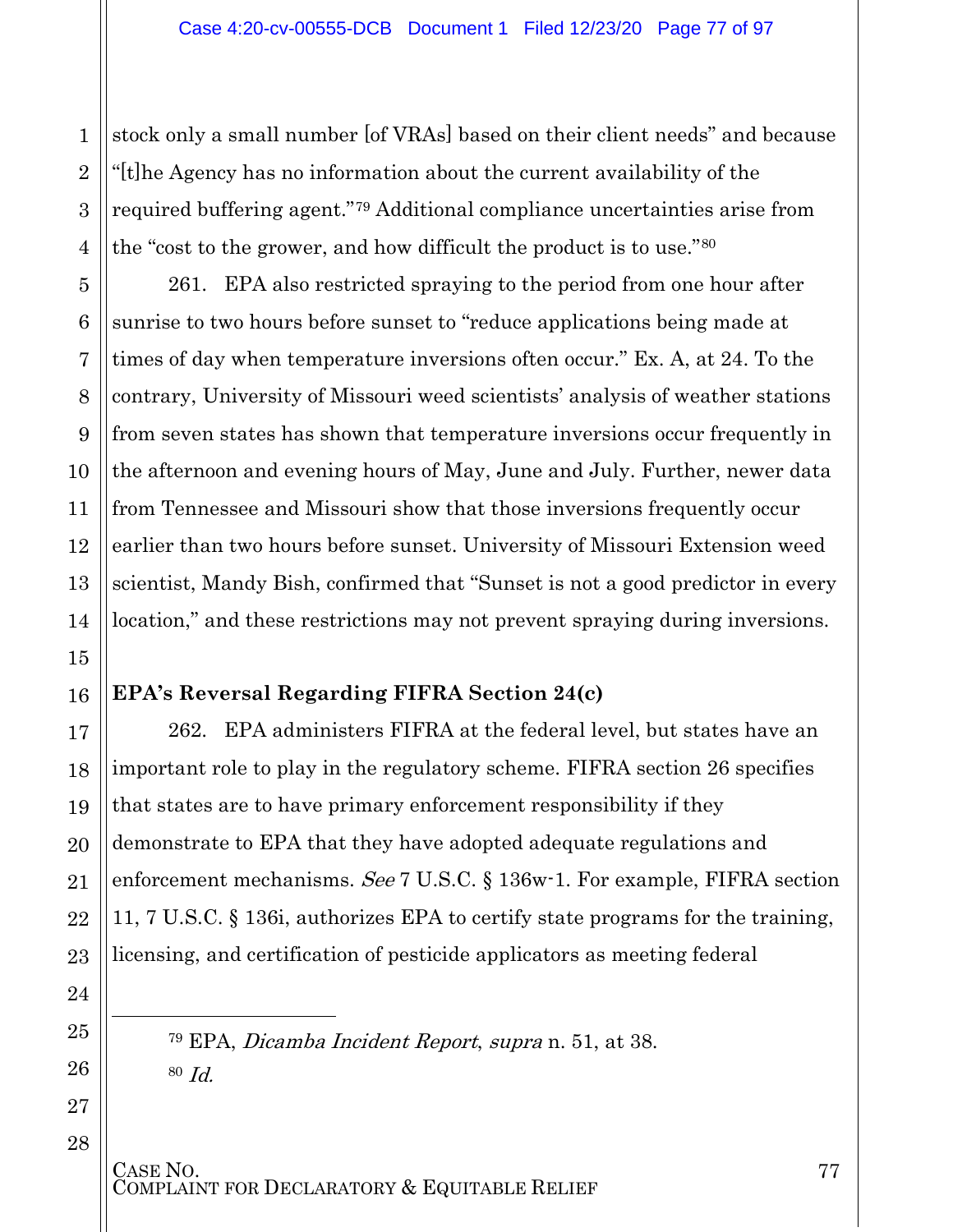stock only a small number [of VRAs] based on their client needs" and because "[t]he Agency has no information about the current availability of the required buffering agent."[79](#page-76-0) Additional compliance uncertainties arise from the "cost to the grower, and how difficult the product is to use."[80](#page-76-1)

261. EPA also restricted spraying to the period from one hour after sunrise to two hours before sunset to "reduce applications being made at times of day when temperature inversions often occur." Ex. A, at 24. To the contrary, University of Missouri weed scientists' analysis of weather stations from seven states has shown that temperature inversions occur frequently in the afternoon and evening hours of May, June and July. Further, newer data from Tennessee and Missouri show that those inversions frequently occur earlier than two hours before sunset. University of Missouri Extension weed scientist, Mandy Bish, confirmed that "Sunset is not a good predictor in every location," and these restrictions may not prevent spraying during inversions.

#### **EPA's Reversal Regarding FIFRA Section 24(c)**

262. EPA administers FIFRA at the federal level, but states have an important role to play in the regulatory scheme. FIFRA section 26 specifies that states are to have primary enforcement responsibility if they demonstrate to EPA that they have adopted adequate regulations and enforcement mechanisms. See 7 U.S.C. § 136w-1. For example, FIFRA section 11, 7 U.S.C. § 136i, authorizes EPA to certify state programs for the training, licensing, and certification of pesticide applicators as meeting federal

<sup>79</sup> EPA, Dicamba Incident Report, supra n. 51, at 38. 80 Id.

### CASE NO.<br>COMPLAINT FOR DECLARATORY & EQUITABLE RELIEF

<span id="page-76-1"></span><span id="page-76-0"></span>l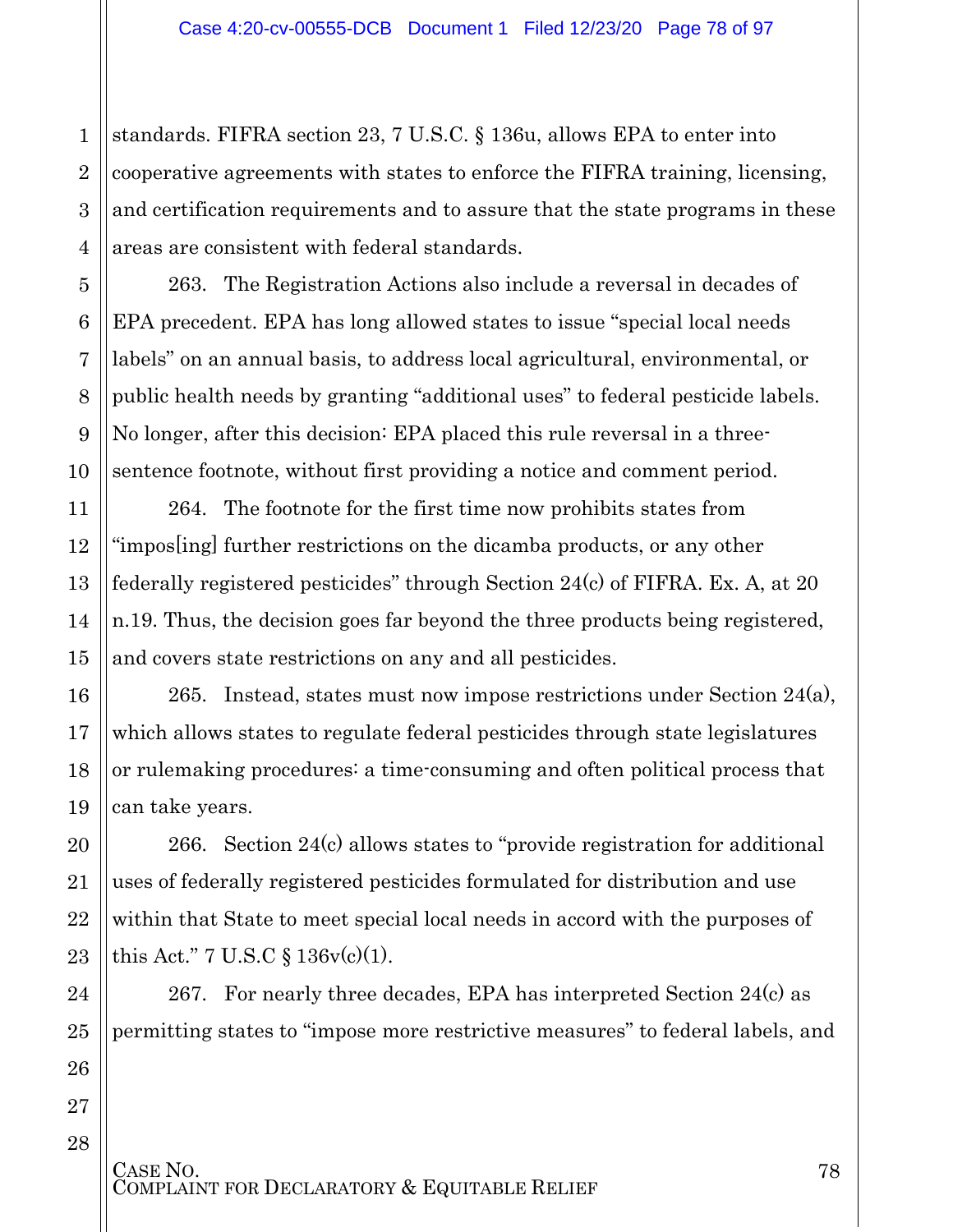1 2 3 4 standards. FIFRA section 23, 7 U.S.C. § 136u, allows EPA to enter into cooperative agreements with states to enforce the FIFRA training, licensing, and certification requirements and to assure that the state programs in these areas are consistent with federal standards.

263. The Registration Actions also include a reversal in decades of EPA precedent. EPA has long allowed states to issue "special local needs labels" on an annual basis, to address local agricultural, environmental, or public health needs by granting "additional uses" to federal pesticide labels. No longer, after this decision: EPA placed this rule reversal in a threesentence footnote, without first providing a notice and comment period.

264. The footnote for the first time now prohibits states from "impos[ing] further restrictions on the dicamba products, or any other federally registered pesticides" through Section 24(c) of FIFRA. Ex. A, at 20 n.19. Thus, the decision goes far beyond the three products being registered, and covers state restrictions on any and all pesticides.

265. Instead, states must now impose restrictions under Section 24(a), which allows states to regulate federal pesticides through state legislatures or rulemaking procedures: a time-consuming and often political process that can take years.

266. Section 24(c) allows states to "provide registration for additional uses of federally registered pesticides formulated for distribution and use within that State to meet special local needs in accord with the purposes of this Act." 7 U.S.C § 136v(c)(1).

267. For nearly three decades, EPA has interpreted Section 24(c) as permitting states to "impose more restrictive measures" to federal labels, and

5

6

7

8

9

10

11

12

13

14

15

16

17

18

19

20

21

22

23

24

25

26

27

28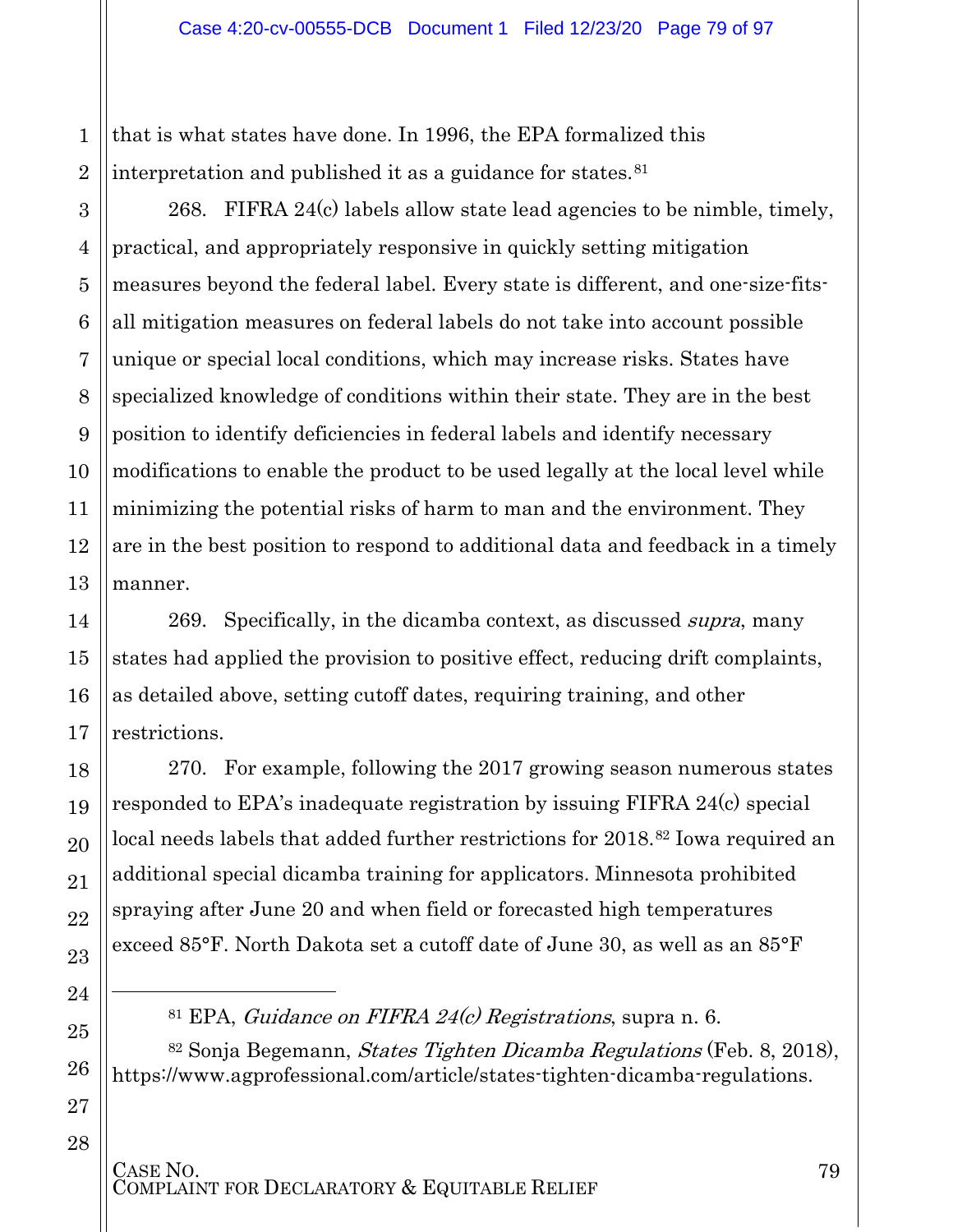1 2 that is what states have done. In 1996, the EPA formalized this interpretation and published it as a guidance for states.<sup>[81](#page-78-0)</sup>

3

4

5

6

7

8

9

10

11

12

13

14

15

16

17

18

19

20

21

22

23

24

l

<span id="page-78-1"></span><span id="page-78-0"></span>25

26

27

28

268. FIFRA 24(c) labels allow state lead agencies to be nimble, timely, practical, and appropriately responsive in quickly setting mitigation measures beyond the federal label. Every state is different, and one-size-fitsall mitigation measures on federal labels do not take into account possible unique or special local conditions, which may increase risks. States have specialized knowledge of conditions within their state. They are in the best position to identify deficiencies in federal labels and identify necessary modifications to enable the product to be used legally at the local level while minimizing the potential risks of harm to man and the environment. They are in the best position to respond to additional data and feedback in a timely manner.

269. Specifically, in the dicamba context, as discussed *supra*, many states had applied the provision to positive effect, reducing drift complaints, as detailed above, setting cutoff dates, requiring training, and other restrictions.

270. For example, following the 2017 growing season numerous states responded to EPA's inadequate registration by issuing FIFRA 24(c) special local needs labels that added further restrictions for 2018.<sup>[82](#page-78-1)</sup> Iowa required an additional special dicamba training for applicators. Minnesota prohibited spraying after June 20 and when field or forecasted high temperatures exceed 85°F. North Dakota set a cutoff date of June 30, as well as an 85°F

<sup>81</sup> EPA, *Guidance on FIFRA 24(c)* Registrations, supra n. 6.

<sup>82</sup> Sonja Begemann, States Tighten Dicamba Regulations (Feb. 8, 2018), https://www.agprofessional.com/article/states-tighten-dicamba-regulations.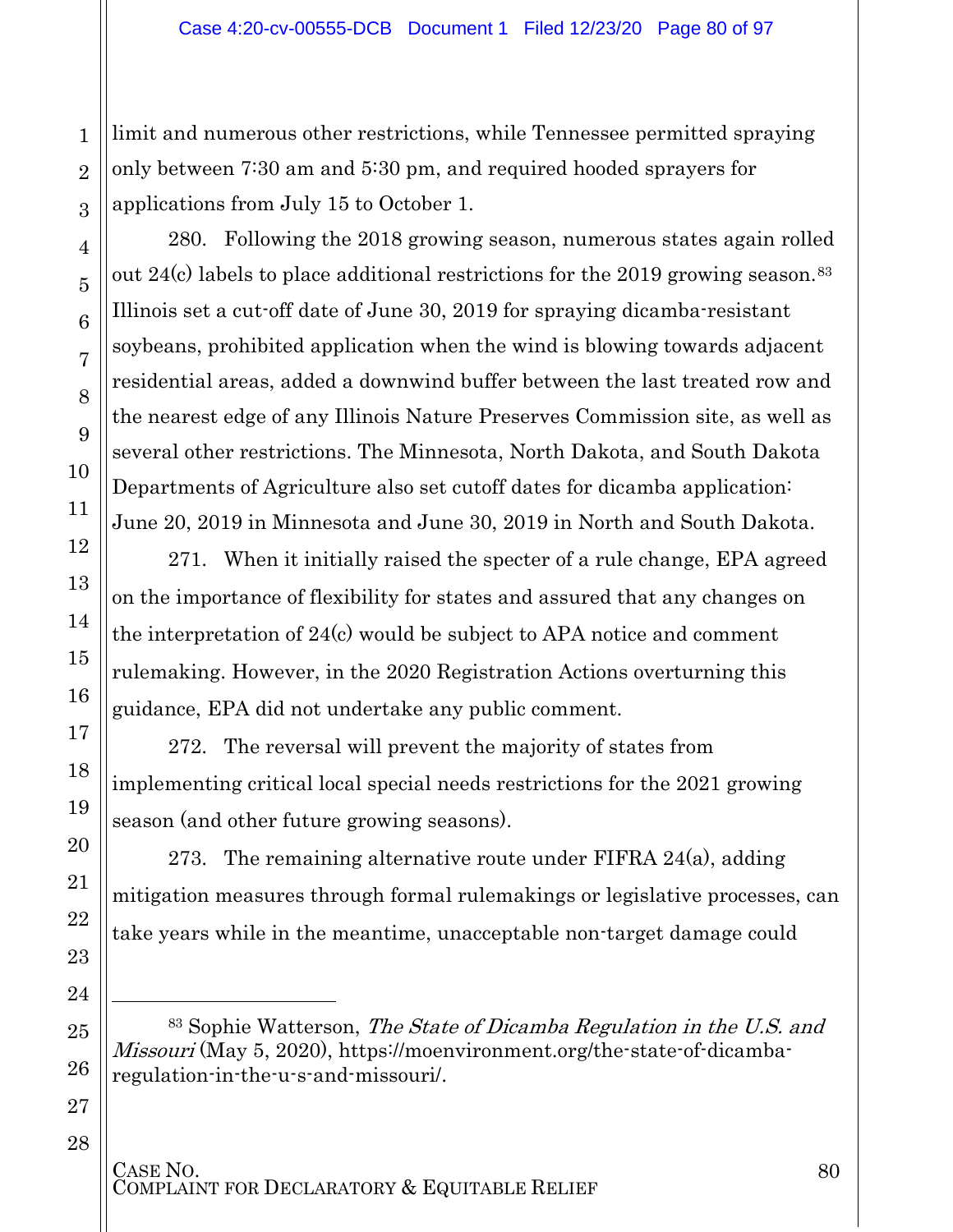limit and numerous other restrictions, while Tennessee permitted spraying only between 7:30 am and 5:30 pm, and required hooded sprayers for applications from July 15 to October 1.

280. Following the 2018 growing season, numerous states again rolled out 24 $(c)$  labels to place additional restrictions for the 2019 growing season.<sup>[83](#page-79-0)</sup> Illinois set a cut-off date of June 30, 2019 for spraying dicamba-resistant soybeans, prohibited application when the wind is blowing towards adjacent residential areas, added a downwind buffer between the last treated row and the nearest edge of any Illinois Nature Preserves Commission site, as well as several other restrictions. The Minnesota, North Dakota, and South Dakota Departments of Agriculture also set cutoff dates for dicamba application: June 20, 2019 in Minnesota and June 30, 2019 in North and South Dakota.

271. When it initially raised the specter of a rule change, EPA agreed on the importance of flexibility for states and assured that any changes on the interpretation of 24(c) would be subject to APA notice and comment rulemaking. However, in the 2020 Registration Actions overturning this guidance, EPA did not undertake any public comment.

272. The reversal will prevent the majority of states from implementing critical local special needs restrictions for the 2021 growing season (and other future growing seasons).

273. The remaining alternative route under FIFRA 24(a), adding mitigation measures through formal rulemakings or legislative processes, can take years while in the meantime, unacceptable non-target damage could

<span id="page-79-0"></span> $83$  Sophie Watterson, The State of Dicamba Regulation in the U.S. and Missouri (May 5, 2020), https://moenvironment.org/the-state-of-dicambaregulation-in-the-u-s-and-missouri/.

# CASE NO.<br>COMPLAINT FOR DECLARATORY & EQUITABLE RELIEF

l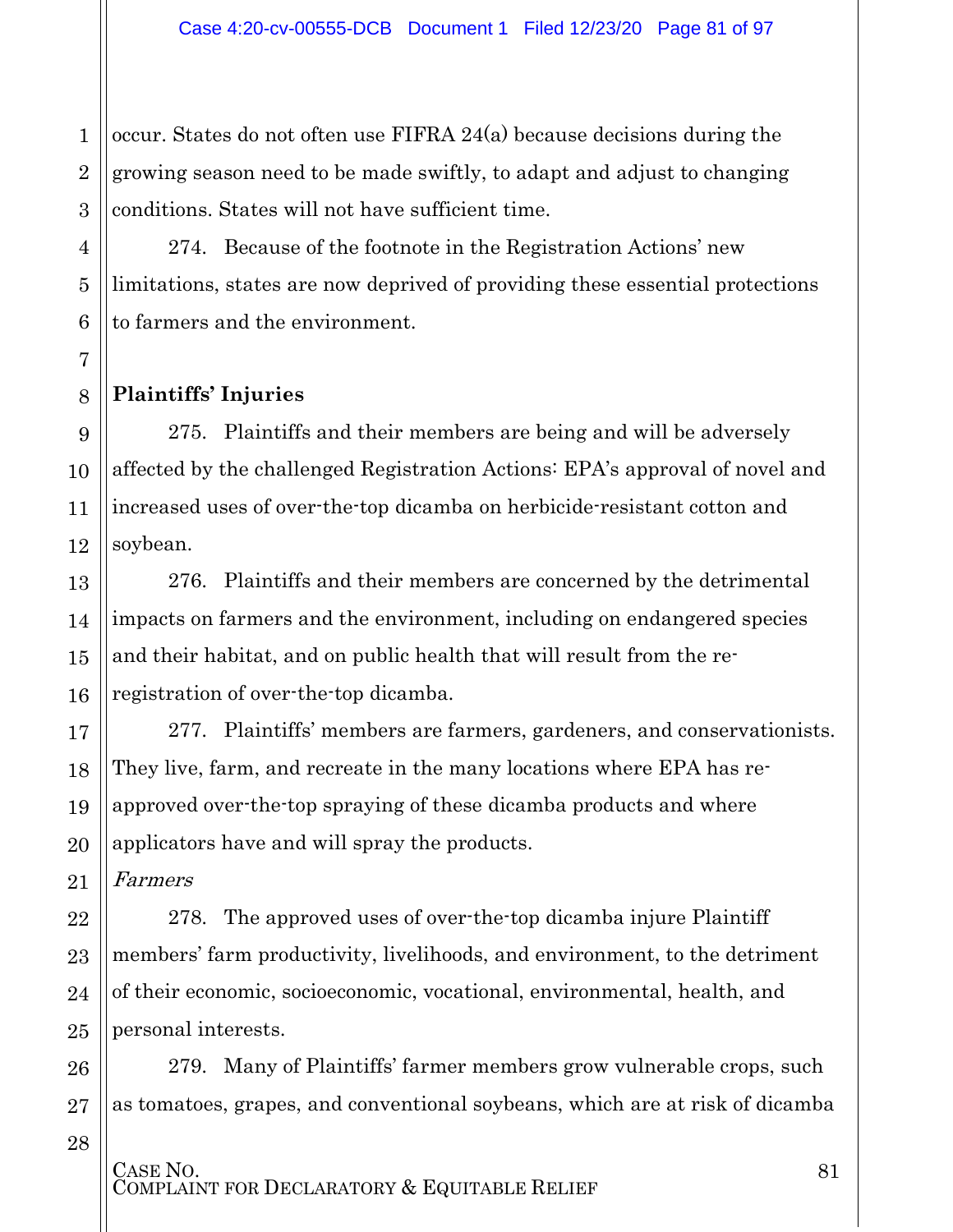1 2 3 occur. States do not often use FIFRA 24(a) because decisions during the growing season need to be made swiftly, to adapt and adjust to changing conditions. States will not have sufficient time.

274. Because of the footnote in the Registration Actions' new limitations, states are now deprived of providing these essential protections to farmers and the environment.

#### **Plaintiffs' Injuries**

4

5

6

7

8

9

10

11

12

13

14

15

16

17

18

19

20

21

22

23

24

25

26

27

275. Plaintiffs and their members are being and will be adversely affected by the challenged Registration Actions: EPA's approval of novel and increased uses of over-the-top dicamba on herbicide-resistant cotton and soybean.

276. Plaintiffs and their members are concerned by the detrimental impacts on farmers and the environment, including on endangered species and their habitat, and on public health that will result from the reregistration of over-the-top dicamba.

277. Plaintiffs' members are farmers, gardeners, and conservationists. They live, farm, and recreate in the many locations where EPA has reapproved over-the-top spraying of these dicamba products and where applicators have and will spray the products.

Farmers

278. The approved uses of over-the-top dicamba injure Plaintiff members' farm productivity, livelihoods, and environment, to the detriment of their economic, socioeconomic, vocational, environmental, health, and personal interests.

279. Many of Plaintiffs' farmer members grow vulnerable crops, such as tomatoes, grapes, and conventional soybeans, which are at risk of dicamba

28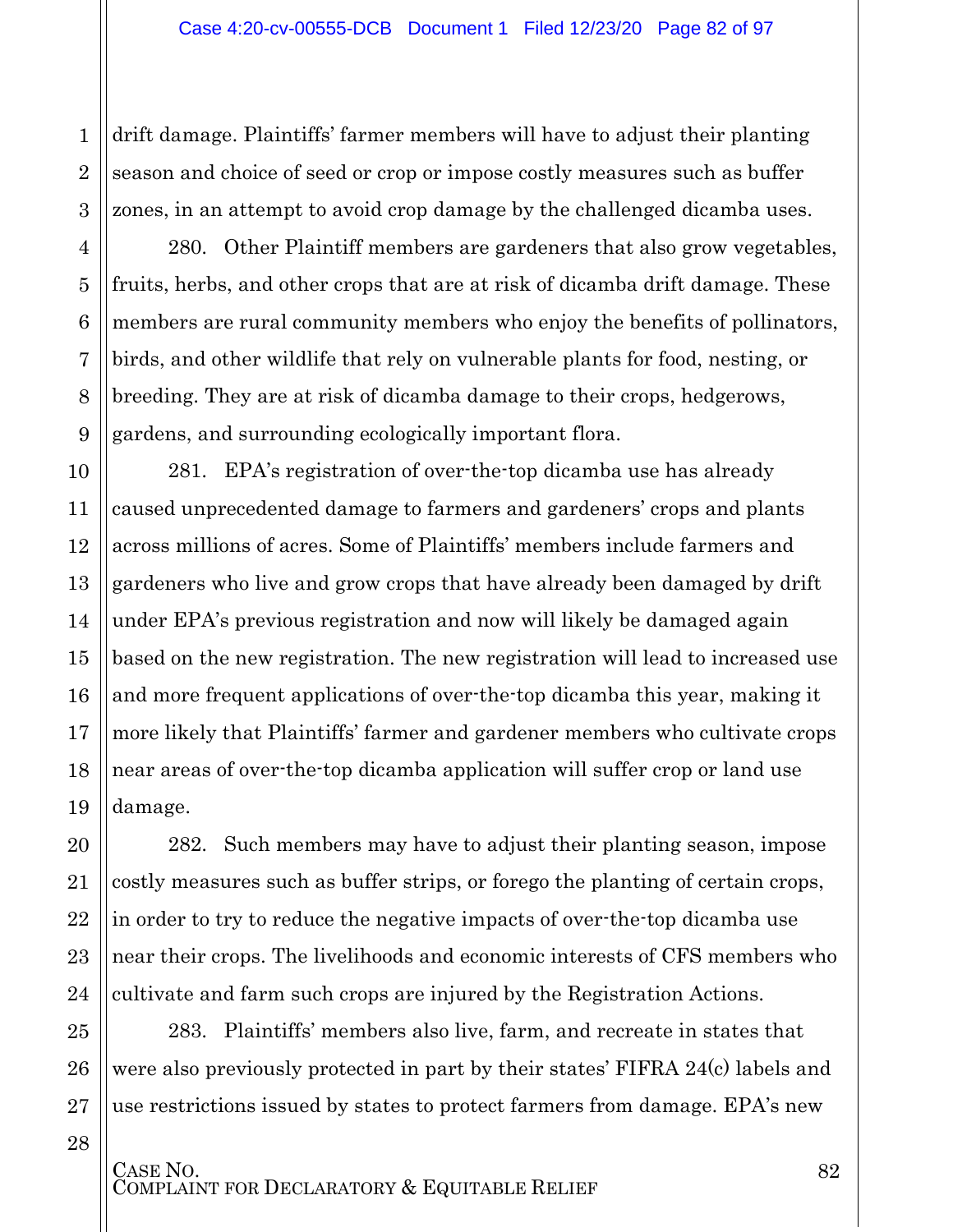drift damage. Plaintiffs' farmer members will have to adjust their planting season and choice of seed or crop or impose costly measures such as buffer zones, in an attempt to avoid crop damage by the challenged dicamba uses.

280. Other Plaintiff members are gardeners that also grow vegetables, fruits, herbs, and other crops that are at risk of dicamba drift damage. These members are rural community members who enjoy the benefits of pollinators, birds, and other wildlife that rely on vulnerable plants for food, nesting, or breeding. They are at risk of dicamba damage to their crops, hedgerows, gardens, and surrounding ecologically important flora.

10 13 15 16 18 19 281. EPA's registration of over-the-top dicamba use has already caused unprecedented damage to farmers and gardeners' crops and plants across millions of acres. Some of Plaintiffs' members include farmers and gardeners who live and grow crops that have already been damaged by drift under EPA's previous registration and now will likely be damaged again based on the new registration. The new registration will lead to increased use and more frequent applications of over-the-top dicamba this year, making it more likely that Plaintiffs' farmer and gardener members who cultivate crops near areas of over-the-top dicamba application will suffer crop or land use damage.

282. Such members may have to adjust their planting season, impose costly measures such as buffer strips, or forego the planting of certain crops, in order to try to reduce the negative impacts of over-the-top dicamba use near their crops. The livelihoods and economic interests of CFS members who cultivate and farm such crops are injured by the Registration Actions.

283. Plaintiffs' members also live, farm, and recreate in states that were also previously protected in part by their states' FIFRA 24(c) labels and use restrictions issued by states to protect farmers from damage. EPA's new

28

1

2

3

4

5

6

7

8

9

11

12

14

17

20

21

22

23

24

25

26

27

CASE NO.<br>COMPLAINT FOR DECLARATORY & EQUITABLE RELIEF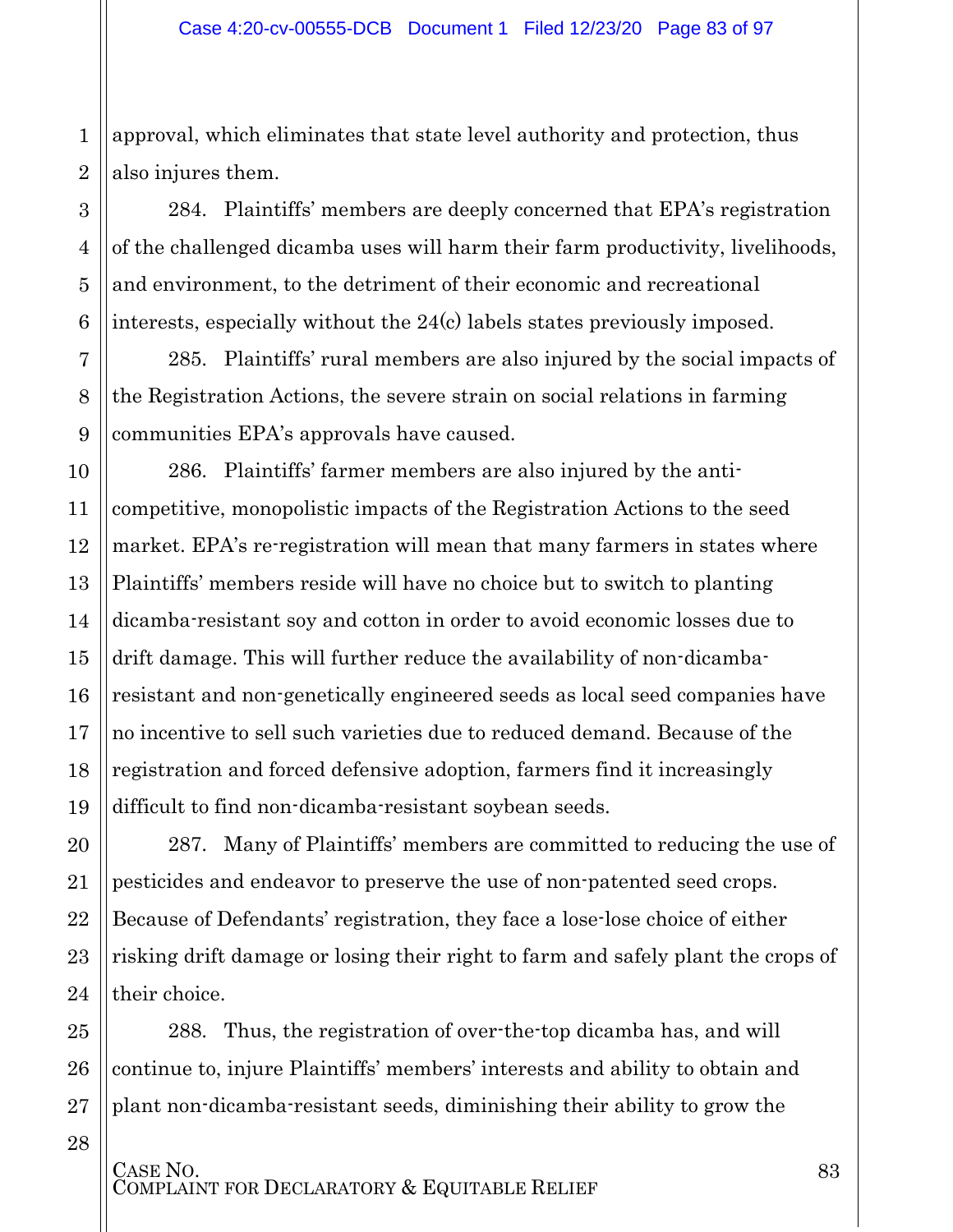1 2 approval, which eliminates that state level authority and protection, thus also injures them.

284. Plaintiffs' members are deeply concerned that EPA's registration of the challenged dicamba uses will harm their farm productivity, livelihoods, and environment, to the detriment of their economic and recreational interests, especially without the 24(c) labels states previously imposed.

285. Plaintiffs' rural members are also injured by the social impacts of the Registration Actions, the severe strain on social relations in farming communities EPA's approvals have caused.

286. Plaintiffs' farmer members are also injured by the anticompetitive, monopolistic impacts of the Registration Actions to the seed market. EPA's re-registration will mean that many farmers in states where Plaintiffs' members reside will have no choice but to switch to planting dicamba-resistant soy and cotton in order to avoid economic losses due to drift damage. This will further reduce the availability of non-dicambaresistant and non-genetically engineered seeds as local seed companies have no incentive to sell such varieties due to reduced demand. Because of the registration and forced defensive adoption, farmers find it increasingly difficult to find non-dicamba-resistant soybean seeds.

287. Many of Plaintiffs' members are committed to reducing the use of pesticides and endeavor to preserve the use of non-patented seed crops. Because of Defendants' registration, they face a lose-lose choice of either risking drift damage or losing their right to farm and safely plant the crops of their choice.

288. Thus, the registration of over-the-top dicamba has, and will continue to, injure Plaintiffs' members' interests and ability to obtain and plant non-dicamba-resistant seeds, diminishing their ability to grow the

28

3

4

5

6

7

8

9

10

11

12

13

14

15

16

17

18

19

20

21

22

23

24

25

26

27

CASE NO.<br>COMPLAINT FOR DECLARATORY & EQUITABLE RELIEF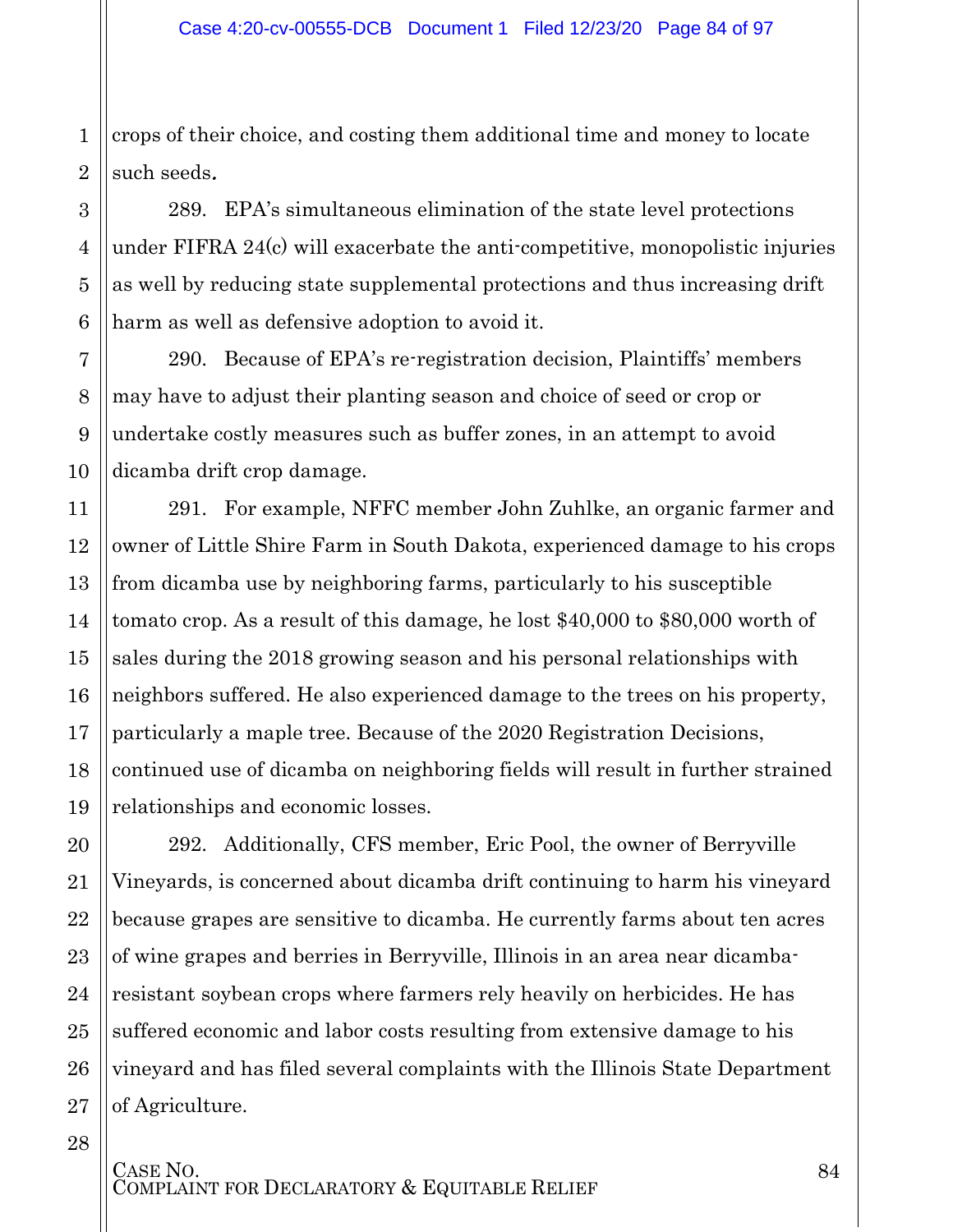1 2 crops of their choice, and costing them additional time and money to locate such seeds.

289. EPA's simultaneous elimination of the state level protections under FIFRA 24(c) will exacerbate the anti-competitive, monopolistic injuries as well by reducing state supplemental protections and thus increasing drift harm as well as defensive adoption to avoid it.

290. Because of EPA's re-registration decision, Plaintiffs' members may have to adjust their planting season and choice of seed or crop or undertake costly measures such as buffer zones, in an attempt to avoid dicamba drift crop damage.

291. For example, NFFC member John Zuhlke, an organic farmer and owner of Little Shire Farm in South Dakota, experienced damage to his crops from dicamba use by neighboring farms, particularly to his susceptible tomato crop. As a result of this damage, he lost \$40,000 to \$80,000 worth of sales during the 2018 growing season and his personal relationships with neighbors suffered. He also experienced damage to the trees on his property, particularly a maple tree. Because of the 2020 Registration Decisions, continued use of dicamba on neighboring fields will result in further strained relationships and economic losses.

292. Additionally, CFS member, Eric Pool, the owner of Berryville Vineyards, is concerned about dicamba drift continuing to harm his vineyard because grapes are sensitive to dicamba. He currently farms about ten acres of wine grapes and berries in Berryville, Illinois in an area near dicambaresistant soybean crops where farmers rely heavily on herbicides. He has suffered economic and labor costs resulting from extensive damage to his vineyard and has filed several complaints with the Illinois State Department of Agriculture.

3

4

5

6

7

8

9

10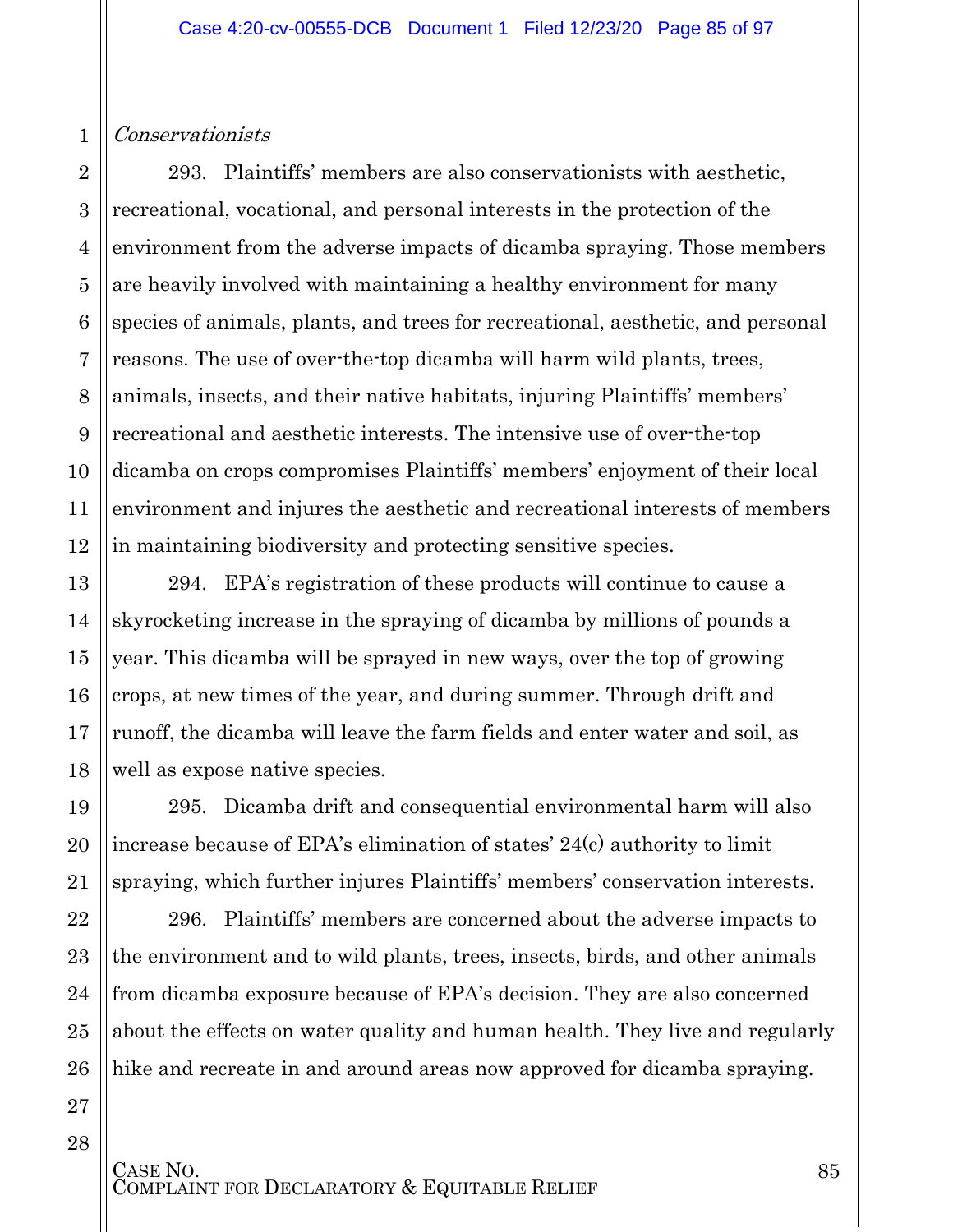#### Conservationists

1

2

3

4

5

6

7

8

9

10

11

12

13

14

15

16

17

18

19

20

21

22

23

24

25

26

27

28

293. Plaintiffs' members are also conservationists with aesthetic, recreational, vocational, and personal interests in the protection of the environment from the adverse impacts of dicamba spraying. Those members are heavily involved with maintaining a healthy environment for many species of animals, plants, and trees for recreational, aesthetic, and personal reasons. The use of over-the-top dicamba will harm wild plants, trees, animals, insects, and their native habitats, injuring Plaintiffs' members' recreational and aesthetic interests. The intensive use of over-the-top dicamba on crops compromises Plaintiffs' members' enjoyment of their local environment and injures the aesthetic and recreational interests of members in maintaining biodiversity and protecting sensitive species.

294. EPA's registration of these products will continue to cause a skyrocketing increase in the spraying of dicamba by millions of pounds a year. This dicamba will be sprayed in new ways, over the top of growing crops, at new times of the year, and during summer. Through drift and runoff, the dicamba will leave the farm fields and enter water and soil, as well as expose native species.

295. Dicamba drift and consequential environmental harm will also increase because of EPA's elimination of states' 24(c) authority to limit spraying, which further injures Plaintiffs' members' conservation interests.

296. Plaintiffs' members are concerned about the adverse impacts to the environment and to wild plants, trees, insects, birds, and other animals from dicamba exposure because of EPA's decision. They are also concerned about the effects on water quality and human health. They live and regularly hike and recreate in and around areas now approved for dicamba spraying.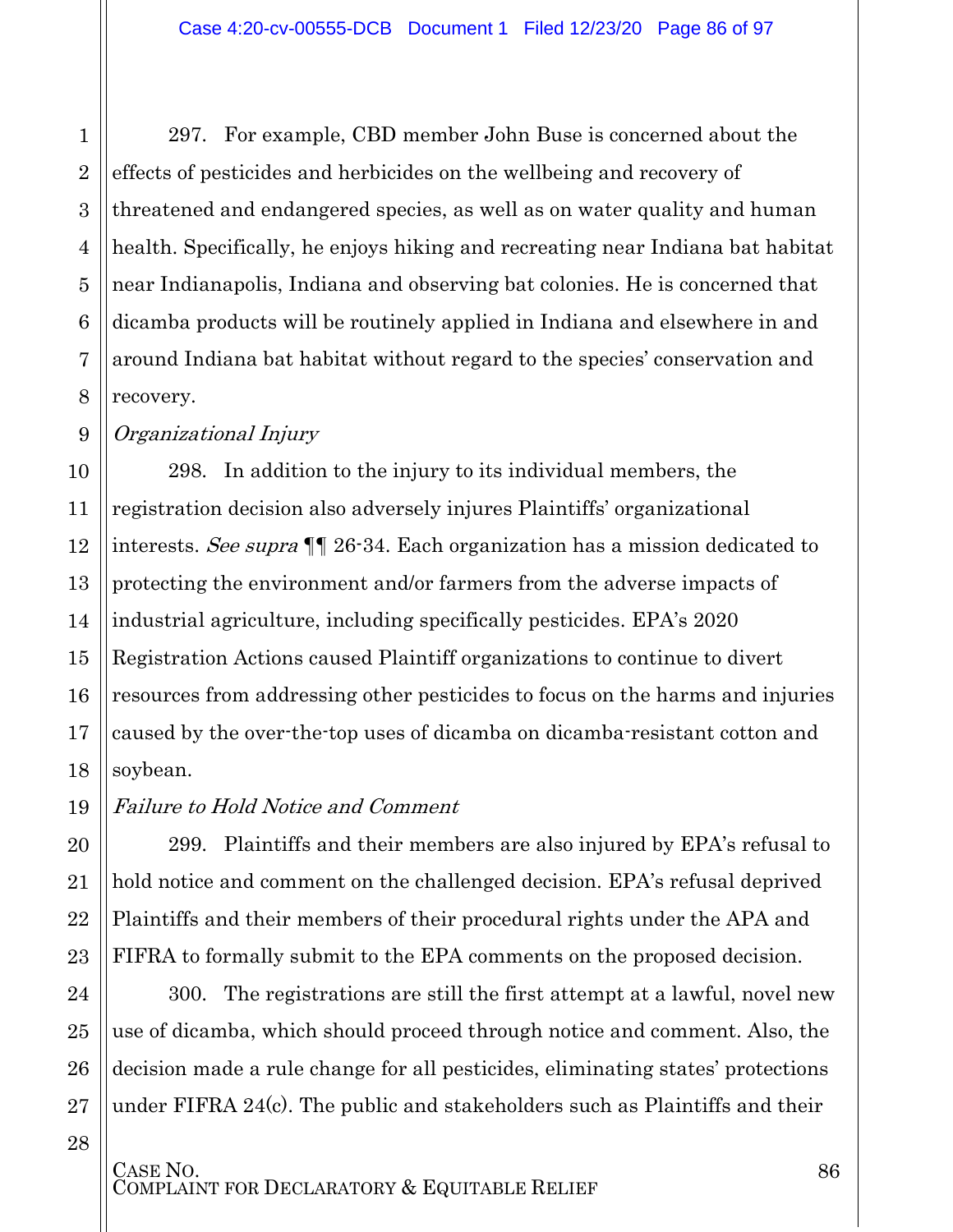297. For example, CBD member John Buse is concerned about the effects of pesticides and herbicides on the wellbeing and recovery of threatened and endangered species, as well as on water quality and human health. Specifically, he enjoys hiking and recreating near Indiana bat habitat near Indianapolis, Indiana and observing bat colonies. He is concerned that dicamba products will be routinely applied in Indiana and elsewhere in and around Indiana bat habitat without regard to the species' conservation and recovery.

Organizational Injury

1

2

3

4

5

6

7

8

9

10 11 12 13 14 15 16 17 18 298. In addition to the injury to its individual members, the registration decision also adversely injures Plaintiffs' organizational interests. See supra ¶¶ 26-34. Each organization has a mission dedicated to protecting the environment and/or farmers from the adverse impacts of industrial agriculture, including specifically pesticides. EPA's 2020 Registration Actions caused Plaintiff organizations to continue to divert resources from addressing other pesticides to focus on the harms and injuries caused by the over-the-top uses of dicamba on dicamba-resistant cotton and soybean.

19 Failure to Hold Notice and Comment

299. Plaintiffs and their members are also injured by EPA's refusal to hold notice and comment on the challenged decision. EPA's refusal deprived Plaintiffs and their members of their procedural rights under the APA and FIFRA to formally submit to the EPA comments on the proposed decision.

300. The registrations are still the first attempt at a lawful, novel new use of dicamba, which should proceed through notice and comment. Also, the decision made a rule change for all pesticides, eliminating states' protections under FIFRA 24(c). The public and stakeholders such as Plaintiffs and their

28

20

21

22

23

24

25

26

27

CASE NO.<br>COMPLAINT FOR DECLARATORY & EQUITABLE RELIEF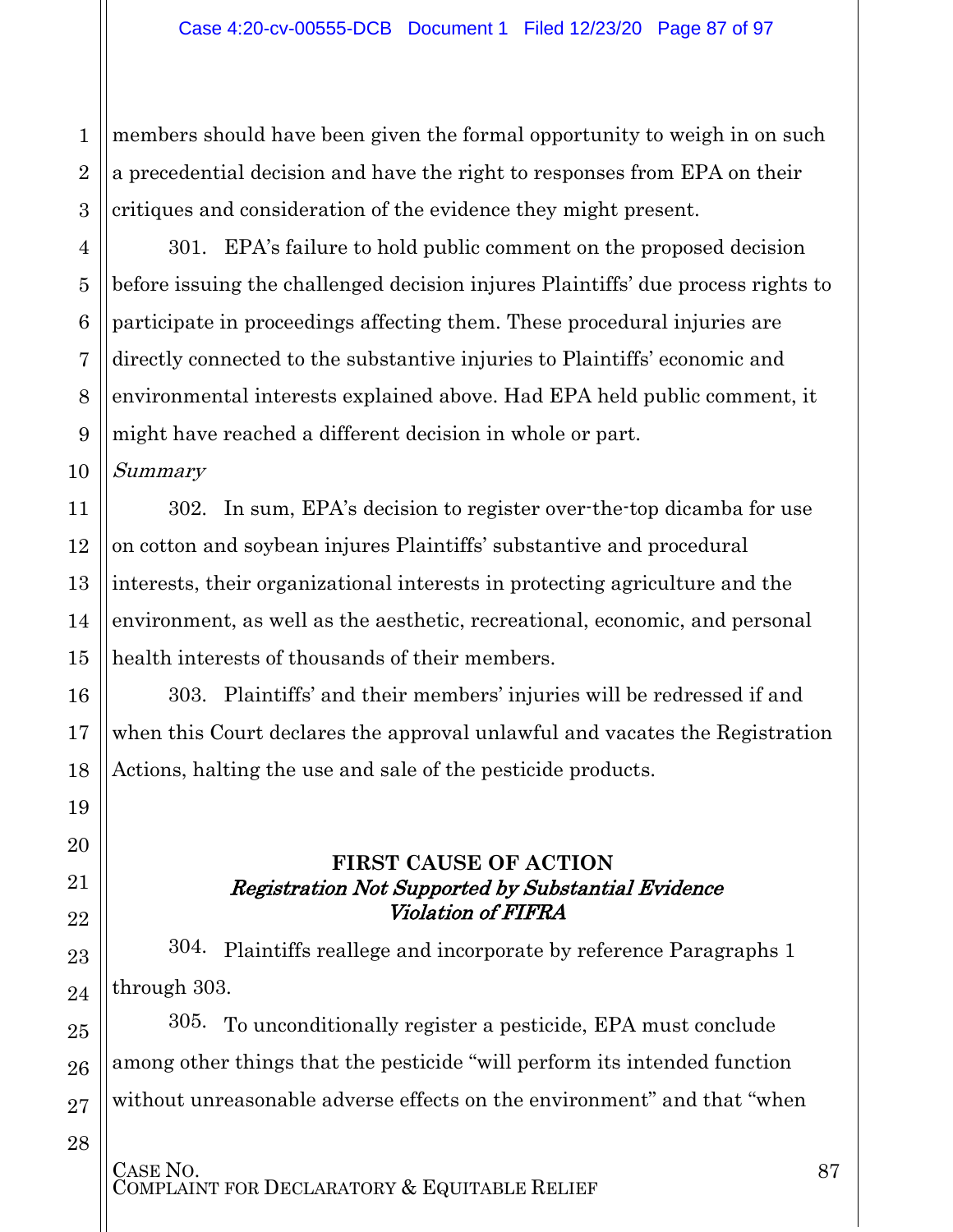1 2 members should have been given the formal opportunity to weigh in on such a precedential decision and have the right to responses from EPA on their critiques and consideration of the evidence they might present.

301. EPA's failure to hold public comment on the proposed decision before issuing the challenged decision injures Plaintiffs' due process rights to participate in proceedings affecting them. These procedural injuries are directly connected to the substantive injuries to Plaintiffs' economic and environmental interests explained above. Had EPA held public comment, it might have reached a different decision in whole or part.

Summary

302. In sum, EPA's decision to register over-the-top dicamba for use on cotton and soybean injures Plaintiffs' substantive and procedural interests, their organizational interests in protecting agriculture and the environment, as well as the aesthetic, recreational, economic, and personal health interests of thousands of their members.

303. Plaintiffs' and their members' injuries will be redressed if and when this Court declares the approval unlawful and vacates the Registration Actions, halting the use and sale of the pesticide products.

#### **FIRST CAUSE OF ACTION** Registration Not Supported by Substantial Evidence Violation of FIFRA

304. Plaintiffs reallege and incorporate by reference Paragraphs 1 through 303.

305. To unconditionally register a pesticide, EPA must conclude among other things that the pesticide "will perform its intended function without unreasonable adverse effects on the environment" and that "when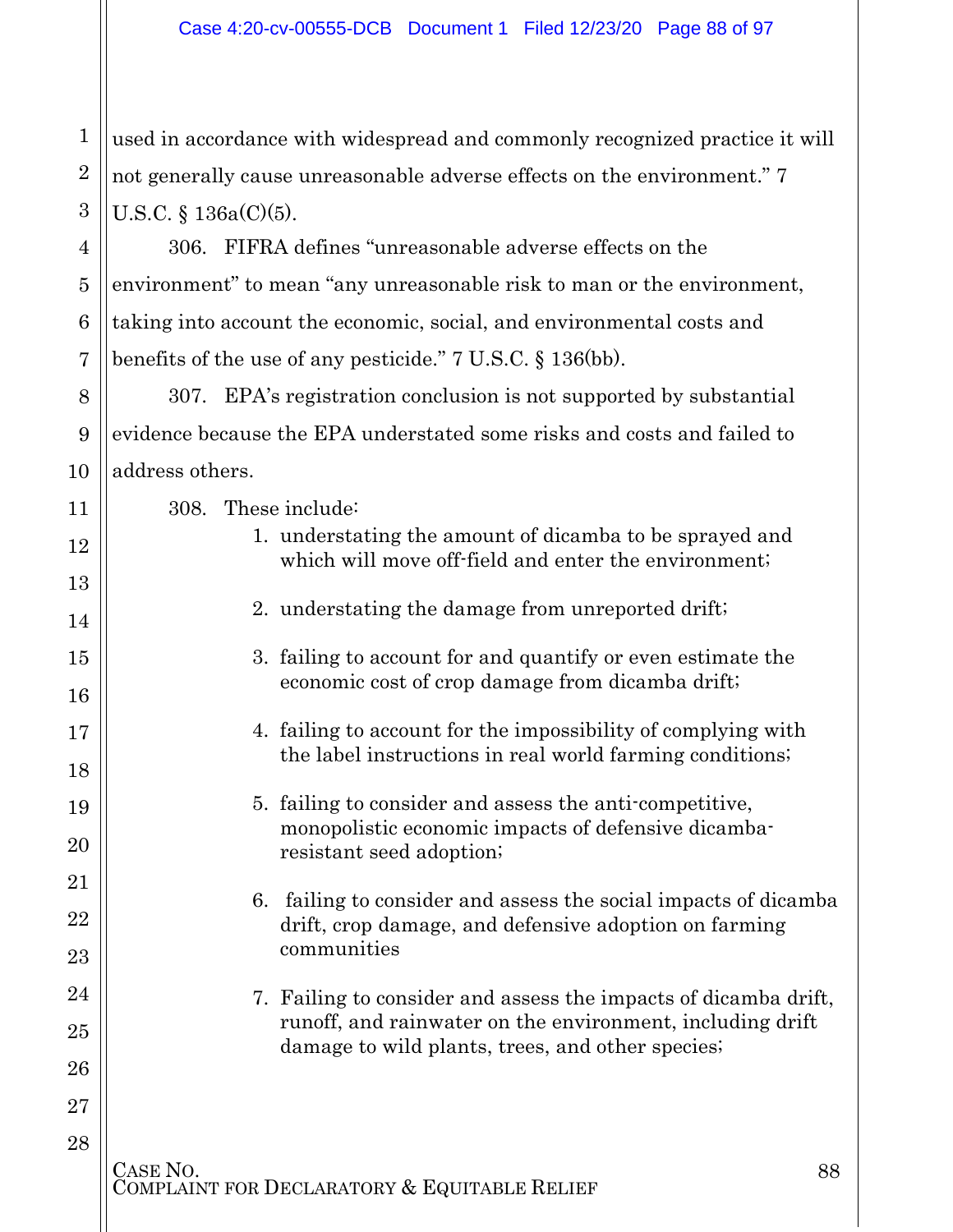1 2 3 used in accordance with widespread and commonly recognized practice it will not generally cause unreasonable adverse effects on the environment." 7 U.S.C. § 136a(C)(5).

306. FIFRA defines "unreasonable adverse effects on the environment" to mean "any unreasonable risk to man or the environment, taking into account the economic, social, and environmental costs and benefits of the use of any pesticide." 7 U.S.C. § 136(bb).

307. EPA's registration conclusion is not supported by substantial evidence because the EPA understated some risks and costs and failed to address others.

308. These include:

4

5

6

7

8

9

10

11

12

13

14

15

16

17

18

19

20

21

22

23

24

25

26

27

- 1. understating the amount of dicamba to be sprayed and which will move off-field and enter the environment;
- 2. understating the damage from unreported drift;
- 3. failing to account for and quantify or even estimate the economic cost of crop damage from dicamba drift;
- 4. failing to account for the impossibility of complying with the label instructions in real world farming conditions;
- 5. failing to consider and assess the anti-competitive, monopolistic economic impacts of defensive dicambaresistant seed adoption;
- 6. failing to consider and assess the social impacts of dicamba drift, crop damage, and defensive adoption on farming communities
- 7. Failing to consider and assess the impacts of dicamba drift, runoff, and rainwater on the environment, including drift damage to wild plants, trees, and other species;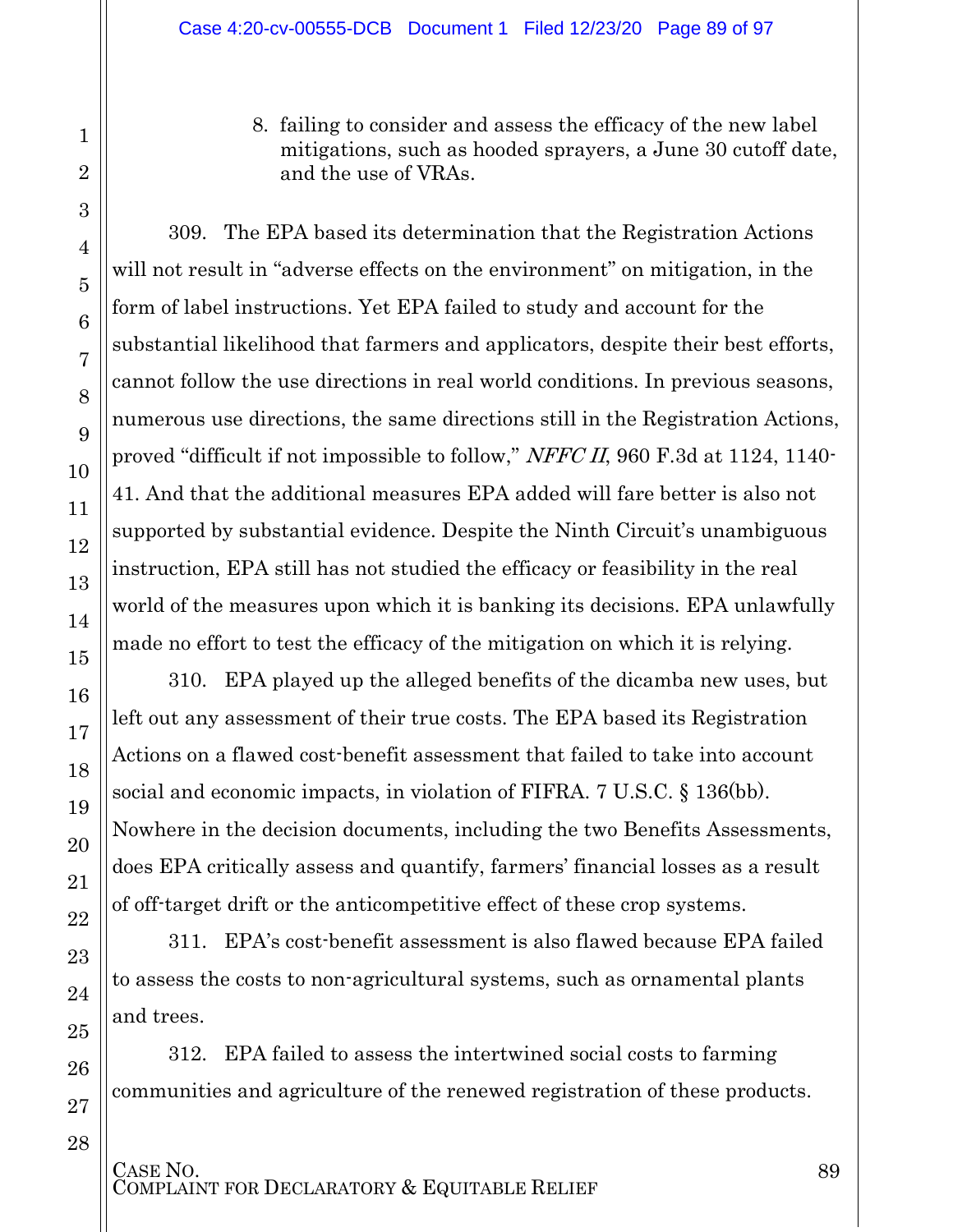1

2

3

4

5

6

7

8

9

10

11

12

13

14

15

16

17

18

19

20

21

22

23

24

25

26

27

28

8. failing to consider and assess the efficacy of the new label mitigations, such as hooded sprayers, a June 30 cutoff date, and the use of VRAs.

309. The EPA based its determination that the Registration Actions will not result in "adverse effects on the environment" on mitigation, in the form of label instructions. Yet EPA failed to study and account for the substantial likelihood that farmers and applicators, despite their best efforts, cannot follow the use directions in real world conditions. In previous seasons, numerous use directions, the same directions still in the Registration Actions, proved "difficult if not impossible to follow," NFFC II, 960 F.3d at 1124, 1140- 41. And that the additional measures EPA added will fare better is also not supported by substantial evidence. Despite the Ninth Circuit's unambiguous instruction, EPA still has not studied the efficacy or feasibility in the real world of the measures upon which it is banking its decisions. EPA unlawfully made no effort to test the efficacy of the mitigation on which it is relying.

310. EPA played up the alleged benefits of the dicamba new uses, but left out any assessment of their true costs. The EPA based its Registration Actions on a flawed cost-benefit assessment that failed to take into account social and economic impacts, in violation of FIFRA. 7 U.S.C. § 136(bb). Nowhere in the decision documents, including the two Benefits Assessments, does EPA critically assess and quantify, farmers' financial losses as a result of off-target drift or the anticompetitive effect of these crop systems.

311. EPA's cost-benefit assessment is also flawed because EPA failed to assess the costs to non-agricultural systems, such as ornamental plants and trees.

312. EPA failed to assess the intertwined social costs to farming communities and agriculture of the renewed registration of these products.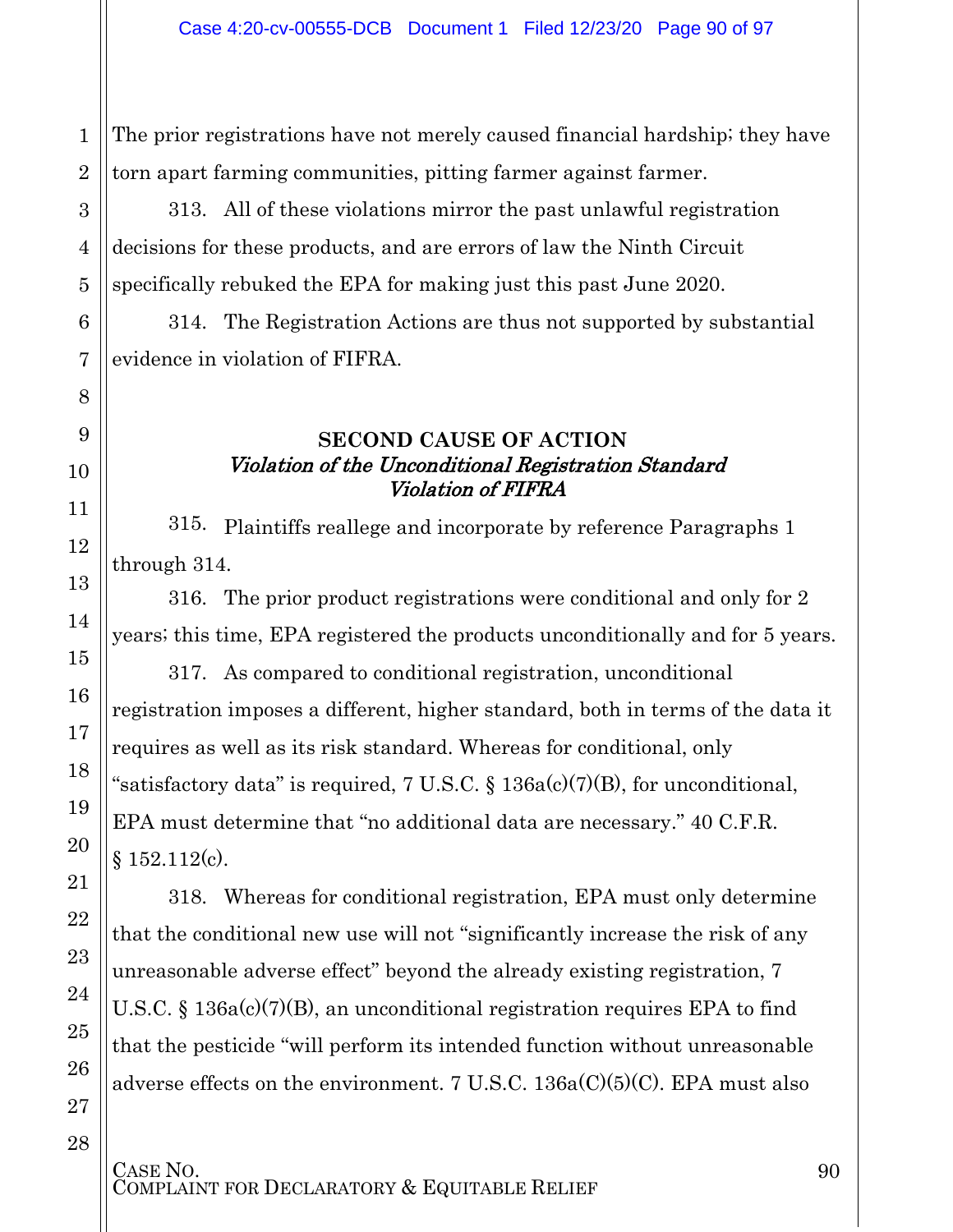The prior registrations have not merely caused financial hardship; they have torn apart farming communities, pitting farmer against farmer.

313. All of these violations mirror the past unlawful registration decisions for these products, and are errors of law the Ninth Circuit specifically rebuked the EPA for making just this past June 2020.

314. The Registration Actions are thus not supported by substantial evidence in violation of FIFRA.

#### **SECOND CAUSE OF ACTION** Violation of the Unconditional Registration Standard Violation of FIFRA

315. Plaintiffs reallege and incorporate by reference Paragraphs 1 through 314.

316. The prior product registrations were conditional and only for 2 years; this time, EPA registered the products unconditionally and for 5 years.

317. As compared to conditional registration, unconditional registration imposes a different, higher standard, both in terms of the data it requires as well as its risk standard. Whereas for conditional, only "satisfactory data" is required, 7 U.S.C.  $\S$  136a(c)(7)(B), for unconditional, EPA must determine that "no additional data are necessary." 40 C.F.R. § 152.112(c).

318. Whereas for conditional registration, EPA must only determine that the conditional new use will not "significantly increase the risk of any unreasonable adverse effect" beyond the already existing registration, 7 U.S.C. § 136a(c)(7)(B), an unconditional registration requires EPA to find that the pesticide "will perform its intended function without unreasonable adverse effects on the environment. 7 U.S.C. 136a(C)(5)(C). EPA must also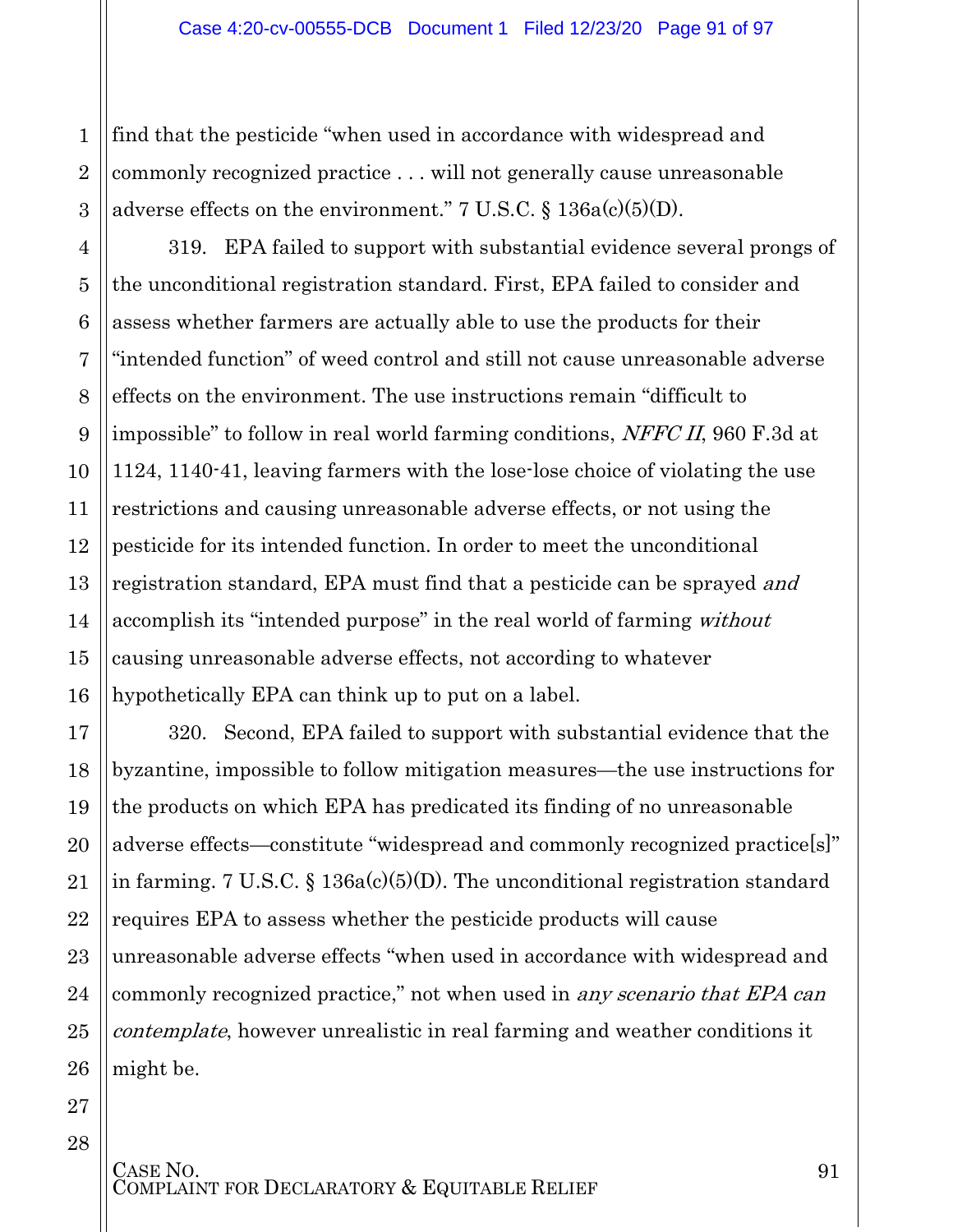find that the pesticide "when used in accordance with widespread and commonly recognized practice . . . will not generally cause unreasonable adverse effects on the environment."  $7 \text{ U.S.C.} \$   $136a(c)(5)(D)$ .

319. EPA failed to support with substantial evidence several prongs of the unconditional registration standard. First, EPA failed to consider and assess whether farmers are actually able to use the products for their "intended function" of weed control and still not cause unreasonable adverse effects on the environment. The use instructions remain "difficult to impossible" to follow in real world farming conditions, NFFC II, 960 F.3d at 1124, 1140-41, leaving farmers with the lose-lose choice of violating the use restrictions and causing unreasonable adverse effects, or not using the pesticide for its intended function. In order to meet the unconditional registration standard, EPA must find that a pesticide can be sprayed and accomplish its "intended purpose" in the real world of farming *without* causing unreasonable adverse effects, not according to whatever hypothetically EPA can think up to put on a label.

320. Second, EPA failed to support with substantial evidence that the byzantine, impossible to follow mitigation measures—the use instructions for the products on which EPA has predicated its finding of no unreasonable adverse effects—constitute "widespread and commonly recognized practice[s]" in farming. 7 U.S.C. § 136a(c)(5)(D). The unconditional registration standard requires EPA to assess whether the pesticide products will cause unreasonable adverse effects "when used in accordance with widespread and commonly recognized practice," not when used in any scenario that EPA can contemplate, however unrealistic in real farming and weather conditions it might be.

1

2

3

4

5

6

7

8

9

10

11

12

13

14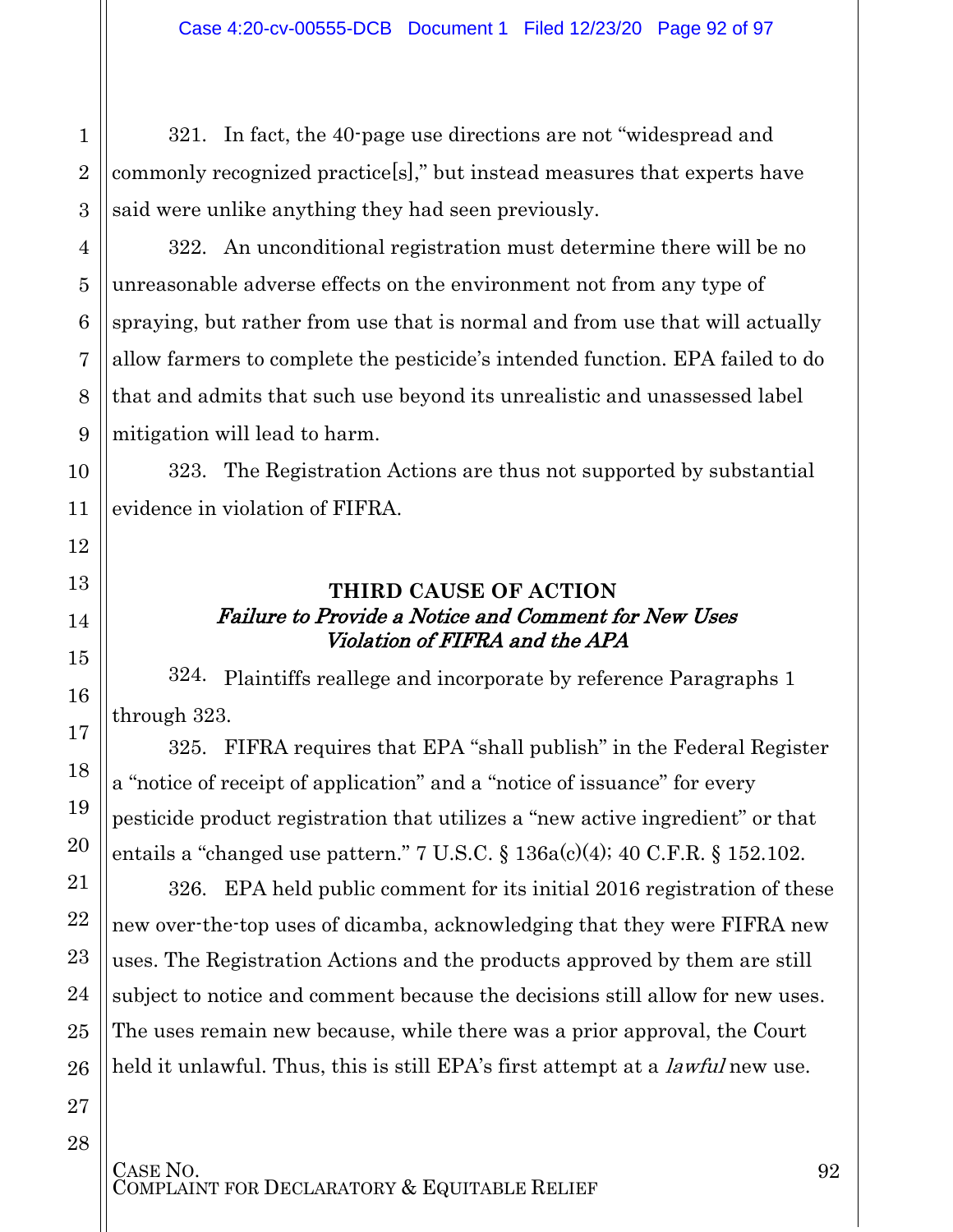321. In fact, the 40-page use directions are not "widespread and commonly recognized practice[s]," but instead measures that experts have said were unlike anything they had seen previously.

322. An unconditional registration must determine there will be no unreasonable adverse effects on the environment not from any type of spraying, but rather from use that is normal and from use that will actually allow farmers to complete the pesticide's intended function. EPA failed to do that and admits that such use beyond its unrealistic and unassessed label mitigation will lead to harm.

323. The Registration Actions are thus not supported by substantial evidence in violation of FIFRA.

#### **THIRD CAUSE OF ACTION** Failure to Provide a Notice and Comment for New Uses Violation of FIFRA and the APA

324. Plaintiffs reallege and incorporate by reference Paragraphs 1 through 323.

325. FIFRA requires that EPA "shall publish" in the Federal Register a "notice of receipt of application" and a "notice of issuance" for every pesticide product registration that utilizes a "new active ingredient" or that entails a "changed use pattern." 7 U.S.C.  $\S$  136a(c)(4); 40 C.F.R.  $\S$  152.102.

326. EPA held public comment for its initial 2016 registration of these new over-the-top uses of dicamba, acknowledging that they were FIFRA new uses. The Registration Actions and the products approved by them are still subject to notice and comment because the decisions still allow for new uses. The uses remain new because, while there was a prior approval, the Court held it unlawful. Thus, this is still EPA's first attempt at a *lawful* new use.

1

2

3

4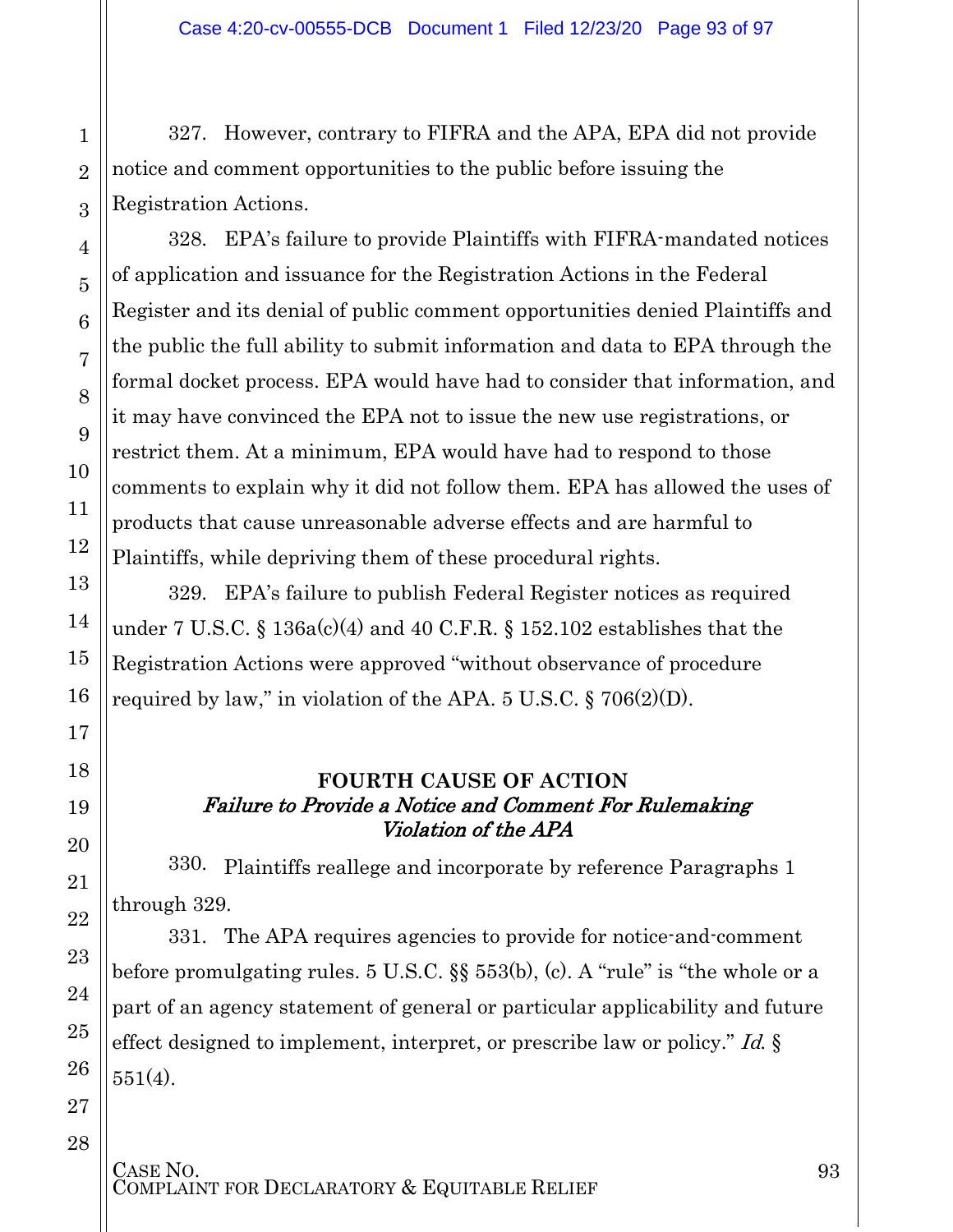327. However, contrary to FIFRA and the APA, EPA did not provide notice and comment opportunities to the public before issuing the Registration Actions.

328. EPA's failure to provide Plaintiffs with FIFRA-mandated notices of application and issuance for the Registration Actions in the Federal Register and its denial of public comment opportunities denied Plaintiffs and the public the full ability to submit information and data to EPA through the formal docket process. EPA would have had to consider that information, and it may have convinced the EPA not to issue the new use registrations, or restrict them. At a minimum, EPA would have had to respond to those comments to explain why it did not follow them. EPA has allowed the uses of products that cause unreasonable adverse effects and are harmful to Plaintiffs, while depriving them of these procedural rights.

329. EPA's failure to publish Federal Register notices as required under 7 U.S.C. §  $136a(c)(4)$  and  $40$  C.F.R. §  $152.102$  establishes that the Registration Actions were approved "without observance of procedure required by law," in violation of the APA.  $5 \text{ U.S.C.}$  §  $706(2)(D)$ .

#### **FOURTH CAUSE OF ACTION** Failure to Provide a Notice and Comment For Rulemaking Violation of the APA

330. Plaintiffs reallege and incorporate by reference Paragraphs 1 through 329.

331. The APA requires agencies to provide for notice-and-comment before promulgating rules. 5 U.S.C. §§ 553(b), (c). A "rule" is "the whole or a part of an agency statement of general or particular applicability and future effect designed to implement, interpret, or prescribe law or policy." Id. § 551(4).

1

2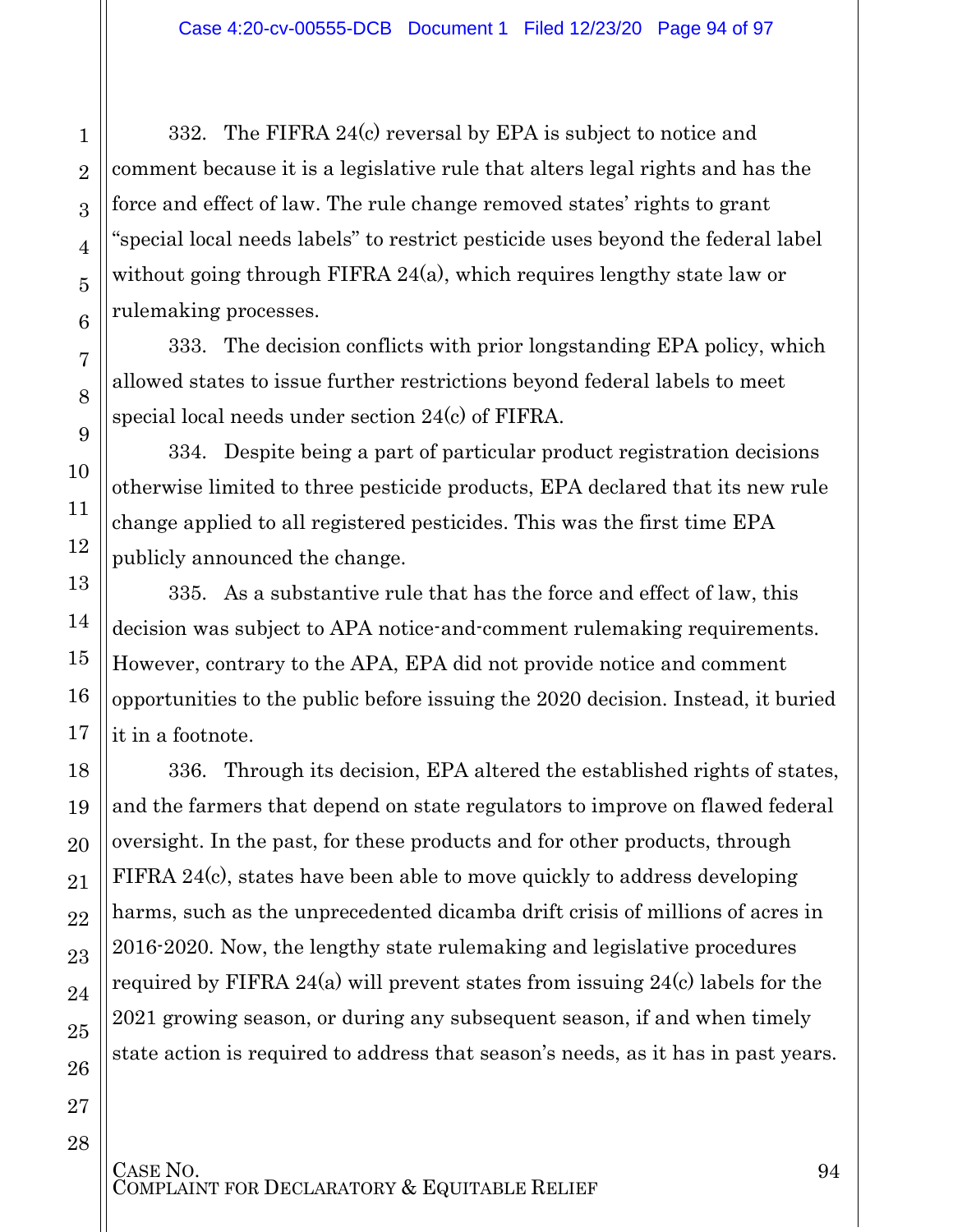332. The FIFRA 24(c) reversal by EPA is subject to notice and comment because it is a legislative rule that alters legal rights and has the force and effect of law. The rule change removed states' rights to grant "special local needs labels" to restrict pesticide uses beyond the federal label without going through FIFRA 24(a), which requires lengthy state law or rulemaking processes.

333. The decision conflicts with prior longstanding EPA policy, which allowed states to issue further restrictions beyond federal labels to meet special local needs under section 24(c) of FIFRA.

334. Despite being a part of particular product registration decisions otherwise limited to three pesticide products, EPA declared that its new rule change applied to all registered pesticides. This was the first time EPA publicly announced the change.

335. As a substantive rule that has the force and effect of law, this decision was subject to APA notice-and-comment rulemaking requirements. However, contrary to the APA, EPA did not provide notice and comment opportunities to the public before issuing the 2020 decision. Instead, it buried it in a footnote.

336. Through its decision, EPA altered the established rights of states, and the farmers that depend on state regulators to improve on flawed federal oversight. In the past, for these products and for other products, through FIFRA 24(c), states have been able to move quickly to address developing harms, such as the unprecedented dicamba drift crisis of millions of acres in 2016-2020. Now, the lengthy state rulemaking and legislative procedures required by FIFRA 24(a) will prevent states from issuing 24(c) labels for the 2021 growing season, or during any subsequent season, if and when timely state action is required to address that season's needs, as it has in past years.

1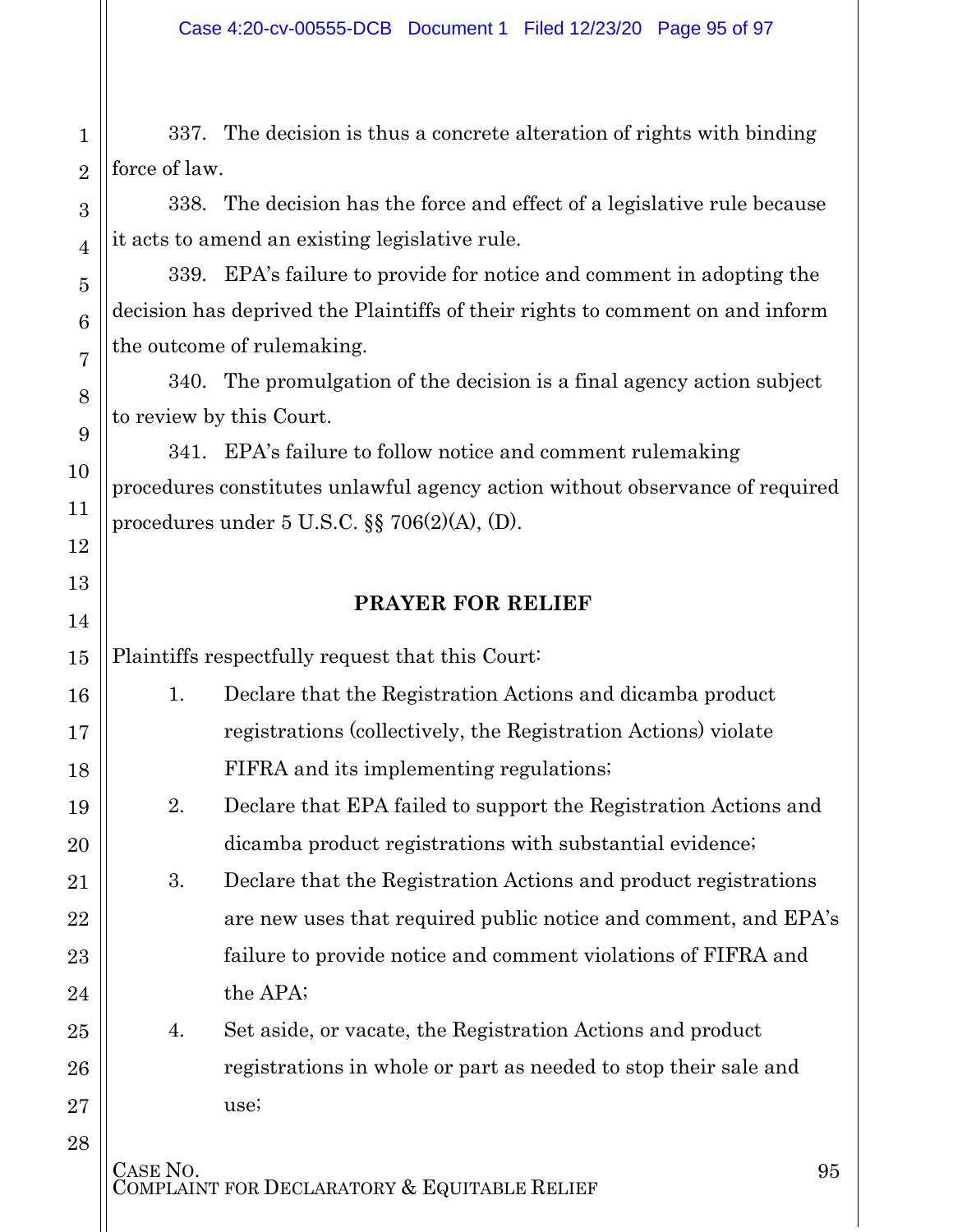1 2 337. The decision is thus a concrete alteration of rights with binding force of law.

338. The decision has the force and effect of a legislative rule because it acts to amend an existing legislative rule.

339. EPA's failure to provide for notice and comment in adopting the decision has deprived the Plaintiffs of their rights to comment on and inform the outcome of rulemaking.

340. The promulgation of the decision is a final agency action subject to review by this Court.

341. EPA's failure to follow notice and comment rulemaking procedures constitutes unlawful agency action without observance of required procedures under 5 U.S.C. §§ 706(2)(A), (D).

#### **PRAYER FOR RELIEF**

Plaintiffs respectfully request that this Court:

3

4

5

6

7

8

9

10

11

12

13

14

15

16

17

18

19

20

21

22

23

24

25

26

27

28

- 1. Declare that the Registration Actions and dicamba product registrations (collectively, the Registration Actions) violate FIFRA and its implementing regulations;
	- 2. Declare that EPA failed to support the Registration Actions and dicamba product registrations with substantial evidence;

3. Declare that the Registration Actions and product registrations are new uses that required public notice and comment, and EPA's failure to provide notice and comment violations of FIFRA and the APA;

4. Set aside, or vacate, the Registration Actions and product registrations in whole or part as needed to stop their sale and use;

CASE NO.<br>COMPLAINT FOR DECLARATORY & EQUITABLE RELIEF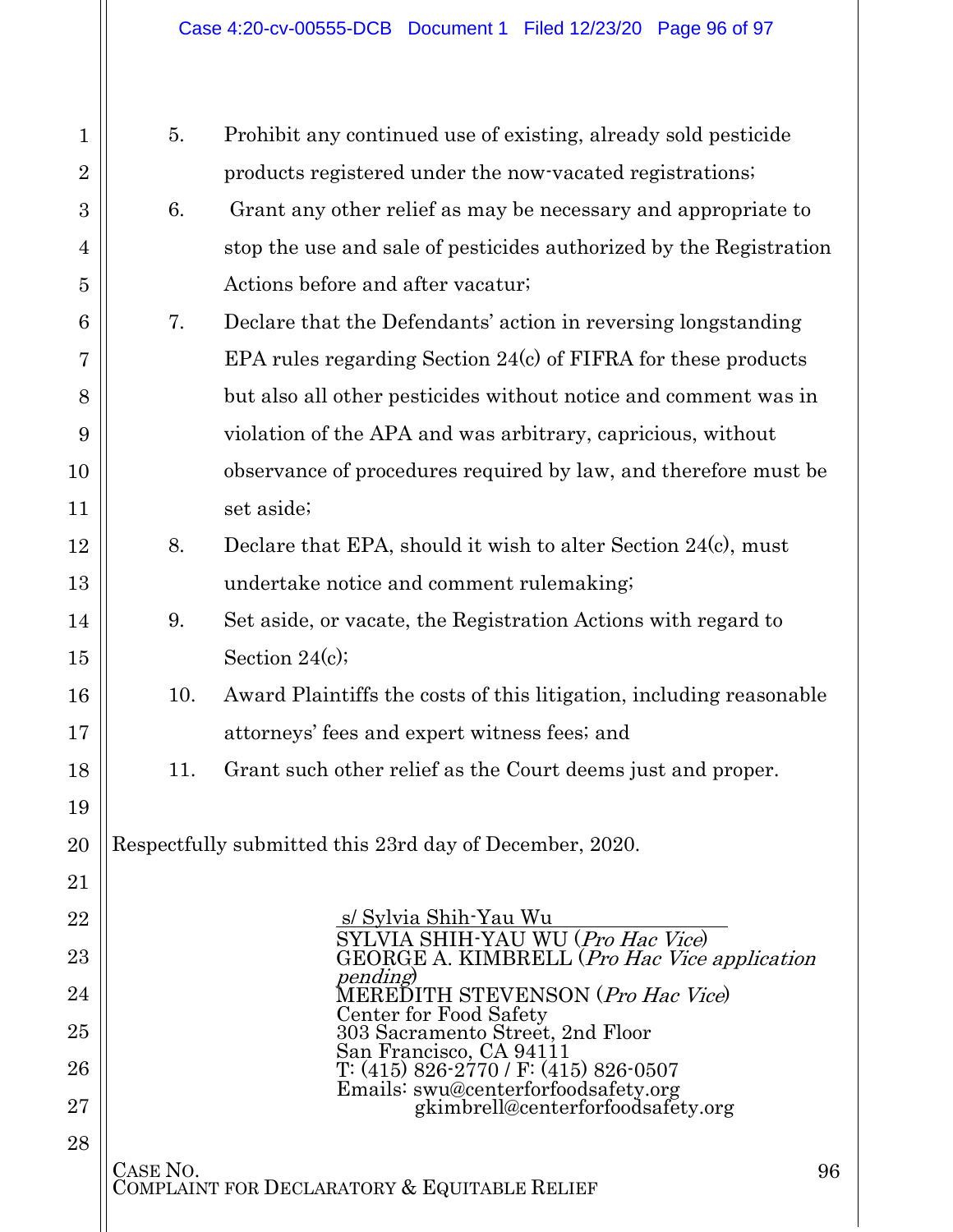| $\mathbf{1}$   | 5.                                                             | Prohibit any continued use of existing, already sold pesticide                    |  |
|----------------|----------------------------------------------------------------|-----------------------------------------------------------------------------------|--|
| $\overline{2}$ |                                                                | products registered under the now-vacated registrations.                          |  |
| 3              | 6.                                                             | Grant any other relief as may be necessary and appropriate to                     |  |
| 4              |                                                                | stop the use and sale of pesticides authorized by the Registration                |  |
| 5              |                                                                | Actions before and after vacatur;                                                 |  |
| 6              | 7.                                                             | Declare that the Defendants' action in reversing longstanding                     |  |
| 7              |                                                                | EPA rules regarding Section 24(c) of FIFRA for these products                     |  |
| 8              |                                                                | but also all other pesticides without notice and comment was in                   |  |
| 9              |                                                                | violation of the APA and was arbitrary, capricious, without                       |  |
| 10             |                                                                | observance of procedures required by law, and therefore must be                   |  |
| 11             |                                                                | set aside;                                                                        |  |
| 12             | 8.                                                             | Declare that EPA, should it wish to alter Section 24(c), must                     |  |
| 13             |                                                                | undertake notice and comment rulemaking;                                          |  |
| 14             | 9.                                                             | Set aside, or vacate, the Registration Actions with regard to                     |  |
| 15             |                                                                | Section $24(c)$ ;                                                                 |  |
| 16             | 10.                                                            | Award Plaintiffs the costs of this litigation, including reasonable               |  |
| 17             |                                                                | attorneys' fees and expert witness fees; and                                      |  |
| 18             | 11.                                                            | Grant such other relief as the Court deems just and proper.                       |  |
| 19             |                                                                |                                                                                   |  |
| 20             |                                                                | Respectfully submitted this 23rd day of December, 2020.                           |  |
| 21             |                                                                |                                                                                   |  |
| 22             |                                                                | s/ Sylvia Shih-Yau Wu                                                             |  |
| 23             |                                                                | SYLVIA SHIH-YAU WU (Pro Hac Vice)<br>GEORGE A. KIMBRELL (Pro Hac Vice application |  |
| 24             |                                                                | <i>pending</i><br>MEREDITH STEVENSON (Pro Hac Vice)                               |  |
| 25             |                                                                | Center for Food Safety<br>303 Sacramento Street, 2nd Floor                        |  |
| 26             |                                                                | San Francisco, CA 94111<br>T: (415) 826-2770 / F: (415) 826-0507                  |  |
| 27             |                                                                | Emails: swu@centerforfoodsafety.org<br>gkimbrell@centerforfoodsafety.org          |  |
| 28             |                                                                |                                                                                   |  |
|                | CASE NO.<br>96<br>COMPLAINT FOR DECLARATORY & EQUITABLE RELIEF |                                                                                   |  |
|                |                                                                |                                                                                   |  |